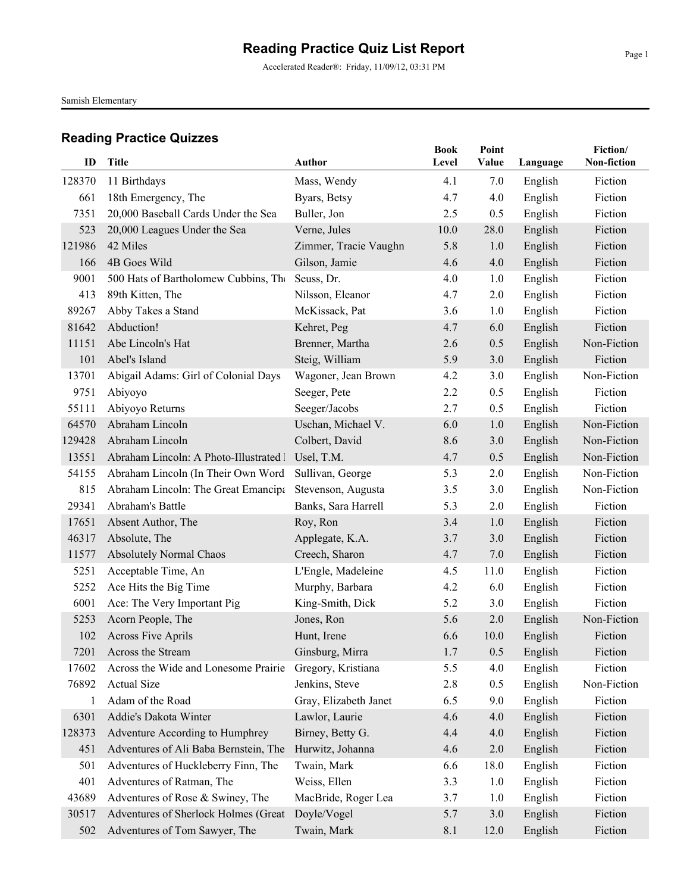Accelerated Reader®: Friday, 11/09/12, 03:31 PM

Samish Elementary

| ID     | Title                                  | Author                | <b>Book</b><br>Level | Point<br>Value | Language | Fiction/<br>Non-fiction |
|--------|----------------------------------------|-----------------------|----------------------|----------------|----------|-------------------------|
| 128370 | 11 Birthdays                           | Mass, Wendy           | 4.1                  | 7.0            | English  | Fiction                 |
| 661    | 18th Emergency, The                    | Byars, Betsy          | 4.7                  | 4.0            | English  | Fiction                 |
| 7351   | 20,000 Baseball Cards Under the Sea    | Buller, Jon           | 2.5                  | 0.5            | English  | Fiction                 |
| 523    | 20,000 Leagues Under the Sea           | Verne, Jules          | 10.0                 | 28.0           | English  | Fiction                 |
| 121986 | 42 Miles                               | Zimmer, Tracie Vaughn | 5.8                  | 1.0            | English  | Fiction                 |
| 166    | 4B Goes Wild                           | Gilson, Jamie         | 4.6                  | 4.0            | English  | Fiction                 |
| 9001   | 500 Hats of Bartholomew Cubbins, The   | Seuss, Dr.            | 4.0                  | 1.0            | English  | Fiction                 |
| 413    | 89th Kitten, The                       | Nilsson, Eleanor      | 4.7                  | 2.0            | English  | Fiction                 |
| 89267  | Abby Takes a Stand                     | McKissack, Pat        | 3.6                  | 1.0            | English  | Fiction                 |
| 81642  | Abduction!                             | Kehret, Peg           | 4.7                  | 6.0            | English  | Fiction                 |
| 11151  | Abe Lincoln's Hat                      | Brenner, Martha       | 2.6                  | 0.5            | English  | Non-Fiction             |
| 101    | Abel's Island                          | Steig, William        | 5.9                  | 3.0            | English  | Fiction                 |
| 13701  | Abigail Adams: Girl of Colonial Days   | Wagoner, Jean Brown   | 4.2                  | 3.0            | English  | Non-Fiction             |
| 9751   | Abiyoyo                                | Seeger, Pete          | 2.2                  | 0.5            | English  | Fiction                 |
| 55111  | Abiyoyo Returns                        | Seeger/Jacobs         | 2.7                  | 0.5            | English  | Fiction                 |
| 64570  | Abraham Lincoln                        | Uschan, Michael V.    | 6.0                  | 1.0            | English  | Non-Fiction             |
| 129428 | Abraham Lincoln                        | Colbert, David        | 8.6                  | 3.0            | English  | Non-Fiction             |
| 13551  | Abraham Lincoln: A Photo-Illustrated l | Usel, T.M.            | 4.7                  | 0.5            | English  | Non-Fiction             |
| 54155  | Abraham Lincoln (In Their Own Word     | Sullivan, George      | 5.3                  | 2.0            | English  | Non-Fiction             |
| 815    | Abraham Lincoln: The Great Emancipa    | Stevenson, Augusta    | 3.5                  | 3.0            | English  | Non-Fiction             |
| 29341  | Abraham's Battle                       | Banks, Sara Harrell   | 5.3                  | 2.0            | English  | Fiction                 |
| 17651  | Absent Author, The                     | Roy, Ron              | 3.4                  | 1.0            | English  | Fiction                 |
| 46317  | Absolute, The                          | Applegate, K.A.       | 3.7                  | 3.0            | English  | Fiction                 |
| 11577  | <b>Absolutely Normal Chaos</b>         | Creech, Sharon        | 4.7                  | 7.0            | English  | Fiction                 |
| 5251   | Acceptable Time, An                    | L'Engle, Madeleine    | 4.5                  | 11.0           | English  | Fiction                 |
| 5252   | Ace Hits the Big Time                  | Murphy, Barbara       | 4.2                  | 6.0            | English  | Fiction                 |
| 6001   | Ace: The Very Important Pig            | King-Smith, Dick      | 5.2                  | 3.0            | English  | Fiction                 |
| 5253   | Acorn People, The                      | Jones, Ron            | 5.6                  | 2.0            | English  | Non-Fiction             |
| 102    | <b>Across Five Aprils</b>              | Hunt, Irene           | 6.6                  | 10.0           | English  | Fiction                 |
| 7201   | Across the Stream                      | Ginsburg, Mirra       | 1.7                  | 0.5            | English  | Fiction                 |
| 17602  | Across the Wide and Lonesome Prairie   | Gregory, Kristiana    | 5.5                  | 4.0            | English  | Fiction                 |
| 76892  | <b>Actual Size</b>                     | Jenkins, Steve        | 2.8                  | 0.5            | English  | Non-Fiction             |
| 1      | Adam of the Road                       | Gray, Elizabeth Janet | 6.5                  | 9.0            | English  | Fiction                 |
| 6301   | Addie's Dakota Winter                  | Lawlor, Laurie        | 4.6                  | 4.0            | English  | Fiction                 |
| 128373 | Adventure According to Humphrey        | Birney, Betty G.      | 4.4                  | 4.0            | English  | Fiction                 |
| 451    | Adventures of Ali Baba Bernstein, The  | Hurwitz, Johanna      | 4.6                  | 2.0            | English  | Fiction                 |
| 501    | Adventures of Huckleberry Finn, The    | Twain, Mark           | 6.6                  | 18.0           | English  | Fiction                 |
| 401    | Adventures of Ratman, The              | Weiss, Ellen          | 3.3                  | 1.0            | English  | Fiction                 |
| 43689  | Adventures of Rose & Swiney, The       | MacBride, Roger Lea   | 3.7                  | 1.0            | English  | Fiction                 |
| 30517  | Adventures of Sherlock Holmes (Great   | Doyle/Vogel           | 5.7                  | 3.0            | English  | Fiction                 |
| 502    | Adventures of Tom Sawyer, The          | Twain, Mark           | 8.1                  | 12.0           | English  | Fiction                 |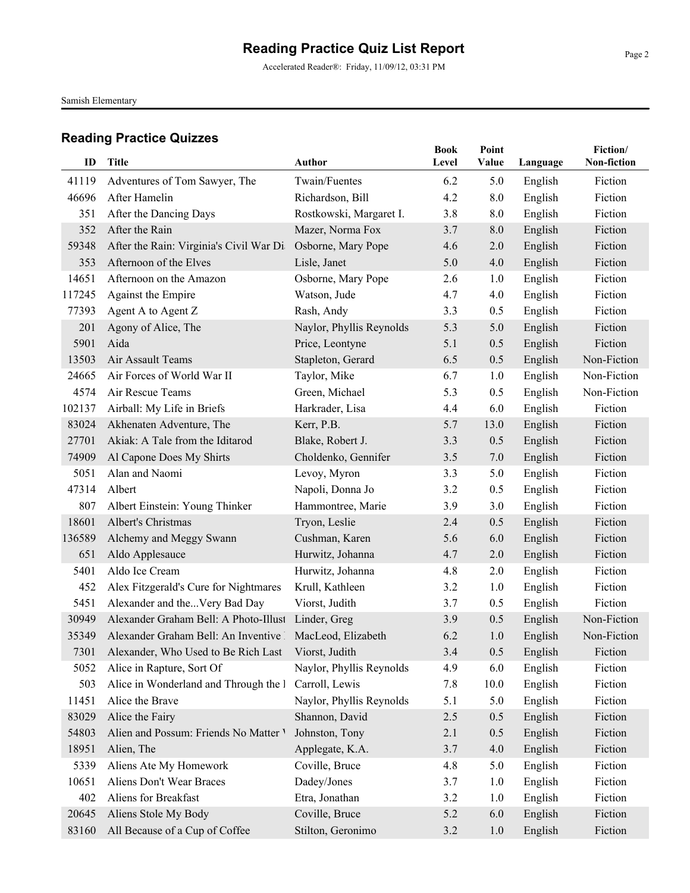Accelerated Reader®: Friday, 11/09/12, 03:31 PM

Samish Elementary

| ID     | Title                                                    | Author                   | <b>Book</b><br>Level | Point<br>Value | Language | Fiction/<br>Non-fiction |
|--------|----------------------------------------------------------|--------------------------|----------------------|----------------|----------|-------------------------|
| 41119  | Adventures of Tom Sawyer, The                            | Twain/Fuentes            | 6.2                  | 5.0            | English  | Fiction                 |
| 46696  | After Hamelin                                            | Richardson, Bill         | 4.2                  | 8.0            | English  | Fiction                 |
| 351    | After the Dancing Days                                   | Rostkowski, Margaret I.  | 3.8                  | 8.0            | English  | Fiction                 |
| 352    | After the Rain                                           | Mazer, Norma Fox         | 3.7                  | 8.0            | English  | Fiction                 |
| 59348  | After the Rain: Virginia's Civil War Di                  | Osborne, Mary Pope       | 4.6                  | 2.0            | English  | Fiction                 |
| 353    | Afternoon of the Elves                                   | Lisle, Janet             | 5.0                  | 4.0            | English  | Fiction                 |
| 14651  | Afternoon on the Amazon                                  | Osborne, Mary Pope       | 2.6                  | 1.0            | English  | Fiction                 |
| 117245 | Against the Empire                                       | Watson, Jude             | 4.7                  | 4.0            | English  | Fiction                 |
| 77393  | Agent A to Agent Z                                       | Rash, Andy               | 3.3                  | 0.5            | English  | Fiction                 |
| 201    | Agony of Alice, The                                      | Naylor, Phyllis Reynolds | 5.3                  | 5.0            | English  | Fiction                 |
| 5901   | Aida                                                     | Price, Leontyne          | 5.1                  | 0.5            | English  | Fiction                 |
| 13503  | Air Assault Teams                                        | Stapleton, Gerard        | 6.5                  | 0.5            | English  | Non-Fiction             |
| 24665  | Air Forces of World War II                               | Taylor, Mike             | 6.7                  | 1.0            | English  | Non-Fiction             |
| 4574   | Air Rescue Teams                                         | Green, Michael           | 5.3                  | 0.5            | English  | Non-Fiction             |
| 102137 | Airball: My Life in Briefs                               | Harkrader, Lisa          | 4.4                  | 6.0            | English  | Fiction                 |
| 83024  | Akhenaten Adventure, The                                 | Kerr, P.B.               | 5.7                  | 13.0           | English  | Fiction                 |
| 27701  | Akiak: A Tale from the Iditarod                          | Blake, Robert J.         | 3.3                  | 0.5            | English  | Fiction                 |
| 74909  | Al Capone Does My Shirts                                 | Choldenko, Gennifer      | 3.5                  | 7.0            | English  | Fiction                 |
| 5051   | Alan and Naomi                                           | Levoy, Myron             | 3.3                  | 5.0            | English  | Fiction                 |
| 47314  | Albert                                                   | Napoli, Donna Jo         | 3.2                  | 0.5            | English  | Fiction                 |
| 807    | Albert Einstein: Young Thinker                           | Hammontree, Marie        | 3.9                  | 3.0            | English  | Fiction                 |
| 18601  | Albert's Christmas                                       | Tryon, Leslie            | 2.4                  | 0.5            | English  | Fiction                 |
| 136589 | Alchemy and Meggy Swann                                  | Cushman, Karen           | 5.6                  | 6.0            | English  | Fiction                 |
| 651    | Aldo Applesauce                                          | Hurwitz, Johanna         | 4.7                  | 2.0            | English  | Fiction                 |
| 5401   | Aldo Ice Cream                                           | Hurwitz, Johanna         | 4.8                  | 2.0            | English  | Fiction                 |
| 452    | Alex Fitzgerald's Cure for Nightmares                    | Krull, Kathleen          | 3.2                  | 1.0            | English  | Fiction                 |
| 5451   | Alexander and theVery Bad Day                            | Viorst, Judith           | 3.7                  | 0.5            | English  | Fiction                 |
| 30949  | Alexander Graham Bell: A Photo-Illust Linder, Greg       |                          | 3.9                  | 0.5            | English  | Non-Fiction             |
| 35349  | Alexander Graham Bell: An Inventive   MacLeod, Elizabeth |                          | 6.2                  | 1.0            | English  | Non-Fiction             |
| 7301   | Alexander, Who Used to Be Rich Last Viorst, Judith       |                          | 3.4                  | 0.5            | English  | Fiction                 |
| 5052   | Alice in Rapture, Sort Of                                | Naylor, Phyllis Reynolds | 4.9                  | 6.0            | English  | Fiction                 |
| 503    | Alice in Wonderland and Through the I                    | Carroll, Lewis           | 7.8                  | 10.0           | English  | Fiction                 |
| 11451  | Alice the Brave                                          | Naylor, Phyllis Reynolds | 5.1                  | 5.0            | English  | Fiction                 |
| 83029  | Alice the Fairy                                          | Shannon, David           | 2.5                  | 0.5            | English  | Fiction                 |
| 54803  | Alien and Possum: Friends No Matter V                    | Johnston, Tony           | 2.1                  | 0.5            | English  | Fiction                 |
| 18951  | Alien, The                                               | Applegate, K.A.          | 3.7                  | 4.0            | English  | Fiction                 |
| 5339   | Aliens Ate My Homework                                   | Coville, Bruce           | 4.8                  | 5.0            | English  | Fiction                 |
| 10651  | Aliens Don't Wear Braces                                 | Dadey/Jones              | 3.7                  | 1.0            | English  | Fiction                 |
| 402    | Aliens for Breakfast                                     | Etra, Jonathan           | 3.2                  | 1.0            | English  | Fiction                 |
| 20645  | Aliens Stole My Body                                     | Coville, Bruce           | 5.2                  | 6.0            | English  | Fiction                 |
| 83160  | All Because of a Cup of Coffee                           | Stilton, Geronimo        | 3.2                  | 1.0            | English  | Fiction                 |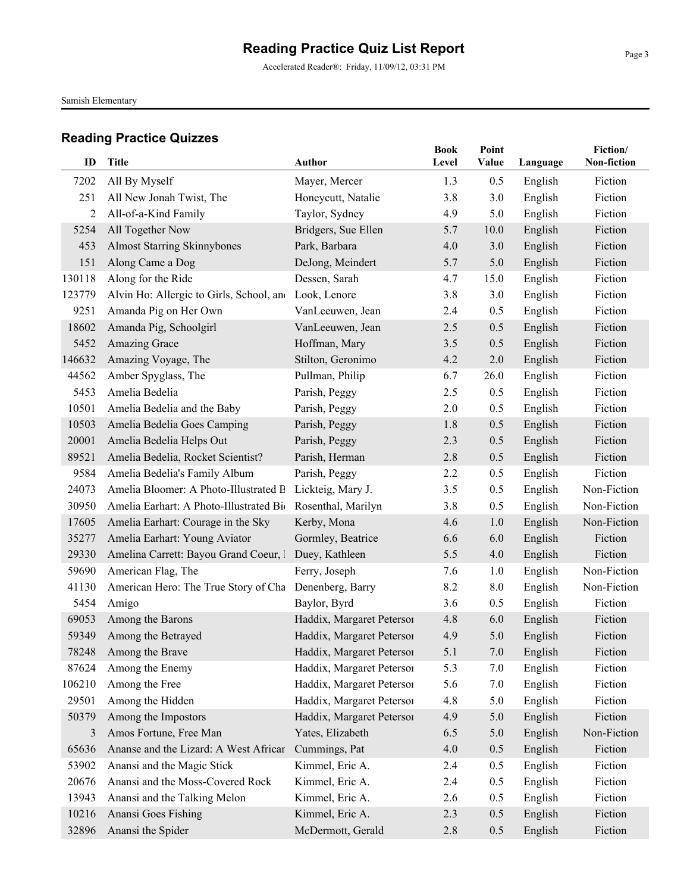Accelerated Reader®: Friday, 11/09/12, 03:31 PM

Samish Elementary

| ID     | <b>Title</b>                                            | Author                    | <b>Book</b><br>Level | Point<br>Value | Language | Fiction/<br>Non-fiction |
|--------|---------------------------------------------------------|---------------------------|----------------------|----------------|----------|-------------------------|
| 7202   | All By Myself                                           | Mayer, Mercer             | 1.3                  | 0.5            | English  | Fiction                 |
| 251    | All New Jonah Twist, The                                | Honeycutt, Natalie        | 3.8                  | 3.0            | English  | Fiction                 |
| 2      | All-of-a-Kind Family                                    | Taylor, Sydney            | 4.9                  | 5.0            | English  | Fiction                 |
| 5254   | All Together Now                                        | Bridgers, Sue Ellen       | 5.7                  | 10.0           | English  | Fiction                 |
| 453    | <b>Almost Starring Skinnybones</b>                      | Park, Barbara             | 4.0                  | 3.0            | English  | Fiction                 |
| 151    | Along Came a Dog                                        | DeJong, Meindert          | 5.7                  | 5.0            | English  | Fiction                 |
| 130118 | Along for the Ride                                      | Dessen, Sarah             | 4.7                  | 15.0           | English  | Fiction                 |
| 123779 | Alvin Ho: Allergic to Girls, School, and                | Look, Lenore              | 3.8                  | 3.0            | English  | Fiction                 |
| 9251   | Amanda Pig on Her Own                                   | VanLeeuwen, Jean          | 2.4                  | 0.5            | English  | Fiction                 |
| 18602  | Amanda Pig, Schoolgirl                                  | VanLeeuwen, Jean          | 2.5                  | 0.5            | English  | Fiction                 |
| 5452   | Amazing Grace                                           | Hoffman, Mary             | 3.5                  | 0.5            | English  | Fiction                 |
| 146632 | Amazing Voyage, The                                     | Stilton, Geronimo         | 4.2                  | 2.0            | English  | Fiction                 |
| 44562  | Amber Spyglass, The                                     | Pullman, Philip           | 6.7                  | 26.0           | English  | Fiction                 |
| 5453   | Amelia Bedelia                                          | Parish, Peggy             | 2.5                  | 0.5            | English  | Fiction                 |
| 10501  | Amelia Bedelia and the Baby                             | Parish, Peggy             | 2.0                  | 0.5            | English  | Fiction                 |
| 10503  | Amelia Bedelia Goes Camping                             | Parish, Peggy             | 1.8                  | 0.5            | English  | Fiction                 |
| 20001  | Amelia Bedelia Helps Out                                | Parish, Peggy             | 2.3                  | 0.5            | English  | Fiction                 |
| 89521  | Amelia Bedelia, Rocket Scientist?                       | Parish, Herman            | 2.8                  | 0.5            | English  | Fiction                 |
| 9584   | Amelia Bedelia's Family Album                           | Parish, Peggy             | 2.2                  | 0.5            | English  | Fiction                 |
| 24073  | Amelia Bloomer: A Photo-Illustrated B Lickteig, Mary J. |                           | 3.5                  | 0.5            | English  | Non-Fiction             |
| 30950  | Amelia Earhart: A Photo-Illustrated Bio                 | Rosenthal, Marilyn        | 3.8                  | 0.5            | English  | Non-Fiction             |
| 17605  | Amelia Earhart: Courage in the Sky                      | Kerby, Mona               | 4.6                  | 1.0            | English  | Non-Fiction             |
| 35277  | Amelia Earhart: Young Aviator                           | Gormley, Beatrice         | 6.6                  | 6.0            | English  | Fiction                 |
| 29330  | Amelina Carrett: Bayou Grand Coeur, 1                   | Duey, Kathleen            | 5.5                  | 4.0            | English  | Fiction                 |
| 59690  | American Flag, The                                      | Ferry, Joseph             | 7.6                  | 1.0            | English  | Non-Fiction             |
| 41130  | American Hero: The True Story of Cha                    | Denenberg, Barry          | 8.2                  | 8.0            | English  | Non-Fiction             |
| 5454   | Amigo                                                   | Baylor, Byrd              | 3.6                  | 0.5            | English  | Fiction                 |
| 69053  | Among the Barons                                        | Haddix, Margaret Petersor | 4.8                  | 6.0            | English  | Fiction                 |
| 59349  | Among the Betrayed                                      | Haddix, Margaret Petersoi | 4.9                  | 5.0            | English  | Fiction                 |
| 78248  | Among the Brave                                         | Haddix, Margaret Petersol | 5.1                  | 7.0            | English  | Fiction                 |
| 87624  | Among the Enemy                                         | Haddix, Margaret Peterson | 5.3                  | 7.0            | English  | Fiction                 |
| 106210 | Among the Free                                          | Haddix, Margaret Petersor | 5.6                  | 7.0            | English  | Fiction                 |
| 29501  | Among the Hidden                                        | Haddix, Margaret Petersor | 4.8                  | 5.0            | English  | Fiction                 |
| 50379  | Among the Impostors                                     | Haddix, Margaret Petersoi | 4.9                  | 5.0            | English  | Fiction                 |
| 3      | Amos Fortune, Free Man                                  | Yates, Elizabeth          | 6.5                  | 5.0            | English  | Non-Fiction             |
| 65636  | Ananse and the Lizard: A West Africar                   | Cummings, Pat             | 4.0                  | 0.5            | English  | Fiction                 |
| 53902  | Anansi and the Magic Stick                              | Kimmel, Eric A.           | 2.4                  | 0.5            | English  | Fiction                 |
| 20676  | Anansi and the Moss-Covered Rock                        | Kimmel, Eric A.           | 2.4                  | 0.5            | English  | Fiction                 |
| 13943  | Anansi and the Talking Melon                            | Kimmel, Eric A.           | 2.6                  | 0.5            | English  | Fiction                 |
| 10216  | Anansi Goes Fishing                                     | Kimmel, Eric A.           | 2.3                  | 0.5            | English  | Fiction                 |
| 32896  | Anansi the Spider                                       | McDermott, Gerald         | 2.8                  | 0.5            | English  | Fiction                 |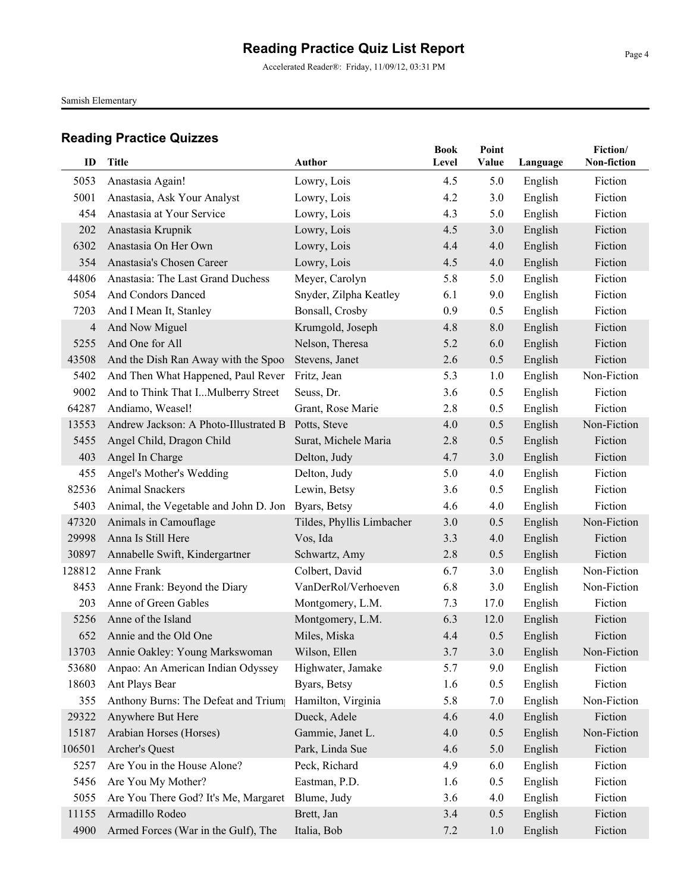Accelerated Reader®: Friday, 11/09/12, 03:31 PM

Samish Elementary

| ID             | <b>Title</b>                          | <b>Author</b>             | <b>Book</b><br>Level | Point<br>Value | Language | Fiction/<br>Non-fiction |
|----------------|---------------------------------------|---------------------------|----------------------|----------------|----------|-------------------------|
| 5053           | Anastasia Again!                      | Lowry, Lois               | 4.5                  | 5.0            | English  | Fiction                 |
| 5001           | Anastasia, Ask Your Analyst           | Lowry, Lois               | 4.2                  | 3.0            | English  | Fiction                 |
| 454            | Anastasia at Your Service             | Lowry, Lois               | 4.3                  | 5.0            | English  | Fiction                 |
| 202            | Anastasia Krupnik                     | Lowry, Lois               | 4.5                  | 3.0            | English  | Fiction                 |
| 6302           | Anastasia On Her Own                  | Lowry, Lois               | 4.4                  | 4.0            | English  | Fiction                 |
| 354            | Anastasia's Chosen Career             | Lowry, Lois               | 4.5                  | 4.0            | English  | Fiction                 |
| 44806          | Anastasia: The Last Grand Duchess     | Meyer, Carolyn            | 5.8                  | 5.0            | English  | Fiction                 |
| 5054           | And Condors Danced                    | Snyder, Zilpha Keatley    | 6.1                  | 9.0            | English  | Fiction                 |
| 7203           | And I Mean It, Stanley                | Bonsall, Crosby           | 0.9                  | 0.5            | English  | Fiction                 |
| $\overline{4}$ | And Now Miguel                        | Krumgold, Joseph          | 4.8                  | 8.0            | English  | Fiction                 |
| 5255           | And One for All                       | Nelson, Theresa           | 5.2                  | 6.0            | English  | Fiction                 |
| 43508          | And the Dish Ran Away with the Spoo.  | Stevens, Janet            | 2.6                  | 0.5            | English  | Fiction                 |
| 5402           | And Then What Happened, Paul Rever    | Fritz, Jean               | 5.3                  | 1.0            | English  | Non-Fiction             |
| 9002           | And to Think That IMulberry Street    | Seuss, Dr.                | 3.6                  | 0.5            | English  | Fiction                 |
| 64287          | Andiamo, Weasel!                      | Grant, Rose Marie         | 2.8                  | 0.5            | English  | Fiction                 |
| 13553          | Andrew Jackson: A Photo-Illustrated B | Potts, Steve              | 4.0                  | 0.5            | English  | Non-Fiction             |
| 5455           | Angel Child, Dragon Child             | Surat, Michele Maria      | 2.8                  | 0.5            | English  | Fiction                 |
| 403            | Angel In Charge                       | Delton, Judy              | 4.7                  | 3.0            | English  | Fiction                 |
| 455            | Angel's Mother's Wedding              | Delton, Judy              | 5.0                  | 4.0            | English  | Fiction                 |
| 82536          | Animal Snackers                       | Lewin, Betsy              | 3.6                  | 0.5            | English  | Fiction                 |
| 5403           | Animal, the Vegetable and John D. Jon | Byars, Betsy              | 4.6                  | 4.0            | English  | Fiction                 |
| 47320          | Animals in Camouflage                 | Tildes, Phyllis Limbacher | 3.0                  | 0.5            | English  | Non-Fiction             |
| 29998          | Anna Is Still Here                    | Vos, Ida                  | 3.3                  | 4.0            | English  | Fiction                 |
| 30897          | Annabelle Swift, Kindergartner        | Schwartz, Amy             | 2.8                  | 0.5            | English  | Fiction                 |
| 128812         | Anne Frank                            | Colbert, David            | 6.7                  | 3.0            | English  | Non-Fiction             |
| 8453           | Anne Frank: Beyond the Diary          | VanDerRol/Verhoeven       | 6.8                  | 3.0            | English  | Non-Fiction             |
| 203            | Anne of Green Gables                  | Montgomery, L.M.          | 7.3                  | 17.0           | English  | Fiction                 |
| 5256           | Anne of the Island                    | Montgomery, L.M.          | 6.3                  | 12.0           | English  | Fiction                 |
| 652            | Annie and the Old One                 | Miles, Miska              | 4.4                  | 0.5            | English  | Fiction                 |
|                | 13703 Annie Oakley: Young Markswoman  | Wilson, Ellen             | 3.7                  | 3.0            | English  | Non-Fiction             |
| 53680          | Anpao: An American Indian Odyssey     | Highwater, Jamake         | 5.7                  | 9.0            | English  | Fiction                 |
| 18603          | Ant Plays Bear                        | Byars, Betsy              | 1.6                  | 0.5            | English  | Fiction                 |
| 355            | Anthony Burns: The Defeat and Trium   | Hamilton, Virginia        | 5.8                  | 7.0            | English  | Non-Fiction             |
| 29322          | Anywhere But Here                     | Dueck, Adele              | 4.6                  | 4.0            | English  | Fiction                 |
| 15187          | Arabian Horses (Horses)               | Gammie, Janet L.          | 4.0                  | 0.5            | English  | Non-Fiction             |
| 106501         | Archer's Quest                        | Park, Linda Sue           | 4.6                  | 5.0            | English  | Fiction                 |
| 5257           | Are You in the House Alone?           | Peck, Richard             | 4.9                  | 6.0            | English  | Fiction                 |
| 5456           | Are You My Mother?                    | Eastman, P.D.             | 1.6                  | 0.5            | English  | Fiction                 |
| 5055           | Are You There God? It's Me, Margaret  | Blume, Judy               | 3.6                  | 4.0            | English  | Fiction                 |
| 11155          | Armadillo Rodeo                       | Brett, Jan                | 3.4                  | 0.5            | English  | Fiction                 |
| 4900           | Armed Forces (War in the Gulf), The   | Italia, Bob               | 7.2                  | 1.0            | English  | Fiction                 |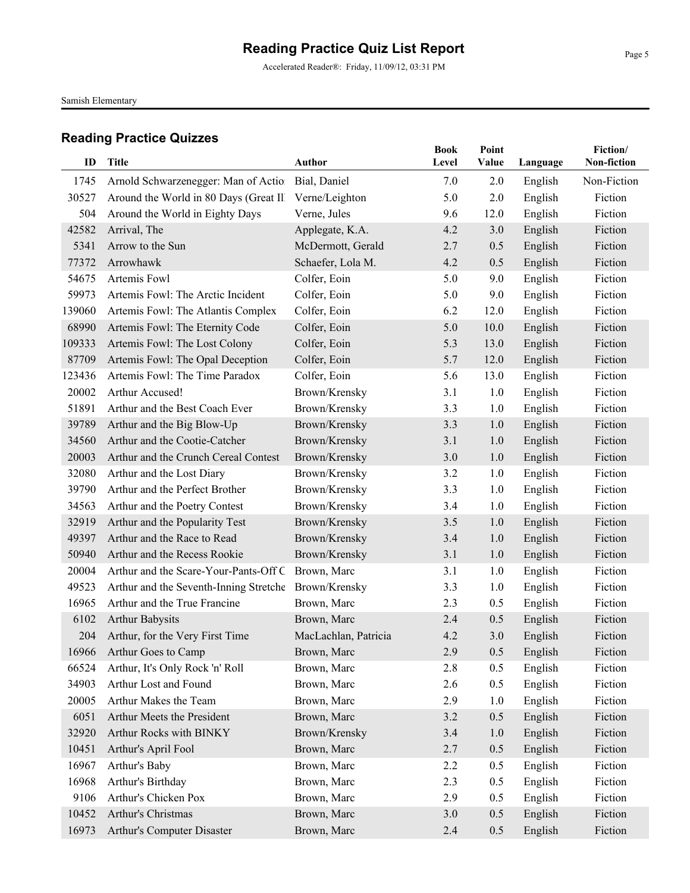Accelerated Reader®: Friday, 11/09/12, 03:31 PM

Samish Elementary

| ID            | <b>Title</b>                                                                                              | <b>Author</b>        | <b>Book</b><br>Level | Point<br>Value | Language           | Fiction/<br>Non-fiction |
|---------------|-----------------------------------------------------------------------------------------------------------|----------------------|----------------------|----------------|--------------------|-------------------------|
|               |                                                                                                           |                      |                      |                |                    | Non-Fiction             |
| 1745<br>30527 | Arnold Schwarzenegger: Man of Actio Bial, Daniel<br>Around the World in 80 Days (Great Ill Verne/Leighton |                      | 7.0<br>5.0           | 2.0<br>2.0     | English<br>English | Fiction                 |
| 504           | Around the World in Eighty Days                                                                           | Verne, Jules         | 9.6                  | 12.0           |                    | Fiction                 |
| 42582         | Arrival, The                                                                                              | Applegate, K.A.      | 4.2                  | 3.0            | English            | Fiction                 |
| 5341          | Arrow to the Sun                                                                                          | McDermott, Gerald    | 2.7                  | 0.5            | English<br>English | Fiction                 |
| 77372         | Arrowhawk                                                                                                 | Schaefer, Lola M.    | 4.2                  | 0.5            | English            | Fiction                 |
| 54675         | Artemis Fowl                                                                                              | Colfer, Eoin         | 5.0                  | 9.0            | English            | Fiction                 |
| 59973         | Artemis Fowl: The Arctic Incident                                                                         | Colfer, Eoin         | 5.0                  | 9.0            | English            | Fiction                 |
| 139060        | Artemis Fowl: The Atlantis Complex                                                                        | Colfer, Eoin         | 6.2                  | 12.0           | English            | Fiction                 |
| 68990         | Artemis Fowl: The Eternity Code                                                                           | Colfer, Eoin         | 5.0                  | 10.0           | English            | Fiction                 |
| 109333        | Artemis Fowl: The Lost Colony                                                                             | Colfer, Eoin         | 5.3                  | 13.0           | English            | Fiction                 |
| 87709         | Artemis Fowl: The Opal Deception                                                                          | Colfer, Eoin         | 5.7                  | 12.0           | English            | Fiction                 |
| 123436        | Artemis Fowl: The Time Paradox                                                                            | Colfer, Eoin         | 5.6                  | 13.0           | English            | Fiction                 |
| 20002         | Arthur Accused!                                                                                           | Brown/Krensky        | 3.1                  | 1.0            | English            | Fiction                 |
| 51891         | Arthur and the Best Coach Ever                                                                            | Brown/Krensky        | 3.3                  | 1.0            | English            | Fiction                 |
| 39789         | Arthur and the Big Blow-Up                                                                                | Brown/Krensky        | 3.3                  | 1.0            | English            | Fiction                 |
| 34560         | Arthur and the Cootie-Catcher                                                                             | Brown/Krensky        | 3.1                  | 1.0            | English            | Fiction                 |
| 20003         | Arthur and the Crunch Cereal Contest                                                                      | Brown/Krensky        | 3.0                  | 1.0            | English            | Fiction                 |
| 32080         | Arthur and the Lost Diary                                                                                 | Brown/Krensky        | 3.2                  | 1.0            | English            | Fiction                 |
| 39790         | Arthur and the Perfect Brother                                                                            | Brown/Krensky        | 3.3                  | 1.0            | English            | Fiction                 |
| 34563         | Arthur and the Poetry Contest                                                                             | Brown/Krensky        | 3.4                  | 1.0            | English            | Fiction                 |
| 32919         | Arthur and the Popularity Test                                                                            | Brown/Krensky        | 3.5                  | 1.0            | English            | Fiction                 |
| 49397         | Arthur and the Race to Read                                                                               | Brown/Krensky        | 3.4                  | 1.0            | English            | Fiction                 |
| 50940         | Arthur and the Recess Rookie                                                                              | Brown/Krensky        | 3.1                  | 1.0            | English            | Fiction                 |
| 20004         | Arthur and the Scare-Your-Pants-Off C Brown, Marc                                                         |                      | 3.1                  | 1.0            | English            | Fiction                 |
| 49523         | Arthur and the Seventh-Inning Stretche Brown/Krensky                                                      |                      | 3.3                  | 1.0            | English            | Fiction                 |
| 16965         | Arthur and the True Francine                                                                              | Brown, Marc          | 2.3                  | 0.5            | English            | Fiction                 |
| 6102          | <b>Arthur Babysits</b>                                                                                    | Brown, Marc          | 2.4                  | 0.5            | English            | Fiction                 |
| 204           | Arthur, for the Very First Time                                                                           | MacLachlan, Patricia | 4.2                  | 3.0            | English            | Fiction                 |
|               | 16966 Arthur Goes to Camp                                                                                 | Brown, Marc          | 2.9                  | 0.5            | English            | Fiction                 |
| 66524         | Arthur, It's Only Rock 'n' Roll                                                                           | Brown, Marc          | 2.8                  | 0.5            | English            | Fiction                 |
| 34903         | Arthur Lost and Found                                                                                     | Brown, Marc          | 2.6                  | 0.5            | English            | Fiction                 |
| 20005         | Arthur Makes the Team                                                                                     | Brown, Marc          | 2.9                  | 1.0            | English            | Fiction                 |
| 6051          | Arthur Meets the President                                                                                | Brown, Marc          | 3.2                  | 0.5            | English            | Fiction                 |
| 32920         | Arthur Rocks with BINKY                                                                                   | Brown/Krensky        | 3.4                  | 1.0            | English            | Fiction                 |
| 10451         | Arthur's April Fool                                                                                       | Brown, Marc          | 2.7                  | 0.5            | English            | Fiction                 |
| 16967         | Arthur's Baby                                                                                             | Brown, Marc          | 2.2                  | 0.5            | English            | Fiction                 |
| 16968         | Arthur's Birthday                                                                                         | Brown, Marc          | 2.3                  | 0.5            | English            | Fiction                 |
| 9106          | Arthur's Chicken Pox                                                                                      | Brown, Marc          | 2.9                  | 0.5            | English            | Fiction                 |
| 10452         | Arthur's Christmas                                                                                        | Brown, Marc          | 3.0                  | 0.5            | English            | Fiction                 |
| 16973         | Arthur's Computer Disaster                                                                                | Brown, Marc          | 2.4                  | 0.5            | English            | Fiction                 |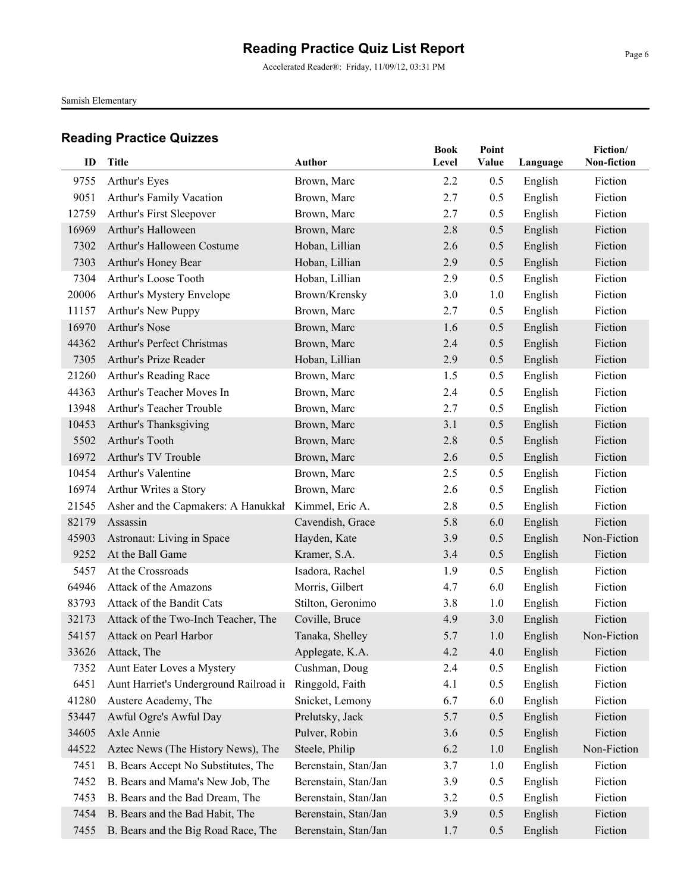Accelerated Reader®: Friday, 11/09/12, 03:31 PM

Samish Elementary

| ID    | <b>Title</b>                           | <b>Author</b>        | <b>Book</b><br>Level | Point<br>Value |          | Fiction/<br>Non-fiction |
|-------|----------------------------------------|----------------------|----------------------|----------------|----------|-------------------------|
|       |                                        |                      |                      |                | Language |                         |
| 9755  | Arthur's Eyes                          | Brown, Marc          | 2.2                  | 0.5            | English  | Fiction                 |
| 9051  | Arthur's Family Vacation               | Brown, Marc          | 2.7                  | 0.5            | English  | Fiction                 |
| 12759 | Arthur's First Sleepover               | Brown, Marc          | 2.7                  | 0.5            | English  | Fiction                 |
| 16969 | Arthur's Halloween                     | Brown, Marc          | 2.8                  | 0.5            | English  | Fiction                 |
| 7302  | Arthur's Halloween Costume             | Hoban, Lillian       | 2.6                  | 0.5            | English  | Fiction                 |
| 7303  | Arthur's Honey Bear                    | Hoban, Lillian       | 2.9                  | 0.5            | English  | Fiction                 |
| 7304  | Arthur's Loose Tooth                   | Hoban, Lillian       | 2.9                  | 0.5            | English  | Fiction                 |
| 20006 | Arthur's Mystery Envelope              | Brown/Krensky        | 3.0                  | 1.0            | English  | Fiction                 |
| 11157 | Arthur's New Puppy                     | Brown, Marc          | 2.7                  | 0.5            | English  | Fiction                 |
| 16970 | Arthur's Nose                          | Brown, Marc          | 1.6                  | 0.5            | English  | Fiction                 |
| 44362 | Arthur's Perfect Christmas             | Brown, Marc          | 2.4                  | 0.5            | English  | Fiction                 |
| 7305  | Arthur's Prize Reader                  | Hoban, Lillian       | 2.9                  | 0.5            | English  | Fiction                 |
| 21260 | Arthur's Reading Race                  | Brown, Marc          | 1.5                  | 0.5            | English  | Fiction                 |
| 44363 | Arthur's Teacher Moves In              | Brown, Marc          | 2.4                  | 0.5            | English  | Fiction                 |
| 13948 | Arthur's Teacher Trouble               | Brown, Marc          | 2.7                  | 0.5            | English  | Fiction                 |
| 10453 | Arthur's Thanksgiving                  | Brown, Marc          | 3.1                  | 0.5            | English  | Fiction                 |
| 5502  | Arthur's Tooth                         | Brown, Marc          | 2.8                  | 0.5            | English  | Fiction                 |
| 16972 | Arthur's TV Trouble                    | Brown, Marc          | 2.6                  | 0.5            | English  | Fiction                 |
| 10454 | Arthur's Valentine                     | Brown, Marc          | 2.5                  | 0.5            | English  | Fiction                 |
| 16974 | Arthur Writes a Story                  | Brown, Marc          | 2.6                  | 0.5            | English  | Fiction                 |
| 21545 | Asher and the Capmakers: A Hanukkal    | Kimmel, Eric A.      | 2.8                  | 0.5            | English  | Fiction                 |
| 82179 | Assassin                               | Cavendish, Grace     | 5.8                  | 6.0            | English  | Fiction                 |
| 45903 | Astronaut: Living in Space             | Hayden, Kate         | 3.9                  | 0.5            | English  | Non-Fiction             |
| 9252  | At the Ball Game                       | Kramer, S.A.         | 3.4                  | 0.5            | English  | Fiction                 |
| 5457  | At the Crossroads                      | Isadora, Rachel      | 1.9                  | 0.5            | English  | Fiction                 |
| 64946 | Attack of the Amazons                  | Morris, Gilbert      | 4.7                  | 6.0            | English  | Fiction                 |
| 83793 | Attack of the Bandit Cats              | Stilton, Geronimo    | 3.8                  | 1.0            | English  | Fiction                 |
| 32173 | Attack of the Two-Inch Teacher, The    | Coville, Bruce       | 4.9                  | 3.0            | English  | Fiction                 |
| 54157 | Attack on Pearl Harbor                 | Tanaka, Shelley      | 5.7                  | 1.0            | English  | Non-Fiction             |
| 33626 | Attack, The                            | Applegate, K.A.      | 4.2                  | 4.0            | English  | Fiction                 |
| 7352  | Aunt Eater Loves a Mystery             | Cushman, Doug        | 2.4                  | 0.5            | English  | Fiction                 |
| 6451  | Aunt Harriet's Underground Railroad in | Ringgold, Faith      | 4.1                  | 0.5            | English  | Fiction                 |
| 41280 | Austere Academy, The                   | Snicket, Lemony      | 6.7                  | 6.0            | English  | Fiction                 |
| 53447 | Awful Ogre's Awful Day                 | Prelutsky, Jack      | 5.7                  | 0.5            | English  | Fiction                 |
| 34605 | Axle Annie                             | Pulver, Robin        | 3.6                  | 0.5            | English  | Fiction                 |
| 44522 | Aztec News (The History News), The     | Steele, Philip       | 6.2                  | 1.0            | English  | Non-Fiction             |
| 7451  | B. Bears Accept No Substitutes, The    | Berenstain, Stan/Jan | 3.7                  | 1.0            | English  | Fiction                 |
| 7452  | B. Bears and Mama's New Job, The       | Berenstain, Stan/Jan | 3.9                  | 0.5            | English  | Fiction                 |
| 7453  | B. Bears and the Bad Dream, The        | Berenstain, Stan/Jan | 3.2                  | 0.5            | English  | Fiction                 |
| 7454  | B. Bears and the Bad Habit, The        | Berenstain, Stan/Jan | 3.9                  | 0.5            | English  | Fiction                 |
| 7455  | B. Bears and the Big Road Race, The    | Berenstain, Stan/Jan | 1.7                  | 0.5            | English  | Fiction                 |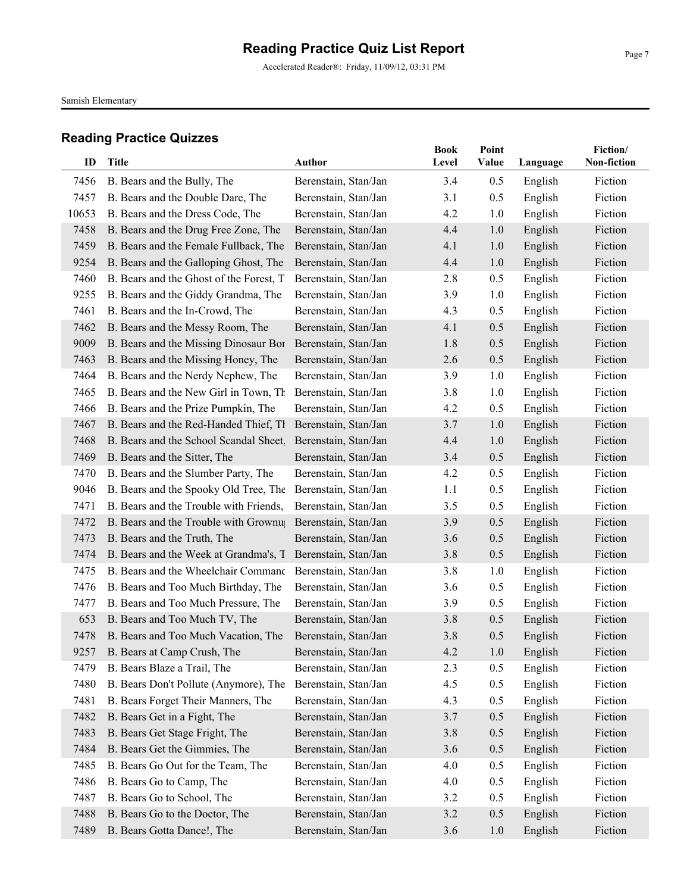Accelerated Reader®: Friday, 11/09/12, 03:31 PM

Samish Elementary

| ID    | Title                                                    | <b>Author</b>        | Book<br>Level | Point<br>Value | Language | Fiction/<br>Non-fiction |
|-------|----------------------------------------------------------|----------------------|---------------|----------------|----------|-------------------------|
|       |                                                          |                      |               |                |          |                         |
| 7456  | B. Bears and the Bully, The                              | Berenstain, Stan/Jan | 3.4           | 0.5            | English  | Fiction                 |
| 7457  | B. Bears and the Double Dare, The                        | Berenstain, Stan/Jan | 3.1           | 0.5            | English  | Fiction                 |
| 10653 | B. Bears and the Dress Code, The                         | Berenstain, Stan/Jan | 4.2           | 1.0            | English  | Fiction                 |
| 7458  | B. Bears and the Drug Free Zone, The                     | Berenstain, Stan/Jan | 4.4           | 1.0            | English  | Fiction                 |
| 7459  | B. Bears and the Female Fullback, The                    | Berenstain, Stan/Jan | 4.1           | 1.0            | English  | Fiction                 |
| 9254  | B. Bears and the Galloping Ghost, The                    | Berenstain, Stan/Jan | 4.4           | 1.0            | English  | Fiction                 |
| 7460  | B. Bears and the Ghost of the Forest, T.                 | Berenstain, Stan/Jan | 2.8           | 0.5            | English  | Fiction                 |
| 9255  | B. Bears and the Giddy Grandma, The                      | Berenstain, Stan/Jan | 3.9           | 1.0            | English  | Fiction                 |
| 7461  | B. Bears and the In-Crowd, The                           | Berenstain, Stan/Jan | 4.3           | 0.5            | English  | Fiction                 |
| 7462  | B. Bears and the Messy Room, The                         | Berenstain, Stan/Jan | 4.1           | 0.5            | English  | Fiction                 |
| 9009  | B. Bears and the Missing Dinosaur Bor                    | Berenstain, Stan/Jan | 1.8           | 0.5            | English  | Fiction                 |
| 7463  | B. Bears and the Missing Honey, The                      | Berenstain, Stan/Jan | 2.6           | 0.5            | English  | Fiction                 |
| 7464  | B. Bears and the Nerdy Nephew, The                       | Berenstain, Stan/Jan | 3.9           | 1.0            | English  | Fiction                 |
| 7465  | B. Bears and the New Girl in Town, Th                    | Berenstain, Stan/Jan | 3.8           | 1.0            | English  | Fiction                 |
| 7466  | B. Bears and the Prize Pumpkin, The                      | Berenstain, Stan/Jan | 4.2           | 0.5            | English  | Fiction                 |
| 7467  | B. Bears and the Red-Handed Thief, Th                    | Berenstain, Stan/Jan | 3.7           | 1.0            | English  | Fiction                 |
| 7468  | B. Bears and the School Scandal Sheet,                   | Berenstain, Stan/Jan | 4.4           | 1.0            | English  | Fiction                 |
| 7469  | B. Bears and the Sitter, The                             | Berenstain, Stan/Jan | 3.4           | 0.5            | English  | Fiction                 |
| 7470  | B. Bears and the Slumber Party, The                      | Berenstain, Stan/Jan | 4.2           | 0.5            | English  | Fiction                 |
| 9046  | B. Bears and the Spooky Old Tree, The                    | Berenstain, Stan/Jan | 1.1           | 0.5            | English  | Fiction                 |
| 7471  | B. Bears and the Trouble with Friends,                   | Berenstain, Stan/Jan | 3.5           | 0.5            | English  | Fiction                 |
| 7472  | B. Bears and the Trouble with Grownu                     | Berenstain, Stan/Jan | 3.9           | 0.5            | English  | Fiction                 |
| 7473  | B. Bears and the Truth, The                              | Berenstain, Stan/Jan | 3.6           | 0.5            | English  | Fiction                 |
| 7474  | B. Bears and the Week at Grandma's, T                    | Berenstain, Stan/Jan | 3.8           | 0.5            | English  | Fiction                 |
| 7475  | B. Bears and the Wheelchair Commanc Berenstain, Stan/Jan |                      | 3.8           | 1.0            | English  | Fiction                 |
| 7476  | B. Bears and Too Much Birthday, The                      | Berenstain, Stan/Jan | 3.6           | 0.5            | English  | Fiction                 |
| 7477  | B. Bears and Too Much Pressure, The                      | Berenstain, Stan/Jan | 3.9           | 0.5            | English  | Fiction                 |
| 653   | B. Bears and Too Much TV, The                            | Berenstain, Stan/Jan | 3.8           | 0.5            | English  | Fiction                 |
| 7478  | B. Bears and Too Much Vacation, The                      | Berenstain, Stan/Jan | 3.8           | 0.5            | English  | Fiction                 |
| 9257  | B. Bears at Camp Crush, The                              | Berenstain, Stan/Jan | 4.2           | 1.0            | English  | Fiction                 |
| 7479  | B. Bears Blaze a Trail, The                              | Berenstain, Stan/Jan | 2.3           | 0.5            | English  | Fiction                 |
| 7480  | B. Bears Don't Pollute (Anymore), The                    | Berenstain, Stan/Jan | 4.5           | 0.5            | English  | Fiction                 |
| 7481  | B. Bears Forget Their Manners, The                       | Berenstain, Stan/Jan | 4.3           | 0.5            | English  | Fiction                 |
| 7482  | B. Bears Get in a Fight, The                             | Berenstain, Stan/Jan | 3.7           | 0.5            | English  | Fiction                 |
| 7483  | B. Bears Get Stage Fright, The                           | Berenstain, Stan/Jan | 3.8           | 0.5            | English  | Fiction                 |
| 7484  | B. Bears Get the Gimmies, The                            | Berenstain, Stan/Jan | 3.6           | 0.5            | English  | Fiction                 |
| 7485  | B. Bears Go Out for the Team, The                        | Berenstain, Stan/Jan | 4.0           | 0.5            | English  | Fiction                 |
| 7486  | B. Bears Go to Camp, The                                 | Berenstain, Stan/Jan | 4.0           | 0.5            | English  | Fiction                 |
| 7487  | B. Bears Go to School, The                               | Berenstain, Stan/Jan | 3.2           | 0.5            | English  | Fiction                 |
| 7488  | B. Bears Go to the Doctor, The                           | Berenstain, Stan/Jan | 3.2           | 0.5            | English  | Fiction                 |
| 7489  | B. Bears Gotta Dance!, The                               | Berenstain, Stan/Jan | 3.6           | 1.0            | English  | Fiction                 |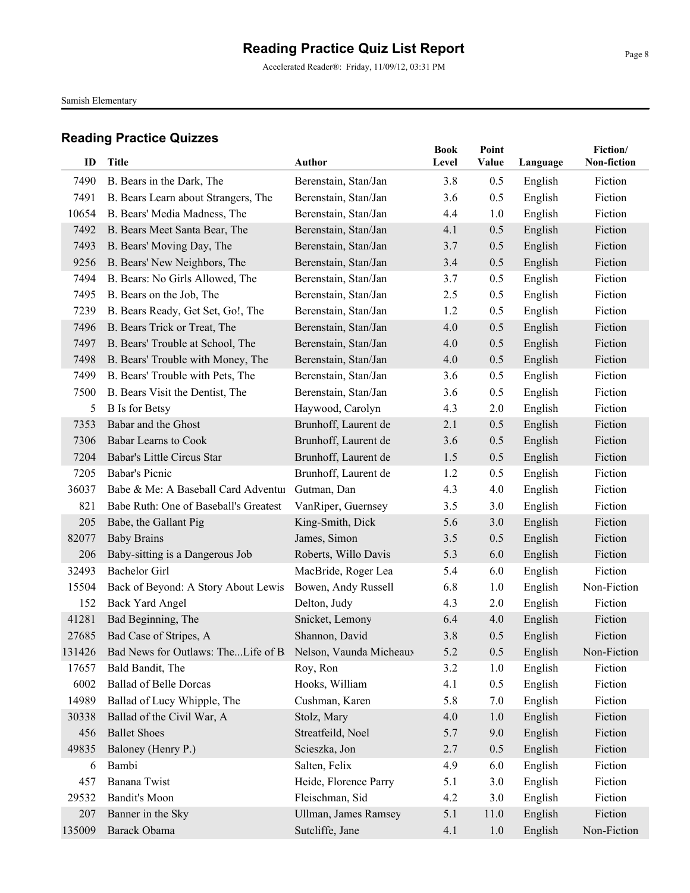Accelerated Reader®: Friday, 11/09/12, 03:31 PM

Samish Elementary

| ID             | Title                                                             | Author                      | <b>Book</b><br>Level | Point<br>Value | Language | Fiction/<br>Non-fiction |
|----------------|-------------------------------------------------------------------|-----------------------------|----------------------|----------------|----------|-------------------------|
|                |                                                                   |                             |                      |                |          |                         |
| 7490           | B. Bears in the Dark, The                                         | Berenstain, Stan/Jan        | 3.8                  | 0.5            | English  | Fiction                 |
| 7491           | B. Bears Learn about Strangers, The                               | Berenstain, Stan/Jan        | 3.6                  | 0.5            | English  | Fiction                 |
| 10654          | B. Bears' Media Madness, The                                      | Berenstain, Stan/Jan        | 4.4                  | 1.0            | English  | Fiction                 |
| 7492           | B. Bears Meet Santa Bear, The                                     | Berenstain, Stan/Jan        | 4.1                  | 0.5            | English  | Fiction                 |
| 7493           | B. Bears' Moving Day, The                                         | Berenstain, Stan/Jan        | 3.7                  | 0.5            | English  | Fiction                 |
| 9256           | B. Bears' New Neighbors, The                                      | Berenstain, Stan/Jan        | 3.4                  | 0.5            | English  | Fiction                 |
| 7494           | B. Bears: No Girls Allowed, The                                   | Berenstain, Stan/Jan        | 3.7                  | 0.5            | English  | Fiction                 |
| 7495           | B. Bears on the Job, The                                          | Berenstain, Stan/Jan        | 2.5                  | 0.5            | English  | Fiction                 |
| 7239           | B. Bears Ready, Get Set, Go!, The                                 | Berenstain, Stan/Jan        | 1.2                  | 0.5            | English  | Fiction                 |
| 7496           | B. Bears Trick or Treat, The                                      | Berenstain, Stan/Jan        | 4.0                  | 0.5            | English  | Fiction                 |
| 7497           | B. Bears' Trouble at School, The                                  | Berenstain, Stan/Jan        | 4.0                  | 0.5            | English  | Fiction                 |
| 7498           | B. Bears' Trouble with Money, The                                 | Berenstain, Stan/Jan        | 4.0                  | 0.5            | English  | Fiction                 |
| 7499           | B. Bears' Trouble with Pets, The                                  | Berenstain, Stan/Jan        | 3.6                  | 0.5            | English  | Fiction                 |
| 7500           | B. Bears Visit the Dentist, The                                   | Berenstain, Stan/Jan        | 3.6                  | 0.5            | English  | Fiction                 |
| $\mathfrak{S}$ | <b>B</b> Is for Betsy                                             | Haywood, Carolyn            | 4.3                  | 2.0            | English  | Fiction                 |
| 7353           | Babar and the Ghost                                               | Brunhoff, Laurent de        | 2.1                  | 0.5            | English  | Fiction                 |
| 7306           | Babar Learns to Cook                                              | Brunhoff, Laurent de        | 3.6                  | 0.5            | English  | Fiction                 |
| 7204           | Babar's Little Circus Star                                        | Brunhoff, Laurent de        | 1.5                  | 0.5            | English  | Fiction                 |
| 7205           | Babar's Picnic                                                    | Brunhoff, Laurent de        | 1.2                  | 0.5            | English  | Fiction                 |
| 36037          | Babe & Me: A Baseball Card Adventur                               | Gutman, Dan                 | 4.3                  | 4.0            | English  | Fiction                 |
| 821            | Babe Ruth: One of Baseball's Greatest                             | VanRiper, Guernsey          | 3.5                  | 3.0            | English  | Fiction                 |
| 205            | Babe, the Gallant Pig                                             | King-Smith, Dick            | 5.6                  | 3.0            | English  | Fiction                 |
| 82077          | <b>Baby Brains</b>                                                | James, Simon                | 3.5                  | 0.5            | English  | Fiction                 |
| 206            | Baby-sitting is a Dangerous Job                                   | Roberts, Willo Davis        | 5.3                  | 6.0            | English  | Fiction                 |
| 32493          | <b>Bachelor Girl</b>                                              | MacBride, Roger Lea         | 5.4                  | 6.0            | English  | Fiction                 |
| 15504          | Back of Beyond: A Story About Lewis                               | Bowen, Andy Russell         | 6.8                  | 1.0            | English  | Non-Fiction             |
| 152            | <b>Back Yard Angel</b>                                            | Delton, Judy                | 4.3                  | 2.0            | English  | Fiction                 |
| 41281          | Bad Beginning, The                                                | Snicket, Lemony             | 6.4                  | 4.0            | English  | Fiction                 |
| 27685          | Bad Case of Stripes, A                                            | Shannon, David              | 3.8                  | 0.5            | English  | Fiction                 |
|                | 131426 Bad News for Outlaws: TheLife of B Nelson, Vaunda Micheaux |                             | 5.2                  | 0.5            | English  | Non-Fiction             |
| 17657          | Bald Bandit, The                                                  | Roy, Ron                    | 3.2                  | 1.0            | English  | Fiction                 |
| 6002           | <b>Ballad of Belle Dorcas</b>                                     | Hooks, William              | 4.1                  | 0.5            | English  | Fiction                 |
| 14989          | Ballad of Lucy Whipple, The                                       | Cushman, Karen              | 5.8                  | 7.0            | English  | Fiction                 |
| 30338          | Ballad of the Civil War, A                                        | Stolz, Mary                 | 4.0                  | 1.0            | English  | Fiction                 |
| 456            | <b>Ballet Shoes</b>                                               | Streatfeild, Noel           | 5.7                  | 9.0            | English  | Fiction                 |
| 49835          | Baloney (Henry P.)                                                | Scieszka, Jon               | 2.7                  | 0.5            | English  | Fiction                 |
| 6              | Bambi                                                             | Salten, Felix               | 4.9                  | 6.0            | English  | Fiction                 |
| 457            | Banana Twist                                                      | Heide, Florence Parry       | 5.1                  | 3.0            | English  | Fiction                 |
| 29532          | <b>Bandit's Moon</b>                                              | Fleischman, Sid             | 4.2                  | 3.0            | English  | Fiction                 |
| 207            | Banner in the Sky                                                 | <b>Ullman, James Ramsey</b> | 5.1                  | 11.0           | English  | Fiction                 |
| 135009         | Barack Obama                                                      | Sutcliffe, Jane             | 4.1                  | 1.0            | English  | Non-Fiction             |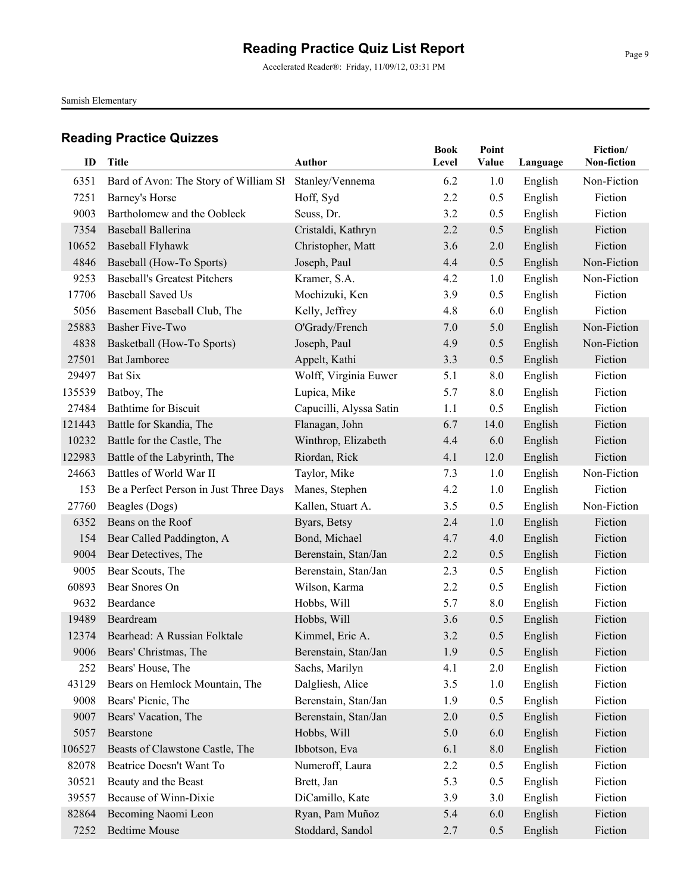Accelerated Reader®: Friday, 11/09/12, 03:31 PM

Samish Elementary

|        |                                         |                         | <b>Book</b> | Point   |          | Fiction/    |
|--------|-----------------------------------------|-------------------------|-------------|---------|----------|-------------|
| ID     | <b>Title</b>                            | Author                  | Level       | Value   | Language | Non-fiction |
| 6351   | Bard of Avon: The Story of William SI   | Stanley/Vennema         | 6.2         | 1.0     | English  | Non-Fiction |
| 7251   | Barney's Horse                          | Hoff, Syd               | 2.2         | 0.5     | English  | Fiction     |
| 9003   | Bartholomew and the Oobleck             | Seuss, Dr.              | 3.2         | 0.5     | English  | Fiction     |
| 7354   | Baseball Ballerina                      | Cristaldi, Kathryn      | 2.2         | 0.5     | English  | Fiction     |
| 10652  | <b>Baseball Flyhawk</b>                 | Christopher, Matt       | 3.6         | 2.0     | English  | Fiction     |
| 4846   | Baseball (How-To Sports)                | Joseph, Paul            | 4.4         | 0.5     | English  | Non-Fiction |
| 9253   | <b>Baseball's Greatest Pitchers</b>     | Kramer, S.A.            | 4.2         | 1.0     | English  | Non-Fiction |
| 17706  | <b>Baseball Saved Us</b>                | Mochizuki, Ken          | 3.9         | 0.5     | English  | Fiction     |
| 5056   | Basement Baseball Club, The             | Kelly, Jeffrey          | 4.8         | 6.0     | English  | Fiction     |
| 25883  | Basher Five-Two                         | O'Grady/French          | 7.0         | 5.0     | English  | Non-Fiction |
| 4838   | Basketball (How-To Sports)              | Joseph, Paul            | 4.9         | 0.5     | English  | Non-Fiction |
| 27501  | Bat Jamboree                            | Appelt, Kathi           | 3.3         | 0.5     | English  | Fiction     |
| 29497  | <b>Bat Six</b>                          | Wolff, Virginia Euwer   | 5.1         | 8.0     | English  | Fiction     |
| 135539 | Batboy, The                             | Lupica, Mike            | 5.7         | 8.0     | English  | Fiction     |
| 27484  | <b>Bathtime for Biscuit</b>             | Capucilli, Alyssa Satin | 1.1         | 0.5     | English  | Fiction     |
| 121443 | Battle for Skandia, The                 | Flanagan, John          | 6.7         | 14.0    | English  | Fiction     |
| 10232  | Battle for the Castle, The              | Winthrop, Elizabeth     | 4.4         | 6.0     | English  | Fiction     |
| 122983 | Battle of the Labyrinth, The            | Riordan, Rick           | 4.1         | 12.0    | English  | Fiction     |
| 24663  | Battles of World War II                 | Taylor, Mike            | 7.3         | 1.0     | English  | Non-Fiction |
| 153    | Be a Perfect Person in Just Three Days! | Manes, Stephen          | 4.2         | 1.0     | English  | Fiction     |
| 27760  | Beagles (Dogs)                          | Kallen, Stuart A.       | 3.5         | 0.5     | English  | Non-Fiction |
| 6352   | Beans on the Roof                       | Byars, Betsy            | 2.4         | 1.0     | English  | Fiction     |
| 154    | Bear Called Paddington, A               | Bond, Michael           | 4.7         | 4.0     | English  | Fiction     |
| 9004   | Bear Detectives, The                    | Berenstain, Stan/Jan    | 2.2         | 0.5     | English  | Fiction     |
| 9005   | Bear Scouts, The                        | Berenstain, Stan/Jan    | 2.3         | 0.5     | English  | Fiction     |
| 60893  | Bear Snores On                          | Wilson, Karma           | 2.2         | 0.5     | English  | Fiction     |
| 9632   | Beardance                               | Hobbs, Will             | 5.7         | 8.0     | English  | Fiction     |
| 19489  | Beardream                               | Hobbs, Will             | 3.6         | 0.5     | English  | Fiction     |
| 12374  | Bearhead: A Russian Folktale            | Kimmel, Eric A.         | 3.2         | 0.5     | English  | Fiction     |
|        | 9006 Bears' Christmas, The              | Berenstain, Stan/Jan    | 1.9         | 0.5     | English  | Fiction     |
| 252    | Bears' House, The                       | Sachs, Marilyn          | 4.1         | 2.0     | English  | Fiction     |
| 43129  | Bears on Hemlock Mountain, The          | Dalgliesh, Alice        | 3.5         | 1.0     | English  | Fiction     |
| 9008   | Bears' Picnic, The                      | Berenstain, Stan/Jan    | 1.9         | 0.5     | English  | Fiction     |
| 9007   | Bears' Vacation, The                    | Berenstain, Stan/Jan    | 2.0         | 0.5     | English  | Fiction     |
| 5057   | Bearstone                               | Hobbs, Will             | 5.0         | 6.0     | English  | Fiction     |
| 106527 | Beasts of Clawstone Castle, The         | Ibbotson, Eva           | 6.1         | $8.0\,$ | English  | Fiction     |
| 82078  | Beatrice Doesn't Want To                | Numeroff, Laura         | 2.2         | 0.5     | English  | Fiction     |
| 30521  | Beauty and the Beast                    | Brett, Jan              | 5.3         | 0.5     | English  | Fiction     |
| 39557  | Because of Winn-Dixie                   | DiCamillo, Kate         | 3.9         | 3.0     | English  | Fiction     |
| 82864  | Becoming Naomi Leon                     | Ryan, Pam Muñoz         | 5.4         | 6.0     | English  | Fiction     |
| 7252   | <b>Bedtime Mouse</b>                    | Stoddard, Sandol        | 2.7         | 0.5     | English  | Fiction     |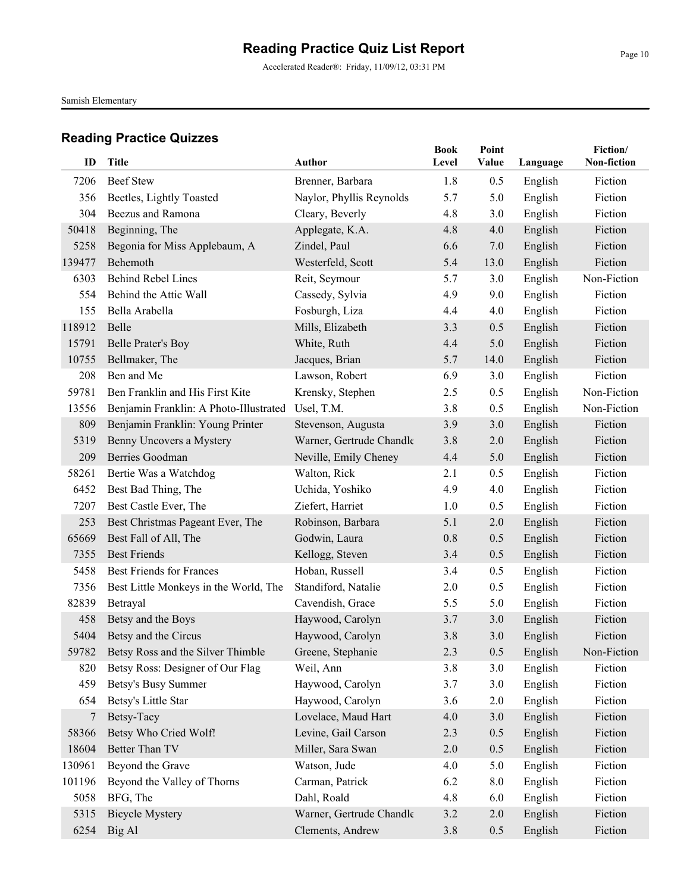Samish Elementary

| ID     | <b>Title</b>                            | Author                   | <b>Book</b><br>Level | Point<br>Value | Language | Fiction/<br>Non-fiction |
|--------|-----------------------------------------|--------------------------|----------------------|----------------|----------|-------------------------|
| 7206   | <b>Beef Stew</b>                        | Brenner, Barbara         | 1.8                  | 0.5            | English  | Fiction                 |
| 356    | Beetles, Lightly Toasted                | Naylor, Phyllis Reynolds | 5.7                  | 5.0            | English  | Fiction                 |
| 304    | Beezus and Ramona                       | Cleary, Beverly          | 4.8                  | 3.0            | English  | Fiction                 |
| 50418  | Beginning, The                          | Applegate, K.A.          | 4.8                  | 4.0            | English  | Fiction                 |
| 5258   | Begonia for Miss Applebaum, A           | Zindel, Paul             | 6.6                  | 7.0            | English  | Fiction                 |
| 139477 | Behemoth                                | Westerfeld, Scott        | 5.4                  | 13.0           | English  | Fiction                 |
| 6303   | <b>Behind Rebel Lines</b>               | Reit, Seymour            | 5.7                  | 3.0            | English  | Non-Fiction             |
| 554    | Behind the Attic Wall                   | Cassedy, Sylvia          | 4.9                  | 9.0            | English  | Fiction                 |
| 155    | Bella Arabella                          | Fosburgh, Liza           | 4.4                  | 4.0            | English  | Fiction                 |
| 118912 | Belle                                   | Mills, Elizabeth         | 3.3                  | 0.5            | English  | Fiction                 |
| 15791  | <b>Belle Prater's Boy</b>               | White, Ruth              | 4.4                  | 5.0            | English  | Fiction                 |
| 10755  | Bellmaker, The                          | Jacques, Brian           | 5.7                  | 14.0           | English  | Fiction                 |
| 208    | Ben and Me                              | Lawson, Robert           | 6.9                  | 3.0            | English  | Fiction                 |
| 59781  | Ben Franklin and His First Kite         | Krensky, Stephen         | 2.5                  | 0.5            | English  | Non-Fiction             |
| 13556  | Benjamin Franklin: A Photo-Illustrated  | Usel, T.M.               | 3.8                  | 0.5            | English  | Non-Fiction             |
| 809    | Benjamin Franklin: Young Printer        | Stevenson, Augusta       | 3.9                  | 3.0            | English  | Fiction                 |
| 5319   | Benny Uncovers a Mystery                | Warner, Gertrude Chandle | 3.8                  | 2.0            | English  | Fiction                 |
| 209    | Berries Goodman                         | Neville, Emily Cheney    | 4.4                  | 5.0            | English  | Fiction                 |
| 58261  | Bertie Was a Watchdog                   | Walton, Rick             | 2.1                  | 0.5            | English  | Fiction                 |
| 6452   | Best Bad Thing, The                     | Uchida, Yoshiko          | 4.9                  | 4.0            | English  | Fiction                 |
| 7207   | Best Castle Ever, The                   | Ziefert, Harriet         | 1.0                  | 0.5            | English  | Fiction                 |
| 253    | Best Christmas Pageant Ever, The        | Robinson, Barbara        | 5.1                  | 2.0            | English  | Fiction                 |
| 65669  | Best Fall of All, The                   | Godwin, Laura            | 0.8                  | 0.5            | English  | Fiction                 |
| 7355   | <b>Best Friends</b>                     | Kellogg, Steven          | 3.4                  | 0.5            | English  | Fiction                 |
| 5458   | <b>Best Friends for Frances</b>         | Hoban, Russell           | 3.4                  | 0.5            | English  | Fiction                 |
| 7356   | Best Little Monkeys in the World, The   | Standiford, Natalie      | 2.0                  | 0.5            | English  | Fiction                 |
| 82839  | Betrayal                                | Cavendish, Grace         | 5.5                  | 5.0            | English  | Fiction                 |
| 458    | Betsy and the Boys                      | Haywood, Carolyn         | 3.7                  | 3.0            | English  | Fiction                 |
| 5404   | Betsy and the Circus                    | Haywood, Carolyn         | 3.8                  | 3.0            | English  | Fiction                 |
|        | 59782 Betsy Ross and the Silver Thimble | Greene, Stephanie        | 2.3                  | 0.5            | English  | Non-Fiction             |
| 820    | Betsy Ross: Designer of Our Flag        | Weil, Ann                | 3.8                  | 3.0            | English  | Fiction                 |
| 459    | Betsy's Busy Summer                     | Haywood, Carolyn         | 3.7                  | 3.0            | English  | Fiction                 |
| 654    | Betsy's Little Star                     | Haywood, Carolyn         | 3.6                  | 2.0            | English  | Fiction                 |
| 7      | Betsy-Tacy                              | Lovelace, Maud Hart      | 4.0                  | 3.0            | English  | Fiction                 |
| 58366  | Betsy Who Cried Wolf!                   | Levine, Gail Carson      | 2.3                  | 0.5            | English  | Fiction                 |
| 18604  | Better Than TV                          | Miller, Sara Swan        | 2.0                  | 0.5            | English  | Fiction                 |
| 130961 | Beyond the Grave                        | Watson, Jude             | 4.0                  | 5.0            | English  | Fiction                 |
| 101196 | Beyond the Valley of Thorns             | Carman, Patrick          | 6.2                  | 8.0            | English  | Fiction                 |
| 5058   | BFG, The                                | Dahl, Roald              | 4.8                  | 6.0            | English  | Fiction                 |
| 5315   | <b>Bicycle Mystery</b>                  | Warner, Gertrude Chandle | 3.2                  | 2.0            | English  | Fiction                 |
| 6254   | Big Al                                  | Clements, Andrew         | 3.8                  | 0.5            | English  | Fiction                 |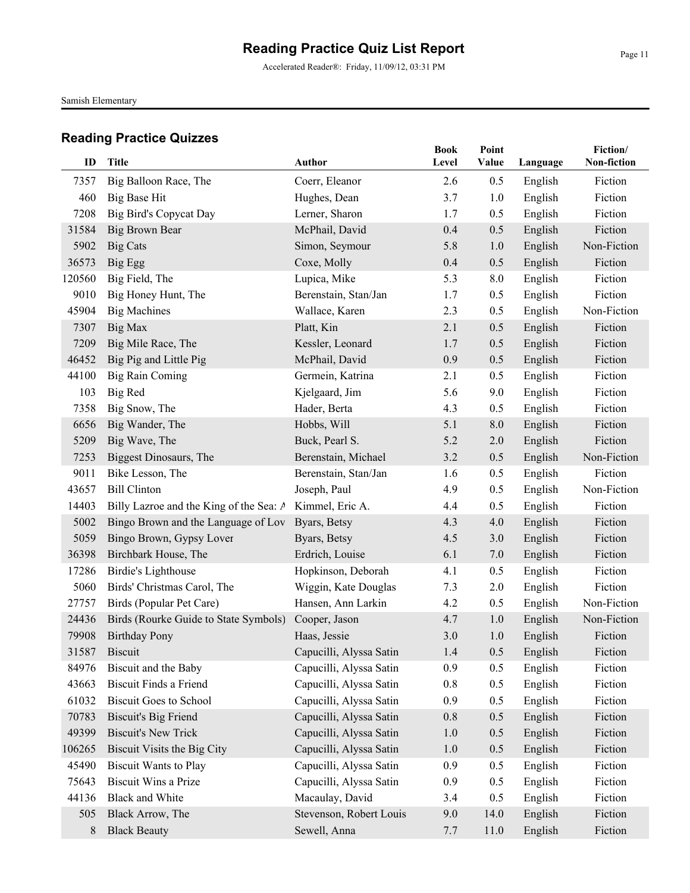Accelerated Reader®: Friday, 11/09/12, 03:31 PM

Samish Elementary

| ID     | Title                                   | Author                  | <b>Book</b><br>Level | Point<br>Value | Language | Fiction/<br>Non-fiction |
|--------|-----------------------------------------|-------------------------|----------------------|----------------|----------|-------------------------|
| 7357   | Big Balloon Race, The                   | Coerr, Eleanor          | 2.6                  | 0.5            | English  | Fiction                 |
| 460    | Big Base Hit                            | Hughes, Dean            | 3.7                  | 1.0            | English  | Fiction                 |
| 7208   | <b>Big Bird's Copycat Day</b>           | Lerner, Sharon          | 1.7                  | 0.5            | English  | Fiction                 |
| 31584  | <b>Big Brown Bear</b>                   | McPhail, David          | 0.4                  | 0.5            | English  | Fiction                 |
| 5902   | <b>Big Cats</b>                         | Simon, Seymour          | 5.8                  | 1.0            | English  | Non-Fiction             |
| 36573  | Big Egg                                 | Coxe, Molly             | 0.4                  | 0.5            | English  | Fiction                 |
| 120560 | Big Field, The                          | Lupica, Mike            | 5.3                  | 8.0            | English  | Fiction                 |
| 9010   | Big Honey Hunt, The                     | Berenstain, Stan/Jan    | 1.7                  | 0.5            | English  | Fiction                 |
| 45904  | <b>Big Machines</b>                     | Wallace, Karen          | 2.3                  | 0.5            | English  | Non-Fiction             |
| 7307   | Big Max                                 | Platt, Kin              | 2.1                  | 0.5            | English  | Fiction                 |
| 7209   | Big Mile Race, The                      | Kessler, Leonard        | 1.7                  | 0.5            | English  | Fiction                 |
| 46452  | Big Pig and Little Pig                  | McPhail, David          | 0.9                  | 0.5            | English  | Fiction                 |
| 44100  | <b>Big Rain Coming</b>                  | Germein, Katrina        | 2.1                  | 0.5            | English  | Fiction                 |
| 103    | <b>Big Red</b>                          | Kjelgaard, Jim          | 5.6                  | 9.0            | English  | Fiction                 |
| 7358   | Big Snow, The                           | Hader, Berta            | 4.3                  | 0.5            | English  | Fiction                 |
| 6656   | Big Wander, The                         | Hobbs, Will             | 5.1                  | 8.0            | English  | Fiction                 |
| 5209   | Big Wave, The                           | Buck, Pearl S.          | 5.2                  | 2.0            | English  | Fiction                 |
| 7253   | <b>Biggest Dinosaurs</b> , The          | Berenstain, Michael     | 3.2                  | 0.5            | English  | Non-Fiction             |
| 9011   | Bike Lesson, The                        | Berenstain, Stan/Jan    | 1.6                  | 0.5            | English  | Fiction                 |
| 43657  | <b>Bill Clinton</b>                     | Joseph, Paul            | 4.9                  | 0.5            | English  | Non-Fiction             |
| 14403  | Billy Lazroe and the King of the Sea: A | Kimmel, Eric A.         | 4.4                  | 0.5            | English  | Fiction                 |
| 5002   | Bingo Brown and the Language of Lov     | Byars, Betsy            | 4.3                  | 4.0            | English  | Fiction                 |
| 5059   | Bingo Brown, Gypsy Lover                | Byars, Betsy            | 4.5                  | 3.0            | English  | Fiction                 |
| 36398  | Birchbark House, The                    | Erdrich, Louise         | 6.1                  | 7.0            | English  | Fiction                 |
| 17286  | Birdie's Lighthouse                     | Hopkinson, Deborah      | 4.1                  | 0.5            | English  | Fiction                 |
| 5060   | Birds' Christmas Carol, The             | Wiggin, Kate Douglas    | 7.3                  | 2.0            | English  | Fiction                 |
| 27757  | Birds (Popular Pet Care)                | Hansen, Ann Larkin      | 4.2                  | 0.5            | English  | Non-Fiction             |
| 24436  | Birds (Rourke Guide to State Symbols)   | Cooper, Jason           | 4.7                  | 1.0            | English  | Non-Fiction             |
| 79908  | <b>Birthday Pony</b>                    | Haas, Jessie            | 3.0                  | 1.0            | English  | Fiction                 |
|        | 31587 Biscuit                           | Capucilli, Alyssa Satin | 1.4                  | 0.5            | English  | Fiction                 |
| 84976  | Biscuit and the Baby                    | Capucilli, Alyssa Satin | 0.9                  | 0.5            | English  | Fiction                 |
| 43663  | <b>Biscuit Finds a Friend</b>           | Capucilli, Alyssa Satin | 0.8                  | 0.5            | English  | Fiction                 |
| 61032  | <b>Biscuit Goes to School</b>           | Capucilli, Alyssa Satin | 0.9                  | 0.5            | English  | Fiction                 |
| 70783  | <b>Biscuit's Big Friend</b>             | Capucilli, Alyssa Satin | 0.8                  | 0.5            | English  | Fiction                 |
| 49399  | <b>Biscuit's New Trick</b>              | Capucilli, Alyssa Satin | 1.0                  | 0.5            | English  | Fiction                 |
| 106265 | Biscuit Visits the Big City             | Capucilli, Alyssa Satin | 1.0                  | 0.5            | English  | Fiction                 |
| 45490  | <b>Biscuit Wants to Play</b>            | Capucilli, Alyssa Satin | 0.9                  | 0.5            | English  | Fiction                 |
| 75643  | <b>Biscuit Wins a Prize</b>             | Capucilli, Alyssa Satin | 0.9                  | 0.5            | English  | Fiction                 |
| 44136  | <b>Black and White</b>                  | Macaulay, David         | 3.4                  | 0.5            | English  | Fiction                 |
| 505    | Black Arrow, The                        | Stevenson, Robert Louis | 9.0                  | 14.0           | English  | Fiction                 |
| $8\,$  | <b>Black Beauty</b>                     | Sewell, Anna            | 7.7                  | 11.0           | English  | Fiction                 |
|        |                                         |                         |                      |                |          |                         |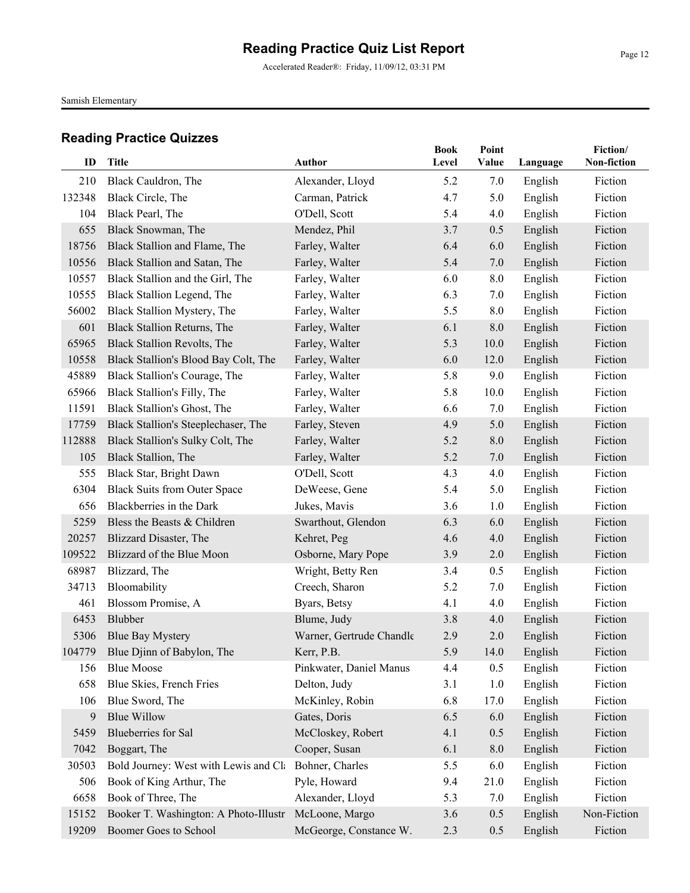Accelerated Reader®: Friday, 11/09/12, 03:31 PM

Samish Elementary

| ID     | <b>Title</b>                          | <b>Author</b>            | <b>Book</b><br>Level | Point<br>Value |          | Fiction/<br>Non-fiction |
|--------|---------------------------------------|--------------------------|----------------------|----------------|----------|-------------------------|
|        |                                       |                          |                      |                | Language |                         |
| 210    | Black Cauldron, The                   | Alexander, Lloyd         | 5.2                  | 7.0            | English  | Fiction                 |
| 132348 | Black Circle, The                     | Carman, Patrick          | 4.7                  | 5.0            | English  | Fiction                 |
| 104    | Black Pearl, The                      | O'Dell, Scott            | 5.4                  | 4.0            | English  | Fiction                 |
| 655    | Black Snowman, The                    | Mendez, Phil             | 3.7                  | 0.5            | English  | Fiction                 |
| 18756  | Black Stallion and Flame, The         | Farley, Walter           | 6.4                  | 6.0            | English  | Fiction                 |
| 10556  | Black Stallion and Satan, The         | Farley, Walter           | 5.4                  | 7.0            | English  | Fiction                 |
| 10557  | Black Stallion and the Girl, The      | Farley, Walter           | 6.0                  | 8.0            | English  | Fiction                 |
| 10555  | Black Stallion Legend, The            | Farley, Walter           | 6.3                  | 7.0            | English  | Fiction                 |
| 56002  | Black Stallion Mystery, The           | Farley, Walter           | 5.5                  | 8.0            | English  | Fiction                 |
| 601    | Black Stallion Returns, The           | Farley, Walter           | 6.1                  | 8.0            | English  | Fiction                 |
| 65965  | Black Stallion Revolts, The           | Farley, Walter           | 5.3                  | 10.0           | English  | Fiction                 |
| 10558  | Black Stallion's Blood Bay Colt, The  | Farley, Walter           | 6.0                  | 12.0           | English  | Fiction                 |
| 45889  | Black Stallion's Courage, The         | Farley, Walter           | 5.8                  | 9.0            | English  | Fiction                 |
| 65966  | Black Stallion's Filly, The           | Farley, Walter           | 5.8                  | 10.0           | English  | Fiction                 |
| 11591  | Black Stallion's Ghost, The           | Farley, Walter           | 6.6                  | 7.0            | English  | Fiction                 |
| 17759  | Black Stallion's Steeplechaser, The   | Farley, Steven           | 4.9                  | 5.0            | English  | Fiction                 |
| 112888 | Black Stallion's Sulky Colt, The      | Farley, Walter           | 5.2                  | 8.0            | English  | Fiction                 |
| 105    | Black Stallion, The                   | Farley, Walter           | 5.2                  | 7.0            | English  | Fiction                 |
| 555    | Black Star, Bright Dawn               | O'Dell, Scott            | 4.3                  | 4.0            | English  | Fiction                 |
| 6304   | <b>Black Suits from Outer Space</b>   | DeWeese, Gene            | 5.4                  | 5.0            | English  | Fiction                 |
| 656    | Blackberries in the Dark              | Jukes, Mavis             | 3.6                  | 1.0            | English  | Fiction                 |
| 5259   | Bless the Beasts & Children           | Swarthout, Glendon       | 6.3                  | 6.0            | English  | Fiction                 |
| 20257  | Blizzard Disaster, The                | Kehret, Peg              | 4.6                  | 4.0            | English  | Fiction                 |
| 109522 | Blizzard of the Blue Moon             | Osborne, Mary Pope       | 3.9                  | 2.0            | English  | Fiction                 |
| 68987  | Blizzard, The                         | Wright, Betty Ren        | 3.4                  | 0.5            | English  | Fiction                 |
| 34713  | Bloomability                          | Creech, Sharon           | 5.2                  | 7.0            | English  | Fiction                 |
| 461    | Blossom Promise, A                    | Byars, Betsy             | 4.1                  | 4.0            | English  | Fiction                 |
| 6453   | Blubber                               | Blume, Judy              | 3.8                  | 4.0            | English  | Fiction                 |
| 5306   | <b>Blue Bay Mystery</b>               | Warner, Gertrude Chandle | 2.9                  | 2.0            | English  | Fiction                 |
|        | 104779 Blue Djinn of Babylon, The     | Kerr, P.B.               | 5.9                  | 14.0           | English  | Fiction                 |
| 156    | <b>Blue Moose</b>                     | Pinkwater, Daniel Manus  | 4.4                  | 0.5            | English  | Fiction                 |
| 658    | Blue Skies, French Fries              | Delton, Judy             | 3.1                  | 1.0            | English  | Fiction                 |
| 106    | Blue Sword, The                       | McKinley, Robin          | 6.8                  | 17.0           | English  | Fiction                 |
| 9      | <b>Blue Willow</b>                    | Gates, Doris             | 6.5                  | 6.0            | English  | Fiction                 |
| 5459   | Blueberries for Sal                   | McCloskey, Robert        | 4.1                  | 0.5            | English  | Fiction                 |
| 7042   | Boggart, The                          | Cooper, Susan            | 6.1                  | $8.0\,$        | English  | Fiction                 |
| 30503  | Bold Journey: West with Lewis and Cla | Bohner, Charles          | 5.5                  | 6.0            | English  | Fiction                 |
| 506    | Book of King Arthur, The              | Pyle, Howard             | 9.4                  | 21.0           | English  | Fiction                 |
| 6658   | Book of Three, The                    | Alexander, Lloyd         | 5.3                  | 7.0            | English  | Fiction                 |
| 15152  | Booker T. Washington: A Photo-Illustr | McLoone, Margo           | 3.6                  | 0.5            | English  | Non-Fiction             |
| 19209  | Boomer Goes to School                 | McGeorge, Constance W.   | 2.3                  | 0.5            | English  | Fiction                 |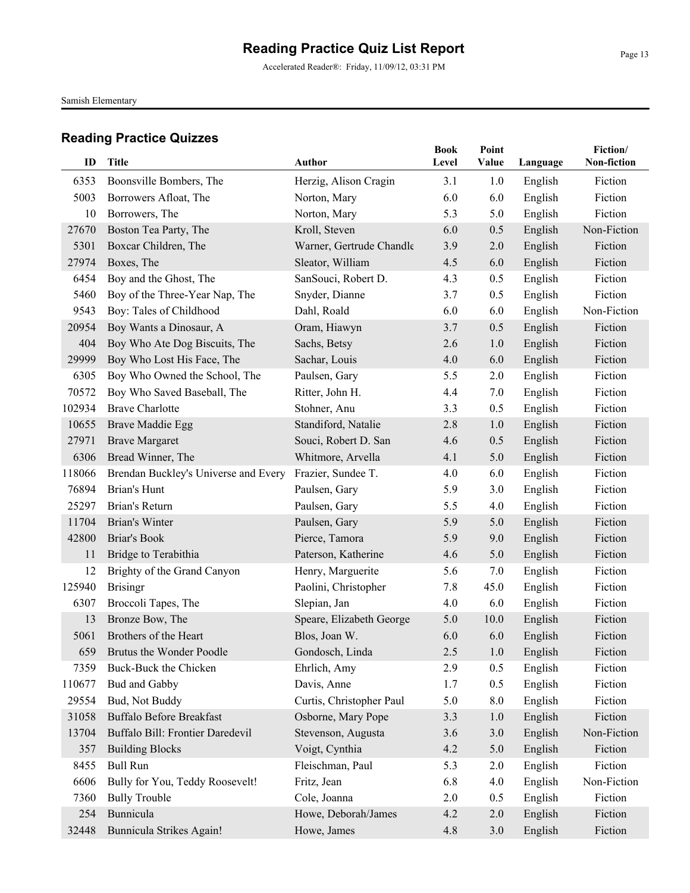Accelerated Reader®: Friday, 11/09/12, 03:31 PM

Samish Elementary

|        |                                      |                          | <b>Book</b> | Point   |          | Fiction/    |
|--------|--------------------------------------|--------------------------|-------------|---------|----------|-------------|
| ID     | <b>Title</b>                         | <b>Author</b>            | Level       | Value   | Language | Non-fiction |
| 6353   | Boonsville Bombers, The              | Herzig, Alison Cragin    | 3.1         | 1.0     | English  | Fiction     |
| 5003   | Borrowers Afloat, The                | Norton, Mary             | 6.0         | 6.0     | English  | Fiction     |
| 10     | Borrowers, The                       | Norton, Mary             | 5.3         | 5.0     | English  | Fiction     |
| 27670  | Boston Tea Party, The                | Kroll, Steven            | 6.0         | 0.5     | English  | Non-Fiction |
| 5301   | Boxcar Children, The                 | Warner, Gertrude Chandle | 3.9         | 2.0     | English  | Fiction     |
| 27974  | Boxes, The                           | Sleator, William         | 4.5         | 6.0     | English  | Fiction     |
| 6454   | Boy and the Ghost, The               | SanSouci, Robert D.      | 4.3         | 0.5     | English  | Fiction     |
| 5460   | Boy of the Three-Year Nap, The       | Snyder, Dianne           | 3.7         | 0.5     | English  | Fiction     |
| 9543   | Boy: Tales of Childhood              | Dahl, Roald              | 6.0         | 6.0     | English  | Non-Fiction |
| 20954  | Boy Wants a Dinosaur, A              | Oram, Hiawyn             | 3.7         | 0.5     | English  | Fiction     |
| 404    | Boy Who Ate Dog Biscuits, The        | Sachs, Betsy             | 2.6         | 1.0     | English  | Fiction     |
| 29999  | Boy Who Lost His Face, The           | Sachar, Louis            | 4.0         | 6.0     | English  | Fiction     |
| 6305   | Boy Who Owned the School, The        | Paulsen, Gary            | 5.5         | 2.0     | English  | Fiction     |
| 70572  | Boy Who Saved Baseball, The          | Ritter, John H.          | 4.4         | 7.0     | English  | Fiction     |
| 102934 | <b>Brave Charlotte</b>               | Stohner, Anu             | 3.3         | 0.5     | English  | Fiction     |
| 10655  | <b>Brave Maddie Egg</b>              | Standiford, Natalie      | 2.8         | 1.0     | English  | Fiction     |
| 27971  | <b>Brave Margaret</b>                | Souci, Robert D. San     | 4.6         | 0.5     | English  | Fiction     |
| 6306   | Bread Winner, The                    | Whitmore, Arvella        | 4.1         | 5.0     | English  | Fiction     |
| 118066 | Brendan Buckley's Universe and Every | Frazier, Sundee T.       | 4.0         | 6.0     | English  | Fiction     |
| 76894  | Brian's Hunt                         | Paulsen, Gary            | 5.9         | 3.0     | English  | Fiction     |
| 25297  | Brian's Return                       | Paulsen, Gary            | 5.5         | 4.0     | English  | Fiction     |
| 11704  | Brian's Winter                       | Paulsen, Gary            | 5.9         | 5.0     | English  | Fiction     |
| 42800  | Briar's Book                         | Pierce, Tamora           | 5.9         | 9.0     | English  | Fiction     |
| 11     | Bridge to Terabithia                 | Paterson, Katherine      | 4.6         | 5.0     | English  | Fiction     |
| 12     | Brighty of the Grand Canyon          | Henry, Marguerite        | 5.6         | 7.0     | English  | Fiction     |
| 125940 | <b>Brisingr</b>                      | Paolini, Christopher     | 7.8         | 45.0    | English  | Fiction     |
| 6307   | Broccoli Tapes, The                  | Slepian, Jan             | 4.0         | 6.0     | English  | Fiction     |
| 13     | Bronze Bow, The                      | Speare, Elizabeth George | 5.0         | 10.0    | English  | Fiction     |
| 5061   | Brothers of the Heart                | Blos, Joan W.            | 6.0         | 6.0     | English  | Fiction     |
| 659    | Brutus the Wonder Poodle             | Gondosch, Linda          | 2.5         | $1.0\,$ | English  | Fiction     |
| 7359   | Buck-Buck the Chicken                | Ehrlich, Amy             | 2.9         | 0.5     | English  | Fiction     |
| 110677 | Bud and Gabby                        | Davis, Anne              | 1.7         | 0.5     | English  | Fiction     |
| 29554  | Bud, Not Buddy                       | Curtis, Christopher Paul | 5.0         | 8.0     | English  | Fiction     |
| 31058  | <b>Buffalo Before Breakfast</b>      | Osborne, Mary Pope       | 3.3         | 1.0     | English  | Fiction     |
| 13704  | Buffalo Bill: Frontier Daredevil     | Stevenson, Augusta       | 3.6         | 3.0     | English  | Non-Fiction |
| 357    | <b>Building Blocks</b>               | Voigt, Cynthia           | 4.2         | 5.0     | English  | Fiction     |
| 8455   | <b>Bull Run</b>                      | Fleischman, Paul         | 5.3         | 2.0     | English  | Fiction     |
| 6606   | Bully for You, Teddy Roosevelt!      | Fritz, Jean              | 6.8         | 4.0     | English  | Non-Fiction |
| 7360   | <b>Bully Trouble</b>                 | Cole, Joanna             | 2.0         | 0.5     | English  | Fiction     |
| 254    | Bunnicula                            | Howe, Deborah/James      | 4.2         | 2.0     | English  | Fiction     |
| 32448  | Bunnicula Strikes Again!             | Howe, James              | 4.8         | 3.0     | English  | Fiction     |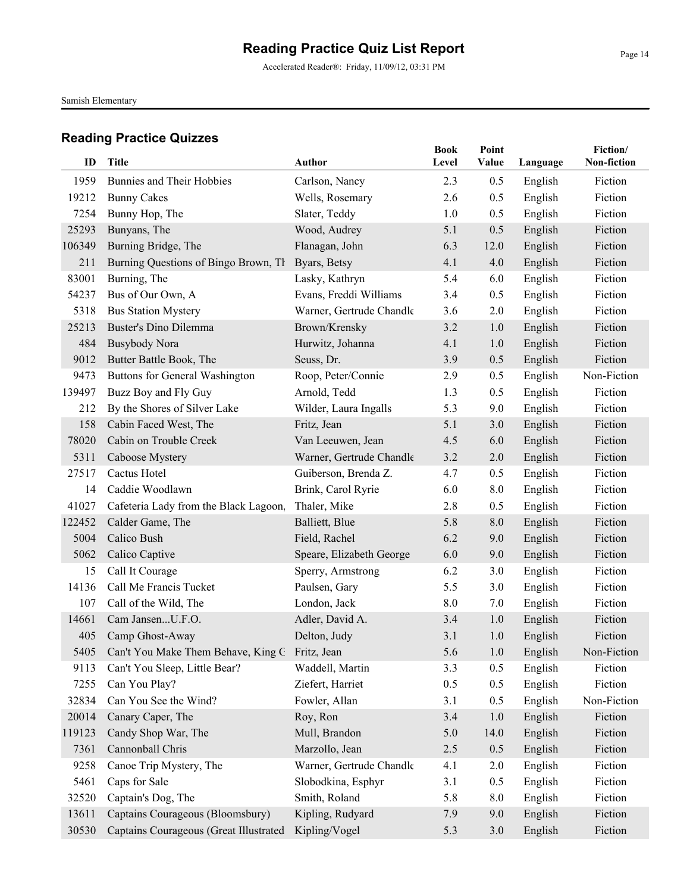Accelerated Reader®: Friday, 11/09/12, 03:31 PM

Samish Elementary

| ID     | <b>Title</b>                                        | Author                   | <b>Book</b><br>Level | Point<br>Value | Language | Fiction/<br>Non-fiction |
|--------|-----------------------------------------------------|--------------------------|----------------------|----------------|----------|-------------------------|
| 1959   | <b>Bunnies and Their Hobbies</b>                    | Carlson, Nancy           | 2.3                  | 0.5            | English  | Fiction                 |
| 19212  | <b>Bunny Cakes</b>                                  | Wells, Rosemary          | 2.6                  | 0.5            | English  | Fiction                 |
| 7254   | Bunny Hop, The                                      | Slater, Teddy            | 1.0                  | 0.5            | English  | Fiction                 |
| 25293  | Bunyans, The                                        | Wood, Audrey             | 5.1                  | 0.5            | English  | Fiction                 |
| 106349 | Burning Bridge, The                                 | Flanagan, John           | 6.3                  | 12.0           | English  | Fiction                 |
| 211    | Burning Questions of Bingo Brown, Th                | Byars, Betsy             | 4.1                  | 4.0            | English  | Fiction                 |
| 83001  | Burning, The                                        | Lasky, Kathryn           | 5.4                  | 6.0            | English  | Fiction                 |
| 54237  | Bus of Our Own, A                                   | Evans, Freddi Williams   | 3.4                  | 0.5            | English  | Fiction                 |
| 5318   | <b>Bus Station Mystery</b>                          | Warner, Gertrude Chandle | 3.6                  | 2.0            | English  | Fiction                 |
| 25213  | <b>Buster's Dino Dilemma</b>                        | Brown/Krensky            | 3.2                  | 1.0            | English  | Fiction                 |
| 484    | <b>Busybody Nora</b>                                | Hurwitz, Johanna         | 4.1                  | 1.0            | English  | Fiction                 |
| 9012   | Butter Battle Book, The                             | Seuss, Dr.               | 3.9                  | 0.5            | English  | Fiction                 |
| 9473   | Buttons for General Washington                      | Roop, Peter/Connie       | 2.9                  | 0.5            | English  | Non-Fiction             |
| 139497 | Buzz Boy and Fly Guy                                | Arnold, Tedd             | 1.3                  | 0.5            | English  | Fiction                 |
| 212    | By the Shores of Silver Lake                        | Wilder, Laura Ingalls    | 5.3                  | 9.0            | English  | Fiction                 |
| 158    | Cabin Faced West, The                               | Fritz, Jean              | 5.1                  | 3.0            | English  | Fiction                 |
| 78020  | Cabin on Trouble Creek                              | Van Leeuwen, Jean        | 4.5                  | 6.0            | English  | Fiction                 |
| 5311   | Caboose Mystery                                     | Warner, Gertrude Chandle | 3.2                  | 2.0            | English  | Fiction                 |
| 27517  | Cactus Hotel                                        | Guiberson, Brenda Z.     | 4.7                  | 0.5            | English  | Fiction                 |
| 14     | Caddie Woodlawn                                     | Brink, Carol Ryrie       | 6.0                  | 8.0            | English  | Fiction                 |
| 41027  | Cafeteria Lady from the Black Lagoon,               | Thaler, Mike             | 2.8                  | 0.5            | English  | Fiction                 |
| 122452 | Calder Game, The                                    | Balliett, Blue           | 5.8                  | 8.0            | English  | Fiction                 |
| 5004   | Calico Bush                                         | Field, Rachel            | 6.2                  | 9.0            | English  | Fiction                 |
| 5062   | Calico Captive                                      | Speare, Elizabeth George | 6.0                  | 9.0            | English  | Fiction                 |
| 15     | Call It Courage                                     | Sperry, Armstrong        | 6.2                  | 3.0            | English  | Fiction                 |
| 14136  | Call Me Francis Tucket                              | Paulsen, Gary            | 5.5                  | 3.0            | English  | Fiction                 |
| 107    | Call of the Wild, The                               | London, Jack             | 8.0                  | 7.0            | English  | Fiction                 |
| 14661  | Cam JansenU.F.O.                                    | Adler, David A.          | 3.4                  | 1.0            | English  | Fiction                 |
| 405    | Camp Ghost-Away                                     | Delton, Judy             | 3.1                  | 1.0            | English  | Fiction                 |
|        | 5405 Can't You Make Them Behave, King G Fritz, Jean |                          | 5.6                  | 1.0            | English  | Non-Fiction             |
| 9113   | Can't You Sleep, Little Bear?                       | Waddell, Martin          | 3.3                  | 0.5            | English  | Fiction                 |
| 7255   | Can You Play?                                       | Ziefert, Harriet         | 0.5                  | 0.5            | English  | Fiction                 |
| 32834  | Can You See the Wind?                               | Fowler, Allan            | 3.1                  | 0.5            | English  | Non-Fiction             |
| 20014  | Canary Caper, The                                   | Roy, Ron                 | 3.4                  | 1.0            | English  | Fiction                 |
| 119123 | Candy Shop War, The                                 | Mull, Brandon            | 5.0                  | 14.0           | English  | Fiction                 |
| 7361   | Cannonball Chris                                    | Marzollo, Jean           | 2.5                  | 0.5            | English  | Fiction                 |
| 9258   | Canoe Trip Mystery, The                             | Warner, Gertrude Chandle | 4.1                  | 2.0            | English  | Fiction                 |
| 5461   | Caps for Sale                                       | Slobodkina, Esphyr       | 3.1                  | 0.5            | English  | Fiction                 |
| 32520  | Captain's Dog, The                                  | Smith, Roland            | 5.8                  | 8.0            | English  | Fiction                 |
| 13611  | Captains Courageous (Bloomsbury)                    | Kipling, Rudyard         | 7.9                  | 9.0            | English  | Fiction                 |
| 30530  | Captains Courageous (Great Illustrated              | Kipling/Vogel            | 5.3                  | 3.0            | English  | Fiction                 |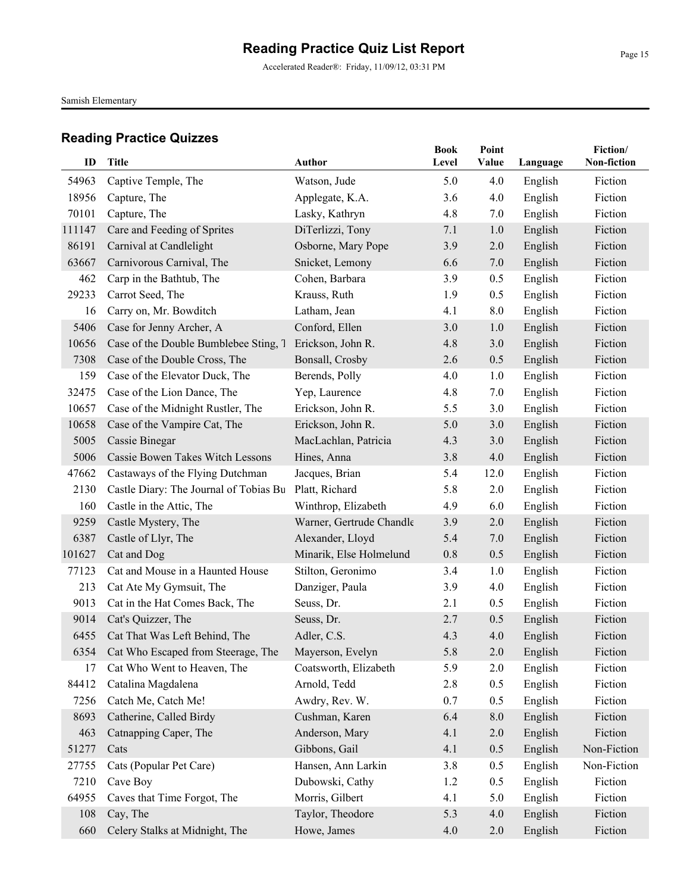Accelerated Reader®: Friday, 11/09/12, 03:31 PM

Samish Elementary

| ID     | Title                                   | <b>Author</b>            | <b>Book</b><br>Level | Point<br>Value | Language | Fiction/<br>Non-fiction |
|--------|-----------------------------------------|--------------------------|----------------------|----------------|----------|-------------------------|
| 54963  | Captive Temple, The                     | Watson, Jude             | 5.0                  | 4.0            | English  | Fiction                 |
| 18956  | Capture, The                            | Applegate, K.A.          | 3.6                  | 4.0            | English  | Fiction                 |
| 70101  | Capture, The                            | Lasky, Kathryn           | 4.8                  | 7.0            | English  | Fiction                 |
| 111147 | Care and Feeding of Sprites             | DiTerlizzi, Tony         | 7.1                  | 1.0            | English  | Fiction                 |
| 86191  | Carnival at Candlelight                 | Osborne, Mary Pope       | 3.9                  | 2.0            | English  | Fiction                 |
| 63667  | Carnivorous Carnival, The               | Snicket, Lemony          | 6.6                  | 7.0            | English  | Fiction                 |
| 462    | Carp in the Bathtub, The                | Cohen, Barbara           | 3.9                  | 0.5            | English  | Fiction                 |
| 29233  | Carrot Seed, The                        | Krauss, Ruth             | 1.9                  | 0.5            | English  | Fiction                 |
| 16     | Carry on, Mr. Bowditch                  | Latham, Jean             | 4.1                  | 8.0            | English  | Fiction                 |
| 5406   | Case for Jenny Archer, A                | Conford, Ellen           | 3.0                  | 1.0            | English  | Fiction                 |
| 10656  | Case of the Double Bumblebee Sting, 7   | Erickson, John R.        | 4.8                  | 3.0            | English  | Fiction                 |
| 7308   | Case of the Double Cross, The           | Bonsall, Crosby          | 2.6                  | 0.5            | English  | Fiction                 |
| 159    | Case of the Elevator Duck, The          | Berends, Polly           | 4.0                  | 1.0            | English  | Fiction                 |
| 32475  | Case of the Lion Dance, The             | Yep, Laurence            | 4.8                  | 7.0            | English  | Fiction                 |
| 10657  | Case of the Midnight Rustler, The       | Erickson, John R.        | 5.5                  | 3.0            | English  | Fiction                 |
| 10658  | Case of the Vampire Cat, The            | Erickson, John R.        | 5.0                  | 3.0            | English  | Fiction                 |
| 5005   | Cassie Binegar                          | MacLachlan, Patricia     | 4.3                  | 3.0            | English  | Fiction                 |
| 5006   | Cassie Bowen Takes Witch Lessons        | Hines, Anna              | 3.8                  | 4.0            | English  | Fiction                 |
| 47662  | Castaways of the Flying Dutchman        | Jacques, Brian           | 5.4                  | 12.0           | English  | Fiction                 |
| 2130   | Castle Diary: The Journal of Tobias Bu  | Platt, Richard           | 5.8                  | 2.0            | English  | Fiction                 |
| 160    | Castle in the Attic, The                | Winthrop, Elizabeth      | 4.9                  | 6.0            | English  | Fiction                 |
| 9259   | Castle Mystery, The                     | Warner, Gertrude Chandle | 3.9                  | 2.0            | English  | Fiction                 |
| 6387   | Castle of Llyr, The                     | Alexander, Lloyd         | 5.4                  | 7.0            | English  | Fiction                 |
| 101627 | Cat and Dog                             | Minarik, Else Holmelund  | 0.8                  | 0.5            | English  | Fiction                 |
| 77123  | Cat and Mouse in a Haunted House        | Stilton, Geronimo        | 3.4                  | 1.0            | English  | Fiction                 |
| 213    | Cat Ate My Gymsuit, The                 | Danziger, Paula          | 3.9                  | 4.0            | English  | Fiction                 |
| 9013   | Cat in the Hat Comes Back, The          | Seuss, Dr.               | 2.1                  | 0.5            | English  | Fiction                 |
| 9014   | Cat's Quizzer, The                      | Seuss, Dr.               | 2.7                  | 0.5            | English  | Fiction                 |
| 6455   | Cat That Was Left Behind, The           | Adler, C.S.              | 4.3                  | 4.0            | English  | Fiction                 |
|        | 6354 Cat Who Escaped from Steerage, The | Mayerson, Evelyn         | 5.8                  | 2.0            | English  | Fiction                 |
| 17     | Cat Who Went to Heaven, The             | Coatsworth, Elizabeth    | 5.9                  | 2.0            | English  | Fiction                 |
| 84412  | Catalina Magdalena                      | Arnold, Tedd             | 2.8                  | 0.5            | English  | Fiction                 |
| 7256   | Catch Me, Catch Me!                     | Awdry, Rev. W.           | 0.7                  | 0.5            | English  | Fiction                 |
| 8693   | Catherine, Called Birdy                 | Cushman, Karen           | 6.4                  | 8.0            | English  | Fiction                 |
| 463    | Catnapping Caper, The                   | Anderson, Mary           | 4.1                  | 2.0            | English  | Fiction                 |
| 51277  | Cats                                    | Gibbons, Gail            | 4.1                  | 0.5            | English  | Non-Fiction             |
| 27755  | Cats (Popular Pet Care)                 | Hansen, Ann Larkin       | 3.8                  | 0.5            | English  | Non-Fiction             |
| 7210   | Cave Boy                                | Dubowski, Cathy          | 1.2                  | 0.5            | English  | Fiction                 |
| 64955  | Caves that Time Forgot, The             | Morris, Gilbert          | 4.1                  | 5.0            | English  | Fiction                 |
| 108    | Cay, The                                | Taylor, Theodore         | 5.3                  | 4.0            | English  | Fiction                 |
| 660    | Celery Stalks at Midnight, The          | Howe, James              | 4.0                  | 2.0            | English  | Fiction                 |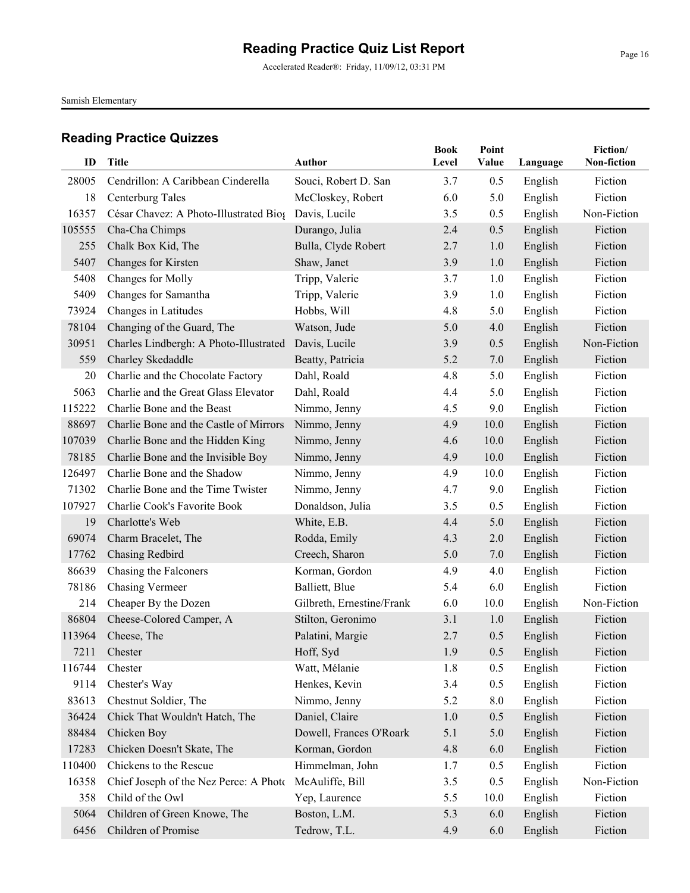Accelerated Reader®: Friday, 11/09/12, 03:31 PM

Samish Elementary

| ID     | <b>Title</b>                           | Author                    | <b>Book</b><br>Level | Point<br>Value | Language | Fiction/<br>Non-fiction |
|--------|----------------------------------------|---------------------------|----------------------|----------------|----------|-------------------------|
| 28005  | Cendrillon: A Caribbean Cinderella     | Souci, Robert D. San      | 3.7                  | 0.5            | English  | Fiction                 |
| 18     | Centerburg Tales                       | McCloskey, Robert         | 6.0                  | 5.0            | English  | Fiction                 |
| 16357  | César Chavez: A Photo-Illustrated Biog | Davis, Lucile             | 3.5                  | 0.5            | English  | Non-Fiction             |
| 105555 | Cha-Cha Chimps                         | Durango, Julia            | 2.4                  | 0.5            | English  | Fiction                 |
| 255    | Chalk Box Kid, The                     | Bulla, Clyde Robert       | 2.7                  | 1.0            | English  | Fiction                 |
| 5407   | Changes for Kirsten                    | Shaw, Janet               | 3.9                  | 1.0            | English  | Fiction                 |
| 5408   | Changes for Molly                      | Tripp, Valerie            | 3.7                  | 1.0            | English  | Fiction                 |
| 5409   | Changes for Samantha                   | Tripp, Valerie            | 3.9                  | 1.0            | English  | Fiction                 |
| 73924  | Changes in Latitudes                   | Hobbs, Will               | 4.8                  | 5.0            | English  | Fiction                 |
| 78104  | Changing of the Guard, The             | Watson, Jude              | 5.0                  | 4.0            | English  | Fiction                 |
| 30951  | Charles Lindbergh: A Photo-Illustrated | Davis, Lucile             | 3.9                  | 0.5            | English  | Non-Fiction             |
| 559    | Charley Skedaddle                      | Beatty, Patricia          | 5.2                  | 7.0            | English  | Fiction                 |
| 20     | Charlie and the Chocolate Factory      | Dahl, Roald               | 4.8                  | 5.0            | English  | Fiction                 |
| 5063   | Charlie and the Great Glass Elevator   | Dahl, Roald               | 4.4                  | 5.0            | English  | Fiction                 |
| 115222 | Charlie Bone and the Beast             | Nimmo, Jenny              | 4.5                  | 9.0            | English  | Fiction                 |
| 88697  | Charlie Bone and the Castle of Mirrors | Nimmo, Jenny              | 4.9                  | 10.0           | English  | Fiction                 |
| 107039 | Charlie Bone and the Hidden King       | Nimmo, Jenny              | 4.6                  | 10.0           | English  | Fiction                 |
| 78185  | Charlie Bone and the Invisible Boy     | Nimmo, Jenny              | 4.9                  | 10.0           | English  | Fiction                 |
| 126497 | Charlie Bone and the Shadow            | Nimmo, Jenny              | 4.9                  | 10.0           | English  | Fiction                 |
| 71302  | Charlie Bone and the Time Twister      | Nimmo, Jenny              | 4.7                  | 9.0            | English  | Fiction                 |
| 107927 | Charlie Cook's Favorite Book           | Donaldson, Julia          | 3.5                  | 0.5            | English  | Fiction                 |
| 19     | Charlotte's Web                        | White, E.B.               | 4.4                  | 5.0            | English  | Fiction                 |
| 69074  | Charm Bracelet, The                    | Rodda, Emily              | 4.3                  | 2.0            | English  | Fiction                 |
| 17762  | Chasing Redbird                        | Creech, Sharon            | 5.0                  | 7.0            | English  | Fiction                 |
| 86639  | Chasing the Falconers                  | Korman, Gordon            | 4.9                  | 4.0            | English  | Fiction                 |
| 78186  | <b>Chasing Vermeer</b>                 | Balliett, Blue            | 5.4                  | 6.0            | English  | Fiction                 |
| 214    | Cheaper By the Dozen                   | Gilbreth, Ernestine/Frank | 6.0                  | 10.0           | English  | Non-Fiction             |
| 86804  | Cheese-Colored Camper, A               | Stilton, Geronimo         | 3.1                  | 1.0            | English  | Fiction                 |
| 113964 | Cheese, The                            | Palatini, Margie          | 2.7                  | 0.5            | English  | Fiction                 |
|        | 7211 Chester                           | Hoff, Syd                 | 1.9                  | 0.5            | English  | Fiction                 |
| 116744 | Chester                                | Watt, Mélanie             | 1.8                  | 0.5            | English  | Fiction                 |
| 9114   | Chester's Way                          | Henkes, Kevin             | 3.4                  | 0.5            | English  | Fiction                 |
| 83613  | Chestnut Soldier, The                  | Nimmo, Jenny              | 5.2                  | 8.0            | English  | Fiction                 |
| 36424  | Chick That Wouldn't Hatch, The         | Daniel, Claire            | 1.0                  | 0.5            | English  | Fiction                 |
| 88484  | Chicken Boy                            | Dowell, Frances O'Roark   | 5.1                  | 5.0            | English  | Fiction                 |
| 17283  | Chicken Doesn't Skate, The             | Korman, Gordon            | 4.8                  | 6.0            | English  | Fiction                 |
| 110400 | Chickens to the Rescue                 | Himmelman, John           | 1.7                  | 0.5            | English  | Fiction                 |
| 16358  | Chief Joseph of the Nez Perce: A Photo | McAuliffe, Bill           | 3.5                  | 0.5            | English  | Non-Fiction             |
| 358    | Child of the Owl                       | Yep, Laurence             | 5.5                  | 10.0           | English  | Fiction                 |
| 5064   | Children of Green Knowe, The           | Boston, L.M.              | 5.3                  | 6.0            | English  | Fiction                 |
| 6456   | Children of Promise                    | Tedrow, T.L.              | 4.9                  | 6.0            | English  | Fiction                 |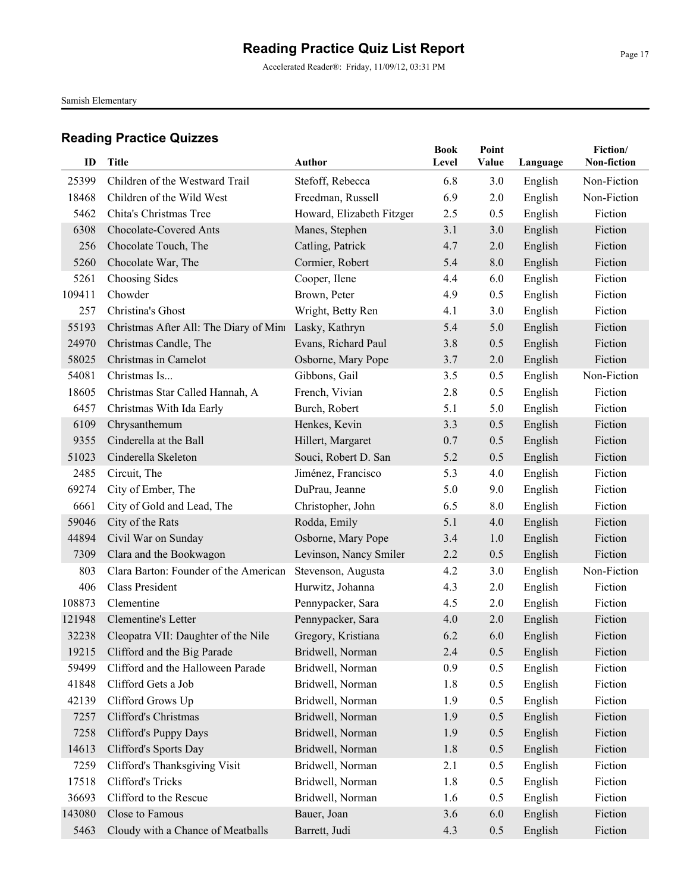Accelerated Reader®: Friday, 11/09/12, 03:31 PM

Samish Elementary

| ID     | <b>Title</b>                           | <b>Author</b>             | <b>Book</b><br>Level | Point<br>Value |          | Fiction/<br>Non-fiction |
|--------|----------------------------------------|---------------------------|----------------------|----------------|----------|-------------------------|
|        |                                        |                           |                      |                | Language |                         |
| 25399  | Children of the Westward Trail         | Stefoff, Rebecca          | 6.8                  | 3.0            | English  | Non-Fiction             |
| 18468  | Children of the Wild West              | Freedman, Russell         | 6.9                  | 2.0            | English  | Non-Fiction             |
| 5462   | Chita's Christmas Tree                 | Howard, Elizabeth Fitzger | 2.5                  | 0.5            | English  | Fiction                 |
| 6308   | Chocolate-Covered Ants                 | Manes, Stephen            | 3.1                  | 3.0            | English  | Fiction                 |
| 256    | Chocolate Touch, The                   | Catling, Patrick          | 4.7                  | 2.0            | English  | Fiction                 |
| 5260   | Chocolate War, The                     | Cormier, Robert           | 5.4                  | 8.0            | English  | Fiction                 |
| 5261   | Choosing Sides                         | Cooper, Ilene             | 4.4                  | 6.0            | English  | Fiction                 |
| 109411 | Chowder                                | Brown, Peter              | 4.9                  | 0.5            | English  | Fiction                 |
| 257    | Christina's Ghost                      | Wright, Betty Ren         | 4.1                  | 3.0            | English  | Fiction                 |
| 55193  | Christmas After All: The Diary of Mini | Lasky, Kathryn            | 5.4                  | 5.0            | English  | Fiction                 |
| 24970  | Christmas Candle, The                  | Evans, Richard Paul       | 3.8                  | 0.5            | English  | Fiction                 |
| 58025  | Christmas in Camelot                   | Osborne, Mary Pope        | 3.7                  | 2.0            | English  | Fiction                 |
| 54081  | Christmas Is                           | Gibbons, Gail             | 3.5                  | 0.5            | English  | Non-Fiction             |
| 18605  | Christmas Star Called Hannah, A        | French, Vivian            | 2.8                  | 0.5            | English  | Fiction                 |
| 6457   | Christmas With Ida Early               | Burch, Robert             | 5.1                  | 5.0            | English  | Fiction                 |
| 6109   | Chrysanthemum                          | Henkes, Kevin             | 3.3                  | 0.5            | English  | Fiction                 |
| 9355   | Cinderella at the Ball                 | Hillert, Margaret         | 0.7                  | 0.5            | English  | Fiction                 |
| 51023  | Cinderella Skeleton                    | Souci, Robert D. San      | 5.2                  | 0.5            | English  | Fiction                 |
| 2485   | Circuit, The                           | Jiménez, Francisco        | 5.3                  | 4.0            | English  | Fiction                 |
| 69274  | City of Ember, The                     | DuPrau, Jeanne            | 5.0                  | 9.0            | English  | Fiction                 |
| 6661   | City of Gold and Lead, The             | Christopher, John         | 6.5                  | 8.0            | English  | Fiction                 |
| 59046  | City of the Rats                       | Rodda, Emily              | 5.1                  | 4.0            | English  | Fiction                 |
| 44894  | Civil War on Sunday                    | Osborne, Mary Pope        | 3.4                  | 1.0            | English  | Fiction                 |
| 7309   | Clara and the Bookwagon                | Levinson, Nancy Smiler    | 2.2                  | 0.5            | English  | Fiction                 |
| 803    | Clara Barton: Founder of the American  | Stevenson, Augusta        | 4.2                  | 3.0            | English  | Non-Fiction             |
| 406    | <b>Class President</b>                 | Hurwitz, Johanna          | 4.3                  | 2.0            | English  | Fiction                 |
| 108873 | Clementine                             | Pennypacker, Sara         | 4.5                  | 2.0            | English  | Fiction                 |
| 121948 | Clementine's Letter                    | Pennypacker, Sara         | 4.0                  | 2.0            | English  | Fiction                 |
| 32238  | Cleopatra VII: Daughter of the Nile    | Gregory, Kristiana        | 6.2                  | 6.0            | English  | Fiction                 |
|        | 19215 Clifford and the Big Parade      | Bridwell, Norman          | 2.4                  | 0.5            | English  | Fiction                 |
| 59499  | Clifford and the Halloween Parade      | Bridwell, Norman          | 0.9                  | 0.5            | English  | Fiction                 |
| 41848  | Clifford Gets a Job                    | Bridwell, Norman          | 1.8                  | 0.5            | English  | Fiction                 |
| 42139  | Clifford Grows Up                      | Bridwell, Norman          | 1.9                  | 0.5            | English  | Fiction                 |
| 7257   | Clifford's Christmas                   | Bridwell, Norman          | 1.9                  | 0.5            | English  | Fiction                 |
| 7258   | Clifford's Puppy Days                  | Bridwell, Norman          | 1.9                  | 0.5            | English  | Fiction                 |
| 14613  | Clifford's Sports Day                  | Bridwell, Norman          | 1.8                  | 0.5            | English  | Fiction                 |
| 7259   | Clifford's Thanksgiving Visit          | Bridwell, Norman          | 2.1                  | 0.5            | English  | Fiction                 |
| 17518  | Clifford's Tricks                      | Bridwell, Norman          | 1.8                  | 0.5            | English  | Fiction                 |
| 36693  | Clifford to the Rescue                 | Bridwell, Norman          | 1.6                  | 0.5            | English  | Fiction                 |
| 143080 | Close to Famous                        | Bauer, Joan               | 3.6                  | 6.0            | English  | Fiction                 |
| 5463   | Cloudy with a Chance of Meatballs      | Barrett, Judi             | 4.3                  | 0.5            | English  | Fiction                 |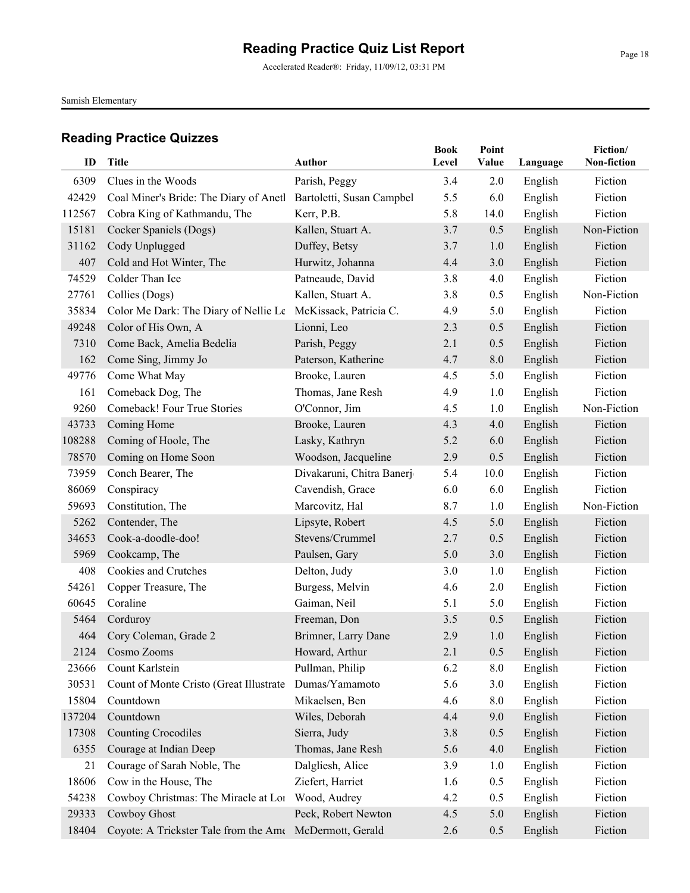Accelerated Reader®: Friday, 11/09/12, 03:31 PM

Samish Elementary

| ID     | Title                                             | <b>Author</b>             | <b>Book</b><br>Level | Point<br>Value | Language | Fiction/<br>Non-fiction |
|--------|---------------------------------------------------|---------------------------|----------------------|----------------|----------|-------------------------|
| 6309   | Clues in the Woods                                | Parish, Peggy             | 3.4                  | 2.0            | English  | Fiction                 |
| 42429  | Coal Miner's Bride: The Diary of Anetl            | Bartoletti, Susan Campbel | 5.5                  | 6.0            | English  | Fiction                 |
| 112567 | Cobra King of Kathmandu, The                      | Kerr, P.B.                | 5.8                  | 14.0           | English  | Fiction                 |
| 15181  | Cocker Spaniels (Dogs)                            | Kallen, Stuart A.         | 3.7                  | 0.5            | English  | Non-Fiction             |
| 31162  | Cody Unplugged                                    | Duffey, Betsy             | 3.7                  | 1.0            | English  | Fiction                 |
| 407    | Cold and Hot Winter, The                          | Hurwitz, Johanna          | 4.4                  | 3.0            | English  | Fiction                 |
| 74529  | Colder Than Ice                                   | Patneaude, David          | 3.8                  | 4.0            | English  | Fiction                 |
| 27761  | Collies (Dogs)                                    | Kallen, Stuart A.         | 3.8                  | 0.5            | English  | Non-Fiction             |
| 35834  | Color Me Dark: The Diary of Nellie Le             | McKissack, Patricia C.    | 4.9                  | 5.0            | English  | Fiction                 |
| 49248  | Color of His Own, A                               | Lionni, Leo               | 2.3                  | 0.5            | English  | Fiction                 |
| 7310   | Come Back, Amelia Bedelia                         | Parish, Peggy             | 2.1                  | 0.5            | English  | Fiction                 |
| 162    | Come Sing, Jimmy Jo                               | Paterson, Katherine       | 4.7                  | 8.0            | English  | Fiction                 |
| 49776  | Come What May                                     | Brooke, Lauren            | 4.5                  | 5.0            | English  | Fiction                 |
| 161    | Comeback Dog, The                                 | Thomas, Jane Resh         | 4.9                  | 1.0            | English  | Fiction                 |
| 9260   | Comeback! Four True Stories                       | O'Connor, Jim             | 4.5                  | 1.0            | English  | Non-Fiction             |
| 43733  | Coming Home                                       | Brooke, Lauren            | 4.3                  | 4.0            | English  | Fiction                 |
| 108288 | Coming of Hoole, The                              | Lasky, Kathryn            | 5.2                  | 6.0            | English  | Fiction                 |
| 78570  | Coming on Home Soon                               | Woodson, Jacqueline       | 2.9                  | 0.5            | English  | Fiction                 |
| 73959  | Conch Bearer, The                                 | Divakaruni, Chitra Banerj | 5.4                  | 10.0           | English  | Fiction                 |
| 86069  | Conspiracy                                        | Cavendish, Grace          | 6.0                  | 6.0            | English  | Fiction                 |
| 59693  | Constitution, The                                 | Marcovitz, Hal            | 8.7                  | 1.0            | English  | Non-Fiction             |
| 5262   | Contender, The                                    | Lipsyte, Robert           | 4.5                  | 5.0            | English  | Fiction                 |
| 34653  | Cook-a-doodle-doo!                                | Stevens/Crummel           | 2.7                  | 0.5            | English  | Fiction                 |
| 5969   | Cookcamp, The                                     | Paulsen, Gary             | 5.0                  | 3.0            | English  | Fiction                 |
| 408    | Cookies and Crutches                              | Delton, Judy              | 3.0                  | 1.0            | English  | Fiction                 |
| 54261  | Copper Treasure, The                              | Burgess, Melvin           | 4.6                  | 2.0            | English  | Fiction                 |
| 60645  | Coraline                                          | Gaiman, Neil              | 5.1                  | 5.0            | English  | Fiction                 |
| 5464   | Corduroy                                          | Freeman, Don              | 3.5                  | 0.5            | English  | Fiction                 |
| 464    | Cory Coleman, Grade 2                             | Brimner, Larry Dane       | 2.9                  | 1.0            | English  | Fiction                 |
|        | 2124 Cosmo Zooms                                  | Howard, Arthur            | 2.1                  | 0.5            | English  | Fiction                 |
| 23666  | Count Karlstein                                   | Pullman, Philip           | 6.2                  | 8.0            | English  | Fiction                 |
| 30531  | Count of Monte Cristo (Great Illustrate           | Dumas/Yamamoto            | 5.6                  | 3.0            | English  | Fiction                 |
| 15804  | Countdown                                         | Mikaelsen, Ben            | 4.6                  | 8.0            | English  | Fiction                 |
| 137204 | Countdown                                         | Wiles, Deborah            | 4.4                  | 9.0            | English  | Fiction                 |
| 17308  | <b>Counting Crocodiles</b>                        | Sierra, Judy              | 3.8                  | 0.5            | English  | Fiction                 |
| 6355   | Courage at Indian Deep                            | Thomas, Jane Resh         | 5.6                  | 4.0            | English  | Fiction                 |
| 21     | Courage of Sarah Noble, The                       | Dalgliesh, Alice          | 3.9                  | 1.0            | English  | Fiction                 |
| 18606  | Cow in the House, The                             | Ziefert, Harriet          | 1.6                  | 0.5            | English  | Fiction                 |
| 54238  | Cowboy Christmas: The Miracle at Lor Wood, Audrey |                           | 4.2                  | 0.5            | English  | Fiction                 |
| 29333  | Cowboy Ghost                                      | Peck, Robert Newton       | 4.5                  | 5.0            | English  | Fiction                 |
| 18404  | Coyote: A Trickster Tale from the Ame             | McDermott, Gerald         | 2.6                  | 0.5            | English  | Fiction                 |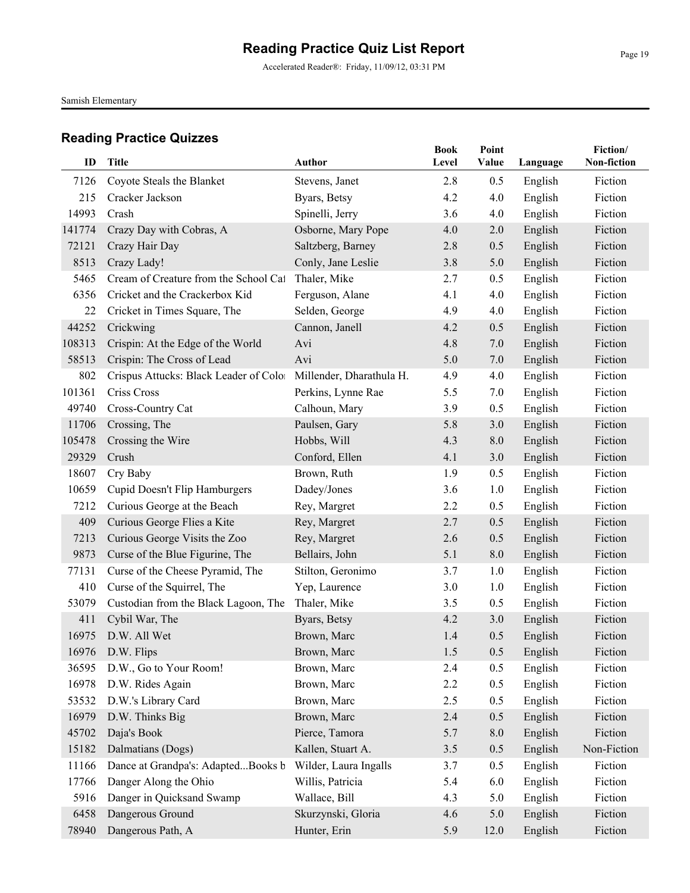Accelerated Reader®: Friday, 11/09/12, 03:31 PM

Samish Elementary

| ID     | <b>Title</b>                           | Author                   | <b>Book</b><br>Level | Point<br>Value | Language           | Fiction/<br>Non-fiction |
|--------|----------------------------------------|--------------------------|----------------------|----------------|--------------------|-------------------------|
| 7126   | Coyote Steals the Blanket              | Stevens, Janet           | 2.8                  | 0.5            |                    | Fiction                 |
| 215    | Cracker Jackson                        | Byars, Betsy             | 4.2                  | 4.0            | English<br>English | Fiction                 |
| 14993  | Crash                                  | Spinelli, Jerry          | 3.6                  | 4.0            | English            | Fiction                 |
| 141774 | Crazy Day with Cobras, A               | Osborne, Mary Pope       | 4.0                  | 2.0            | English            | Fiction                 |
| 72121  | Crazy Hair Day                         | Saltzberg, Barney        | 2.8                  | 0.5            | English            | Fiction                 |
| 8513   | Crazy Lady!                            | Conly, Jane Leslie       | 3.8                  | 5.0            | English            | Fiction                 |
| 5465   | Cream of Creature from the School Cal  | Thaler, Mike             | 2.7                  | 0.5            | English            | Fiction                 |
| 6356   | Cricket and the Crackerbox Kid         | Ferguson, Alane          | 4.1                  | 4.0            | English            | Fiction                 |
| 22     | Cricket in Times Square, The           | Selden, George           | 4.9                  | 4.0            | English            | Fiction                 |
| 44252  | Crickwing                              | Cannon, Janell           | 4.2                  | 0.5            | English            | Fiction                 |
| 108313 | Crispin: At the Edge of the World      | Avi                      | 4.8                  | 7.0            | English            | Fiction                 |
| 58513  | Crispin: The Cross of Lead             | Avi                      | 5.0                  | 7.0            | English            | Fiction                 |
| 802    | Crispus Attucks: Black Leader of Color | Millender, Dharathula H. | 4.9                  | 4.0            | English            | Fiction                 |
| 101361 | Criss Cross                            | Perkins, Lynne Rae       | 5.5                  | 7.0            | English            | Fiction                 |
| 49740  | Cross-Country Cat                      | Calhoun, Mary            | 3.9                  | 0.5            | English            | Fiction                 |
| 11706  | Crossing, The                          | Paulsen, Gary            | 5.8                  | 3.0            | English            | Fiction                 |
| 105478 | Crossing the Wire                      | Hobbs, Will              | 4.3                  | 8.0            | English            | Fiction                 |
| 29329  | Crush                                  | Conford, Ellen           | 4.1                  | 3.0            | English            | Fiction                 |
| 18607  | Cry Baby                               | Brown, Ruth              | 1.9                  | 0.5            | English            | Fiction                 |
| 10659  | Cupid Doesn't Flip Hamburgers          | Dadey/Jones              | 3.6                  | 1.0            | English            | Fiction                 |
| 7212   | Curious George at the Beach            | Rey, Margret             | 2.2                  | 0.5            | English            | Fiction                 |
| 409    | Curious George Flies a Kite            | Rey, Margret             | 2.7                  | 0.5            | English            | Fiction                 |
| 7213   | Curious George Visits the Zoo          | Rey, Margret             | 2.6                  | 0.5            | English            | Fiction                 |
| 9873   | Curse of the Blue Figurine, The        | Bellairs, John           | 5.1                  | 8.0            | English            | Fiction                 |
| 77131  | Curse of the Cheese Pyramid, The       | Stilton, Geronimo        | 3.7                  | 1.0            | English            | Fiction                 |
| 410    | Curse of the Squirrel, The             | Yep, Laurence            | 3.0                  | 1.0            | English            | Fiction                 |
| 53079  | Custodian from the Black Lagoon, The   | Thaler, Mike             | 3.5                  | 0.5            | English            | Fiction                 |
| 411    | Cybil War, The                         | Byars, Betsy             | 4.2                  | 3.0            | English            | Fiction                 |
| 16975  | D.W. All Wet                           | Brown, Marc              | 1.4                  | 0.5            | English            | Fiction                 |
|        | 16976 D.W. Flips                       | Brown, Marc              | $1.5$                | 0.5            | English            | Fiction                 |
| 36595  | D.W., Go to Your Room!                 | Brown, Marc              | 2.4                  | 0.5            | English            | Fiction                 |
| 16978  | D.W. Rides Again                       | Brown, Marc              | 2.2                  | 0.5            | English            | Fiction                 |
| 53532  | D.W.'s Library Card                    | Brown, Marc              | 2.5                  | 0.5            | English            | Fiction                 |
| 16979  | D.W. Thinks Big                        | Brown, Marc              | 2.4                  | 0.5            | English            | Fiction                 |
| 45702  | Daja's Book                            | Pierce, Tamora           | 5.7                  | 8.0            | English            | Fiction                 |
| 15182  | Dalmatians (Dogs)                      | Kallen, Stuart A.        | 3.5                  | 0.5            | English            | Non-Fiction             |
| 11166  | Dance at Grandpa's: AdaptedBooks b     | Wilder, Laura Ingalls    | 3.7                  | 0.5            | English            | Fiction                 |
| 17766  | Danger Along the Ohio                  | Willis, Patricia         | 5.4                  | 6.0            | English            | Fiction                 |
| 5916   | Danger in Quicksand Swamp              | Wallace, Bill            | 4.3                  | 5.0            | English            | Fiction                 |
| 6458   | Dangerous Ground                       | Skurzynski, Gloria       | 4.6                  | 5.0            | English            | Fiction                 |
| 78940  | Dangerous Path, A                      | Hunter, Erin             | 5.9                  | 12.0           | English            | Fiction                 |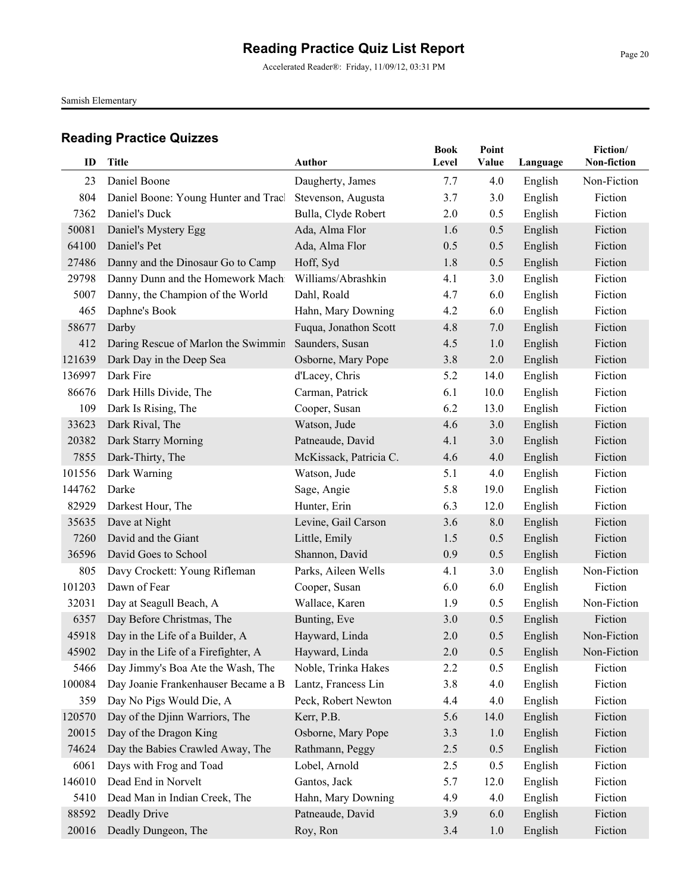Accelerated Reader®: Friday, 11/09/12, 03:31 PM

Samish Elementary

| ID     | <b>Title</b>                              | <b>Author</b>          | <b>Book</b><br>Level | Point<br>Value | Language | Fiction/<br>Non-fiction |
|--------|-------------------------------------------|------------------------|----------------------|----------------|----------|-------------------------|
| 23     | Daniel Boone                              | Daugherty, James       | 7.7                  | 4.0            | English  | Non-Fiction             |
| 804    | Daniel Boone: Young Hunter and Tracl      | Stevenson, Augusta     | 3.7                  | 3.0            | English  | Fiction                 |
| 7362   | Daniel's Duck                             | Bulla, Clyde Robert    | 2.0                  | 0.5            | English  | Fiction                 |
| 50081  | Daniel's Mystery Egg                      | Ada, Alma Flor         | 1.6                  | 0.5            | English  | Fiction                 |
| 64100  | Daniel's Pet                              | Ada, Alma Flor         | 0.5                  | 0.5            | English  | Fiction                 |
| 27486  | Danny and the Dinosaur Go to Camp         | Hoff, Syd              | 1.8                  | 0.5            | English  | Fiction                 |
| 29798  | Danny Dunn and the Homework Machi         | Williams/Abrashkin     | 4.1                  | 3.0            | English  | Fiction                 |
| 5007   | Danny, the Champion of the World          | Dahl, Roald            | 4.7                  | 6.0            | English  | Fiction                 |
| 465    | Daphne's Book                             | Hahn, Mary Downing     | 4.2                  | 6.0            | English  | Fiction                 |
| 58677  | Darby                                     | Fuqua, Jonathon Scott  | 4.8                  | 7.0            | English  | Fiction                 |
| 412    | Daring Rescue of Marlon the Swimmin       | Saunders, Susan        | 4.5                  | 1.0            | English  | Fiction                 |
| 121639 | Dark Day in the Deep Sea                  | Osborne, Mary Pope     | 3.8                  | 2.0            | English  | Fiction                 |
| 136997 | Dark Fire                                 | d'Lacey, Chris         | 5.2                  | 14.0           | English  | Fiction                 |
| 86676  | Dark Hills Divide, The                    | Carman, Patrick        | 6.1                  | 10.0           | English  | Fiction                 |
| 109    | Dark Is Rising, The                       | Cooper, Susan          | 6.2                  | 13.0           | English  | Fiction                 |
| 33623  | Dark Rival, The                           | Watson, Jude           | 4.6                  | 3.0            | English  | Fiction                 |
| 20382  | Dark Starry Morning                       | Patneaude, David       | 4.1                  | 3.0            | English  | Fiction                 |
| 7855   | Dark-Thirty, The                          | McKissack, Patricia C. | 4.6                  | 4.0            | English  | Fiction                 |
| 101556 | Dark Warning                              | Watson, Jude           | 5.1                  | 4.0            | English  | Fiction                 |
| 144762 | Darke                                     | Sage, Angie            | 5.8                  | 19.0           | English  | Fiction                 |
| 82929  | Darkest Hour, The                         | Hunter, Erin           | 6.3                  | 12.0           | English  | Fiction                 |
| 35635  | Dave at Night                             | Levine, Gail Carson    | 3.6                  | 8.0            | English  | Fiction                 |
| 7260   | David and the Giant                       | Little, Emily          | 1.5                  | 0.5            | English  | Fiction                 |
| 36596  | David Goes to School                      | Shannon, David         | 0.9                  | 0.5            | English  | Fiction                 |
| 805    | Davy Crockett: Young Rifleman             | Parks, Aileen Wells    | 4.1                  | 3.0            | English  | Non-Fiction             |
| 101203 | Dawn of Fear                              | Cooper, Susan          | 6.0                  | 6.0            | English  | Fiction                 |
| 32031  | Day at Seagull Beach, A                   | Wallace, Karen         | 1.9                  | 0.5            | English  | Non-Fiction             |
| 6357   | Day Before Christmas, The                 | Bunting, Eve           | 3.0                  | 0.5            | English  | Fiction                 |
| 45918  | Day in the Life of a Builder, A           | Hayward, Linda         | 2.0                  | 0.5            | English  | Non-Fiction             |
|        | 45902 Day in the Life of a Firefighter, A | Hayward, Linda         | $2.0\,$              | 0.5            | English  | Non-Fiction             |
| 5466   | Day Jimmy's Boa Ate the Wash, The         | Noble, Trinka Hakes    | 2.2                  | 0.5            | English  | Fiction                 |
| 100084 | Day Joanie Frankenhauser Became a B       | Lantz, Francess Lin    | 3.8                  | 4.0            | English  | Fiction                 |
| 359    | Day No Pigs Would Die, A                  | Peck, Robert Newton    | 4.4                  | 4.0            | English  | Fiction                 |
| 120570 | Day of the Djinn Warriors, The            | Kerr, P.B.             | 5.6                  | 14.0           | English  | Fiction                 |
| 20015  | Day of the Dragon King                    | Osborne, Mary Pope     | 3.3                  | 1.0            | English  | Fiction                 |
| 74624  | Day the Babies Crawled Away, The          | Rathmann, Peggy        | 2.5                  | 0.5            | English  | Fiction                 |
| 6061   | Days with Frog and Toad                   | Lobel, Arnold          | 2.5                  | 0.5            | English  | Fiction                 |
| 146010 | Dead End in Norvelt                       | Gantos, Jack           | 5.7                  | 12.0           | English  | Fiction                 |
| 5410   | Dead Man in Indian Creek, The             | Hahn, Mary Downing     | 4.9                  | 4.0            | English  | Fiction                 |
| 88592  | Deadly Drive                              | Patneaude, David       | 3.9                  | 6.0            | English  | Fiction                 |
| 20016  | Deadly Dungeon, The                       | Roy, Ron               | 3.4                  | 1.0            | English  | Fiction                 |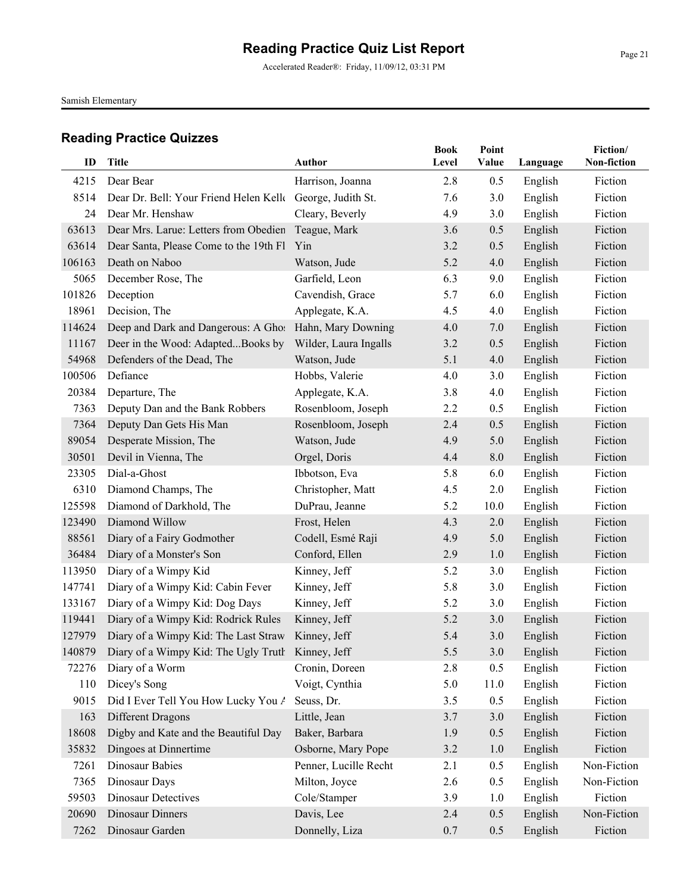Accelerated Reader®: Friday, 11/09/12, 03:31 PM

Samish Elementary

| ID     | <b>Title</b>                                             | <b>Author</b>         | <b>Book</b><br>Level | Point<br>Value | Language | Fiction/<br>Non-fiction |
|--------|----------------------------------------------------------|-----------------------|----------------------|----------------|----------|-------------------------|
|        |                                                          |                       |                      |                |          |                         |
| 4215   | Dear Bear                                                | Harrison, Joanna      | 2.8                  | 0.5            | English  | Fiction                 |
| 8514   | Dear Dr. Bell: Your Friend Helen Kell George, Judith St. |                       | 7.6                  | 3.0            | English  | Fiction                 |
| 24     | Dear Mr. Henshaw                                         | Cleary, Beverly       | 4.9                  | 3.0            | English  | Fiction                 |
| 63613  | Dear Mrs. Larue: Letters from Obedien                    | Teague, Mark          | 3.6                  | 0.5            | English  | Fiction                 |
| 63614  | Dear Santa, Please Come to the 19th Fl Yin               |                       | 3.2                  | 0.5            | English  | Fiction                 |
| 106163 | Death on Naboo                                           | Watson, Jude          | 5.2                  | 4.0            | English  | Fiction                 |
| 5065   | December Rose, The                                       | Garfield, Leon        | 6.3                  | 9.0            | English  | Fiction                 |
| 101826 | Deception                                                | Cavendish, Grace      | 5.7                  | 6.0            | English  | Fiction                 |
| 18961  | Decision, The                                            | Applegate, K.A.       | 4.5                  | 4.0            | English  | Fiction                 |
| 114624 | Deep and Dark and Dangerous: A Ghos                      | Hahn, Mary Downing    | 4.0                  | 7.0            | English  | Fiction                 |
| 11167  | Deer in the Wood: AdaptedBooks by                        | Wilder, Laura Ingalls | 3.2                  | 0.5            | English  | Fiction                 |
| 54968  | Defenders of the Dead, The                               | Watson, Jude          | 5.1                  | 4.0            | English  | Fiction                 |
| 100506 | Defiance                                                 | Hobbs, Valerie        | 4.0                  | 3.0            | English  | Fiction                 |
| 20384  | Departure, The                                           | Applegate, K.A.       | 3.8                  | 4.0            | English  | Fiction                 |
| 7363   | Deputy Dan and the Bank Robbers                          | Rosenbloom, Joseph    | 2.2                  | 0.5            | English  | Fiction                 |
| 7364   | Deputy Dan Gets His Man                                  | Rosenbloom, Joseph    | 2.4                  | 0.5            | English  | Fiction                 |
| 89054  | Desperate Mission, The                                   | Watson, Jude          | 4.9                  | 5.0            | English  | Fiction                 |
| 30501  | Devil in Vienna, The                                     | Orgel, Doris          | 4.4                  | 8.0            | English  | Fiction                 |
| 23305  | Dial-a-Ghost                                             | Ibbotson, Eva         | 5.8                  | 6.0            | English  | Fiction                 |
| 6310   | Diamond Champs, The                                      | Christopher, Matt     | 4.5                  | 2.0            | English  | Fiction                 |
| 125598 | Diamond of Darkhold, The                                 | DuPrau, Jeanne        | 5.2                  | 10.0           | English  | Fiction                 |
| 123490 | Diamond Willow                                           | Frost, Helen          | 4.3                  | 2.0            | English  | Fiction                 |
| 88561  | Diary of a Fairy Godmother                               | Codell, Esmé Raji     | 4.9                  | 5.0            | English  | Fiction                 |
| 36484  | Diary of a Monster's Son                                 | Conford, Ellen        | 2.9                  | 1.0            | English  | Fiction                 |
| 113950 | Diary of a Wimpy Kid                                     | Kinney, Jeff          | 5.2                  | 3.0            | English  | Fiction                 |
| 147741 | Diary of a Wimpy Kid: Cabin Fever                        | Kinney, Jeff          | 5.8                  | 3.0            | English  | Fiction                 |
| 133167 | Diary of a Wimpy Kid: Dog Days                           | Kinney, Jeff          | 5.2                  | 3.0            | English  | Fiction                 |
| 119441 | Diary of a Wimpy Kid: Rodrick Rules                      | Kinney, Jeff          | 5.2                  | 3.0            | English  | Fiction                 |
| 127979 | Diary of a Wimpy Kid: The Last Straw                     | Kinney, Jeff          | 5.4                  | 3.0            | English  | Fiction                 |
|        | 140879 Diary of a Wimpy Kid: The Ugly Truth Kinney, Jeff |                       | 5.5                  | 3.0            | English  | Fiction                 |
| 72276  | Diary of a Worm                                          | Cronin, Doreen        | 2.8                  | 0.5            | English  | Fiction                 |
| 110    | Dicey's Song                                             | Voigt, Cynthia        | 5.0                  | 11.0           | English  | Fiction                 |
| 9015   | Did I Ever Tell You How Lucky You A                      | Seuss, Dr.            | 3.5                  | 0.5            | English  | Fiction                 |
| 163    | Different Dragons                                        | Little, Jean          | 3.7                  | 3.0            | English  | Fiction                 |
| 18608  | Digby and Kate and the Beautiful Day                     | Baker, Barbara        | 1.9                  | 0.5            | English  | Fiction                 |
| 35832  | Dingoes at Dinnertime                                    | Osborne, Mary Pope    | 3.2                  | $1.0\,$        | English  | Fiction                 |
| 7261   | Dinosaur Babies                                          | Penner, Lucille Recht | 2.1                  | 0.5            | English  | Non-Fiction             |
| 7365   | Dinosaur Days                                            | Milton, Joyce         | 2.6                  | 0.5            | English  | Non-Fiction             |
| 59503  | <b>Dinosaur Detectives</b>                               | Cole/Stamper          | 3.9                  | 1.0            | English  | Fiction                 |
| 20690  | <b>Dinosaur Dinners</b>                                  | Davis, Lee            | 2.4                  | 0.5            | English  | Non-Fiction             |
| 7262   | Dinosaur Garden                                          | Donnelly, Liza        | 0.7                  | 0.5            | English  | Fiction                 |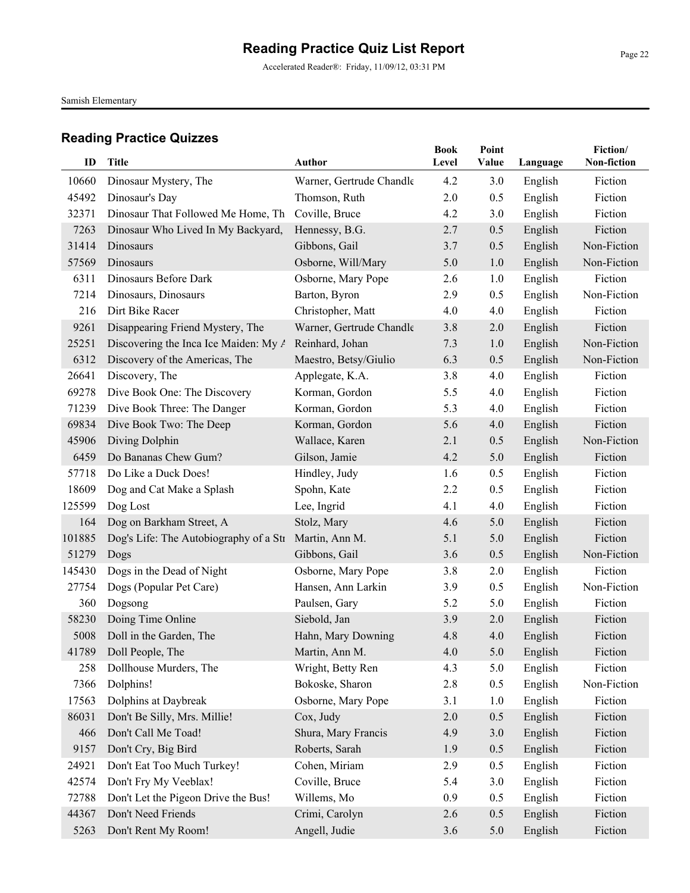Accelerated Reader®: Friday, 11/09/12, 03:31 PM

Samish Elementary

|        |                                        |                          | <b>Book</b> | Point |          | Fiction/    |
|--------|----------------------------------------|--------------------------|-------------|-------|----------|-------------|
| ID     | Title                                  | <b>Author</b>            | Level       | Value | Language | Non-fiction |
| 10660  | Dinosaur Mystery, The                  | Warner, Gertrude Chandle | 4.2         | 3.0   | English  | Fiction     |
| 45492  | Dinosaur's Day                         | Thomson, Ruth            | 2.0         | 0.5   | English  | Fiction     |
| 32371  | Dinosaur That Followed Me Home, Th     | Coville, Bruce           | 4.2         | 3.0   | English  | Fiction     |
| 7263   | Dinosaur Who Lived In My Backyard,     | Hennessy, B.G.           | 2.7         | 0.5   | English  | Fiction     |
| 31414  | Dinosaurs                              | Gibbons, Gail            | 3.7         | 0.5   | English  | Non-Fiction |
| 57569  | Dinosaurs                              | Osborne, Will/Mary       | 5.0         | 1.0   | English  | Non-Fiction |
| 6311   | Dinosaurs Before Dark                  | Osborne, Mary Pope       | 2.6         | 1.0   | English  | Fiction     |
| 7214   | Dinosaurs, Dinosaurs                   | Barton, Byron            | 2.9         | 0.5   | English  | Non-Fiction |
| 216    | Dirt Bike Racer                        | Christopher, Matt        | 4.0         | 4.0   | English  | Fiction     |
| 9261   | Disappearing Friend Mystery, The       | Warner, Gertrude Chandle | 3.8         | 2.0   | English  | Fiction     |
| 25251  | Discovering the Inca Ice Maiden: My A  | Reinhard, Johan          | 7.3         | 1.0   | English  | Non-Fiction |
| 6312   | Discovery of the Americas, The         | Maestro, Betsy/Giulio    | 6.3         | 0.5   | English  | Non-Fiction |
| 26641  | Discovery, The                         | Applegate, K.A.          | 3.8         | 4.0   | English  | Fiction     |
| 69278  | Dive Book One: The Discovery           | Korman, Gordon           | 5.5         | 4.0   | English  | Fiction     |
| 71239  | Dive Book Three: The Danger            | Korman, Gordon           | 5.3         | 4.0   | English  | Fiction     |
| 69834  | Dive Book Two: The Deep                | Korman, Gordon           | 5.6         | 4.0   | English  | Fiction     |
| 45906  | Diving Dolphin                         | Wallace, Karen           | 2.1         | 0.5   | English  | Non-Fiction |
| 6459   | Do Bananas Chew Gum?                   | Gilson, Jamie            | 4.2         | 5.0   | English  | Fiction     |
| 57718  | Do Like a Duck Does!                   | Hindley, Judy            | 1.6         | 0.5   | English  | Fiction     |
| 18609  | Dog and Cat Make a Splash              | Spohn, Kate              | 2.2         | 0.5   | English  | Fiction     |
| 125599 | Dog Lost                               | Lee, Ingrid              | 4.1         | 4.0   | English  | Fiction     |
| 164    | Dog on Barkham Street, A               | Stolz, Mary              | 4.6         | 5.0   | English  | Fiction     |
| 101885 | Dog's Life: The Autobiography of a Str | Martin, Ann M.           | 5.1         | 5.0   | English  | Fiction     |
| 51279  | Dogs                                   | Gibbons, Gail            | 3.6         | 0.5   | English  | Non-Fiction |
| 145430 | Dogs in the Dead of Night              | Osborne, Mary Pope       | 3.8         | 2.0   | English  | Fiction     |
| 27754  | Dogs (Popular Pet Care)                | Hansen, Ann Larkin       | 3.9         | 0.5   | English  | Non-Fiction |
| 360    | Dogsong                                | Paulsen, Gary            | 5.2         | 5.0   | English  | Fiction     |
| 58230  | Doing Time Online                      | Siebold, Jan             | 3.9         | 2.0   | English  | Fiction     |
| 5008   | Doll in the Garden, The                | Hahn, Mary Downing       | 4.8         | 4.0   | English  | Fiction     |
|        | 41789 Doll People, The                 | Martin, Ann M.           | $4.0\,$     | 5.0   | English  | Fiction     |
| 258    | Dollhouse Murders, The                 | Wright, Betty Ren        | 4.3         | 5.0   | English  | Fiction     |
| 7366   | Dolphins!                              | Bokoske, Sharon          | 2.8         | 0.5   | English  | Non-Fiction |
| 17563  | Dolphins at Daybreak                   | Osborne, Mary Pope       | 3.1         | 1.0   | English  | Fiction     |
| 86031  | Don't Be Silly, Mrs. Millie!           | Cox, Judy                | 2.0         | 0.5   | English  | Fiction     |
| 466    | Don't Call Me Toad!                    | Shura, Mary Francis      | 4.9         | 3.0   | English  | Fiction     |
| 9157   | Don't Cry, Big Bird                    | Roberts, Sarah           | 1.9         | 0.5   | English  | Fiction     |
| 24921  | Don't Eat Too Much Turkey!             | Cohen, Miriam            | 2.9         | 0.5   | English  | Fiction     |
| 42574  | Don't Fry My Veeblax!                  | Coville, Bruce           | 5.4         | 3.0   | English  | Fiction     |
| 72788  | Don't Let the Pigeon Drive the Bus!    | Willems, Mo              | 0.9         | 0.5   | English  | Fiction     |
| 44367  | Don't Need Friends                     | Crimi, Carolyn           | 2.6         | 0.5   | English  | Fiction     |
| 5263   | Don't Rent My Room!                    | Angell, Judie            | 3.6         | 5.0   | English  | Fiction     |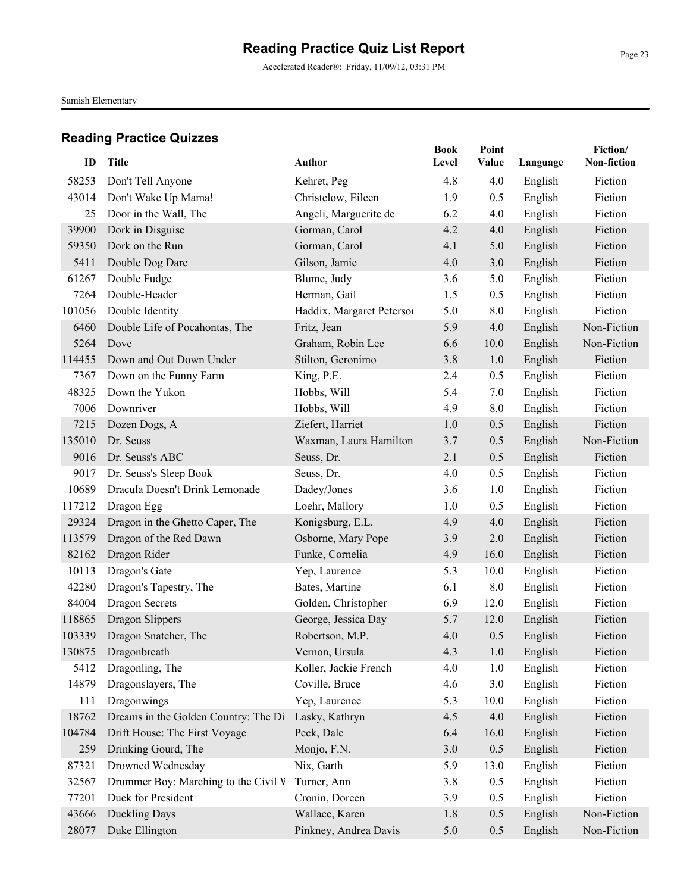Accelerated Reader®: Friday, 11/09/12, 03:31 PM

Samish Elementary

| ID     | Title                                | <b>Author</b>             | <b>Book</b><br>Level | Point<br>Value | Language | Fiction/<br>Non-fiction |
|--------|--------------------------------------|---------------------------|----------------------|----------------|----------|-------------------------|
| 58253  | Don't Tell Anyone                    | Kehret, Peg               | 4.8                  | 4.0            | English  | Fiction                 |
| 43014  | Don't Wake Up Mama!                  | Christelow, Eileen        | 1.9                  | 0.5            | English  | Fiction                 |
| 25     | Door in the Wall, The                | Angeli, Marguerite de     | 6.2                  | 4.0            | English  | Fiction                 |
| 39900  | Dork in Disguise                     | Gorman, Carol             | 4.2                  | 4.0            | English  | Fiction                 |
| 59350  | Dork on the Run                      | Gorman, Carol             | 4.1                  | 5.0            | English  | Fiction                 |
| 5411   | Double Dog Dare                      | Gilson, Jamie             | 4.0                  | 3.0            | English  | Fiction                 |
| 61267  | Double Fudge                         | Blume, Judy               | 3.6                  | 5.0            | English  | Fiction                 |
| 7264   | Double-Header                        | Herman, Gail              | 1.5                  | 0.5            | English  | Fiction                 |
| 101056 | Double Identity                      | Haddix, Margaret Petersoi | 5.0                  | 8.0            | English  | Fiction                 |
| 6460   | Double Life of Pocahontas, The       | Fritz, Jean               | 5.9                  | 4.0            | English  | Non-Fiction             |
| 5264   | Dove                                 | Graham, Robin Lee         | 6.6                  | 10.0           | English  | Non-Fiction             |
| 114455 | Down and Out Down Under              | Stilton, Geronimo         | 3.8                  | 1.0            | English  | Fiction                 |
| 7367   | Down on the Funny Farm               | King, P.E.                | 2.4                  | 0.5            | English  | Fiction                 |
| 48325  | Down the Yukon                       | Hobbs, Will               | 5.4                  | 7.0            | English  | Fiction                 |
| 7006   | Downriver                            | Hobbs, Will               | 4.9                  | 8.0            | English  | Fiction                 |
| 7215   | Dozen Dogs, A                        | Ziefert, Harriet          | 1.0                  | 0.5            | English  | Fiction                 |
| 135010 | Dr. Seuss                            | Waxman, Laura Hamilton    | 3.7                  | 0.5            | English  | Non-Fiction             |
| 9016   | Dr. Seuss's ABC                      | Seuss, Dr.                | 2.1                  | 0.5            | English  | Fiction                 |
| 9017   | Dr. Seuss's Sleep Book               | Seuss, Dr.                | 4.0                  | 0.5            | English  | Fiction                 |
| 10689  | Dracula Doesn't Drink Lemonade       | Dadey/Jones               | 3.6                  | 1.0            | English  | Fiction                 |
| 117212 | Dragon Egg                           | Loehr, Mallory            | 1.0                  | 0.5            | English  | Fiction                 |
| 29324  | Dragon in the Ghetto Caper, The      | Konigsburg, E.L.          | 4.9                  | 4.0            | English  | Fiction                 |
| 113579 | Dragon of the Red Dawn               | Osborne, Mary Pope        | 3.9                  | 2.0            | English  | Fiction                 |
| 82162  | Dragon Rider                         | Funke, Cornelia           | 4.9                  | 16.0           | English  | Fiction                 |
| 10113  | Dragon's Gate                        | Yep, Laurence             | 5.3                  | 10.0           | English  | Fiction                 |
| 42280  | Dragon's Tapestry, The               | Bates, Martine            | 6.1                  | 8.0            | English  | Fiction                 |
| 84004  | <b>Dragon Secrets</b>                | Golden, Christopher       | 6.9                  | 12.0           | English  | Fiction                 |
| 118865 | Dragon Slippers                      | George, Jessica Day       | 5.7                  | 12.0           | English  | Fiction                 |
| 103339 | Dragon Snatcher, The                 | Robertson, M.P.           | 4.0                  | 0.5            | English  | Fiction                 |
|        | 130875 Dragonbreath                  | Vernon, Ursula            | 4.3                  | 1.0            | English  | Fiction                 |
| 5412   | Dragonling, The                      | Koller, Jackie French     | 4.0                  | 1.0            | English  | Fiction                 |
| 14879  | Dragonslayers, The                   | Coville, Bruce            | 4.6                  | 3.0            | English  | Fiction                 |
| 111    | Dragonwings                          | Yep, Laurence             | 5.3                  | 10.0           | English  | Fiction                 |
| 18762  | Dreams in the Golden Country: The Di | Lasky, Kathryn            | 4.5                  | 4.0            | English  | Fiction                 |
| 104784 | Drift House: The First Voyage        | Peck, Dale                | 6.4                  | 16.0           | English  | Fiction                 |
| 259    | Drinking Gourd, The                  | Monjo, F.N.               | 3.0                  | 0.5            | English  | Fiction                 |
| 87321  | Drowned Wednesday                    | Nix, Garth                | 5.9                  | 13.0           | English  | Fiction                 |
| 32567  | Drummer Boy: Marching to the Civil V | Turner, Ann               | 3.8                  | 0.5            | English  | Fiction                 |
| 77201  | Duck for President                   | Cronin, Doreen            | 3.9                  | 0.5            | English  | Fiction                 |
| 43666  | Duckling Days                        | Wallace, Karen            | 1.8                  | 0.5            | English  | Non-Fiction             |
| 28077  | Duke Ellington                       | Pinkney, Andrea Davis     | 5.0                  | 0.5            | English  | Non-Fiction             |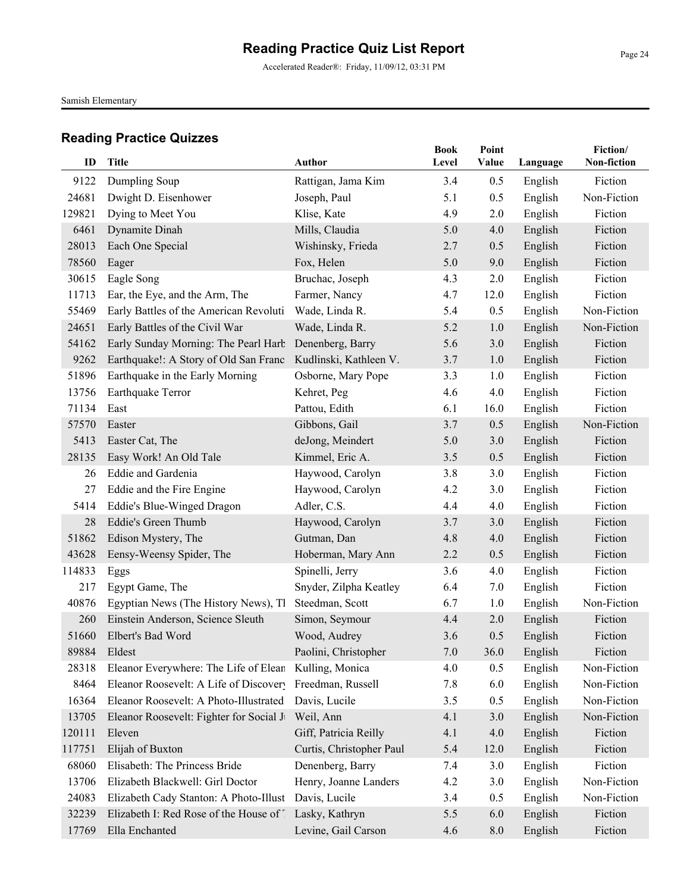Accelerated Reader®: Friday, 11/09/12, 03:31 PM

Samish Elementary

|        |                                                              |                          | <b>Book</b> | Point   |          | Fiction/    |
|--------|--------------------------------------------------------------|--------------------------|-------------|---------|----------|-------------|
| ID     | <b>Title</b>                                                 | <b>Author</b>            | Level       | Value   | Language | Non-fiction |
| 9122   | Dumpling Soup                                                | Rattigan, Jama Kim       | 3.4         | 0.5     | English  | Fiction     |
| 24681  | Dwight D. Eisenhower                                         | Joseph, Paul             | 5.1         | 0.5     | English  | Non-Fiction |
| 129821 | Dying to Meet You                                            | Klise, Kate              | 4.9         | 2.0     | English  | Fiction     |
| 6461   | Dynamite Dinah                                               | Mills, Claudia           | 5.0         | 4.0     | English  | Fiction     |
| 28013  | Each One Special                                             | Wishinsky, Frieda        | 2.7         | 0.5     | English  | Fiction     |
| 78560  | Eager                                                        | Fox, Helen               | 5.0         | 9.0     | English  | Fiction     |
| 30615  | Eagle Song                                                   | Bruchac, Joseph          | 4.3         | 2.0     | English  | Fiction     |
| 11713  | Ear, the Eye, and the Arm, The                               | Farmer, Nancy            | 4.7         | 12.0    | English  | Fiction     |
| 55469  | Early Battles of the American Revoluti                       | Wade, Linda R.           | 5.4         | 0.5     | English  | Non-Fiction |
| 24651  | Early Battles of the Civil War                               | Wade, Linda R.           | 5.2         | 1.0     | English  | Non-Fiction |
| 54162  | Early Sunday Morning: The Pearl Harb                         | Denenberg, Barry         | 5.6         | 3.0     | English  | Fiction     |
| 9262   | Earthquake!: A Story of Old San Franc Kudlinski, Kathleen V. |                          | 3.7         | 1.0     | English  | Fiction     |
| 51896  | Earthquake in the Early Morning                              | Osborne, Mary Pope       | 3.3         | 1.0     | English  | Fiction     |
| 13756  | Earthquake Terror                                            | Kehret, Peg              | 4.6         | 4.0     | English  | Fiction     |
| 71134  | East                                                         | Pattou, Edith            | 6.1         | 16.0    | English  | Fiction     |
| 57570  | Easter                                                       | Gibbons, Gail            | 3.7         | 0.5     | English  | Non-Fiction |
| 5413   | Easter Cat, The                                              | deJong, Meindert         | 5.0         | 3.0     | English  | Fiction     |
| 28135  | Easy Work! An Old Tale                                       | Kimmel, Eric A.          | 3.5         | 0.5     | English  | Fiction     |
| 26     | Eddie and Gardenia                                           | Haywood, Carolyn         | 3.8         | 3.0     | English  | Fiction     |
| 27     | Eddie and the Fire Engine                                    | Haywood, Carolyn         | 4.2         | 3.0     | English  | Fiction     |
| 5414   | Eddie's Blue-Winged Dragon                                   | Adler, C.S.              | 4.4         | 4.0     | English  | Fiction     |
| 28     | Eddie's Green Thumb                                          | Haywood, Carolyn         | 3.7         | 3.0     | English  | Fiction     |
| 51862  | Edison Mystery, The                                          | Gutman, Dan              | 4.8         | 4.0     | English  | Fiction     |
| 43628  | Eensy-Weensy Spider, The                                     | Hoberman, Mary Ann       | 2.2         | 0.5     | English  | Fiction     |
| 114833 | Eggs                                                         | Spinelli, Jerry          | 3.6         | 4.0     | English  | Fiction     |
| 217    | Egypt Game, The                                              | Snyder, Zilpha Keatley   | 6.4         | 7.0     | English  | Fiction     |
| 40876  | Egyptian News (The History News), The                        | Steedman, Scott          | 6.7         | 1.0     | English  | Non-Fiction |
| 260    | Einstein Anderson, Science Sleuth                            | Simon, Seymour           | 4.4         | 2.0     | English  | Fiction     |
| 51660  | Elbert's Bad Word                                            | Wood, Audrey             | 3.6         | 0.5     | English  | Fiction     |
| 89884  | Eldest                                                       | Paolini, Christopher     | $7.0\,$     | 36.0    | English  | Fiction     |
| 28318  | Eleanor Everywhere: The Life of Elean                        | Kulling, Monica          | 4.0         | 0.5     | English  | Non-Fiction |
| 8464   | Eleanor Roosevelt: A Life of Discovery                       | Freedman, Russell        | 7.8         | 6.0     | English  | Non-Fiction |
| 16364  | Eleanor Roosevelt: A Photo-Illustrated                       | Davis, Lucile            | 3.5         | 0.5     | English  | Non-Fiction |
| 13705  | Eleanor Roosevelt: Fighter for Social Ju                     | Weil, Ann                | 4.1         | 3.0     | English  | Non-Fiction |
| 120111 | Eleven                                                       | Giff, Patricia Reilly    | 4.1         | 4.0     | English  | Fiction     |
| 117751 | Elijah of Buxton                                             | Curtis, Christopher Paul | 5.4         | 12.0    | English  | Fiction     |
| 68060  | Elisabeth: The Princess Bride                                | Denenberg, Barry         | 7.4         | 3.0     | English  | Fiction     |
| 13706  | Elizabeth Blackwell: Girl Doctor                             | Henry, Joanne Landers    | 4.2         | 3.0     | English  | Non-Fiction |
| 24083  | Elizabeth Cady Stanton: A Photo-Illust                       | Davis, Lucile            | 3.4         | 0.5     | English  | Non-Fiction |
| 32239  | Elizabeth I: Red Rose of the House of 1 Lasky, Kathryn       |                          | 5.5         | 6.0     | English  | Fiction     |
| 17769  | Ella Enchanted                                               | Levine, Gail Carson      | 4.6         | $8.0\,$ | English  | Fiction     |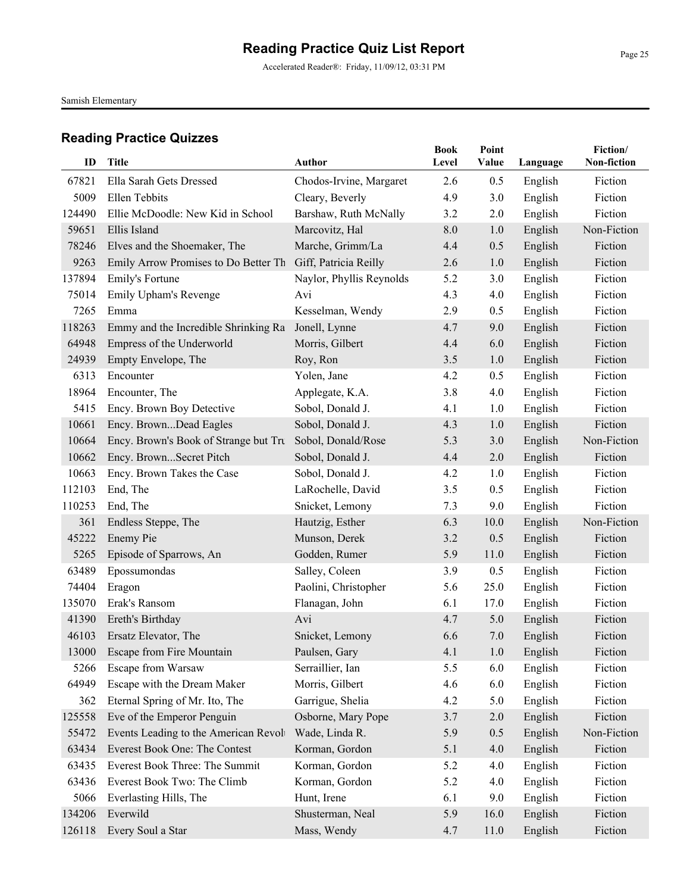Samish Elementary

| ID     | Title                                 | <b>Author</b>            | <b>Book</b><br>Level | Point<br>Value | Language | Fiction/<br>Non-fiction |
|--------|---------------------------------------|--------------------------|----------------------|----------------|----------|-------------------------|
| 67821  | Ella Sarah Gets Dressed               | Chodos-Irvine, Margaret  | 2.6                  | 0.5            | English  | Fiction                 |
| 5009   | Ellen Tebbits                         | Cleary, Beverly          | 4.9                  | 3.0            | English  | Fiction                 |
| 124490 | Ellie McDoodle: New Kid in School     | Barshaw, Ruth McNally    | 3.2                  | 2.0            | English  | Fiction                 |
| 59651  | Ellis Island                          | Marcovitz, Hal           | 8.0                  | 1.0            | English  | Non-Fiction             |
| 78246  | Elves and the Shoemaker, The          | Marche, Grimm/La         | 4.4                  | 0.5            | English  | Fiction                 |
| 9263   | Emily Arrow Promises to Do Better Th  | Giff, Patricia Reilly    | 2.6                  | 1.0            | English  | Fiction                 |
| 137894 | Emily's Fortune                       | Naylor, Phyllis Reynolds | 5.2                  | 3.0            | English  | Fiction                 |
| 75014  | Emily Upham's Revenge                 | Avi                      | 4.3                  | 4.0            | English  | Fiction                 |
| 7265   | Emma                                  | Kesselman, Wendy         | 2.9                  | 0.5            | English  | Fiction                 |
| 118263 | Emmy and the Incredible Shrinking Ra  | Jonell, Lynne            | 4.7                  | 9.0            | English  | Fiction                 |
| 64948  | Empress of the Underworld             | Morris, Gilbert          | 4.4                  | 6.0            | English  | Fiction                 |
| 24939  | Empty Envelope, The                   | Roy, Ron                 | 3.5                  | 1.0            | English  | Fiction                 |
| 6313   | Encounter                             | Yolen, Jane              | 4.2                  | 0.5            | English  | Fiction                 |
| 18964  | Encounter, The                        | Applegate, K.A.          | 3.8                  | 4.0            | English  | Fiction                 |
| 5415   | Ency. Brown Boy Detective             | Sobol, Donald J.         | 4.1                  | 1.0            | English  | Fiction                 |
| 10661  | Ency. BrownDead Eagles                | Sobol, Donald J.         | 4.3                  | 1.0            | English  | Fiction                 |
| 10664  | Ency. Brown's Book of Strange but Tru | Sobol, Donald/Rose       | 5.3                  | 3.0            | English  | Non-Fiction             |
| 10662  | Ency. BrownSecret Pitch               | Sobol, Donald J.         | 4.4                  | 2.0            | English  | Fiction                 |
| 10663  | Ency. Brown Takes the Case            | Sobol, Donald J.         | 4.2                  | 1.0            | English  | Fiction                 |
| 112103 | End, The                              | LaRochelle, David        | 3.5                  | 0.5            | English  | Fiction                 |
| 110253 | End, The                              | Snicket, Lemony          | 7.3                  | 9.0            | English  | Fiction                 |
| 361    | Endless Steppe, The                   | Hautzig, Esther          | 6.3                  | 10.0           | English  | Non-Fiction             |
| 45222  | Enemy Pie                             | Munson, Derek            | 3.2                  | 0.5            | English  | Fiction                 |
| 5265   | Episode of Sparrows, An               | Godden, Rumer            | 5.9                  | 11.0           | English  | Fiction                 |
| 63489  | Epossumondas                          | Salley, Coleen           | 3.9                  | 0.5            | English  | Fiction                 |
| 74404  | Eragon                                | Paolini, Christopher     | 5.6                  | 25.0           | English  | Fiction                 |
| 135070 | Erak's Ransom                         | Flanagan, John           | 6.1                  | 17.0           | English  | Fiction                 |
| 41390  | Ereth's Birthday                      | Avi                      | 4.7                  | 5.0            | English  | Fiction                 |
| 46103  | Ersatz Elevator, The                  | Snicket, Lemony          | 6.6                  | 7.0            | English  | Fiction                 |
|        | 13000 Escape from Fire Mountain       | Paulsen, Gary            | 4.1                  | 1.0            | English  | Fiction                 |
| 5266   | Escape from Warsaw                    | Serraillier, Ian         | 5.5                  | 6.0            | English  | Fiction                 |
| 64949  | Escape with the Dream Maker           | Morris, Gilbert          | 4.6                  | 6.0            | English  | Fiction                 |
| 362    | Eternal Spring of Mr. Ito, The        | Garrigue, Shelia         | 4.2                  | 5.0            | English  | Fiction                 |
| 125558 | Eve of the Emperor Penguin            | Osborne, Mary Pope       | 3.7                  | 2.0            | English  | Fiction                 |
| 55472  | Events Leading to the American Revolv | Wade, Linda R.           | 5.9                  | 0.5            | English  | Non-Fiction             |
| 63434  | Everest Book One: The Contest         | Korman, Gordon           | 5.1                  | 4.0            | English  | Fiction                 |
| 63435  | Everest Book Three: The Summit        | Korman, Gordon           | 5.2                  | 4.0            | English  | Fiction                 |
| 63436  | Everest Book Two: The Climb           | Korman, Gordon           | 5.2                  | 4.0            | English  | Fiction                 |
| 5066   | Everlasting Hills, The                | Hunt, Irene              | 6.1                  | 9.0            | English  | Fiction                 |
| 134206 | Everwild                              | Shusterman, Neal         | 5.9                  | 16.0           | English  | Fiction                 |
| 126118 | Every Soul a Star                     | Mass, Wendy              | 4.7                  | 11.0           | English  | Fiction                 |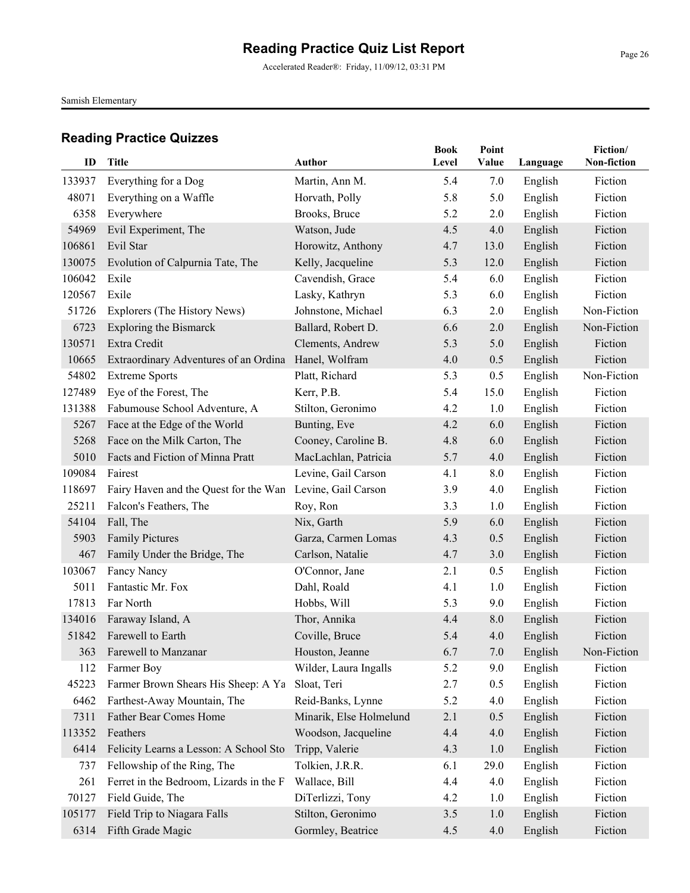Accelerated Reader®: Friday, 11/09/12, 03:31 PM

Samish Elementary

| ID              | Title                                                     | <b>Author</b>                    | <b>Book</b><br>Level | Point<br>Value | Language           | Fiction/<br>Non-fiction |
|-----------------|-----------------------------------------------------------|----------------------------------|----------------------|----------------|--------------------|-------------------------|
|                 |                                                           |                                  | 5.4                  |                |                    |                         |
| 133937<br>48071 | Everything for a Dog<br>Everything on a Waffle            | Martin, Ann M.<br>Horvath, Polly | 5.8                  | 7.0<br>5.0     | English            | Fiction<br>Fiction      |
| 6358            |                                                           | Brooks, Bruce                    | 5.2                  | 2.0            | English            | Fiction                 |
| 54969           | Everywhere                                                | Watson, Jude                     | 4.5                  | 4.0            | English<br>English | Fiction                 |
| 106861          | Evil Experiment, The<br>Evil Star                         | Horowitz, Anthony                | 4.7                  | 13.0           |                    | Fiction                 |
| 130075          |                                                           | Kelly, Jacqueline                | 5.3                  | 12.0           | English            | Fiction                 |
| 106042          | Evolution of Calpurnia Tate, The<br>Exile                 | Cavendish, Grace                 | 5.4                  | 6.0            | English            | Fiction                 |
|                 | Exile                                                     | Lasky, Kathryn                   |                      |                | English            |                         |
| 120567          |                                                           |                                  | 5.3                  | 6.0            | English            | Fiction                 |
| 51726           | Explorers (The History News)                              | Johnstone, Michael               | 6.3                  | 2.0            | English            | Non-Fiction             |
| 6723            | <b>Exploring the Bismarck</b>                             | Ballard, Robert D.               | 6.6                  | 2.0            | English            | Non-Fiction             |
| 130571          | Extra Credit                                              | Clements, Andrew                 | 5.3                  | 5.0            | English            | Fiction                 |
| 10665           | Extraordinary Adventures of an Ordina                     | Hanel, Wolfram                   | 4.0                  | 0.5            | English            | Fiction                 |
| 54802           | <b>Extreme Sports</b>                                     | Platt, Richard                   | 5.3                  | 0.5            | English            | Non-Fiction             |
| 127489          | Eye of the Forest, The                                    | Kerr, P.B.                       | 5.4                  | 15.0           | English            | Fiction                 |
| 131388          | Fabumouse School Adventure, A                             | Stilton, Geronimo                | 4.2                  | 1.0            | English            | Fiction                 |
| 5267            | Face at the Edge of the World                             | Bunting, Eve                     | 4.2                  | 6.0            | English            | Fiction                 |
| 5268            | Face on the Milk Carton, The                              | Cooney, Caroline B.              | 4.8                  | 6.0            | English            | Fiction                 |
| 5010            | Facts and Fiction of Minna Pratt                          | MacLachlan, Patricia             | 5.7                  | 4.0            | English            | Fiction                 |
| 109084          | Fairest                                                   | Levine, Gail Carson              | 4.1                  | 8.0            | English            | Fiction                 |
| 118697          | Fairy Haven and the Quest for the Wan Levine, Gail Carson |                                  | 3.9                  | 4.0            | English            | Fiction                 |
| 25211           | Falcon's Feathers, The                                    | Roy, Ron                         | 3.3                  | 1.0            | English            | Fiction                 |
| 54104           | Fall, The                                                 | Nix, Garth                       | 5.9                  | 6.0            | English            | Fiction                 |
| 5903            | <b>Family Pictures</b>                                    | Garza, Carmen Lomas              | 4.3                  | 0.5            | English            | Fiction                 |
| 467             | Family Under the Bridge, The                              | Carlson, Natalie                 | 4.7                  | 3.0            | English            | Fiction                 |
| 103067          | Fancy Nancy                                               | O'Connor, Jane                   | 2.1                  | 0.5            | English            | Fiction                 |
| 5011            | Fantastic Mr. Fox                                         | Dahl, Roald                      | 4.1                  | 1.0            | English            | Fiction                 |
| 17813           | Far North                                                 | Hobbs, Will                      | 5.3                  | 9.0            | English            | Fiction                 |
| 134016          | Faraway Island, A                                         | Thor, Annika                     | 4.4                  | 8.0            | English            | Fiction                 |
| 51842           | Farewell to Earth                                         | Coville, Bruce                   | 5.4                  | 4.0            | English            | Fiction                 |
| 363             | Farewell to Manzanar                                      | Houston, Jeanne                  | 6.7                  | 7.0            | English            | Non-Fiction             |
| 112             | Farmer Boy                                                | Wilder, Laura Ingalls            | 5.2                  | 9.0            | English            | Fiction                 |
| 45223           | Farmer Brown Shears His Sheep: A Ya                       | Sloat, Teri                      | 2.7                  | 0.5            | English            | Fiction                 |
| 6462            | Farthest-Away Mountain, The                               | Reid-Banks, Lynne                | 5.2                  | 4.0            | English            | Fiction                 |
| 7311            | Father Bear Comes Home                                    | Minarik, Else Holmelund          | 2.1                  | 0.5            | English            | Fiction                 |
| 113352          | Feathers                                                  | Woodson, Jacqueline              | 4.4                  | 4.0            | English            | Fiction                 |
| 6414            | Felicity Learns a Lesson: A School Sto                    | Tripp, Valerie                   | 4.3                  | 1.0            | English            | Fiction                 |
| 737             | Fellowship of the Ring, The                               | Tolkien, J.R.R.                  | 6.1                  | 29.0           | English            | Fiction                 |
| 261             | Ferret in the Bedroom, Lizards in the F                   | Wallace, Bill                    | 4.4                  | 4.0            | English            | Fiction                 |
| 70127           | Field Guide, The                                          | DiTerlizzi, Tony                 | 4.2                  | 1.0            | English            | Fiction                 |
| 105177          | Field Trip to Niagara Falls                               | Stilton, Geronimo                | 3.5                  | 1.0            | English            | Fiction                 |
| 6314            | Fifth Grade Magic                                         | Gormley, Beatrice                | 4.5                  | 4.0            | English            | Fiction                 |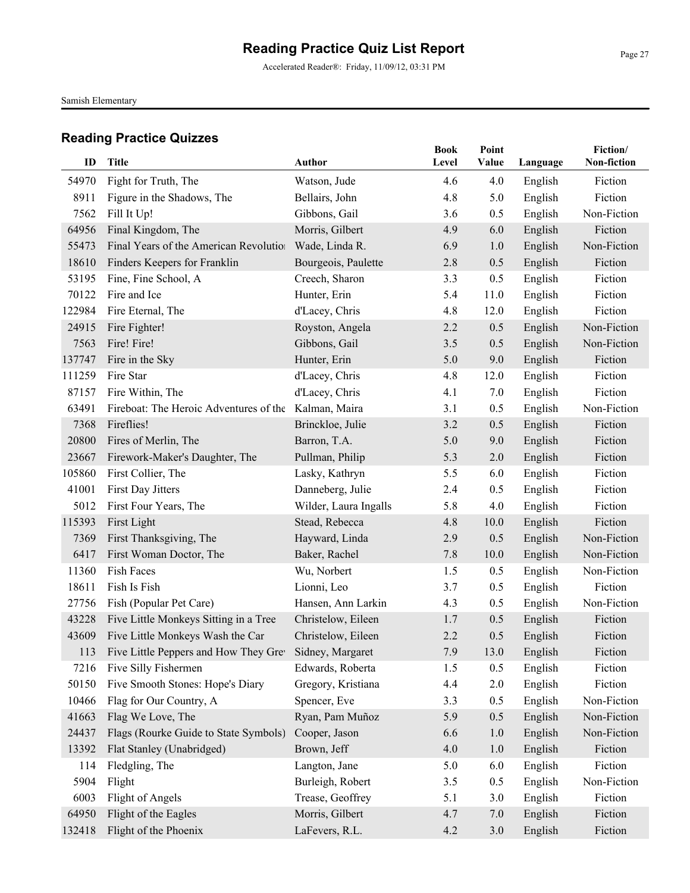Accelerated Reader®: Friday, 11/09/12, 03:31 PM

Samish Elementary

| ID     | Title                                                      | <b>Author</b>         | <b>Book</b><br>Level | Point<br>Value | Language | Fiction/<br>Non-fiction |
|--------|------------------------------------------------------------|-----------------------|----------------------|----------------|----------|-------------------------|
| 54970  | Fight for Truth, The                                       | Watson, Jude          | 4.6                  | 4.0            | English  | Fiction                 |
| 8911   | Figure in the Shadows, The                                 | Bellairs, John        | 4.8                  | 5.0            | English  | Fiction                 |
| 7562   | Fill It Up!                                                | Gibbons, Gail         | 3.6                  | 0.5            | English  | Non-Fiction             |
| 64956  | Final Kingdom, The                                         | Morris, Gilbert       | 4.9                  | 6.0            | English  | Fiction                 |
| 55473  | Final Years of the American Revolution                     | Wade, Linda R.        | 6.9                  | 1.0            | English  | Non-Fiction             |
| 18610  | Finders Keepers for Franklin                               | Bourgeois, Paulette   | 2.8                  | 0.5            | English  | Fiction                 |
| 53195  | Fine, Fine School, A                                       | Creech, Sharon        | 3.3                  | 0.5            | English  | Fiction                 |
| 70122  | Fire and Ice                                               | Hunter, Erin          | 5.4                  | 11.0           | English  | Fiction                 |
| 122984 | Fire Eternal, The                                          | d'Lacey, Chris        | 4.8                  | 12.0           | English  | Fiction                 |
| 24915  | Fire Fighter!                                              | Royston, Angela       | 2.2                  | 0.5            | English  | Non-Fiction             |
| 7563   | Fire! Fire!                                                | Gibbons, Gail         | 3.5                  | 0.5            | English  | Non-Fiction             |
| 137747 | Fire in the Sky                                            | Hunter, Erin          | 5.0                  | 9.0            | English  | Fiction                 |
| 111259 | Fire Star                                                  | d'Lacey, Chris        | 4.8                  | 12.0           | English  | Fiction                 |
| 87157  | Fire Within, The                                           | d'Lacey, Chris        | 4.1                  | 7.0            | English  | Fiction                 |
| 63491  | Fireboat: The Heroic Adventures of the Kalman, Maira       |                       | 3.1                  | 0.5            | English  | Non-Fiction             |
| 7368   | Fireflies!                                                 | Brinckloe, Julie      | 3.2                  | 0.5            | English  | Fiction                 |
| 20800  | Fires of Merlin, The                                       | Barron, T.A.          | 5.0                  | 9.0            | English  | Fiction                 |
| 23667  | Firework-Maker's Daughter, The                             | Pullman, Philip       | 5.3                  | 2.0            | English  | Fiction                 |
| 105860 | First Collier, The                                         | Lasky, Kathryn        | 5.5                  | 6.0            | English  | Fiction                 |
| 41001  | First Day Jitters                                          | Danneberg, Julie      | 2.4                  | 0.5            | English  | Fiction                 |
| 5012   | First Four Years, The                                      | Wilder, Laura Ingalls | 5.8                  | 4.0            | English  | Fiction                 |
| 115393 | First Light                                                | Stead, Rebecca        | 4.8                  | 10.0           | English  | Fiction                 |
| 7369   | First Thanksgiving, The                                    | Hayward, Linda        | 2.9                  | 0.5            | English  | Non-Fiction             |
| 6417   | First Woman Doctor, The                                    | Baker, Rachel         | 7.8                  | 10.0           | English  | Non-Fiction             |
| 11360  | Fish Faces                                                 | Wu, Norbert           | 1.5                  | 0.5            | English  | Non-Fiction             |
| 18611  | Fish Is Fish                                               | Lionni, Leo           | 3.7                  | 0.5            | English  | Fiction                 |
| 27756  | Fish (Popular Pet Care)                                    | Hansen, Ann Larkin    | 4.3                  | 0.5            | English  | Non-Fiction             |
| 43228  | Five Little Monkeys Sitting in a Tree                      | Christelow, Eileen    | 1.7                  | 0.5            | English  | Fiction                 |
| 43609  | Five Little Monkeys Wash the Car                           | Christelow, Eileen    | 2.2                  | 0.5            | English  | Fiction                 |
|        | 113 Five Little Peppers and How They Grev Sidney, Margaret |                       | 7.9                  | 13.0           | English  | Fiction                 |
| 7216   | Five Silly Fishermen                                       | Edwards, Roberta      | 1.5                  | 0.5            | English  | Fiction                 |
| 50150  | Five Smooth Stones: Hope's Diary                           | Gregory, Kristiana    | 4.4                  | 2.0            | English  | Fiction                 |
| 10466  | Flag for Our Country, A                                    | Spencer, Eve          | 3.3                  | 0.5            | English  | Non-Fiction             |
| 41663  | Flag We Love, The                                          | Ryan, Pam Muñoz       | 5.9                  | 0.5            | English  | Non-Fiction             |
| 24437  | Flags (Rourke Guide to State Symbols)                      | Cooper, Jason         | 6.6                  | 1.0            | English  | Non-Fiction             |
| 13392  | Flat Stanley (Unabridged)                                  | Brown, Jeff           | 4.0                  | 1.0            | English  | Fiction                 |
| 114    | Fledgling, The                                             | Langton, Jane         | 5.0                  | 6.0            | English  | Fiction                 |
| 5904   | Flight                                                     | Burleigh, Robert      | 3.5                  | 0.5            | English  | Non-Fiction             |
| 6003   | Flight of Angels                                           | Trease, Geoffrey      | 5.1                  | 3.0            | English  | Fiction                 |
| 64950  | Flight of the Eagles                                       | Morris, Gilbert       | 4.7                  | 7.0            | English  | Fiction                 |
| 132418 | Flight of the Phoenix                                      | LaFevers, R.L.        | 4.2                  | 3.0            | English  | Fiction                 |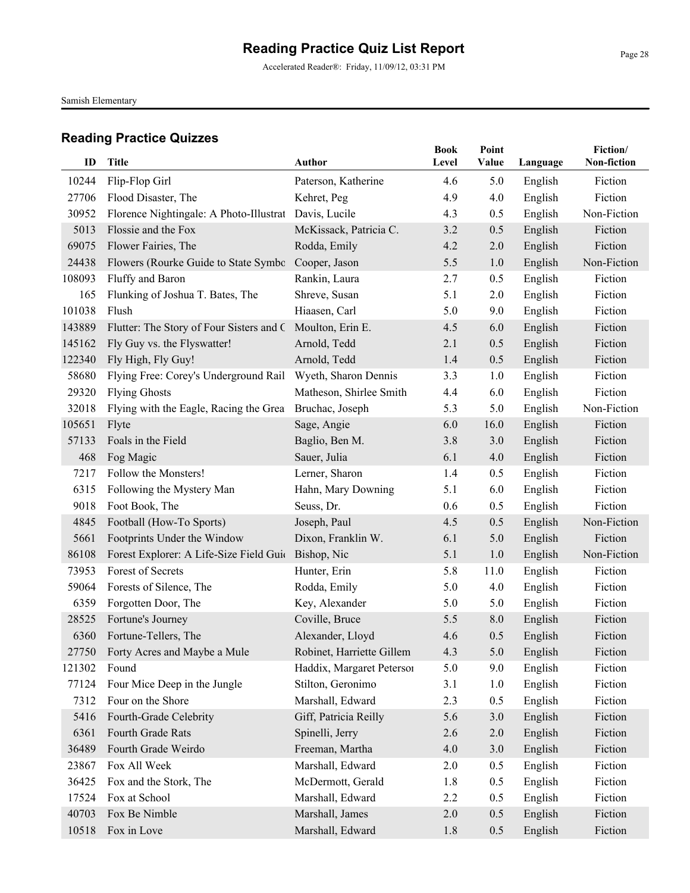Accelerated Reader®: Friday, 11/09/12, 03:31 PM

Samish Elementary

|        |                                                           |                           | <b>Book</b> | Point |          | Fiction/    |
|--------|-----------------------------------------------------------|---------------------------|-------------|-------|----------|-------------|
| ID     | <b>Title</b>                                              | <b>Author</b>             | Level       | Value | Language | Non-fiction |
| 10244  | Flip-Flop Girl                                            | Paterson, Katherine       | 4.6         | 5.0   | English  | Fiction     |
| 27706  | Flood Disaster, The                                       | Kehret, Peg               | 4.9         | 4.0   | English  | Fiction     |
| 30952  | Florence Nightingale: A Photo-Illustrat                   | Davis, Lucile             | 4.3         | 0.5   | English  | Non-Fiction |
| 5013   | Flossie and the Fox                                       | McKissack, Patricia C.    | 3.2         | 0.5   | English  | Fiction     |
| 69075  | Flower Fairies, The                                       | Rodda, Emily              | 4.2         | 2.0   | English  | Fiction     |
| 24438  | Flowers (Rourke Guide to State Symbo                      | Cooper, Jason             | 5.5         | 1.0   | English  | Non-Fiction |
| 108093 | Fluffy and Baron                                          | Rankin, Laura             | 2.7         | 0.5   | English  | Fiction     |
| 165    | Flunking of Joshua T. Bates, The                          | Shreve, Susan             | 5.1         | 2.0   | English  | Fiction     |
| 101038 | Flush                                                     | Hiaasen, Carl             | 5.0         | 9.0   | English  | Fiction     |
| 143889 | Flutter: The Story of Four Sisters and C Moulton, Erin E. |                           | 4.5         | 6.0   | English  | Fiction     |
| 145162 | Fly Guy vs. the Flyswatter!                               | Arnold, Tedd              | 2.1         | 0.5   | English  | Fiction     |
| 122340 | Fly High, Fly Guy!                                        | Arnold, Tedd              | 1.4         | 0.5   | English  | Fiction     |
| 58680  | Flying Free: Corey's Underground Rail                     | Wyeth, Sharon Dennis      | 3.3         | 1.0   | English  | Fiction     |
| 29320  | <b>Flying Ghosts</b>                                      | Matheson, Shirlee Smith   | 4.4         | 6.0   | English  | Fiction     |
| 32018  | Flying with the Eagle, Racing the Grea                    | Bruchac, Joseph           | 5.3         | 5.0   | English  | Non-Fiction |
| 105651 | Flyte                                                     | Sage, Angie               | 6.0         | 16.0  | English  | Fiction     |
| 57133  | Foals in the Field                                        | Baglio, Ben M.            | 3.8         | 3.0   | English  | Fiction     |
| 468    | Fog Magic                                                 | Sauer, Julia              | 6.1         | 4.0   | English  | Fiction     |
| 7217   | Follow the Monsters!                                      | Lerner, Sharon            | 1.4         | 0.5   | English  | Fiction     |
| 6315   | Following the Mystery Man                                 | Hahn, Mary Downing        | 5.1         | 6.0   | English  | Fiction     |
| 9018   | Foot Book, The                                            | Seuss, Dr.                | 0.6         | 0.5   | English  | Fiction     |
| 4845   | Football (How-To Sports)                                  | Joseph, Paul              | 4.5         | 0.5   | English  | Non-Fiction |
| 5661   | Footprints Under the Window                               | Dixon, Franklin W.        | 6.1         | 5.0   | English  | Fiction     |
| 86108  | Forest Explorer: A Life-Size Field Guid                   | Bishop, Nic               | 5.1         | 1.0   | English  | Non-Fiction |
| 73953  | Forest of Secrets                                         | Hunter, Erin              | 5.8         | 11.0  | English  | Fiction     |
| 59064  | Forests of Silence, The                                   | Rodda, Emily              | 5.0         | 4.0   | English  | Fiction     |
| 6359   | Forgotten Door, The                                       | Key, Alexander            | 5.0         | 5.0   | English  | Fiction     |
| 28525  | Fortune's Journey                                         | Coville, Bruce            | 5.5         | 8.0   | English  | Fiction     |
| 6360   | Fortune-Tellers, The                                      | Alexander, Lloyd          | 4.6         | 0.5   | English  | Fiction     |
|        | 27750 Forty Acres and Maybe a Mule                        | Robinet, Harriette Gillem | 4.3         | 5.0   | English  | Fiction     |
| 121302 | Found                                                     | Haddix, Margaret Peterson | 5.0         | 9.0   | English  | Fiction     |
| 77124  | Four Mice Deep in the Jungle                              | Stilton, Geronimo         | 3.1         | 1.0   | English  | Fiction     |
| 7312   | Four on the Shore                                         | Marshall, Edward          | 2.3         | 0.5   | English  | Fiction     |
| 5416   | Fourth-Grade Celebrity                                    | Giff, Patricia Reilly     | 5.6         | 3.0   | English  | Fiction     |
| 6361   | Fourth Grade Rats                                         | Spinelli, Jerry           | 2.6         | 2.0   | English  | Fiction     |
| 36489  | Fourth Grade Weirdo                                       | Freeman, Martha           | 4.0         | 3.0   | English  | Fiction     |
| 23867  | Fox All Week                                              | Marshall, Edward          | 2.0         | 0.5   | English  | Fiction     |
| 36425  | Fox and the Stork, The                                    | McDermott, Gerald         | 1.8         | 0.5   | English  | Fiction     |
| 17524  | Fox at School                                             | Marshall, Edward          | 2.2         | 0.5   | English  | Fiction     |
| 40703  | Fox Be Nimble                                             | Marshall, James           | 2.0         | 0.5   | English  | Fiction     |
| 10518  | Fox in Love                                               | Marshall, Edward          | 1.8         | 0.5   | English  | Fiction     |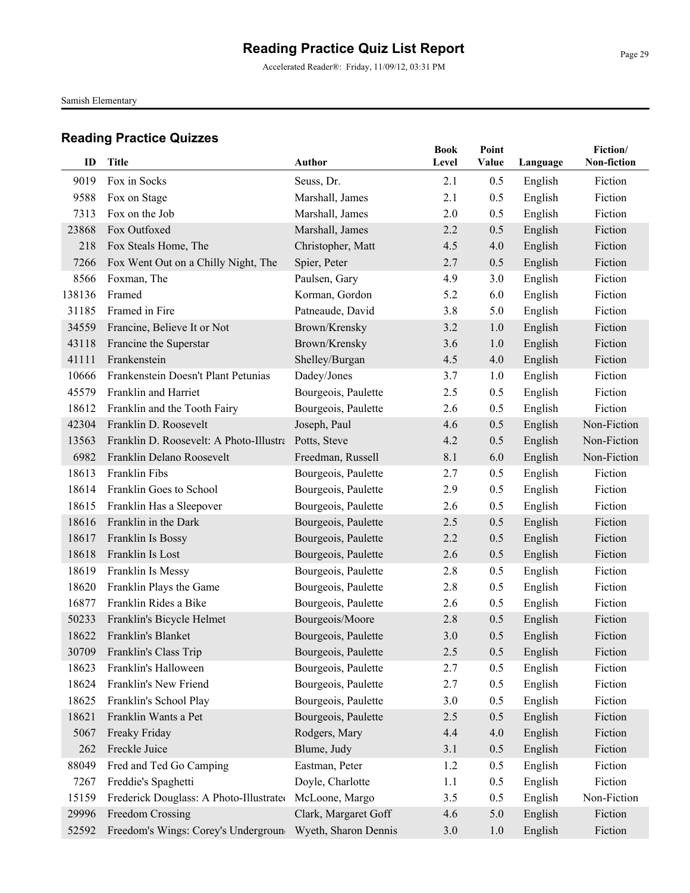Accelerated Reader®: Friday, 11/09/12, 03:31 PM

Samish Elementary

| ID     | <b>Title</b>                            | <b>Author</b>        | <b>Book</b><br>Level | Point<br>Value |          | Fiction/<br>Non-fiction |
|--------|-----------------------------------------|----------------------|----------------------|----------------|----------|-------------------------|
|        |                                         |                      |                      |                | Language |                         |
| 9019   | Fox in Socks                            | Seuss, Dr.           | 2.1                  | 0.5            | English  | Fiction                 |
| 9588   | Fox on Stage                            | Marshall, James      | 2.1                  | 0.5            | English  | Fiction                 |
| 7313   | Fox on the Job                          | Marshall, James      | 2.0                  | 0.5            | English  | Fiction                 |
| 23868  | Fox Outfoxed                            | Marshall, James      | 2.2                  | 0.5            | English  | Fiction                 |
| 218    | Fox Steals Home, The                    | Christopher, Matt    | 4.5                  | 4.0            | English  | Fiction                 |
| 7266   | Fox Went Out on a Chilly Night, The     | Spier, Peter         | 2.7                  | 0.5            | English  | Fiction                 |
| 8566   | Foxman, The                             | Paulsen, Gary        | 4.9                  | 3.0            | English  | Fiction                 |
| 138136 | Framed                                  | Korman, Gordon       | 5.2                  | 6.0            | English  | Fiction                 |
| 31185  | Framed in Fire                          | Patneaude, David     | 3.8                  | 5.0            | English  | Fiction                 |
| 34559  | Francine, Believe It or Not             | Brown/Krensky        | 3.2                  | 1.0            | English  | Fiction                 |
| 43118  | Francine the Superstar                  | Brown/Krensky        | 3.6                  | 1.0            | English  | Fiction                 |
| 41111  | Frankenstein                            | Shelley/Burgan       | 4.5                  | 4.0            | English  | Fiction                 |
| 10666  | Frankenstein Doesn't Plant Petunias     | Dadey/Jones          | 3.7                  | 1.0            | English  | Fiction                 |
| 45579  | Franklin and Harriet                    | Bourgeois, Paulette  | 2.5                  | 0.5            | English  | Fiction                 |
| 18612  | Franklin and the Tooth Fairy            | Bourgeois, Paulette  | 2.6                  | 0.5            | English  | Fiction                 |
| 42304  | Franklin D. Roosevelt                   | Joseph, Paul         | 4.6                  | 0.5            | English  | Non-Fiction             |
| 13563  | Franklin D. Roosevelt: A Photo-Illustra | Potts, Steve         | 4.2                  | 0.5            | English  | Non-Fiction             |
| 6982   | Franklin Delano Roosevelt               | Freedman, Russell    | 8.1                  | 6.0            | English  | Non-Fiction             |
| 18613  | Franklin Fibs                           | Bourgeois, Paulette  | 2.7                  | 0.5            | English  | Fiction                 |
| 18614  | Franklin Goes to School                 | Bourgeois, Paulette  | 2.9                  | 0.5            | English  | Fiction                 |
| 18615  | Franklin Has a Sleepover                | Bourgeois, Paulette  | 2.6                  | 0.5            | English  | Fiction                 |
| 18616  | Franklin in the Dark                    | Bourgeois, Paulette  | 2.5                  | 0.5            | English  | Fiction                 |
| 18617  | Franklin Is Bossy                       | Bourgeois, Paulette  | 2.2                  | 0.5            | English  | Fiction                 |
| 18618  | Franklin Is Lost                        | Bourgeois, Paulette  | 2.6                  | 0.5            | English  | Fiction                 |
| 18619  | Franklin Is Messy                       | Bourgeois, Paulette  | 2.8                  | 0.5            | English  | Fiction                 |
| 18620  | Franklin Plays the Game                 | Bourgeois, Paulette  | 2.8                  | 0.5            | English  | Fiction                 |
| 16877  | Franklin Rides a Bike                   | Bourgeois, Paulette  | 2.6                  | 0.5            | English  | Fiction                 |
| 50233  | Franklin's Bicycle Helmet               | Bourgeois/Moore      | 2.8                  | 0.5            | English  | Fiction                 |
| 18622  | Franklin's Blanket                      | Bourgeois, Paulette  | 3.0                  | 0.5            | English  | Fiction                 |
|        | 30709 Franklin's Class Trip             | Bourgeois, Paulette  | 2.5                  | 0.5            | English  | Fiction                 |
| 18623  | Franklin's Halloween                    | Bourgeois, Paulette  | 2.7                  | 0.5            | English  | Fiction                 |
| 18624  | Franklin's New Friend                   | Bourgeois, Paulette  | 2.7                  | 0.5            | English  | Fiction                 |
| 18625  | Franklin's School Play                  | Bourgeois, Paulette  | 3.0                  | 0.5            | English  | Fiction                 |
| 18621  | Franklin Wants a Pet                    | Bourgeois, Paulette  | 2.5                  | 0.5            | English  | Fiction                 |
| 5067   | Freaky Friday                           | Rodgers, Mary        | 4.4                  | 4.0            | English  | Fiction                 |
| 262    | Freckle Juice                           | Blume, Judy          | 3.1                  | 0.5            | English  | Fiction                 |
| 88049  | Fred and Ted Go Camping                 | Eastman, Peter       | 1.2                  | 0.5            | English  | Fiction                 |
| 7267   | Freddie's Spaghetti                     | Doyle, Charlotte     | 1.1                  | 0.5            | English  | Fiction                 |
| 15159  | Frederick Douglass: A Photo-Illustrated | McLoone, Margo       | 3.5                  | 0.5            | English  | Non-Fiction             |
| 29996  | Freedom Crossing                        | Clark, Margaret Goff | 4.6                  | 5.0            | English  | Fiction                 |
| 52592  | Freedom's Wings: Corey's Undergroun     | Wyeth, Sharon Dennis | 3.0                  | 1.0            | English  | Fiction                 |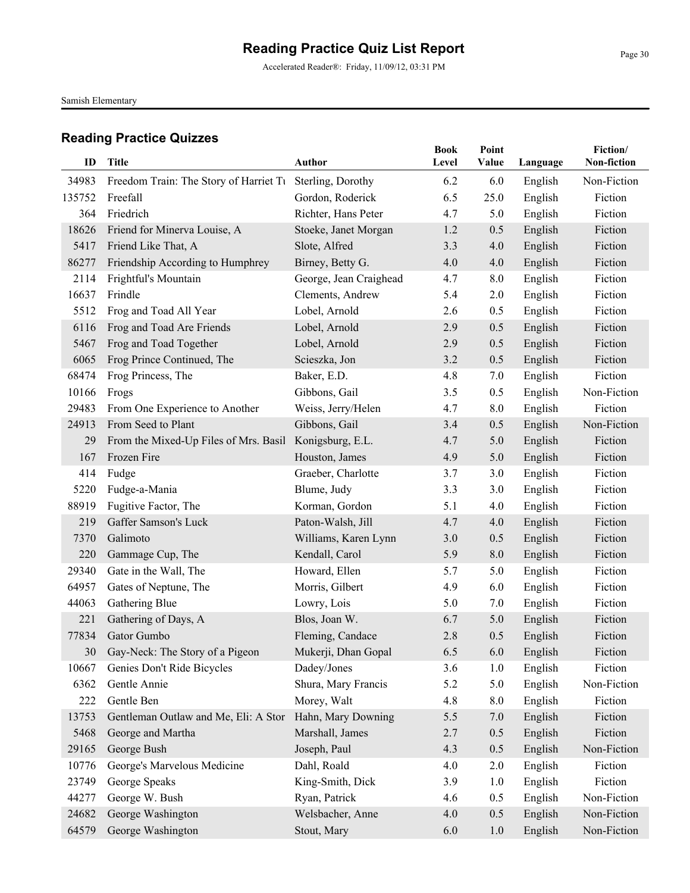Accelerated Reader®: Friday, 11/09/12, 03:31 PM

Samish Elementary

| ID     | <b>Title</b>                           | <b>Author</b>          | <b>Book</b><br>Level | Point<br>Value | Language | Fiction/<br>Non-fiction |
|--------|----------------------------------------|------------------------|----------------------|----------------|----------|-------------------------|
| 34983  | Freedom Train: The Story of Harriet Tu | Sterling, Dorothy      | 6.2                  | 6.0            | English  | Non-Fiction             |
| 135752 | Freefall                               | Gordon, Roderick       | 6.5                  | 25.0           | English  | Fiction                 |
| 364    | Friedrich                              | Richter, Hans Peter    | 4.7                  | 5.0            | English  | Fiction                 |
| 18626  | Friend for Minerva Louise, A           | Stoeke, Janet Morgan   | 1.2                  | 0.5            | English  | Fiction                 |
| 5417   | Friend Like That, A                    | Slote, Alfred          | 3.3                  | 4.0            | English  | Fiction                 |
| 86277  | Friendship According to Humphrey       | Birney, Betty G.       | 4.0                  | 4.0            | English  | Fiction                 |
| 2114   | Frightful's Mountain                   | George, Jean Craighead | 4.7                  | 8.0            | English  | Fiction                 |
| 16637  | Frindle                                | Clements, Andrew       | 5.4                  | 2.0            | English  | Fiction                 |
| 5512   | Frog and Toad All Year                 | Lobel, Arnold          | 2.6                  | 0.5            | English  | Fiction                 |
| 6116   | Frog and Toad Are Friends              | Lobel, Arnold          | 2.9                  | 0.5            | English  | Fiction                 |
| 5467   | Frog and Toad Together                 | Lobel, Arnold          | 2.9                  | 0.5            | English  | Fiction                 |
| 6065   | Frog Prince Continued, The             | Scieszka, Jon          | 3.2                  | 0.5            | English  | Fiction                 |
| 68474  | Frog Princess, The                     | Baker, E.D.            | 4.8                  | 7.0            | English  | Fiction                 |
| 10166  | Frogs                                  | Gibbons, Gail          | 3.5                  | 0.5            | English  | Non-Fiction             |
| 29483  | From One Experience to Another         | Weiss, Jerry/Helen     | 4.7                  | 8.0            | English  | Fiction                 |
| 24913  | From Seed to Plant                     | Gibbons, Gail          | 3.4                  | 0.5            | English  | Non-Fiction             |
| 29     | From the Mixed-Up Files of Mrs. Basil  | Konigsburg, E.L.       | 4.7                  | 5.0            | English  | Fiction                 |
| 167    | Frozen Fire                            | Houston, James         | 4.9                  | 5.0            | English  | Fiction                 |
| 414    | Fudge                                  | Graeber, Charlotte     | 3.7                  | 3.0            | English  | Fiction                 |
| 5220   | Fudge-a-Mania                          | Blume, Judy            | 3.3                  | 3.0            | English  | Fiction                 |
| 88919  | Fugitive Factor, The                   | Korman, Gordon         | 5.1                  | 4.0            | English  | Fiction                 |
| 219    | Gaffer Samson's Luck                   | Paton-Walsh, Jill      | 4.7                  | 4.0            | English  | Fiction                 |
| 7370   | Galimoto                               | Williams, Karen Lynn   | 3.0                  | 0.5            | English  | Fiction                 |
| 220    | Gammage Cup, The                       | Kendall, Carol         | 5.9                  | 8.0            | English  | Fiction                 |
| 29340  | Gate in the Wall, The                  | Howard, Ellen          | 5.7                  | 5.0            | English  | Fiction                 |
| 64957  | Gates of Neptune, The                  | Morris, Gilbert        | 4.9                  | 6.0            | English  | Fiction                 |
| 44063  | Gathering Blue                         | Lowry, Lois            | 5.0                  | 7.0            | English  | Fiction                 |
| 221    | Gathering of Days, A                   | Blos, Joan W.          | 6.7                  | 5.0            | English  | Fiction                 |
| 77834  | Gator Gumbo                            | Fleming, Candace       | 2.8                  | 0.5            | English  | Fiction                 |
| 30     | Gay-Neck: The Story of a Pigeon        | Mukerji, Dhan Gopal    | 6.5                  | 6.0            | English  | Fiction                 |
| 10667  | Genies Don't Ride Bicycles             | Dadey/Jones            | 3.6                  | 1.0            | English  | Fiction                 |
| 6362   | Gentle Annie                           | Shura, Mary Francis    | 5.2                  | 5.0            | English  | Non-Fiction             |
| 222    | Gentle Ben                             | Morey, Walt            | 4.8                  | 8.0            | English  | Fiction                 |
| 13753  | Gentleman Outlaw and Me, Eli: A Stor   | Hahn, Mary Downing     | 5.5                  | 7.0            | English  | Fiction                 |
| 5468   | George and Martha                      | Marshall, James        | 2.7                  | 0.5            | English  | Fiction                 |
| 29165  | George Bush                            | Joseph, Paul           | 4.3                  | 0.5            | English  | Non-Fiction             |
| 10776  | George's Marvelous Medicine            | Dahl, Roald            | 4.0                  | 2.0            | English  | Fiction                 |
| 23749  | George Speaks                          | King-Smith, Dick       | 3.9                  | 1.0            | English  | Fiction                 |
| 44277  | George W. Bush                         | Ryan, Patrick          | 4.6                  | 0.5            | English  | Non-Fiction             |
| 24682  | George Washington                      | Welsbacher, Anne       | 4.0                  | 0.5            | English  | Non-Fiction             |
| 64579  | George Washington                      | Stout, Mary            | 6.0                  | 1.0            | English  | Non-Fiction             |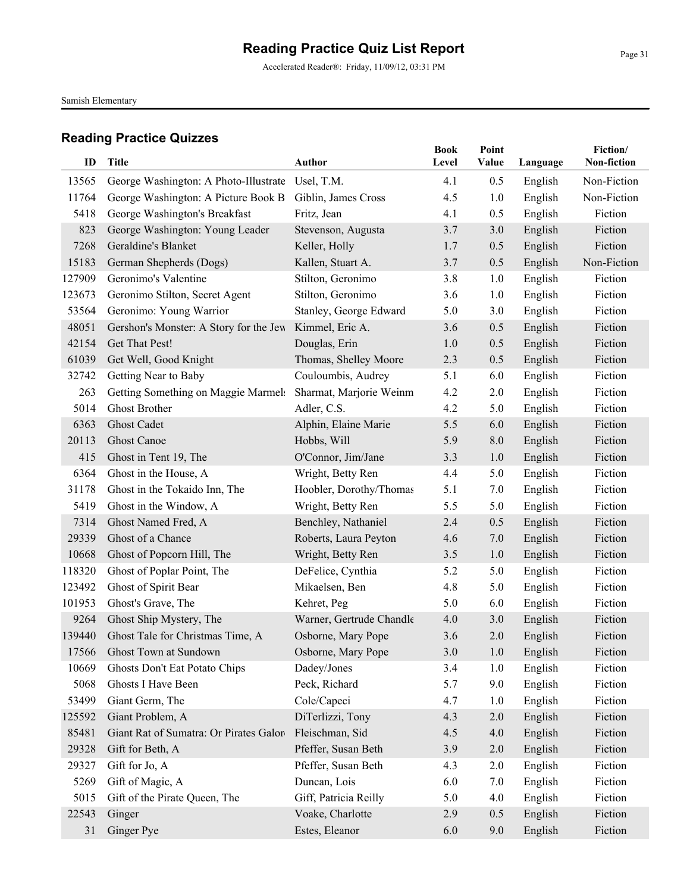Accelerated Reader®: Friday, 11/09/12, 03:31 PM

Samish Elementary

| ID     | <b>Title</b>                           | <b>Author</b>            | <b>Book</b><br>Level | Point<br>Value | Language | Fiction/<br>Non-fiction |
|--------|----------------------------------------|--------------------------|----------------------|----------------|----------|-------------------------|
| 13565  | George Washington: A Photo-Illustrate  | Usel, T.M.               | 4.1                  | 0.5            | English  | Non-Fiction             |
| 11764  | George Washington: A Picture Book B    | Giblin, James Cross      | 4.5                  | 1.0            | English  | Non-Fiction             |
| 5418   | George Washington's Breakfast          | Fritz, Jean              | 4.1                  | 0.5            | English  | Fiction                 |
| 823    | George Washington: Young Leader        | Stevenson, Augusta       | 3.7                  | 3.0            | English  | Fiction                 |
| 7268   | Geraldine's Blanket                    | Keller, Holly            | 1.7                  | 0.5            | English  | Fiction                 |
| 15183  | German Shepherds (Dogs)                | Kallen, Stuart A.        | 3.7                  | 0.5            | English  | Non-Fiction             |
| 127909 | Geronimo's Valentine                   | Stilton, Geronimo        | 3.8                  | 1.0            | English  | Fiction                 |
| 123673 | Geronimo Stilton, Secret Agent         | Stilton, Geronimo        | 3.6                  | 1.0            | English  | Fiction                 |
| 53564  | Geronimo: Young Warrior                | Stanley, George Edward   | 5.0                  | 3.0            | English  | Fiction                 |
| 48051  | Gershon's Monster: A Story for the Jew | Kimmel, Eric A.          | 3.6                  | 0.5            | English  | Fiction                 |
| 42154  | Get That Pest!                         | Douglas, Erin            | 1.0                  | 0.5            | English  | Fiction                 |
| 61039  | Get Well, Good Knight                  | Thomas, Shelley Moore    | 2.3                  | 0.5            | English  | Fiction                 |
| 32742  | Getting Near to Baby                   | Couloumbis, Audrey       | 5.1                  | 6.0            | English  | Fiction                 |
| 263    | Getting Something on Maggie Marmels    | Sharmat, Marjorie Weinm  | 4.2                  | 2.0            | English  | Fiction                 |
| 5014   | Ghost Brother                          | Adler, C.S.              | 4.2                  | 5.0            | English  | Fiction                 |
| 6363   | <b>Ghost Cadet</b>                     | Alphin, Elaine Marie     | 5.5                  | 6.0            | English  | Fiction                 |
| 20113  | <b>Ghost Canoe</b>                     | Hobbs, Will              | 5.9                  | 8.0            | English  | Fiction                 |
| 415    | Ghost in Tent 19, The                  | O'Connor, Jim/Jane       | 3.3                  | 1.0            | English  | Fiction                 |
| 6364   | Ghost in the House, A                  | Wright, Betty Ren        | 4.4                  | 5.0            | English  | Fiction                 |
| 31178  | Ghost in the Tokaido Inn, The          | Hoobler, Dorothy/Thomas  | 5.1                  | 7.0            | English  | Fiction                 |
| 5419   | Ghost in the Window, A                 | Wright, Betty Ren        | 5.5                  | 5.0            | English  | Fiction                 |
| 7314   | Ghost Named Fred, A                    | Benchley, Nathaniel      | 2.4                  | 0.5            | English  | Fiction                 |
| 29339  | Ghost of a Chance                      | Roberts, Laura Peyton    | 4.6                  | 7.0            | English  | Fiction                 |
| 10668  | Ghost of Popcorn Hill, The             | Wright, Betty Ren        | 3.5                  | 1.0            | English  | Fiction                 |
| 118320 | Ghost of Poplar Point, The             | DeFelice, Cynthia        | 5.2                  | 5.0            | English  | Fiction                 |
| 123492 | Ghost of Spirit Bear                   | Mikaelsen, Ben           | 4.8                  | 5.0            | English  | Fiction                 |
| 101953 | Ghost's Grave, The                     | Kehret, Peg              | 5.0                  | 6.0            | English  | Fiction                 |
| 9264   | Ghost Ship Mystery, The                | Warner, Gertrude Chandle | 4.0                  | 3.0            | English  | Fiction                 |
| 139440 | Ghost Tale for Christmas Time, A       | Osborne, Mary Pope       | 3.6                  | 2.0            | English  | Fiction                 |
| 17566  | Ghost Town at Sundown                  | Osborne, Mary Pope       | $3.0$                | $1.0$          | English  | Fiction                 |
| 10669  | Ghosts Don't Eat Potato Chips          | Dadey/Jones              | 3.4                  | 1.0            | English  | Fiction                 |
| 5068   | Ghosts I Have Been                     | Peck, Richard            | 5.7                  | 9.0            | English  | Fiction                 |
| 53499  | Giant Germ, The                        | Cole/Capeci              | 4.7                  | 1.0            | English  | Fiction                 |
| 125592 | Giant Problem, A                       | DiTerlizzi, Tony         | 4.3                  | 2.0            | English  | Fiction                 |
| 85481  | Giant Rat of Sumatra: Or Pirates Galor | Fleischman, Sid          | 4.5                  | 4.0            | English  | Fiction                 |
| 29328  | Gift for Beth, A                       | Pfeffer, Susan Beth      | 3.9                  | 2.0            | English  | Fiction                 |
| 29327  | Gift for Jo, A                         | Pfeffer, Susan Beth      | 4.3                  | 2.0            | English  | Fiction                 |
| 5269   | Gift of Magic, A                       | Duncan, Lois             | 6.0                  | 7.0            | English  | Fiction                 |
| 5015   | Gift of the Pirate Queen, The          | Giff, Patricia Reilly    | 5.0                  | 4.0            | English  | Fiction                 |
| 22543  | Ginger                                 | Voake, Charlotte         | 2.9                  | 0.5            | English  | Fiction                 |
| 31     | Ginger Pye                             | Estes, Eleanor           | 6.0                  | 9.0            | English  | Fiction                 |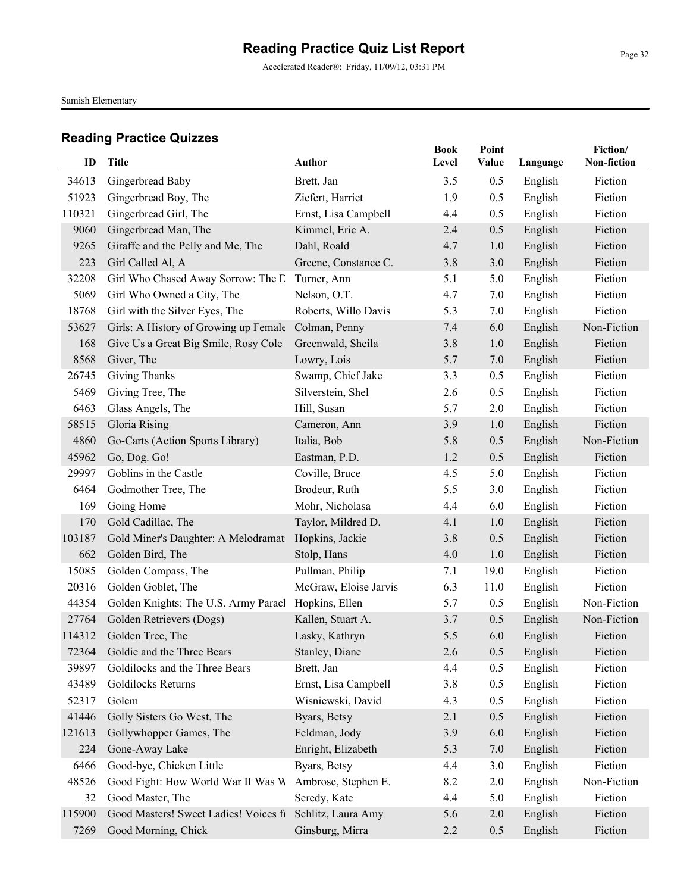Accelerated Reader®: Friday, 11/09/12, 03:31 PM

Samish Elementary

| ID     | Title                                               | Author                | <b>Book</b><br>Level | Point<br>Value | Language | Fiction/<br>Non-fiction |
|--------|-----------------------------------------------------|-----------------------|----------------------|----------------|----------|-------------------------|
| 34613  | Gingerbread Baby                                    | Brett, Jan            | 3.5                  | 0.5            | English  | Fiction                 |
| 51923  | Gingerbread Boy, The                                | Ziefert, Harriet      | 1.9                  | 0.5            | English  | Fiction                 |
| 110321 | Gingerbread Girl, The                               | Ernst, Lisa Campbell  | 4.4                  | 0.5            | English  | Fiction                 |
| 9060   | Gingerbread Man, The                                | Kimmel, Eric A.       | 2.4                  | 0.5            | English  | Fiction                 |
| 9265   | Giraffe and the Pelly and Me, The                   | Dahl, Roald           | 4.7                  | 1.0            | English  | Fiction                 |
| 223    | Girl Called Al, A                                   | Greene, Constance C.  | 3.8                  | 3.0            | English  | Fiction                 |
| 32208  | Girl Who Chased Away Sorrow: The L                  | Turner, Ann           | 5.1                  | 5.0            | English  | Fiction                 |
| 5069   | Girl Who Owned a City, The                          | Nelson, O.T.          | 4.7                  | 7.0            | English  | Fiction                 |
| 18768  | Girl with the Silver Eyes, The                      | Roberts, Willo Davis  | 5.3                  | 7.0            | English  | Fiction                 |
| 53627  | Girls: A History of Growing up Female Colman, Penny |                       | 7.4                  | 6.0            | English  | Non-Fiction             |
| 168    | Give Us a Great Big Smile, Rosy Cole                | Greenwald, Sheila     | 3.8                  | 1.0            | English  | Fiction                 |
| 8568   | Giver, The                                          | Lowry, Lois           | 5.7                  | 7.0            | English  | Fiction                 |
| 26745  | <b>Giving Thanks</b>                                | Swamp, Chief Jake     | 3.3                  | 0.5            | English  | Fiction                 |
| 5469   | Giving Tree, The                                    | Silverstein, Shel     | 2.6                  | 0.5            | English  | Fiction                 |
| 6463   | Glass Angels, The                                   | Hill, Susan           | 5.7                  | 2.0            | English  | Fiction                 |
| 58515  | Gloria Rising                                       | Cameron, Ann          | 3.9                  | 1.0            | English  | Fiction                 |
| 4860   | Go-Carts (Action Sports Library)                    | Italia, Bob           | 5.8                  | 0.5            | English  | Non-Fiction             |
| 45962  | Go, Dog. Go!                                        | Eastman, P.D.         | 1.2                  | 0.5            | English  | Fiction                 |
| 29997  | Goblins in the Castle                               | Coville, Bruce        | 4.5                  | 5.0            | English  | Fiction                 |
| 6464   | Godmother Tree, The                                 | Brodeur, Ruth         | 5.5                  | 3.0            | English  | Fiction                 |
| 169    | Going Home                                          | Mohr, Nicholasa       | 4.4                  | 6.0            | English  | Fiction                 |
| 170    | Gold Cadillac, The                                  | Taylor, Mildred D.    | 4.1                  | 1.0            | English  | Fiction                 |
| 103187 | Gold Miner's Daughter: A Melodramat                 | Hopkins, Jackie       | 3.8                  | 0.5            | English  | Fiction                 |
| 662    | Golden Bird, The                                    | Stolp, Hans           | 4.0                  | 1.0            | English  | Fiction                 |
| 15085  | Golden Compass, The                                 | Pullman, Philip       | 7.1                  | 19.0           | English  | Fiction                 |
| 20316  | Golden Goblet, The                                  | McGraw, Eloise Jarvis | 6.3                  | 11.0           | English  | Fiction                 |
| 44354  | Golden Knights: The U.S. Army Paracl                | Hopkins, Ellen        | 5.7                  | 0.5            | English  | Non-Fiction             |
| 27764  | Golden Retrievers (Dogs)                            | Kallen, Stuart A.     | 3.7                  | 0.5            | English  | Non-Fiction             |
| 114312 | Golden Tree, The                                    | Lasky, Kathryn        | 5.5                  | 6.0            | English  | Fiction                 |
|        | 72364 Goldie and the Three Bears                    | Stanley, Diane        | 2.6                  | 0.5            | English  | Fiction                 |
| 39897  | Goldilocks and the Three Bears                      | Brett, Jan            | 4.4                  | 0.5            | English  | Fiction                 |
| 43489  | Goldilocks Returns                                  | Ernst, Lisa Campbell  | 3.8                  | 0.5            | English  | Fiction                 |
| 52317  | Golem                                               | Wisniewski, David     | 4.3                  | 0.5            | English  | Fiction                 |
| 41446  | Golly Sisters Go West, The                          | Byars, Betsy          | 2.1                  | 0.5            | English  | Fiction                 |
| 121613 | Gollywhopper Games, The                             | Feldman, Jody         | 3.9                  | 6.0            | English  | Fiction                 |
| 224    | Gone-Away Lake                                      | Enright, Elizabeth    | 5.3                  | 7.0            | English  | Fiction                 |
| 6466   | Good-bye, Chicken Little                            | Byars, Betsy          | 4.4                  | 3.0            | English  | Fiction                 |
| 48526  | Good Fight: How World War II Was W                  | Ambrose, Stephen E.   | 8.2                  | 2.0            | English  | Non-Fiction             |
| 32     | Good Master, The                                    | Seredy, Kate          | 4.4                  | 5.0            | English  | Fiction                 |
| 115900 | Good Masters! Sweet Ladies! Voices fi               | Schlitz, Laura Amy    | 5.6                  | 2.0            | English  | Fiction                 |
| 7269   | Good Morning, Chick                                 | Ginsburg, Mirra       | 2.2                  | 0.5            | English  | Fiction                 |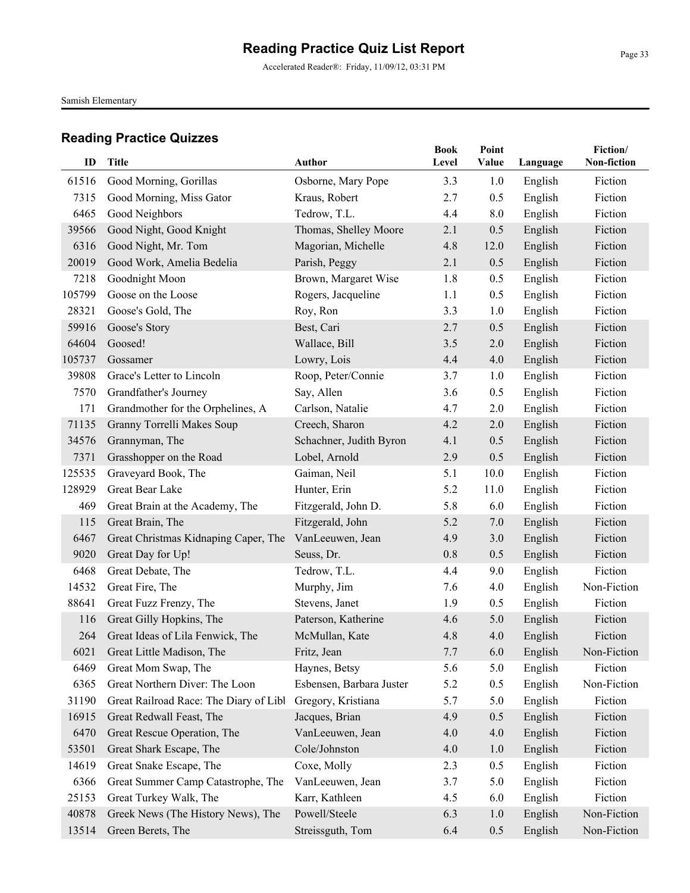Accelerated Reader®: Friday, 11/09/12, 03:31 PM

Samish Elementary

| ID     | Title                                  | Author                   | <b>Book</b><br>Level | Point<br>Value | Language | Fiction/<br>Non-fiction |
|--------|----------------------------------------|--------------------------|----------------------|----------------|----------|-------------------------|
| 61516  | Good Morning, Gorillas                 | Osborne, Mary Pope       | 3.3                  | 1.0            | English  | Fiction                 |
| 7315   | Good Morning, Miss Gator               | Kraus, Robert            | 2.7                  | 0.5            | English  | Fiction                 |
| 6465   | Good Neighbors                         | Tedrow, T.L.             | 4.4                  | 8.0            | English  | Fiction                 |
| 39566  | Good Night, Good Knight                | Thomas, Shelley Moore    | 2.1                  | 0.5            | English  | Fiction                 |
| 6316   | Good Night, Mr. Tom                    | Magorian, Michelle       | 4.8                  | 12.0           | English  | Fiction                 |
| 20019  | Good Work, Amelia Bedelia              | Parish, Peggy            | 2.1                  | 0.5            | English  | Fiction                 |
| 7218   | Goodnight Moon                         | Brown, Margaret Wise     | 1.8                  | 0.5            | English  | Fiction                 |
| 105799 | Goose on the Loose                     | Rogers, Jacqueline       | 1.1                  | 0.5            | English  | Fiction                 |
| 28321  | Goose's Gold, The                      | Roy, Ron                 | 3.3                  | 1.0            | English  | Fiction                 |
| 59916  | Goose's Story                          | Best, Cari               | 2.7                  | 0.5            | English  | Fiction                 |
| 64604  | Goosed!                                | Wallace, Bill            | 3.5                  | 2.0            | English  | Fiction                 |
| 105737 | Gossamer                               | Lowry, Lois              | 4.4                  | 4.0            | English  | Fiction                 |
| 39808  | Grace's Letter to Lincoln              | Roop, Peter/Connie       | 3.7                  | 1.0            | English  | Fiction                 |
| 7570   | Grandfather's Journey                  | Say, Allen               | 3.6                  | 0.5            | English  | Fiction                 |
| 171    | Grandmother for the Orphelines, A      | Carlson, Natalie         | 4.7                  | 2.0            | English  | Fiction                 |
| 71135  | Granny Torrelli Makes Soup             | Creech, Sharon           | 4.2                  | 2.0            | English  | Fiction                 |
| 34576  | Grannyman, The                         | Schachner, Judith Byron  | 4.1                  | 0.5            | English  | Fiction                 |
| 7371   | Grasshopper on the Road                | Lobel, Arnold            | 2.9                  | 0.5            | English  | Fiction                 |
| 125535 | Graveyard Book, The                    | Gaiman, Neil             | 5.1                  | 10.0           | English  | Fiction                 |
| 128929 | Great Bear Lake                        | Hunter, Erin             | 5.2                  | 11.0           | English  | Fiction                 |
| 469    | Great Brain at the Academy, The        | Fitzgerald, John D.      | 5.8                  | 6.0            | English  | Fiction                 |
| 115    | Great Brain, The                       | Fitzgerald, John         | 5.2                  | 7.0            | English  | Fiction                 |
| 6467   | Great Christmas Kidnaping Caper, The   | VanLeeuwen, Jean         | 4.9                  | 3.0            | English  | Fiction                 |
| 9020   | Great Day for Up!                      | Seuss, Dr.               | 0.8                  | 0.5            | English  | Fiction                 |
| 6468   | Great Debate, The                      | Tedrow, T.L.             | 4.4                  | 9.0            | English  | Fiction                 |
| 14532  | Great Fire, The                        | Murphy, Jim              | 7.6                  | 4.0            | English  | Non-Fiction             |
| 88641  | Great Fuzz Frenzy, The                 | Stevens, Janet           | 1.9                  | 0.5            | English  | Fiction                 |
| 116    | Great Gilly Hopkins, The               | Paterson, Katherine      | 4.6                  | 5.0            | English  | Fiction                 |
| 264    | Great Ideas of Lila Fenwick, The       | McMullan, Kate           | 4.8                  | 4.0            | English  | Fiction                 |
| 6021   | Great Little Madison, The              | Fritz, Jean              | 7.7                  | 6.0            | English  | Non-Fiction             |
| 6469   | Great Mom Swap, The                    | Haynes, Betsy            | 5.6                  | 5.0            | English  | Fiction                 |
| 6365   | Great Northern Diver: The Loon         | Esbensen, Barbara Juster | 5.2                  | 0.5            | English  | Non-Fiction             |
| 31190  | Great Railroad Race: The Diary of Libl | Gregory, Kristiana       | 5.7                  | 5.0            | English  | Fiction                 |
| 16915  | Great Redwall Feast, The               | Jacques, Brian           | 4.9                  | 0.5            | English  | Fiction                 |
| 6470   | Great Rescue Operation, The            | VanLeeuwen, Jean         | 4.0                  | 4.0            | English  | Fiction                 |
| 53501  | Great Shark Escape, The                | Cole/Johnston            | 4.0                  | 1.0            | English  | Fiction                 |
| 14619  | Great Snake Escape, The                | Coxe, Molly              | 2.3                  | 0.5            | English  | Fiction                 |
| 6366   | Great Summer Camp Catastrophe, The     | VanLeeuwen, Jean         | 3.7                  | 5.0            | English  | Fiction                 |
| 25153  | Great Turkey Walk, The                 | Karr, Kathleen           | 4.5                  | 6.0            | English  | Fiction                 |
| 40878  | Greek News (The History News), The     | Powell/Steele            | 6.3                  | 1.0            | English  | Non-Fiction             |
| 13514  | Green Berets, The                      | Streissguth, Tom         | 6.4                  | 0.5            | English  | Non-Fiction             |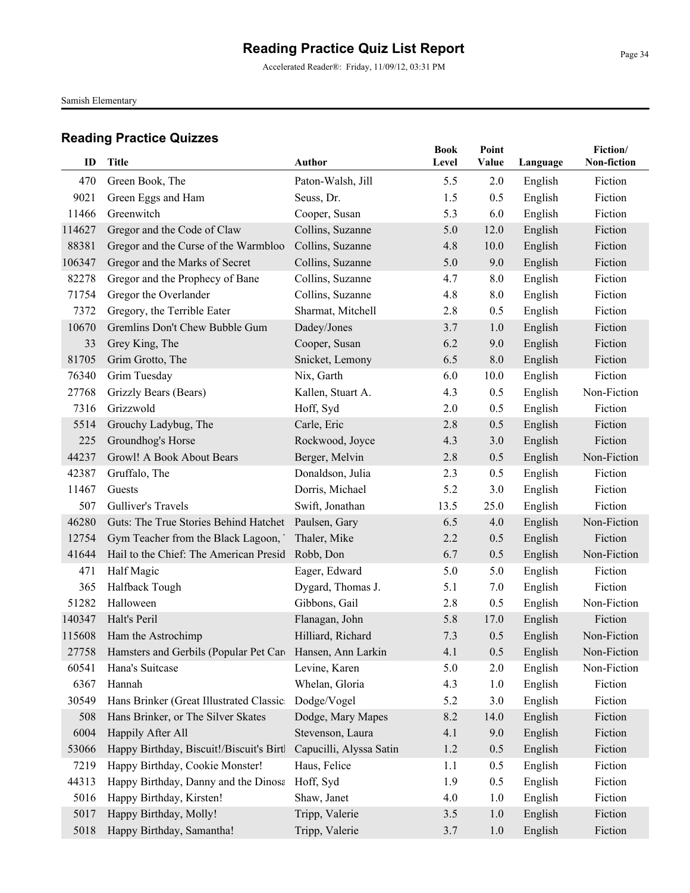Accelerated Reader®: Friday, 11/09/12, 03:31 PM

Samish Elementary

| ID          | <b>Title</b>                                              | <b>Author</b>                     | <b>Book</b><br>Level | Point<br>Value | Language           | Fiction/<br>Non-fiction |
|-------------|-----------------------------------------------------------|-----------------------------------|----------------------|----------------|--------------------|-------------------------|
|             |                                                           |                                   |                      |                |                    |                         |
| 470<br>9021 | Green Book, The<br>Green Eggs and Ham                     | Paton-Walsh, Jill<br>Seuss, Dr.   | 5.5<br>1.5           | 2.0<br>0.5     | English            | Fiction<br>Fiction      |
| 11466       | Greenwitch                                                |                                   | 5.3                  | 6.0            | English<br>English | Fiction                 |
| 114627      | Gregor and the Code of Claw                               | Cooper, Susan<br>Collins, Suzanne | 5.0                  | 12.0           | English            | Fiction                 |
| 88381       | Gregor and the Curse of the Warmbloo                      | Collins, Suzanne                  | 4.8                  | 10.0           | English            | Fiction                 |
| 106347      | Gregor and the Marks of Secret                            | Collins, Suzanne                  | 5.0                  | 9.0            | English            | Fiction                 |
| 82278       | Gregor and the Prophecy of Bane                           | Collins, Suzanne                  | 4.7                  | 8.0            | English            | Fiction                 |
| 71754       | Gregor the Overlander                                     | Collins, Suzanne                  | 4.8                  | 8.0            | English            | Fiction                 |
| 7372        | Gregory, the Terrible Eater                               | Sharmat, Mitchell                 | 2.8                  | 0.5            | English            | Fiction                 |
| 10670       | Gremlins Don't Chew Bubble Gum                            | Dadey/Jones                       | 3.7                  | 1.0            | English            | Fiction                 |
| 33          | Grey King, The                                            | Cooper, Susan                     | 6.2                  | 9.0            | English            | Fiction                 |
| 81705       | Grim Grotto, The                                          | Snicket, Lemony                   | 6.5                  | 8.0            | English            | Fiction                 |
| 76340       | Grim Tuesday                                              | Nix, Garth                        | 6.0                  | 10.0           | English            | Fiction                 |
| 27768       | Grizzly Bears (Bears)                                     | Kallen, Stuart A.                 | 4.3                  | 0.5            | English            | Non-Fiction             |
| 7316        | Grizzwold                                                 | Hoff, Syd                         | 2.0                  | 0.5            | English            | Fiction                 |
| 5514        | Grouchy Ladybug, The                                      | Carle, Eric                       | 2.8                  | 0.5            | English            | Fiction                 |
| 225         | Groundhog's Horse                                         | Rockwood, Joyce                   | 4.3                  | 3.0            | English            | Fiction                 |
| 44237       | Growl! A Book About Bears                                 | Berger, Melvin                    | 2.8                  | 0.5            | English            | Non-Fiction             |
| 42387       | Gruffalo, The                                             | Donaldson, Julia                  | 2.3                  | 0.5            | English            | Fiction                 |
| 11467       | Guests                                                    | Dorris, Michael                   | 5.2                  | 3.0            | English            | Fiction                 |
| 507         | Gulliver's Travels                                        | Swift, Jonathan                   | 13.5                 | 25.0           | English            | Fiction                 |
| 46280       | Guts: The True Stories Behind Hatchet                     | Paulsen, Gary                     | 6.5                  | 4.0            | English            | Non-Fiction             |
| 12754       | Gym Teacher from the Black Lagoon,                        | Thaler, Mike                      | 2.2                  | 0.5            | English            | Fiction                 |
| 41644       | Hail to the Chief: The American Presid                    | Robb, Don                         | 6.7                  | 0.5            | English            | Non-Fiction             |
| 471         | Half Magic                                                | Eager, Edward                     | 5.0                  | 5.0            | English            | Fiction                 |
| 365         | Halfback Tough                                            | Dygard, Thomas J.                 | 5.1                  | 7.0            | English            | Fiction                 |
| 51282       | Halloween                                                 | Gibbons, Gail                     | 2.8                  | 0.5            | English            | Non-Fiction             |
| 140347      | Halt's Peril                                              | Flanagan, John                    | 5.8                  | 17.0           | English            | Fiction                 |
| 115608      | Ham the Astrochimp                                        | Hilliard, Richard                 | 7.3                  | 0.5            | English            | Non-Fiction             |
| 27758       | Hamsters and Gerbils (Popular Pet Care Hansen, Ann Larkin |                                   | 4.1                  | 0.5            | English            | Non-Fiction             |
| 60541       | Hana's Suitcase                                           | Levine, Karen                     | 5.0                  | 2.0            | English            | Non-Fiction             |
| 6367        | Hannah                                                    | Whelan, Gloria                    | 4.3                  | 1.0            | English            | Fiction                 |
| 30549       | Hans Brinker (Great Illustrated Classic:                  | Dodge/Vogel                       | 5.2                  | 3.0            | English            | Fiction                 |
| 508         | Hans Brinker, or The Silver Skates                        | Dodge, Mary Mapes                 | 8.2                  | 14.0           | English            | Fiction                 |
| 6004        | Happily After All                                         | Stevenson, Laura                  | 4.1                  | 9.0            | English            | Fiction                 |
| 53066       | Happy Birthday, Biscuit!/Biscuit's Birtl                  | Capucilli, Alyssa Satin           | 1.2                  | 0.5            | English            | Fiction                 |
| 7219        | Happy Birthday, Cookie Monster!                           | Haus, Felice                      | 1.1                  | 0.5            | English            | Fiction                 |
| 44313       | Happy Birthday, Danny and the Dinosa                      | Hoff, Syd                         | 1.9                  | 0.5            | English            | Fiction                 |
| 5016        | Happy Birthday, Kirsten!                                  | Shaw, Janet                       | 4.0                  | 1.0            | English            | Fiction                 |
| 5017        | Happy Birthday, Molly!                                    | Tripp, Valerie                    | 3.5                  | 1.0            | English            | Fiction                 |
| 5018        | Happy Birthday, Samantha!                                 | Tripp, Valerie                    | 3.7                  | 1.0            | English            | Fiction                 |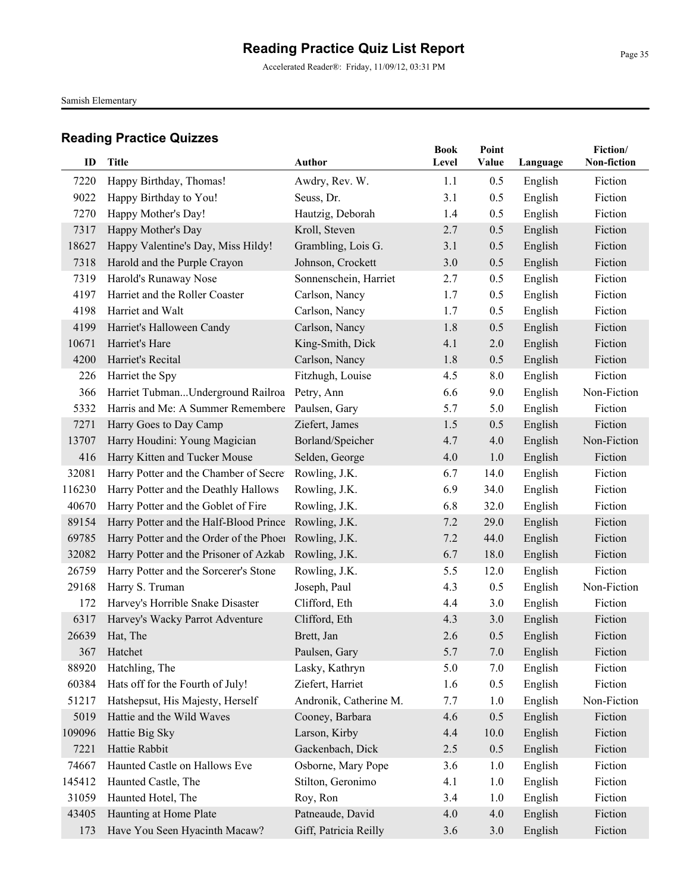Accelerated Reader®: Friday, 11/09/12, 03:31 PM

Samish Elementary

| ID            | <b>Title</b>                                                       | <b>Author</b>                           | <b>Book</b><br>Level | Point<br>Value | Language           | Fiction/<br>Non-fiction |
|---------------|--------------------------------------------------------------------|-----------------------------------------|----------------------|----------------|--------------------|-------------------------|
|               |                                                                    |                                         |                      |                |                    |                         |
| 7220          | Happy Birthday, Thomas!                                            | Awdry, Rev. W.                          | 1.1                  | 0.5            | English            | Fiction<br>Fiction      |
| 9022          | Happy Birthday to You!<br>Happy Mother's Day!                      | Seuss, Dr.                              | 3.1                  | 0.5            | English            | Fiction                 |
| 7270          |                                                                    | Hautzig, Deborah                        | 1.4                  | 0.5            | English            |                         |
| 7317          | Happy Mother's Day                                                 | Kroll, Steven                           | 2.7                  | 0.5<br>0.5     | English            | Fiction<br>Fiction      |
| 18627<br>7318 | Happy Valentine's Day, Miss Hildy!<br>Harold and the Purple Crayon | Grambling, Lois G.<br>Johnson, Crockett | 3.1<br>3.0           | 0.5            | English<br>English | Fiction                 |
| 7319          | Harold's Runaway Nose                                              |                                         | 2.7                  | 0.5            |                    | Fiction                 |
| 4197          | Harriet and the Roller Coaster                                     | Sonnenschein, Harriet                   |                      |                | English            | Fiction                 |
|               |                                                                    | Carlson, Nancy                          | 1.7                  | 0.5            | English            |                         |
| 4198          | Harriet and Walt                                                   | Carlson, Nancy                          | 1.7                  | 0.5            | English            | Fiction                 |
| 4199          | Harriet's Halloween Candy                                          | Carlson, Nancy                          | 1.8                  | 0.5            | English            | Fiction                 |
| 10671         | Harriet's Hare                                                     | King-Smith, Dick                        | 4.1                  | 2.0            | English            | Fiction                 |
| 4200          | Harriet's Recital                                                  | Carlson, Nancy                          | 1.8                  | 0.5            | English            | Fiction                 |
| 226           | Harriet the Spy                                                    | Fitzhugh, Louise                        | 4.5                  | 8.0            | English            | Fiction                 |
| 366           | Harriet TubmanUnderground Railroa                                  | Petry, Ann                              | 6.6                  | 9.0            | English            | Non-Fiction             |
| 5332          | Harris and Me: A Summer Remembere Paulsen, Gary                    |                                         | 5.7                  | 5.0            | English            | Fiction                 |
| 7271          | Harry Goes to Day Camp                                             | Ziefert, James                          | 1.5                  | 0.5            | English            | Fiction                 |
| 13707         | Harry Houdini: Young Magician                                      | Borland/Speicher                        | 4.7                  | 4.0            | English            | Non-Fiction             |
| 416           | Harry Kitten and Tucker Mouse                                      | Selden, George                          | 4.0                  | 1.0            | English            | Fiction                 |
| 32081         | Harry Potter and the Chamber of Secret                             | Rowling, J.K.                           | 6.7                  | 14.0           | English            | Fiction                 |
| 116230        | Harry Potter and the Deathly Hallows                               | Rowling, J.K.                           | 6.9                  | 34.0           | English            | Fiction                 |
| 40670         | Harry Potter and the Goblet of Fire                                | Rowling, J.K.                           | 6.8                  | 32.0           | English            | Fiction                 |
| 89154         | Harry Potter and the Half-Blood Prince                             | Rowling, J.K.                           | 7.2                  | 29.0           | English            | Fiction                 |
| 69785         | Harry Potter and the Order of the Phoen                            | Rowling, J.K.                           | 7.2                  | 44.0           | English            | Fiction                 |
| 32082         | Harry Potter and the Prisoner of Azkab                             | Rowling, J.K.                           | 6.7                  | 18.0           | English            | Fiction                 |
| 26759         | Harry Potter and the Sorcerer's Stone                              | Rowling, J.K.                           | 5.5                  | 12.0           | English            | Fiction                 |
| 29168         | Harry S. Truman                                                    | Joseph, Paul                            | 4.3                  | 0.5            | English            | Non-Fiction             |
| 172           | Harvey's Horrible Snake Disaster                                   | Clifford, Eth                           | 4.4                  | 3.0            | English            | Fiction                 |
| 6317          | Harvey's Wacky Parrot Adventure                                    | Clifford, Eth                           | 4.3                  | 3.0            | English            | Fiction                 |
| 26639         | Hat, The                                                           | Brett, Jan                              | 2.6                  | 0.5            | English            | Fiction                 |
| 367           | Hatchet                                                            | Paulsen, Gary                           | 5.7                  | $7.0\,$        | English            | Fiction                 |
| 88920         | Hatchling, The                                                     | Lasky, Kathryn                          | 5.0                  | 7.0            | English            | Fiction                 |
| 60384         | Hats off for the Fourth of July!                                   | Ziefert, Harriet                        | 1.6                  | 0.5            | English            | Fiction                 |
| 51217         | Hatshepsut, His Majesty, Herself                                   | Andronik, Catherine M.                  | 7.7                  | 1.0            | English            | Non-Fiction             |
| 5019          | Hattie and the Wild Waves                                          | Cooney, Barbara                         | 4.6                  | 0.5            | English            | Fiction                 |
| 109096        | Hattie Big Sky                                                     | Larson, Kirby                           | 4.4                  | 10.0           | English            | Fiction                 |
| 7221          | Hattie Rabbit                                                      | Gackenbach, Dick                        | 2.5                  | 0.5            | English            | Fiction                 |
| 74667         | Haunted Castle on Hallows Eve                                      | Osborne, Mary Pope                      | 3.6                  | 1.0            | English            | Fiction                 |
| 145412        | Haunted Castle, The                                                | Stilton, Geronimo                       | 4.1                  | 1.0            | English            | Fiction                 |
| 31059         | Haunted Hotel, The                                                 | Roy, Ron                                | 3.4                  | 1.0            | English            | Fiction                 |
| 43405         | Haunting at Home Plate                                             | Patneaude, David                        | 4.0                  | 4.0            | English            | Fiction                 |
| 173           | Have You Seen Hyacinth Macaw?                                      | Giff, Patricia Reilly                   | 3.6                  | 3.0            | English            | Fiction                 |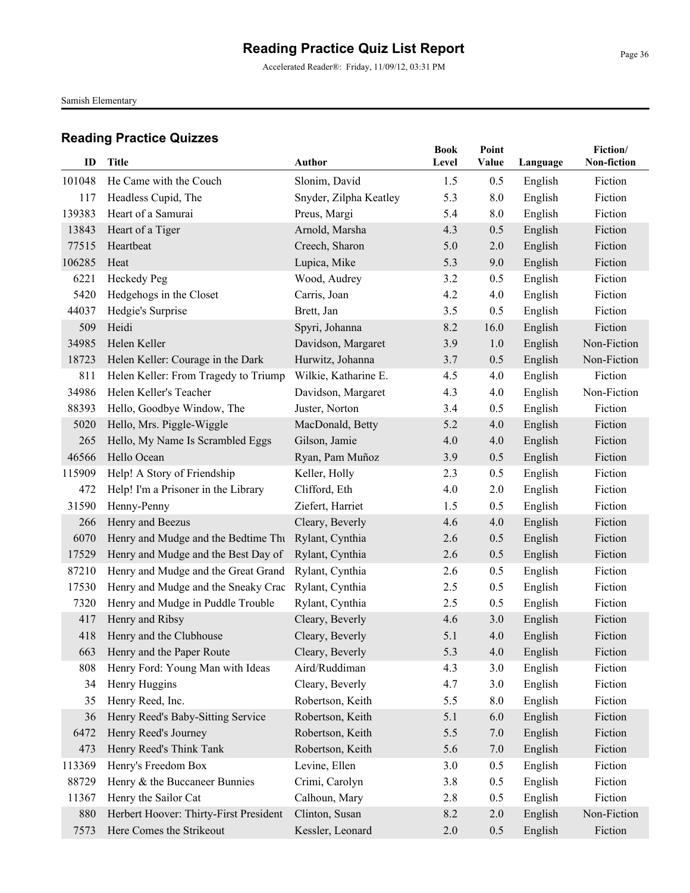Accelerated Reader®: Friday, 11/09/12, 03:31 PM

Samish Elementary

| ID     | <b>Title</b>                           | <b>Author</b>          | <b>Book</b><br>Level | Point<br>Value | Language | Fiction/<br>Non-fiction |
|--------|----------------------------------------|------------------------|----------------------|----------------|----------|-------------------------|
| 101048 | He Came with the Couch                 | Slonim, David          | 1.5                  | 0.5            | English  | Fiction                 |
| 117    | Headless Cupid, The                    | Snyder, Zilpha Keatley | 5.3                  | 8.0            | English  | Fiction                 |
| 139383 | Heart of a Samurai                     | Preus, Margi           | 5.4                  | 8.0            | English  | Fiction                 |
| 13843  | Heart of a Tiger                       | Arnold, Marsha         | 4.3                  | 0.5            | English  | Fiction                 |
| 77515  | Heartbeat                              | Creech, Sharon         | 5.0                  | 2.0            | English  | Fiction                 |
| 106285 | Heat                                   | Lupica, Mike           | 5.3                  | 9.0            | English  | Fiction                 |
| 6221   | Heckedy Peg                            | Wood, Audrey           | 3.2                  | 0.5            | English  | Fiction                 |
| 5420   | Hedgehogs in the Closet                | Carris, Joan           | 4.2                  | 4.0            | English  | Fiction                 |
| 44037  | Hedgie's Surprise                      | Brett, Jan             | 3.5                  | 0.5            | English  | Fiction                 |
| 509    | Heidi                                  | Spyri, Johanna         | 8.2                  | 16.0           | English  | Fiction                 |
| 34985  | Helen Keller                           | Davidson, Margaret     | 3.9                  | 1.0            | English  | Non-Fiction             |
| 18723  | Helen Keller: Courage in the Dark      | Hurwitz, Johanna       | 3.7                  | 0.5            | English  | Non-Fiction             |
| 811    | Helen Keller: From Tragedy to Triump   | Wilkie, Katharine E.   | 4.5                  | 4.0            | English  | Fiction                 |
| 34986  | Helen Keller's Teacher                 | Davidson, Margaret     | 4.3                  | 4.0            | English  | Non-Fiction             |
| 88393  | Hello, Goodbye Window, The             | Juster, Norton         | 3.4                  | 0.5            | English  | Fiction                 |
| 5020   | Hello, Mrs. Piggle-Wiggle              | MacDonald, Betty       | 5.2                  | 4.0            | English  | Fiction                 |
| 265    | Hello, My Name Is Scrambled Eggs       | Gilson, Jamie          | 4.0                  | 4.0            | English  | Fiction                 |
| 46566  | Hello Ocean                            | Ryan, Pam Muñoz        | 3.9                  | 0.5            | English  | Fiction                 |
| 115909 | Help! A Story of Friendship            | Keller, Holly          | 2.3                  | 0.5            | English  | Fiction                 |
| 472    | Help! I'm a Prisoner in the Library    | Clifford, Eth          | 4.0                  | 2.0            | English  | Fiction                 |
| 31590  | Henny-Penny                            | Ziefert, Harriet       | 1.5                  | 0.5            | English  | Fiction                 |
| 266    | Henry and Beezus                       | Cleary, Beverly        | 4.6                  | 4.0            | English  | Fiction                 |
| 6070   | Henry and Mudge and the Bedtime Thu    | Rylant, Cynthia        | 2.6                  | 0.5            | English  | Fiction                 |
| 17529  | Henry and Mudge and the Best Day of    | Rylant, Cynthia        | 2.6                  | 0.5            | English  | Fiction                 |
| 87210  | Henry and Mudge and the Great Grand    | Rylant, Cynthia        | 2.6                  | 0.5            | English  | Fiction                 |
| 17530  | Henry and Mudge and the Sneaky Crac    | Rylant, Cynthia        | 2.5                  | 0.5            | English  | Fiction                 |
| 7320   | Henry and Mudge in Puddle Trouble      | Rylant, Cynthia        | 2.5                  | 0.5            | English  | Fiction                 |
| 417    | Henry and Ribsy                        | Cleary, Beverly        | 4.6                  | 3.0            | English  | Fiction                 |
| 418    | Henry and the Clubhouse                | Cleary, Beverly        | 5.1                  | 4.0            | English  | Fiction                 |
|        | 663 Henry and the Paper Route          | Cleary, Beverly        | 5.3                  | 4.0            | English  | Fiction                 |
| 808    | Henry Ford: Young Man with Ideas       | Aird/Ruddiman          | 4.3                  | 3.0            | English  | Fiction                 |
| 34     | Henry Huggins                          | Cleary, Beverly        | 4.7                  | 3.0            | English  | Fiction                 |
| 35     | Henry Reed, Inc.                       | Robertson, Keith       | 5.5                  | 8.0            | English  | Fiction                 |
| 36     | Henry Reed's Baby-Sitting Service      | Robertson, Keith       | 5.1                  | 6.0            | English  | Fiction                 |
| 6472   | Henry Reed's Journey                   | Robertson, Keith       | 5.5                  | 7.0            | English  | Fiction                 |
| 473    | Henry Reed's Think Tank                | Robertson, Keith       | 5.6                  | 7.0            | English  | Fiction                 |
| 113369 | Henry's Freedom Box                    | Levine, Ellen          | 3.0                  | 0.5            | English  | Fiction                 |
| 88729  | Henry & the Buccaneer Bunnies          | Crimi, Carolyn         | 3.8                  | 0.5            | English  | Fiction                 |
| 11367  | Henry the Sailor Cat                   | Calhoun, Mary          | 2.8                  | 0.5            | English  | Fiction                 |
| 880    | Herbert Hoover: Thirty-First President | Clinton, Susan         | 8.2                  | 2.0            | English  | Non-Fiction             |
| 7573   | Here Comes the Strikeout               | Kessler, Leonard       | 2.0                  | 0.5            | English  | Fiction                 |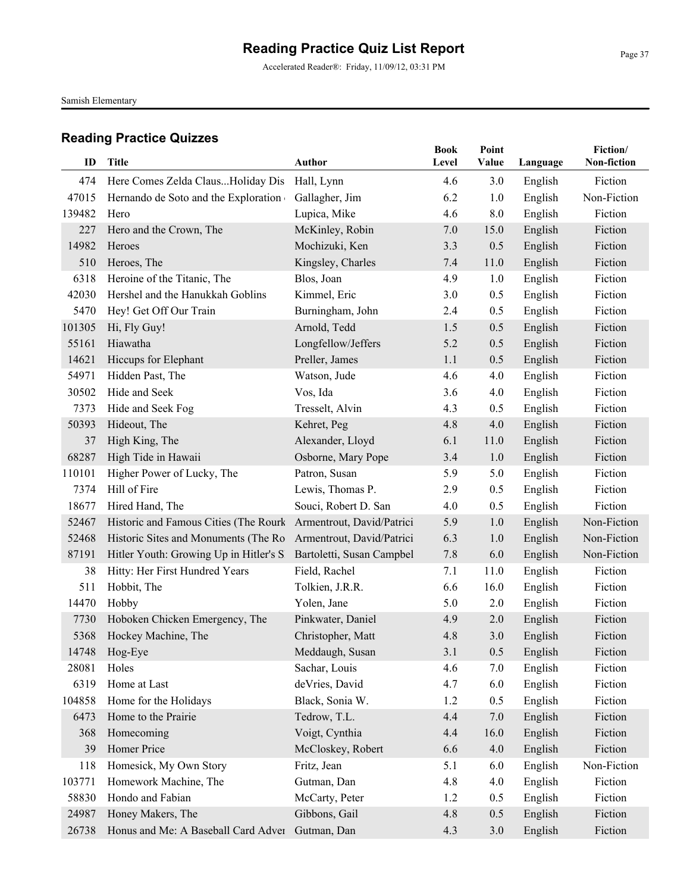Accelerated Reader®: Friday, 11/09/12, 03:31 PM

Samish Elementary

|        |                                                                  |                           | <b>Book</b> | Point |          | Fiction/           |
|--------|------------------------------------------------------------------|---------------------------|-------------|-------|----------|--------------------|
| ID     | <b>Title</b>                                                     | <b>Author</b>             | Level       | Value | Language | <b>Non-fiction</b> |
| 474    | Here Comes Zelda ClausHoliday Dis                                | Hall, Lynn                | 4.6         | 3.0   | English  | Fiction            |
| 47015  | Hernando de Soto and the Exploration                             | Gallagher, Jim            | 6.2         | 1.0   | English  | Non-Fiction        |
| 139482 | Hero                                                             | Lupica, Mike              | 4.6         | 8.0   | English  | Fiction            |
| 227    | Hero and the Crown, The                                          | McKinley, Robin           | 7.0         | 15.0  | English  | Fiction            |
| 14982  | Heroes                                                           | Mochizuki, Ken            | 3.3         | 0.5   | English  | Fiction            |
| 510    | Heroes, The                                                      | Kingsley, Charles         | 7.4         | 11.0  | English  | Fiction            |
| 6318   | Heroine of the Titanic, The                                      | Blos, Joan                | 4.9         | 1.0   | English  | Fiction            |
| 42030  | Hershel and the Hanukkah Goblins                                 | Kimmel, Eric              | 3.0         | 0.5   | English  | Fiction            |
| 5470   | Hey! Get Off Our Train                                           | Burningham, John          | 2.4         | 0.5   | English  | Fiction            |
| 101305 | Hi, Fly Guy!                                                     | Arnold, Tedd              | 1.5         | 0.5   | English  | Fiction            |
| 55161  | Hiawatha                                                         | Longfellow/Jeffers        | 5.2         | 0.5   | English  | Fiction            |
| 14621  | Hiccups for Elephant                                             | Preller, James            | 1.1         | 0.5   | English  | Fiction            |
| 54971  | Hidden Past, The                                                 | Watson, Jude              | 4.6         | 4.0   | English  | Fiction            |
| 30502  | Hide and Seek                                                    | Vos, Ida                  | 3.6         | 4.0   | English  | Fiction            |
| 7373   | Hide and Seek Fog                                                | Tresselt, Alvin           | 4.3         | 0.5   | English  | Fiction            |
| 50393  | Hideout, The                                                     | Kehret, Peg               | 4.8         | 4.0   | English  | Fiction            |
| 37     | High King, The                                                   | Alexander, Lloyd          | 6.1         | 11.0  | English  | Fiction            |
| 68287  | High Tide in Hawaii                                              | Osborne, Mary Pope        | 3.4         | 1.0   | English  | Fiction            |
| 110101 | Higher Power of Lucky, The                                       | Patron, Susan             | 5.9         | 5.0   | English  | Fiction            |
| 7374   | Hill of Fire                                                     | Lewis, Thomas P.          | 2.9         | 0.5   | English  | Fiction            |
| 18677  | Hired Hand, The                                                  | Souci, Robert D. San      | 4.0         | 0.5   | English  | Fiction            |
| 52467  | Historic and Famous Cities (The Rourk                            | Armentrout, David/Patrici | 5.9         | 1.0   | English  | Non-Fiction        |
| 52468  | Historic Sites and Monuments (The Ro                             | Armentrout, David/Patrici | 6.3         | 1.0   | English  | Non-Fiction        |
| 87191  | Hitler Youth: Growing Up in Hitler's S Bartoletti, Susan Campbel |                           | 7.8         | 6.0   | English  | Non-Fiction        |
| 38     | Hitty: Her First Hundred Years                                   | Field, Rachel             | 7.1         | 11.0  | English  | Fiction            |
| 511    | Hobbit, The                                                      | Tolkien, J.R.R.           | 6.6         | 16.0  | English  | Fiction            |
| 14470  | Hobby                                                            | Yolen, Jane               | 5.0         | 2.0   | English  | Fiction            |
| 7730   | Hoboken Chicken Emergency, The                                   | Pinkwater, Daniel         | 4.9         | 2.0   | English  | Fiction            |
| 5368   | Hockey Machine, The                                              | Christopher, Matt         | 4.8         | 3.0   | English  | Fiction            |
| 14748  | Hog-Eye                                                          | Meddaugh, Susan           | 3.1         | 0.5   | English  | Fiction            |
| 28081  | Holes                                                            | Sachar, Louis             | 4.6         | 7.0   | English  | Fiction            |
| 6319   | Home at Last                                                     | deVries, David            | 4.7         | 6.0   | English  | Fiction            |
| 104858 | Home for the Holidays                                            | Black, Sonia W.           | 1.2         | 0.5   | English  | Fiction            |
| 6473   | Home to the Prairie                                              | Tedrow, T.L.              | 4.4         | 7.0   | English  | Fiction            |
| 368    | Homecoming                                                       | Voigt, Cynthia            | 4.4         | 16.0  | English  | Fiction            |
| 39     | Homer Price                                                      | McCloskey, Robert         | 6.6         | 4.0   | English  | Fiction            |
| 118    | Homesick, My Own Story                                           | Fritz, Jean               | 5.1         | 6.0   | English  | Non-Fiction        |
| 103771 | Homework Machine, The                                            | Gutman, Dan               | 4.8         | 4.0   | English  | Fiction            |
| 58830  | Hondo and Fabian                                                 | McCarty, Peter            | 1.2         | 0.5   | English  | Fiction            |
| 24987  | Honey Makers, The                                                | Gibbons, Gail             | 4.8         | 0.5   | English  | Fiction            |
| 26738  | Honus and Me: A Baseball Card Adver                              | Gutman, Dan               | 4.3         | 3.0   | English  | Fiction            |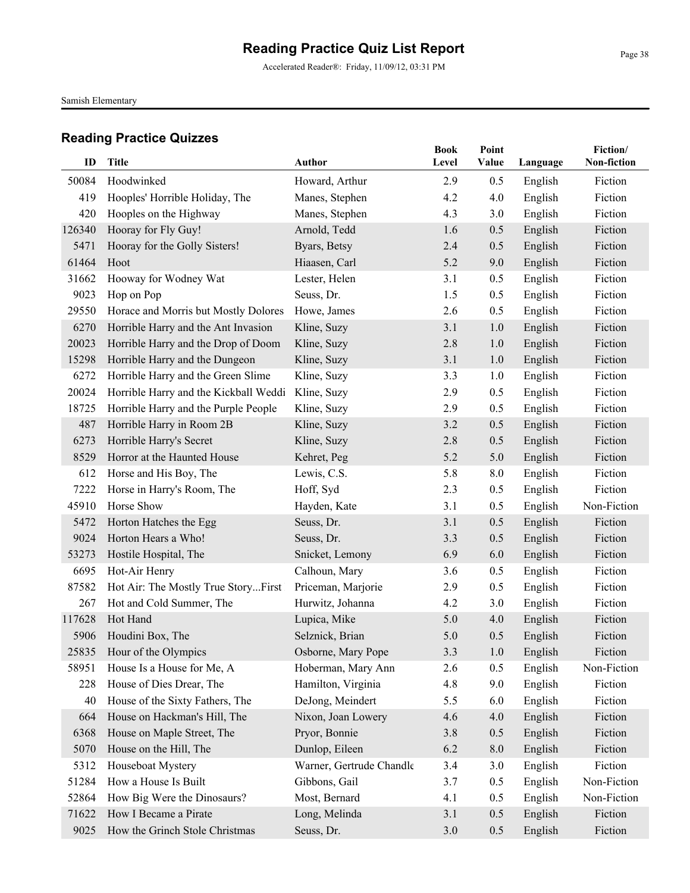Accelerated Reader®: Friday, 11/09/12, 03:31 PM

Samish Elementary

| ID           | Title                                        | Author                           | <b>Book</b><br>Level | Point<br>Value | Language           | Fiction/<br>Non-fiction |
|--------------|----------------------------------------------|----------------------------------|----------------------|----------------|--------------------|-------------------------|
|              |                                              |                                  |                      |                |                    |                         |
| 50084<br>419 | Hoodwinked<br>Hooples' Horrible Holiday, The | Howard, Arthur<br>Manes, Stephen | 2.9<br>4.2           | 0.5<br>4.0     | English            | Fiction<br>Fiction      |
| 420          | Hooples on the Highway                       | Manes, Stephen                   | 4.3                  | 3.0            | English            | Fiction                 |
| 126340       | Hooray for Fly Guy!                          | Arnold, Tedd                     | 1.6                  | 0.5            | English<br>English | Fiction                 |
| 5471         | Hooray for the Golly Sisters!                | Byars, Betsy                     | 2.4                  | 0.5            | English            | Fiction                 |
| 61464        | Hoot                                         | Hiaasen, Carl                    | 5.2                  | 9.0            | English            | Fiction                 |
| 31662        | Hooway for Wodney Wat                        | Lester, Helen                    | 3.1                  | 0.5            | English            | Fiction                 |
| 9023         | Hop on Pop                                   | Seuss, Dr.                       | 1.5                  | 0.5            | English            | Fiction                 |
| 29550        | Horace and Morris but Mostly Dolores         | Howe, James                      | 2.6                  | 0.5            | English            | Fiction                 |
| 6270         | Horrible Harry and the Ant Invasion          | Kline, Suzy                      | 3.1                  | 1.0            | English            | Fiction                 |
| 20023        | Horrible Harry and the Drop of Doom          | Kline, Suzy                      | 2.8                  | 1.0            | English            | Fiction                 |
| 15298        | Horrible Harry and the Dungeon               | Kline, Suzy                      | 3.1                  | 1.0            | English            | Fiction                 |
| 6272         | Horrible Harry and the Green Slime           | Kline, Suzy                      | 3.3                  | 1.0            | English            | Fiction                 |
| 20024        | Horrible Harry and the Kickball Weddi        | Kline, Suzy                      | 2.9                  | 0.5            | English            | Fiction                 |
| 18725        | Horrible Harry and the Purple People         | Kline, Suzy                      | 2.9                  | 0.5            | English            | Fiction                 |
| 487          | Horrible Harry in Room 2B                    | Kline, Suzy                      | 3.2                  | 0.5            | English            | Fiction                 |
| 6273         | Horrible Harry's Secret                      | Kline, Suzy                      | 2.8                  | 0.5            | English            | Fiction                 |
| 8529         | Horror at the Haunted House                  | Kehret, Peg                      | 5.2                  | 5.0            | English            | Fiction                 |
| 612          | Horse and His Boy, The                       | Lewis, C.S.                      | 5.8                  | 8.0            | English            | Fiction                 |
| 7222         | Horse in Harry's Room, The                   | Hoff, Syd                        | 2.3                  | 0.5            | English            | Fiction                 |
| 45910        | Horse Show                                   | Hayden, Kate                     | 3.1                  | 0.5            | English            | Non-Fiction             |
| 5472         | Horton Hatches the Egg                       | Seuss, Dr.                       | 3.1                  | 0.5            | English            | Fiction                 |
| 9024         | Horton Hears a Who!                          | Seuss, Dr.                       | 3.3                  | 0.5            | English            | Fiction                 |
| 53273        | Hostile Hospital, The                        | Snicket, Lemony                  | 6.9                  | 6.0            | English            | Fiction                 |
| 6695         | Hot-Air Henry                                | Calhoun, Mary                    | 3.6                  | 0.5            | English            | Fiction                 |
| 87582        | Hot Air: The Mostly True StoryFirst          | Priceman, Marjorie               | 2.9                  | 0.5            | English            | Fiction                 |
| 267          | Hot and Cold Summer, The                     | Hurwitz, Johanna                 | 4.2                  | 3.0            | English            | Fiction                 |
| 117628       | Hot Hand                                     | Lupica, Mike                     | 5.0                  | 4.0            | English            | Fiction                 |
| 5906         | Houdini Box, The                             | Selznick, Brian                  | 5.0                  | 0.5            | English            | Fiction                 |
|              | 25835 Hour of the Olympics                   | Osborne, Mary Pope               | 3.3                  | 1.0            | English            | Fiction                 |
| 58951        | House Is a House for Me, A                   | Hoberman, Mary Ann               | 2.6                  | 0.5            | English            | Non-Fiction             |
| 228          | House of Dies Drear, The                     | Hamilton, Virginia               | 4.8                  | 9.0            | English            | Fiction                 |
| 40           | House of the Sixty Fathers, The              | DeJong, Meindert                 | 5.5                  | 6.0            | English            | Fiction                 |
| 664          | House on Hackman's Hill, The                 | Nixon, Joan Lowery               | 4.6                  | 4.0            | English            | Fiction                 |
| 6368         | House on Maple Street, The                   | Pryor, Bonnie                    | 3.8                  | 0.5            | English            | Fiction                 |
| 5070         | House on the Hill, The                       | Dunlop, Eileen                   | 6.2                  | $8.0\,$        | English            | Fiction                 |
| 5312         | Houseboat Mystery                            | Warner, Gertrude Chandle         | 3.4                  | 3.0            | English            | Fiction                 |
| 51284        | How a House Is Built                         | Gibbons, Gail                    | 3.7                  | 0.5            | English            | Non-Fiction             |
| 52864        | How Big Were the Dinosaurs?                  | Most, Bernard                    | 4.1                  | 0.5            | English            | Non-Fiction             |
| 71622        | How I Became a Pirate                        | Long, Melinda                    | 3.1                  | 0.5            | English            | Fiction                 |
| 9025         | How the Grinch Stole Christmas               | Seuss, Dr.                       | 3.0                  | 0.5            | English            | Fiction                 |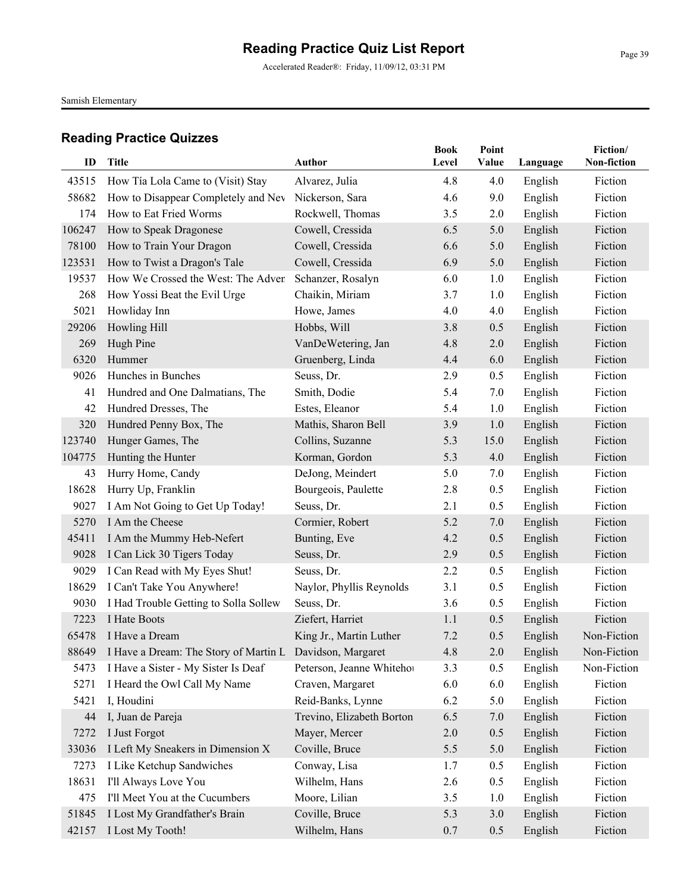Accelerated Reader®: Friday, 11/09/12, 03:31 PM

Samish Elementary

| ID             | <b>Title</b>                                                             | <b>Author</b>                     | <b>Book</b><br>Level | Point<br>Value | Language           | Fiction/<br>Non-fiction |
|----------------|--------------------------------------------------------------------------|-----------------------------------|----------------------|----------------|--------------------|-------------------------|
|                |                                                                          |                                   |                      |                |                    |                         |
| 43515<br>58682 | How Tía Lola Came to (Visit) Stay<br>How to Disappear Completely and Nev | Alvarez, Julia<br>Nickerson, Sara | 4.8<br>4.6           | 4.0<br>9.0     | English<br>English | Fiction<br>Fiction      |
| 174            | How to Eat Fried Worms                                                   | Rockwell, Thomas                  | 3.5                  | 2.0            | English            | Fiction                 |
| 106247         | How to Speak Dragonese                                                   | Cowell, Cressida                  | 6.5                  | 5.0            | English            | Fiction                 |
| 78100          | How to Train Your Dragon                                                 | Cowell, Cressida                  | 6.6                  | 5.0            | English            | Fiction                 |
| 123531         | How to Twist a Dragon's Tale                                             | Cowell, Cressida                  | 6.9                  | 5.0            | English            | Fiction                 |
| 19537          | How We Crossed the West: The Adven                                       | Schanzer, Rosalyn                 | 6.0                  | 1.0            | English            | Fiction                 |
| 268            | How Yossi Beat the Evil Urge                                             | Chaikin, Miriam                   | 3.7                  | 1.0            | English            | Fiction                 |
| 5021           | Howliday Inn                                                             | Howe, James                       | 4.0                  | 4.0            | English            | Fiction                 |
| 29206          | Howling Hill                                                             | Hobbs, Will                       | 3.8                  | 0.5            | English            | Fiction                 |
| 269            | Hugh Pine                                                                | VanDeWetering, Jan                | 4.8                  | 2.0            | English            | Fiction                 |
| 6320           | Hummer                                                                   | Gruenberg, Linda                  | 4.4                  | 6.0            | English            | Fiction                 |
| 9026           | Hunches in Bunches                                                       | Seuss, Dr.                        | 2.9                  | 0.5            | English            | Fiction                 |
| 41             | Hundred and One Dalmatians, The                                          | Smith, Dodie                      | 5.4                  | 7.0            | English            | Fiction                 |
| 42             | Hundred Dresses, The                                                     | Estes, Eleanor                    | 5.4                  | 1.0            | English            | Fiction                 |
| 320            | Hundred Penny Box, The                                                   | Mathis, Sharon Bell               | 3.9                  | 1.0            | English            | Fiction                 |
| 123740         | Hunger Games, The                                                        | Collins, Suzanne                  | 5.3                  | 15.0           | English            | Fiction                 |
| 104775         | Hunting the Hunter                                                       | Korman, Gordon                    | 5.3                  | 4.0            | English            | Fiction                 |
| 43             | Hurry Home, Candy                                                        | DeJong, Meindert                  | 5.0                  | 7.0            | English            | Fiction                 |
| 18628          | Hurry Up, Franklin                                                       | Bourgeois, Paulette               | 2.8                  | 0.5            | English            | Fiction                 |
| 9027           | I Am Not Going to Get Up Today!                                          | Seuss, Dr.                        | 2.1                  | 0.5            | English            | Fiction                 |
| 5270           | I Am the Cheese                                                          | Cormier, Robert                   | 5.2                  | 7.0            | English            | Fiction                 |
| 45411          | I Am the Mummy Heb-Nefert                                                | Bunting, Eve                      | 4.2                  | 0.5            | English            | Fiction                 |
| 9028           | I Can Lick 30 Tigers Today                                               | Seuss, Dr.                        | 2.9                  | 0.5            | English            | Fiction                 |
| 9029           | I Can Read with My Eyes Shut!                                            | Seuss, Dr.                        | 2.2                  | 0.5            | English            | Fiction                 |
| 18629          | I Can't Take You Anywhere!                                               | Naylor, Phyllis Reynolds          | 3.1                  | 0.5            | English            | Fiction                 |
| 9030           | I Had Trouble Getting to Solla Sollew                                    | Seuss, Dr.                        | 3.6                  | 0.5            | English            | Fiction                 |
| 7223           | I Hate Boots                                                             | Ziefert, Harriet                  | 1.1                  | 0.5            | English            | Fiction                 |
| 65478          | I Have a Dream                                                           | King Jr., Martin Luther           | 7.2                  | 0.5            | English            | Non-Fiction             |
|                | 88649 I Have a Dream: The Story of Martin L Davidson, Margaret           |                                   | 4.8                  | $2.0\,$        | English            | Non-Fiction             |
| 5473           | I Have a Sister - My Sister Is Deaf                                      | Peterson, Jeanne Whitehor         | 3.3                  | 0.5            | English            | Non-Fiction             |
| 5271           | I Heard the Owl Call My Name                                             | Craven, Margaret                  | 6.0                  | 6.0            | English            | Fiction                 |
| 5421           | I, Houdini                                                               | Reid-Banks, Lynne                 | 6.2                  | 5.0            | English            | Fiction                 |
| 44             | I, Juan de Pareja                                                        | Trevino, Elizabeth Borton         | 6.5                  | 7.0            | English            | Fiction                 |
| 7272           | I Just Forgot                                                            | Mayer, Mercer                     | 2.0                  | 0.5            | English            | Fiction                 |
| 33036          | I Left My Sneakers in Dimension X                                        | Coville, Bruce                    | 5.5                  | 5.0            | English            | Fiction                 |
| 7273           | I Like Ketchup Sandwiches                                                | Conway, Lisa                      | 1.7                  | 0.5            | English            | Fiction                 |
| 18631          | I'll Always Love You                                                     | Wilhelm, Hans                     | 2.6                  | 0.5            | English            | Fiction                 |
| 475            | I'll Meet You at the Cucumbers                                           | Moore, Lilian                     | 3.5                  | 1.0            | English            | Fiction                 |
| 51845          | I Lost My Grandfather's Brain                                            | Coville, Bruce                    | 5.3                  | 3.0            | English            | Fiction                 |
| 42157          | I Lost My Tooth!                                                         | Wilhelm, Hans                     | 0.7                  | 0.5            | English            | Fiction                 |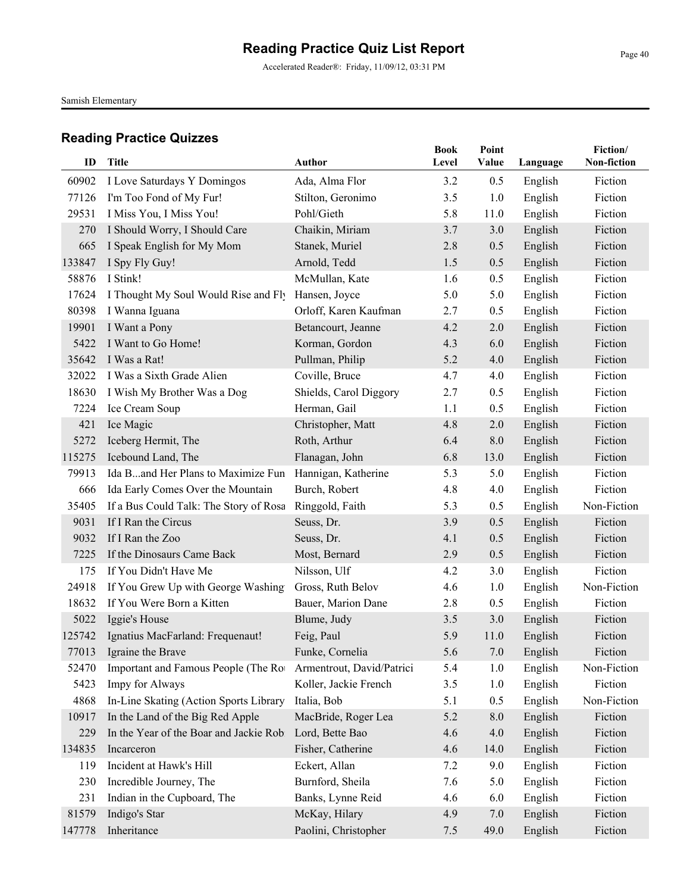Accelerated Reader®: Friday, 11/09/12, 03:31 PM

Samish Elementary

| ID             | <b>Title</b>                            | Author                          | <b>Book</b><br>Level | Point<br>Value | Language | Fiction/<br>Non-fiction |
|----------------|-----------------------------------------|---------------------------------|----------------------|----------------|----------|-------------------------|
|                |                                         |                                 |                      |                |          |                         |
| 60902          | I Love Saturdays Y Domingos             | Ada, Alma Flor                  | 3.2                  | 0.5            | English  | Fiction                 |
| 77126          | I'm Too Fond of My Fur!                 | Stilton, Geronimo               | 3.5                  | 1.0            | English  | Fiction                 |
| 29531          | I Miss You, I Miss You!                 | Pohl/Gieth                      | 5.8                  | 11.0           | English  | Fiction                 |
| 270            | I Should Worry, I Should Care           | Chaikin, Miriam                 | 3.7                  | 3.0            | English  | Fiction<br>Fiction      |
| 665<br>133847  | I Speak English for My Mom              | Stanek, Muriel                  | 2.8                  | 0.5            | English  | Fiction                 |
|                | I Spy Fly Guy!<br>I Stink!              | Arnold, Tedd                    | 1.5                  | 0.5            | English  | Fiction                 |
| 58876<br>17624 |                                         | McMullan, Kate<br>Hansen, Joyce | 1.6<br>5.0           | 0.5<br>5.0     | English  | Fiction                 |
|                | I Thought My Soul Would Rise and Fly    |                                 |                      |                | English  |                         |
| 80398          | I Wanna Iguana                          | Orloff, Karen Kaufman           | 2.7                  | 0.5            | English  | Fiction<br>Fiction      |
| 19901          | I Want a Pony                           | Betancourt, Jeanne              | 4.2                  | 2.0            | English  |                         |
| 5422           | I Want to Go Home!                      | Korman, Gordon                  | 4.3                  | 6.0            | English  | Fiction                 |
| 35642          | I Was a Rat!                            | Pullman, Philip                 | 5.2                  | 4.0            | English  | Fiction                 |
| 32022          | I Was a Sixth Grade Alien               | Coville, Bruce                  | 4.7                  | 4.0            | English  | Fiction                 |
| 18630          | I Wish My Brother Was a Dog             | Shields, Carol Diggory          | 2.7                  | 0.5            | English  | Fiction                 |
| 7224           | Ice Cream Soup                          | Herman, Gail                    | 1.1                  | 0.5            | English  | Fiction                 |
| 421            | Ice Magic                               | Christopher, Matt               | 4.8                  | 2.0            | English  | Fiction                 |
| 5272           | Iceberg Hermit, The                     | Roth, Arthur                    | 6.4                  | 8.0            | English  | Fiction                 |
| 115275         | Icebound Land, The                      | Flanagan, John                  | 6.8                  | 13.0           | English  | Fiction                 |
| 79913          | Ida Band Her Plans to Maximize Fun      | Hannigan, Katherine             | 5.3                  | 5.0            | English  | Fiction                 |
| 666            | Ida Early Comes Over the Mountain       | Burch, Robert                   | 4.8                  | 4.0            | English  | Fiction                 |
| 35405          | If a Bus Could Talk: The Story of Rosa  | Ringgold, Faith                 | 5.3                  | 0.5            | English  | Non-Fiction             |
| 9031           | If I Ran the Circus                     | Seuss, Dr.                      | 3.9                  | 0.5            | English  | Fiction                 |
| 9032           | If I Ran the Zoo                        | Seuss, Dr.                      | 4.1                  | 0.5            | English  | Fiction                 |
| 7225           | If the Dinosaurs Came Back              | Most, Bernard                   | 2.9                  | 0.5            | English  | Fiction                 |
| 175            | If You Didn't Have Me                   | Nilsson, Ulf                    | 4.2                  | 3.0            | English  | Fiction                 |
| 24918          | If You Grew Up with George Washing      | Gross, Ruth Belov               | 4.6                  | 1.0            | English  | Non-Fiction             |
| 18632          | If You Were Born a Kitten               | Bauer, Marion Dane              | 2.8                  | 0.5            | English  | Fiction                 |
| 5022           | Iggie's House                           | Blume, Judy                     | 3.5                  | 3.0            | English  | Fiction                 |
| 125742         | Ignatius MacFarland: Frequenaut!        | Feig, Paul                      | 5.9                  | 11.0           | English  | Fiction                 |
|                | 77013 Igraine the Brave                 | Funke, Cornelia                 | 5.6                  | 7.0            | English  | Fiction                 |
| 52470          | Important and Famous People (The Rot    | Armentrout, David/Patrici       | 5.4                  | 1.0            | English  | Non-Fiction             |
| 5423           | Impy for Always                         | Koller, Jackie French           | 3.5                  | 1.0            | English  | Fiction                 |
| 4868           | In-Line Skating (Action Sports Library  | Italia, Bob                     | 5.1                  | 0.5            | English  | Non-Fiction             |
| 10917          | In the Land of the Big Red Apple        | MacBride, Roger Lea             | 5.2                  | 8.0            | English  | Fiction                 |
| 229            | In the Year of the Boar and Jackie Robi | Lord, Bette Bao                 | 4.6                  | 4.0            | English  | Fiction                 |
| 134835         | Incarceron                              | Fisher, Catherine               | 4.6                  | 14.0           | English  | Fiction                 |
| 119            | Incident at Hawk's Hill                 | Eckert, Allan                   | 7.2                  | 9.0            | English  | Fiction                 |
| 230            | Incredible Journey, The                 | Burnford, Sheila                | 7.6                  | 5.0            | English  | Fiction                 |
| 231            | Indian in the Cupboard, The             | Banks, Lynne Reid               | 4.6                  | 6.0            | English  | Fiction                 |
| 81579          | Indigo's Star                           | McKay, Hilary                   | 4.9                  | 7.0            | English  | Fiction                 |
| 147778         | Inheritance                             | Paolini, Christopher            | 7.5                  | 49.0           | English  | Fiction                 |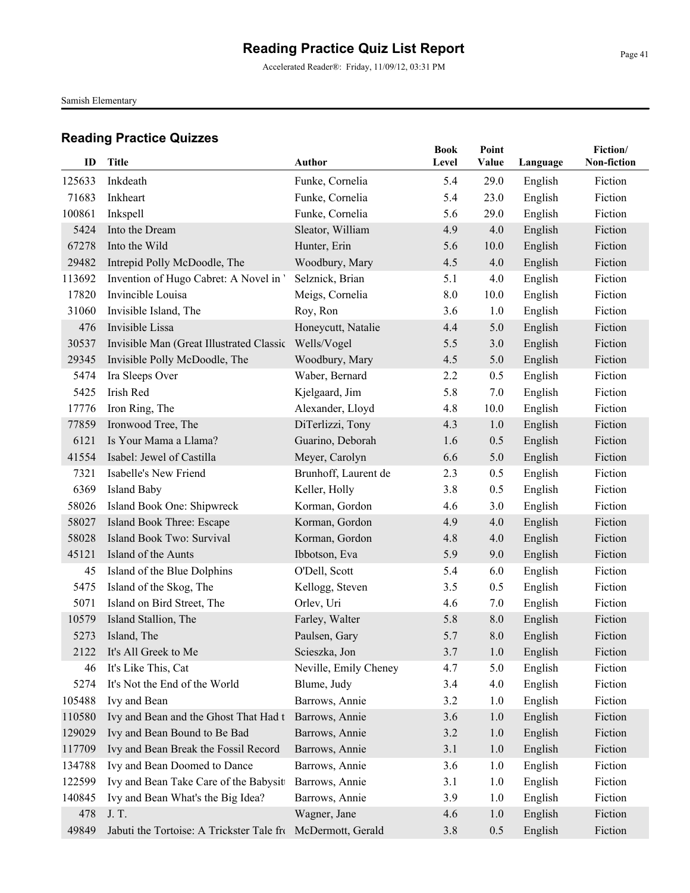Accelerated Reader®: Friday, 11/09/12, 03:31 PM

Samish Elementary

| ID     | <b>Title</b>                              | Author                | <b>Book</b><br>Level | Point<br>Value | Language | Fiction/<br>Non-fiction |
|--------|-------------------------------------------|-----------------------|----------------------|----------------|----------|-------------------------|
|        |                                           |                       |                      |                |          |                         |
| 125633 | Inkdeath                                  | Funke, Cornelia       | 5.4                  | 29.0           | English  | Fiction                 |
| 71683  | Inkheart                                  | Funke, Cornelia       | 5.4                  | 23.0           | English  | Fiction                 |
| 100861 | Inkspell                                  | Funke, Cornelia       | 5.6                  | 29.0           | English  | Fiction                 |
| 5424   | Into the Dream                            | Sleator, William      | 4.9                  | 4.0            | English  | Fiction                 |
| 67278  | Into the Wild                             | Hunter, Erin          | 5.6                  | 10.0           | English  | Fiction                 |
| 29482  | Intrepid Polly McDoodle, The              | Woodbury, Mary        | 4.5                  | 4.0            | English  | Fiction                 |
| 113692 | Invention of Hugo Cabret: A Novel in '    | Selznick, Brian       | 5.1                  | 4.0            | English  | Fiction                 |
| 17820  | Invincible Louisa                         | Meigs, Cornelia       | 8.0                  | 10.0           | English  | Fiction                 |
| 31060  | Invisible Island, The                     | Roy, Ron              | 3.6                  | 1.0            | English  | Fiction                 |
| 476    | Invisible Lissa                           | Honeycutt, Natalie    | 4.4                  | 5.0            | English  | Fiction                 |
| 30537  | Invisible Man (Great Illustrated Classic  | Wells/Vogel           | 5.5                  | 3.0            | English  | Fiction                 |
| 29345  | Invisible Polly McDoodle, The             | Woodbury, Mary        | 4.5                  | 5.0            | English  | Fiction                 |
| 5474   | Ira Sleeps Over                           | Waber, Bernard        | 2.2                  | 0.5            | English  | Fiction                 |
| 5425   | Irish Red                                 | Kjelgaard, Jim        | 5.8                  | 7.0            | English  | Fiction                 |
| 17776  | Iron Ring, The                            | Alexander, Lloyd      | 4.8                  | 10.0           | English  | Fiction                 |
| 77859  | Ironwood Tree, The                        | DiTerlizzi, Tony      | 4.3                  | 1.0            | English  | Fiction                 |
| 6121   | Is Your Mama a Llama?                     | Guarino, Deborah      | 1.6                  | 0.5            | English  | Fiction                 |
| 41554  | Isabel: Jewel of Castilla                 | Meyer, Carolyn        | 6.6                  | 5.0            | English  | Fiction                 |
| 7321   | Isabelle's New Friend                     | Brunhoff, Laurent de  | 2.3                  | 0.5            | English  | Fiction                 |
| 6369   | <b>Island Baby</b>                        | Keller, Holly         | 3.8                  | 0.5            | English  | Fiction                 |
| 58026  | Island Book One: Shipwreck                | Korman, Gordon        | 4.6                  | 3.0            | English  | Fiction                 |
| 58027  | Island Book Three: Escape                 | Korman, Gordon        | 4.9                  | 4.0            | English  | Fiction                 |
| 58028  | Island Book Two: Survival                 | Korman, Gordon        | 4.8                  | 4.0            | English  | Fiction                 |
| 45121  | Island of the Aunts                       | Ibbotson, Eva         | 5.9                  | 9.0            | English  | Fiction                 |
| 45     | Island of the Blue Dolphins               | O'Dell, Scott         | 5.4                  | 6.0            | English  | Fiction                 |
| 5475   | Island of the Skog, The                   | Kellogg, Steven       | 3.5                  | 0.5            | English  | Fiction                 |
| 5071   | Island on Bird Street, The                | Orlev, Uri            | 4.6                  | 7.0            | English  | Fiction                 |
| 10579  | Island Stallion, The                      | Farley, Walter        | 5.8                  | 8.0            | English  | Fiction                 |
| 5273   | Island, The                               | Paulsen, Gary         | 5.7                  | 8.0            | English  | Fiction                 |
|        | 2122 It's All Greek to Me                 | Scieszka, Jon         | 3.7                  | 1.0            | English  | Fiction                 |
| 46     | It's Like This, Cat                       | Neville, Emily Cheney | 4.7                  | 5.0            | English  | Fiction                 |
| 5274   | It's Not the End of the World             | Blume, Judy           | 3.4                  | 4.0            | English  | Fiction                 |
| 105488 | Ivy and Bean                              | Barrows, Annie        | 3.2                  | 1.0            | English  | Fiction                 |
| 110580 | Ivy and Bean and the Ghost That Had t     | Barrows, Annie        | 3.6                  | 1.0            | English  | Fiction                 |
| 129029 | Ivy and Bean Bound to Be Bad              | Barrows, Annie        | 3.2                  | 1.0            | English  | Fiction                 |
| 117709 | Ivy and Bean Break the Fossil Record      | Barrows, Annie        | 3.1                  | 1.0            | English  | Fiction                 |
| 134788 | Ivy and Bean Doomed to Dance              | Barrows, Annie        | 3.6                  | 1.0            | English  | Fiction                 |
| 122599 | Ivy and Bean Take Care of the Babysitt    | Barrows, Annie        | 3.1                  | 1.0            | English  | Fiction                 |
| 140845 | Ivy and Bean What's the Big Idea?         | Barrows, Annie        | 3.9                  | 1.0            | English  | Fiction                 |
| 478    | J. T.                                     | Wagner, Jane          | 4.6                  | 1.0            | English  | Fiction                 |
| 49849  | Jabuti the Tortoise: A Trickster Tale fro | McDermott, Gerald     | 3.8                  | 0.5            | English  | Fiction                 |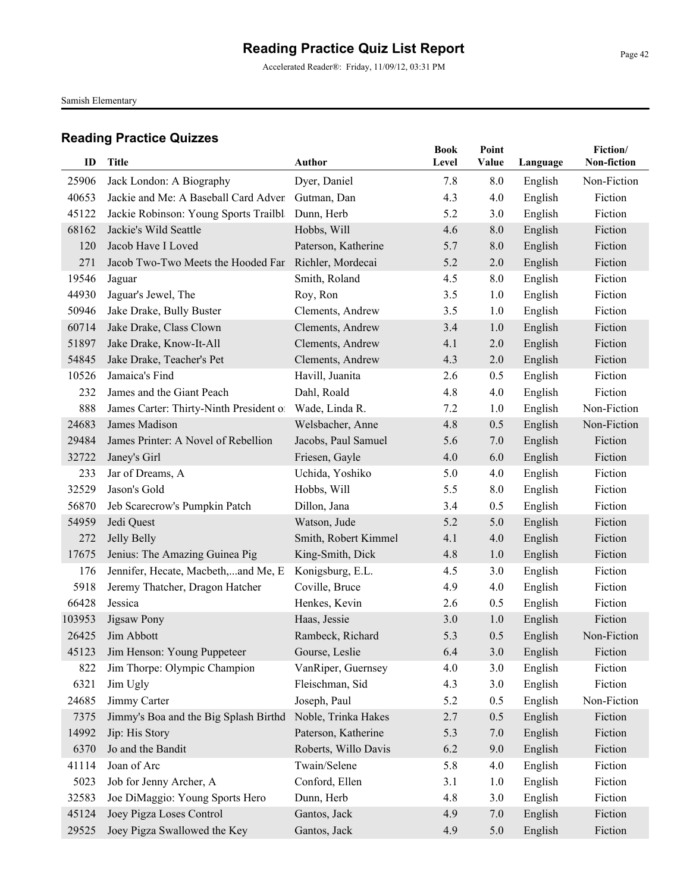Accelerated Reader®: Friday, 11/09/12, 03:31 PM

Samish Elementary

| ID     | Title                                            | Author               | <b>Book</b><br>Level | Point<br>Value | Language | Fiction/<br>Non-fiction |
|--------|--------------------------------------------------|----------------------|----------------------|----------------|----------|-------------------------|
| 25906  | Jack London: A Biography                         | Dyer, Daniel         | 7.8                  | 8.0            | English  | Non-Fiction             |
| 40653  | Jackie and Me: A Baseball Card Adven Gutman, Dan |                      | 4.3                  | 4.0            | English  | Fiction                 |
| 45122  | Jackie Robinson: Young Sports Trailbla           | Dunn, Herb           | 5.2                  | 3.0            | English  | Fiction                 |
| 68162  | Jackie's Wild Seattle                            | Hobbs, Will          | 4.6                  | 8.0            | English  | Fiction                 |
| 120    | Jacob Have I Loved                               | Paterson, Katherine  | 5.7                  | 8.0            | English  | Fiction                 |
| 271    | Jacob Two-Two Meets the Hooded Fan               | Richler, Mordecai    | 5.2                  | 2.0            | English  | Fiction                 |
| 19546  | Jaguar                                           | Smith, Roland        | 4.5                  | 8.0            | English  | Fiction                 |
| 44930  | Jaguar's Jewel, The                              | Roy, Ron             | 3.5                  | 1.0            | English  | Fiction                 |
| 50946  | Jake Drake, Bully Buster                         | Clements, Andrew     | 3.5                  | 1.0            | English  | Fiction                 |
| 60714  | Jake Drake, Class Clown                          | Clements, Andrew     | 3.4                  | 1.0            | English  | Fiction                 |
| 51897  | Jake Drake, Know-It-All                          | Clements, Andrew     | 4.1                  | 2.0            | English  | Fiction                 |
| 54845  | Jake Drake, Teacher's Pet                        | Clements, Andrew     | 4.3                  | 2.0            | English  | Fiction                 |
| 10526  | Jamaica's Find                                   | Havill, Juanita      | 2.6                  | 0.5            | English  | Fiction                 |
| 232    | James and the Giant Peach                        | Dahl, Roald          | 4.8                  | 4.0            | English  | Fiction                 |
| 888    | James Carter: Thirty-Ninth President of          | Wade, Linda R.       | 7.2                  | 1.0            | English  | Non-Fiction             |
| 24683  | James Madison                                    | Welsbacher, Anne     | 4.8                  | 0.5            | English  | Non-Fiction             |
| 29484  | James Printer: A Novel of Rebellion              | Jacobs, Paul Samuel  | 5.6                  | 7.0            | English  | Fiction                 |
| 32722  | Janey's Girl                                     | Friesen, Gayle       | 4.0                  | 6.0            | English  | Fiction                 |
| 233    | Jar of Dreams, A                                 | Uchida, Yoshiko      | 5.0                  | 4.0            | English  | Fiction                 |
| 32529  | Jason's Gold                                     | Hobbs, Will          | 5.5                  | 8.0            | English  | Fiction                 |
| 56870  | Jeb Scarecrow's Pumpkin Patch                    | Dillon, Jana         | 3.4                  | 0.5            | English  | Fiction                 |
| 54959  | Jedi Quest                                       | Watson, Jude         | 5.2                  | 5.0            | English  | Fiction                 |
| 272    | Jelly Belly                                      | Smith, Robert Kimmel | 4.1                  | 4.0            | English  | Fiction                 |
| 17675  | Jenius: The Amazing Guinea Pig                   | King-Smith, Dick     | 4.8                  | 1.0            | English  | Fiction                 |
| 176    | Jennifer, Hecate, Macbeth,and Me, E.             | Konigsburg, E.L.     | 4.5                  | 3.0            | English  | Fiction                 |
| 5918   | Jeremy Thatcher, Dragon Hatcher                  | Coville, Bruce       | 4.9                  | 4.0            | English  | Fiction                 |
| 66428  | Jessica                                          | Henkes, Kevin        | 2.6                  | 0.5            | English  | Fiction                 |
| 103953 | Jigsaw Pony                                      | Haas, Jessie         | 3.0                  | 1.0            | English  | Fiction                 |
| 26425  | Jim Abbott                                       | Rambeck, Richard     | 5.3                  | 0.5            | English  | Non-Fiction             |
| 45123  | Jim Henson: Young Puppeteer                      | Gourse, Leslie       | 6.4                  | 3.0            | English  | Fiction                 |
| 822    | Jim Thorpe: Olympic Champion                     | VanRiper, Guernsey   | 4.0                  | 3.0            | English  | Fiction                 |
| 6321   | Jim Ugly                                         | Fleischman, Sid      | 4.3                  | 3.0            | English  | Fiction                 |
| 24685  | Jimmy Carter                                     | Joseph, Paul         | 5.2                  | 0.5            | English  | Non-Fiction             |
| 7375   | Jimmy's Boa and the Big Splash Birthd            | Noble, Trinka Hakes  | 2.7                  | 0.5            | English  | Fiction                 |
| 14992  | Jip: His Story                                   | Paterson, Katherine  | 5.3                  | 7.0            | English  | Fiction                 |
| 6370   | Jo and the Bandit                                | Roberts, Willo Davis | 6.2                  | 9.0            | English  | Fiction                 |
| 41114  | Joan of Arc                                      | Twain/Selene         | 5.8                  | 4.0            | English  | Fiction                 |
| 5023   | Job for Jenny Archer, A                          | Conford, Ellen       | 3.1                  | 1.0            | English  | Fiction                 |
| 32583  | Joe DiMaggio: Young Sports Hero                  | Dunn, Herb           | 4.8                  | 3.0            | English  | Fiction                 |
| 45124  | Joey Pigza Loses Control                         | Gantos, Jack         | 4.9                  | 7.0            | English  | Fiction                 |
| 29525  | Joey Pigza Swallowed the Key                     | Gantos, Jack         | 4.9                  | 5.0            | English  | Fiction                 |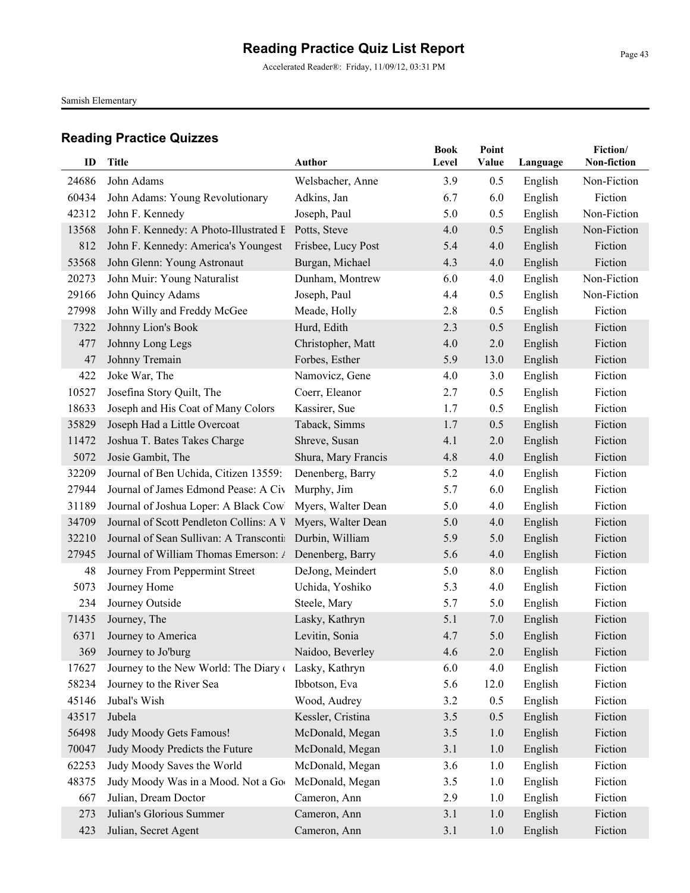Accelerated Reader®: Friday, 11/09/12, 03:31 PM

Samish Elementary

| ID    | <b>Title</b>                                             | Author              | <b>Book</b><br>Level | Point<br>Value | Language | Fiction/<br>Non-fiction |
|-------|----------------------------------------------------------|---------------------|----------------------|----------------|----------|-------------------------|
| 24686 | John Adams                                               | Welsbacher, Anne    | 3.9                  | 0.5            | English  | Non-Fiction             |
| 60434 | John Adams: Young Revolutionary                          | Adkins, Jan         | 6.7                  | 6.0            | English  | Fiction                 |
| 42312 | John F. Kennedy                                          | Joseph, Paul        | 5.0                  | 0.5            | English  | Non-Fiction             |
| 13568 | John F. Kennedy: A Photo-Illustrated E                   | Potts, Steve        | 4.0                  | 0.5            | English  | Non-Fiction             |
| 812   | John F. Kennedy: America's Youngest                      | Frisbee, Lucy Post  | 5.4                  | 4.0            | English  | Fiction                 |
| 53568 | John Glenn: Young Astronaut                              | Burgan, Michael     | 4.3                  | 4.0            | English  | Fiction                 |
| 20273 | John Muir: Young Naturalist                              | Dunham, Montrew     | 6.0                  | 4.0            | English  | Non-Fiction             |
| 29166 | John Quincy Adams                                        | Joseph, Paul        | 4.4                  | 0.5            | English  | Non-Fiction             |
| 27998 | John Willy and Freddy McGee                              | Meade, Holly        | 2.8                  | 0.5            | English  | Fiction                 |
| 7322  | Johnny Lion's Book                                       | Hurd, Edith         | 2.3                  | 0.5            | English  | Fiction                 |
| 477   | Johnny Long Legs                                         | Christopher, Matt   | 4.0                  | 2.0            | English  | Fiction                 |
| 47    | Johnny Tremain                                           | Forbes, Esther      | 5.9                  | 13.0           | English  | Fiction                 |
| 422   | Joke War, The                                            | Namovicz, Gene      | 4.0                  | 3.0            | English  | Fiction                 |
| 10527 | Josefina Story Quilt, The                                | Coerr, Eleanor      | 2.7                  | 0.5            | English  | Fiction                 |
| 18633 | Joseph and His Coat of Many Colors                       | Kassirer, Sue       | 1.7                  | 0.5            | English  | Fiction                 |
| 35829 | Joseph Had a Little Overcoat                             | Taback, Simms       | 1.7                  | 0.5            | English  | Fiction                 |
| 11472 | Joshua T. Bates Takes Charge                             | Shreve, Susan       | 4.1                  | 2.0            | English  | Fiction                 |
| 5072  | Josie Gambit, The                                        | Shura, Mary Francis | 4.8                  | 4.0            | English  | Fiction                 |
| 32209 | Journal of Ben Uchida, Citizen 13559:                    | Denenberg, Barry    | 5.2                  | 4.0            | English  | Fiction                 |
| 27944 | Journal of James Edmond Pease: A Civ                     | Murphy, Jim         | 5.7                  | 6.0            | English  | Fiction                 |
| 31189 | Journal of Joshua Loper: A Black Cowl Myers, Walter Dean |                     | 5.0                  | 4.0            | English  | Fiction                 |
| 34709 | Journal of Scott Pendleton Collins: A V                  | Myers, Walter Dean  | 5.0                  | 4.0            | English  | Fiction                 |
| 32210 | Journal of Sean Sullivan: A Transcontin Durbin, William  |                     | 5.9                  | 5.0            | English  | Fiction                 |
| 27945 | Journal of William Thomas Emerson: / Denenberg, Barry    |                     | 5.6                  | 4.0            | English  | Fiction                 |
| 48    | Journey From Peppermint Street                           | DeJong, Meindert    | 5.0                  | 8.0            | English  | Fiction                 |
| 5073  | Journey Home                                             | Uchida, Yoshiko     | 5.3                  | 4.0            | English  | Fiction                 |
| 234   | Journey Outside                                          | Steele, Mary        | 5.7                  | 5.0            | English  | Fiction                 |
| 71435 | Journey, The                                             | Lasky, Kathryn      | 5.1                  | 7.0            | English  | Fiction                 |
| 6371  | Journey to America                                       | Levitin, Sonia      | 4.7                  | 5.0            | English  | Fiction                 |
|       | 369 Journey to Jo'burg                                   | Naidoo, Beverley    | 4.6                  | 2.0            | English  | Fiction                 |
| 17627 | Journey to the New World: The Diary of                   | Lasky, Kathryn      | 6.0                  | 4.0            | English  | Fiction                 |
| 58234 | Journey to the River Sea                                 | Ibbotson, Eva       | 5.6                  | 12.0           | English  | Fiction                 |
| 45146 | Jubal's Wish                                             | Wood, Audrey        | 3.2                  | 0.5            | English  | Fiction                 |
| 43517 | Jubela                                                   | Kessler, Cristina   | 3.5                  | 0.5            | English  | Fiction                 |
| 56498 | Judy Moody Gets Famous!                                  | McDonald, Megan     | 3.5                  | 1.0            | English  | Fiction                 |
| 70047 | Judy Moody Predicts the Future                           | McDonald, Megan     | 3.1                  | 1.0            | English  | Fiction                 |
| 62253 | Judy Moody Saves the World                               | McDonald, Megan     | 3.6                  | 1.0            | English  | Fiction                 |
| 48375 | Judy Moody Was in a Mood. Not a Goo                      | McDonald, Megan     | 3.5                  | 1.0            | English  | Fiction                 |
| 667   | Julian, Dream Doctor                                     | Cameron, Ann        | 2.9                  | 1.0            | English  | Fiction                 |
| 273   | Julian's Glorious Summer                                 | Cameron, Ann        | 3.1                  | 1.0            | English  | Fiction                 |
| 423   | Julian, Secret Agent                                     | Cameron, Ann        | 3.1                  | 1.0            | English  | Fiction                 |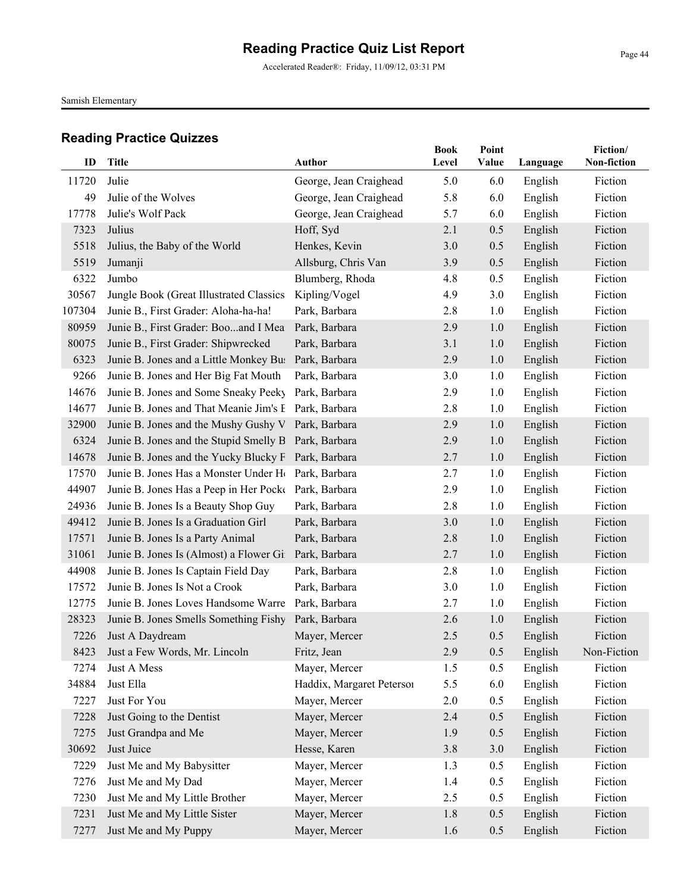Samish Elementary

| ID     | <b>Title</b>                                                   | <b>Author</b>             | <b>Book</b><br>Level | Point<br>Value | Language | Fiction/<br>Non-fiction |
|--------|----------------------------------------------------------------|---------------------------|----------------------|----------------|----------|-------------------------|
| 11720  | Julie                                                          | George, Jean Craighead    | 5.0                  | 6.0            | English  | Fiction                 |
| 49     | Julie of the Wolves                                            | George, Jean Craighead    | 5.8                  | 6.0            | English  | Fiction                 |
| 17778  | Julie's Wolf Pack                                              | George, Jean Craighead    | 5.7                  | 6.0            | English  | Fiction                 |
| 7323   | Julius                                                         | Hoff, Syd                 | 2.1                  | 0.5            | English  | Fiction                 |
| 5518   | Julius, the Baby of the World                                  | Henkes, Kevin             | 3.0                  | 0.5            | English  | Fiction                 |
| 5519   | Jumanji                                                        | Allsburg, Chris Van       | 3.9                  | 0.5            | English  | Fiction                 |
| 6322   | Jumbo                                                          | Blumberg, Rhoda           | 4.8                  | 0.5            | English  | Fiction                 |
| 30567  | Jungle Book (Great Illustrated Classics                        | Kipling/Vogel             | 4.9                  | 3.0            | English  | Fiction                 |
| 107304 | Junie B., First Grader: Aloha-ha-ha!                           | Park, Barbara             | 2.8                  | 1.0            | English  | Fiction                 |
| 80959  | Junie B., First Grader: Booand I Mea                           | Park, Barbara             | 2.9                  | 1.0            | English  | Fiction                 |
| 80075  | Junie B., First Grader: Shipwrecked                            | Park, Barbara             | 3.1                  | 1.0            | English  | Fiction                 |
| 6323   | Junie B. Jones and a Little Monkey Bus                         | Park, Barbara             | 2.9                  | 1.0            | English  | Fiction                 |
| 9266   | Junie B. Jones and Her Big Fat Mouth                           | Park, Barbara             | 3.0                  | 1.0            | English  | Fiction                 |
| 14676  | Junie B. Jones and Some Sneaky Peeky                           | Park, Barbara             | 2.9                  | 1.0            | English  | Fiction                 |
| 14677  | Junie B. Jones and That Meanie Jim's E Park, Barbara           |                           | 2.8                  | 1.0            | English  | Fiction                 |
| 32900  | Junie B. Jones and the Mushy Gushy V Park, Barbara             |                           | 2.9                  | 1.0            | English  | Fiction                 |
| 6324   | Junie B. Jones and the Stupid Smelly B Park, Barbara           |                           | 2.9                  | 1.0            | English  | Fiction                 |
| 14678  | Junie B. Jones and the Yucky Blucky F Park, Barbara            |                           | 2.7                  | 1.0            | English  | Fiction                 |
| 17570  | Junie B. Jones Has a Monster Under H <sub>(Park, Barbara</sub> |                           | 2.7                  | 1.0            | English  | Fiction                 |
| 44907  | Junie B. Jones Has a Peep in Her Pocke Park, Barbara           |                           | 2.9                  | 1.0            | English  | Fiction                 |
| 24936  | Junie B. Jones Is a Beauty Shop Guy                            | Park, Barbara             | 2.8                  | 1.0            | English  | Fiction                 |
| 49412  | Junie B. Jones Is a Graduation Girl                            | Park, Barbara             | 3.0                  | 1.0            | English  | Fiction                 |
| 17571  | Junie B. Jones Is a Party Animal                               | Park, Barbara             | 2.8                  | 1.0            | English  | Fiction                 |
| 31061  | Junie B. Jones Is (Almost) a Flower Gil Park, Barbara          |                           | 2.7                  | 1.0            | English  | Fiction                 |
| 44908  | Junie B. Jones Is Captain Field Day                            | Park, Barbara             | 2.8                  | 1.0            | English  | Fiction                 |
| 17572  | Junie B. Jones Is Not a Crook                                  | Park, Barbara             | 3.0                  | 1.0            | English  | Fiction                 |
| 12775  | Junie B. Jones Loves Handsome Warre                            | Park, Barbara             | 2.7                  | 1.0            | English  | Fiction                 |
| 28323  | Junie B. Jones Smells Something Fishy                          | Park, Barbara             | 2.6                  | 1.0            | English  | Fiction                 |
| 7226   | Just A Daydream                                                | Mayer, Mercer             | 2.5                  | 0.5            | English  | Fiction                 |
|        | 8423 Just a Few Words, Mr. Lincoln                             | Fritz, Jean               | 2.9                  | 0.5            | English  | Non-Fiction             |
| 7274   | Just A Mess                                                    | Mayer, Mercer             | 1.5                  | 0.5            | English  | Fiction                 |
| 34884  | Just Ella                                                      | Haddix, Margaret Peterson | 5.5                  | 6.0            | English  | Fiction                 |
| 7227   | Just For You                                                   | Mayer, Mercer             | 2.0                  | 0.5            | English  | Fiction                 |
| 7228   | Just Going to the Dentist                                      | Mayer, Mercer             | 2.4                  | 0.5            | English  | Fiction                 |
| 7275   | Just Grandpa and Me                                            | Mayer, Mercer             | 1.9                  | 0.5            | English  | Fiction                 |
| 30692  | Just Juice                                                     | Hesse, Karen              | 3.8                  | 3.0            | English  | Fiction                 |
| 7229   | Just Me and My Babysitter                                      | Mayer, Mercer             | 1.3                  | 0.5            | English  | Fiction                 |
| 7276   | Just Me and My Dad                                             | Mayer, Mercer             | 1.4                  | 0.5            | English  | Fiction                 |
| 7230   | Just Me and My Little Brother                                  | Mayer, Mercer             | 2.5                  | 0.5            | English  | Fiction                 |
| 7231   | Just Me and My Little Sister                                   | Mayer, Mercer             | 1.8                  | 0.5            | English  | Fiction                 |
| 7277   | Just Me and My Puppy                                           | Mayer, Mercer             | 1.6                  | 0.5            | English  | Fiction                 |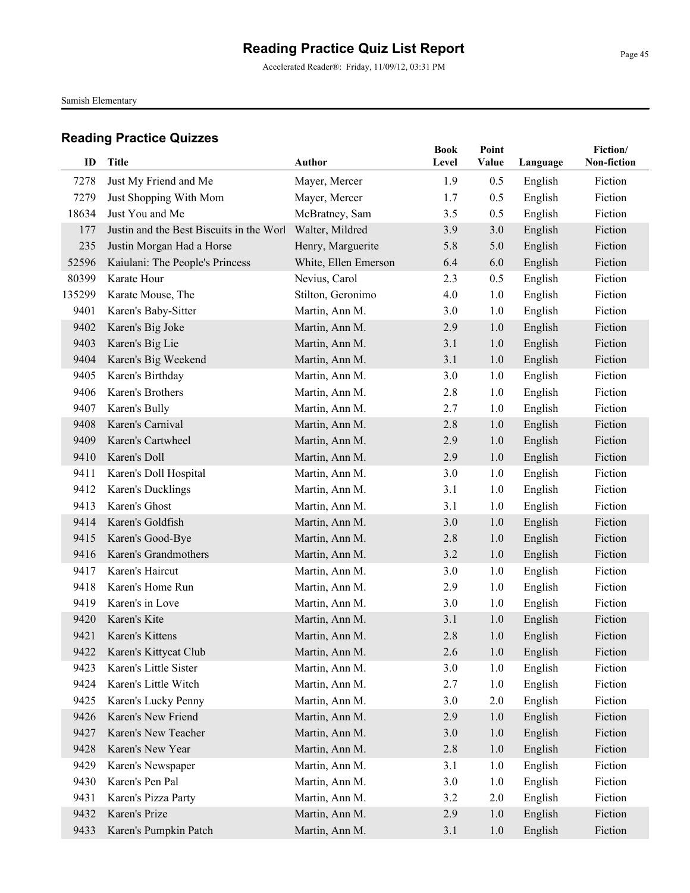Accelerated Reader®: Friday, 11/09/12, 03:31 PM

Samish Elementary

| ID     | <b>Title</b>                             | <b>Author</b>        | <b>Book</b><br>Level | Point<br>Value | Language | Fiction/<br>Non-fiction |
|--------|------------------------------------------|----------------------|----------------------|----------------|----------|-------------------------|
| 7278   | Just My Friend and Me                    | Mayer, Mercer        | 1.9                  | 0.5            | English  | Fiction                 |
| 7279   | Just Shopping With Mom                   | Mayer, Mercer        | 1.7                  | 0.5            | English  | Fiction                 |
| 18634  | Just You and Me                          | McBratney, Sam       | 3.5                  | 0.5            | English  | Fiction                 |
| 177    | Justin and the Best Biscuits in the Worl | Walter, Mildred      | 3.9                  | 3.0            | English  | Fiction                 |
| 235    | Justin Morgan Had a Horse                | Henry, Marguerite    | 5.8                  | 5.0            | English  | Fiction                 |
| 52596  | Kaiulani: The People's Princess          | White, Ellen Emerson | 6.4                  | 6.0            | English  | Fiction                 |
| 80399  | Karate Hour                              | Nevius, Carol        | 2.3                  | 0.5            | English  | Fiction                 |
| 135299 | Karate Mouse, The                        | Stilton, Geronimo    | 4.0                  | 1.0            | English  | Fiction                 |
| 9401   | Karen's Baby-Sitter                      | Martin, Ann M.       | 3.0                  | 1.0            | English  | Fiction                 |
| 9402   | Karen's Big Joke                         | Martin, Ann M.       | 2.9                  | 1.0            | English  | Fiction                 |
| 9403   | Karen's Big Lie                          | Martin, Ann M.       | 3.1                  | 1.0            | English  | Fiction                 |
| 9404   | Karen's Big Weekend                      | Martin, Ann M.       | 3.1                  | 1.0            | English  | Fiction                 |
| 9405   | Karen's Birthday                         | Martin, Ann M.       | 3.0                  | 1.0            | English  | Fiction                 |
| 9406   | Karen's Brothers                         | Martin, Ann M.       | 2.8                  | 1.0            | English  | Fiction                 |
| 9407   | Karen's Bully                            | Martin, Ann M.       | 2.7                  | 1.0            | English  | Fiction                 |
| 9408   | Karen's Carnival                         | Martin, Ann M.       | 2.8                  | 1.0            | English  | Fiction                 |
| 9409   | Karen's Cartwheel                        | Martin, Ann M.       | 2.9                  | 1.0            | English  | Fiction                 |
| 9410   | Karen's Doll                             | Martin, Ann M.       | 2.9                  | 1.0            | English  | Fiction                 |
| 9411   | Karen's Doll Hospital                    | Martin, Ann M.       | 3.0                  | 1.0            | English  | Fiction                 |
| 9412   | Karen's Ducklings                        | Martin, Ann M.       | 3.1                  | 1.0            | English  | Fiction                 |
| 9413   | Karen's Ghost                            | Martin, Ann M.       | 3.1                  | 1.0            | English  | Fiction                 |
| 9414   | Karen's Goldfish                         | Martin, Ann M.       | 3.0                  | 1.0            | English  | Fiction                 |
| 9415   | Karen's Good-Bye                         | Martin, Ann M.       | 2.8                  | 1.0            | English  | Fiction                 |
| 9416   | Karen's Grandmothers                     | Martin, Ann M.       | 3.2                  | 1.0            | English  | Fiction                 |
| 9417   | Karen's Haircut                          | Martin, Ann M.       | 3.0                  | 1.0            | English  | Fiction                 |
| 9418   | Karen's Home Run                         | Martin, Ann M.       | 2.9                  | 1.0            | English  | Fiction                 |
| 9419   | Karen's in Love                          | Martin, Ann M.       | 3.0                  | 1.0            | English  | Fiction                 |
| 9420   | Karen's Kite                             | Martin, Ann M.       | 3.1                  | 1.0            | English  | Fiction                 |
| 9421   | Karen's Kittens                          | Martin, Ann M.       | 2.8                  | 1.0            | English  | Fiction                 |
|        | 9422 Karen's Kittycat Club               | Martin, Ann M.       | 2.6                  | 1.0            | English  | Fiction                 |
| 9423   | Karen's Little Sister                    | Martin, Ann M.       | 3.0                  | 1.0            | English  | Fiction                 |
| 9424   | Karen's Little Witch                     | Martin, Ann M.       | 2.7                  | 1.0            | English  | Fiction                 |
| 9425   | Karen's Lucky Penny                      | Martin, Ann M.       | 3.0                  | 2.0            | English  | Fiction                 |
| 9426   | Karen's New Friend                       | Martin, Ann M.       | 2.9                  | 1.0            | English  | Fiction                 |
| 9427   | Karen's New Teacher                      | Martin, Ann M.       | 3.0                  | 1.0            | English  | Fiction                 |
| 9428   | Karen's New Year                         | Martin, Ann M.       | 2.8                  | 1.0            | English  | Fiction                 |
| 9429   | Karen's Newspaper                        | Martin, Ann M.       | 3.1                  | 1.0            | English  | Fiction                 |
| 9430   | Karen's Pen Pal                          | Martin, Ann M.       | 3.0                  | 1.0            | English  | Fiction                 |
| 9431   | Karen's Pizza Party                      | Martin, Ann M.       | 3.2                  | 2.0            | English  | Fiction                 |
| 9432   | Karen's Prize                            | Martin, Ann M.       | 2.9                  | 1.0            | English  | Fiction                 |
| 9433   | Karen's Pumpkin Patch                    | Martin, Ann M.       | 3.1                  | 1.0            | English  | Fiction                 |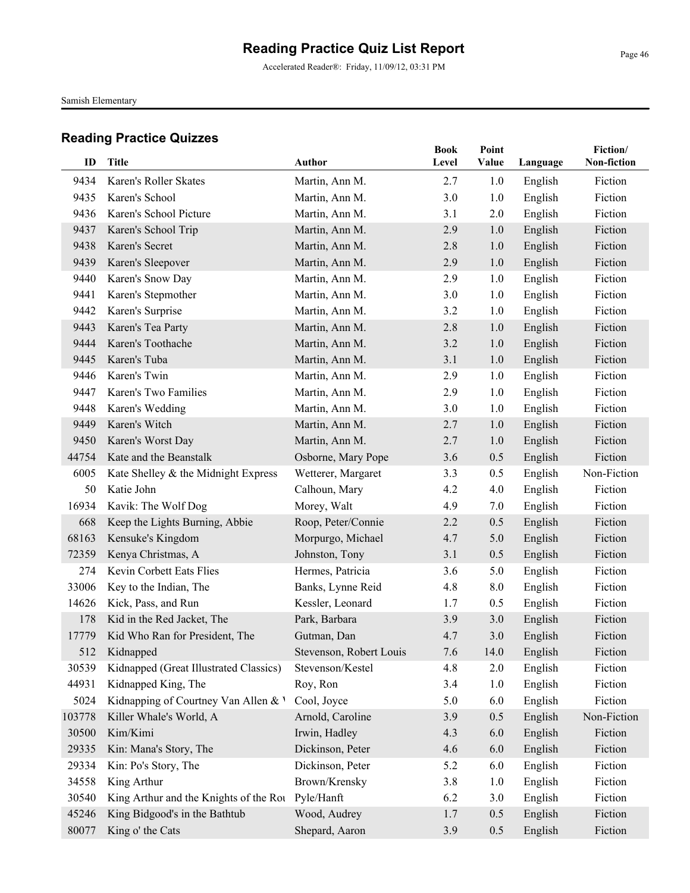Accelerated Reader®: Friday, 11/09/12, 03:31 PM

Samish Elementary

|        |                                        |                         | <b>Book</b> | Point |          | Fiction/    |
|--------|----------------------------------------|-------------------------|-------------|-------|----------|-------------|
| ID     | <b>Title</b>                           | Author                  | Level       | Value | Language | Non-fiction |
| 9434   | Karen's Roller Skates                  | Martin, Ann M.          | 2.7         | 1.0   | English  | Fiction     |
| 9435   | Karen's School                         | Martin, Ann M.          | 3.0         | 1.0   | English  | Fiction     |
| 9436   | Karen's School Picture                 | Martin, Ann M.          | 3.1         | 2.0   | English  | Fiction     |
| 9437   | Karen's School Trip                    | Martin, Ann M.          | 2.9         | 1.0   | English  | Fiction     |
| 9438   | Karen's Secret                         | Martin, Ann M.          | 2.8         | 1.0   | English  | Fiction     |
| 9439   | Karen's Sleepover                      | Martin, Ann M.          | 2.9         | 1.0   | English  | Fiction     |
| 9440   | Karen's Snow Day                       | Martin, Ann M.          | 2.9         | 1.0   | English  | Fiction     |
| 9441   | Karen's Stepmother                     | Martin, Ann M.          | 3.0         | 1.0   | English  | Fiction     |
| 9442   | Karen's Surprise                       | Martin, Ann M.          | 3.2         | 1.0   | English  | Fiction     |
| 9443   | Karen's Tea Party                      | Martin, Ann M.          | 2.8         | 1.0   | English  | Fiction     |
| 9444   | Karen's Toothache                      | Martin, Ann M.          | 3.2         | 1.0   | English  | Fiction     |
| 9445   | Karen's Tuba                           | Martin, Ann M.          | 3.1         | 1.0   | English  | Fiction     |
| 9446   | Karen's Twin                           | Martin, Ann M.          | 2.9         | 1.0   | English  | Fiction     |
| 9447   | Karen's Two Families                   | Martin, Ann M.          | 2.9         | 1.0   | English  | Fiction     |
| 9448   | Karen's Wedding                        | Martin, Ann M.          | 3.0         | 1.0   | English  | Fiction     |
| 9449   | Karen's Witch                          | Martin, Ann M.          | 2.7         | 1.0   | English  | Fiction     |
| 9450   | Karen's Worst Day                      | Martin, Ann M.          | 2.7         | 1.0   | English  | Fiction     |
| 44754  | Kate and the Beanstalk                 | Osborne, Mary Pope      | 3.6         | 0.5   | English  | Fiction     |
| 6005   | Kate Shelley & the Midnight Express    | Wetterer, Margaret      | 3.3         | 0.5   | English  | Non-Fiction |
| 50     | Katie John                             | Calhoun, Mary           | 4.2         | 4.0   | English  | Fiction     |
| 16934  | Kavik: The Wolf Dog                    | Morey, Walt             | 4.9         | 7.0   | English  | Fiction     |
| 668    | Keep the Lights Burning, Abbie         | Roop, Peter/Connie      | 2.2         | 0.5   | English  | Fiction     |
| 68163  | Kensuke's Kingdom                      | Morpurgo, Michael       | 4.7         | 5.0   | English  | Fiction     |
| 72359  | Kenya Christmas, A                     | Johnston, Tony          | 3.1         | 0.5   | English  | Fiction     |
| 274    | Kevin Corbett Eats Flies               | Hermes, Patricia        | 3.6         | 5.0   | English  | Fiction     |
| 33006  | Key to the Indian, The                 | Banks, Lynne Reid       | 4.8         | 8.0   | English  | Fiction     |
| 14626  | Kick, Pass, and Run                    | Kessler, Leonard        | 1.7         | 0.5   | English  | Fiction     |
| 178    | Kid in the Red Jacket, The             | Park, Barbara           | 3.9         | 3.0   | English  | Fiction     |
| 17779  | Kid Who Ran for President, The         | Gutman, Dan             | 4.7         | 3.0   | English  | Fiction     |
| 512    | Kidnapped                              | Stevenson, Robert Louis | 7.6         | 14.0  | English  | Fiction     |
| 30539  | Kidnapped (Great Illustrated Classics) | Stevenson/Kestel        | 4.8         | 2.0   | English  | Fiction     |
| 44931  | Kidnapped King, The                    | Roy, Ron                | 3.4         | 1.0   | English  | Fiction     |
| 5024   | Kidnapping of Courtney Van Allen & V   | Cool, Joyce             | 5.0         | 6.0   | English  | Fiction     |
| 103778 | Killer Whale's World, A                | Arnold, Caroline        | 3.9         | 0.5   | English  | Non-Fiction |
| 30500  | Kim/Kimi                               | Irwin, Hadley           | 4.3         | 6.0   | English  | Fiction     |
| 29335  | Kin: Mana's Story, The                 | Dickinson, Peter        | 4.6         | 6.0   | English  | Fiction     |
| 29334  | Kin: Po's Story, The                   | Dickinson, Peter        | 5.2         | 6.0   | English  | Fiction     |
| 34558  | King Arthur                            | Brown/Krensky           | 3.8         | 1.0   | English  | Fiction     |
| 30540  | King Arthur and the Knights of the Rou | Pyle/Hanft              | 6.2         | 3.0   | English  | Fiction     |
| 45246  | King Bidgood's in the Bathtub          | Wood, Audrey            | 1.7         | 0.5   | English  | Fiction     |
| 80077  | King o' the Cats                       | Shepard, Aaron          | 3.9         | 0.5   | English  | Fiction     |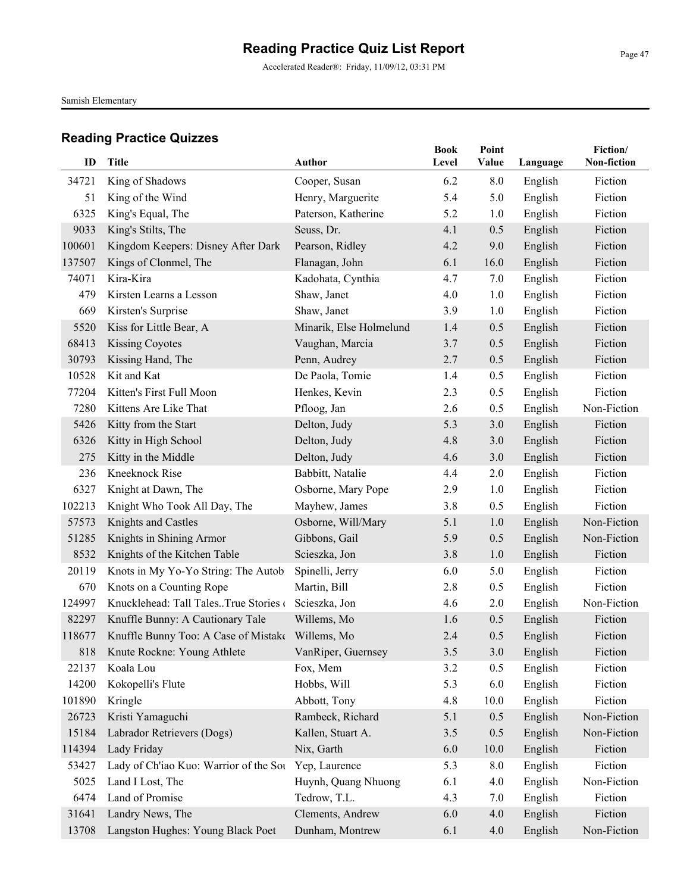Accelerated Reader®: Friday, 11/09/12, 03:31 PM

Samish Elementary

| ID     | <b>Title</b>                                     | Author                  | <b>Book</b><br>Level | Point<br><b>Value</b> | Language | Fiction/<br>Non-fiction |
|--------|--------------------------------------------------|-------------------------|----------------------|-----------------------|----------|-------------------------|
| 34721  | King of Shadows                                  | Cooper, Susan           | 6.2                  | 8.0                   | English  | Fiction                 |
| 51     | King of the Wind                                 | Henry, Marguerite       | 5.4                  | 5.0                   | English  | Fiction                 |
| 6325   | King's Equal, The                                | Paterson, Katherine     | 5.2                  | 1.0                   | English  | Fiction                 |
| 9033   | King's Stilts, The                               | Seuss, Dr.              | 4.1                  | 0.5                   | English  | Fiction                 |
| 100601 | Kingdom Keepers: Disney After Dark               | Pearson, Ridley         | 4.2                  | 9.0                   | English  | Fiction                 |
| 137507 | Kings of Clonmel, The                            | Flanagan, John          | 6.1                  | 16.0                  | English  | Fiction                 |
| 74071  | Kira-Kira                                        | Kadohata, Cynthia       | 4.7                  | 7.0                   | English  | Fiction                 |
| 479    | Kirsten Learns a Lesson                          | Shaw, Janet             | 4.0                  | 1.0                   | English  | Fiction                 |
| 669    | Kirsten's Surprise                               | Shaw, Janet             | 3.9                  | 1.0                   | English  | Fiction                 |
| 5520   | Kiss for Little Bear, A                          | Minarik, Else Holmelund | 1.4                  | 0.5                   | English  | Fiction                 |
| 68413  | <b>Kissing Coyotes</b>                           | Vaughan, Marcia         | 3.7                  | 0.5                   | English  | Fiction                 |
| 30793  | Kissing Hand, The                                | Penn, Audrey            | 2.7                  | 0.5                   | English  | Fiction                 |
| 10528  | Kit and Kat                                      | De Paola, Tomie         | 1.4                  | 0.5                   | English  | Fiction                 |
| 77204  | Kitten's First Full Moon                         | Henkes, Kevin           | 2.3                  | 0.5                   | English  | Fiction                 |
| 7280   | Kittens Are Like That                            | Pfloog, Jan             | 2.6                  | 0.5                   | English  | Non-Fiction             |
| 5426   | Kitty from the Start                             | Delton, Judy            | 5.3                  | 3.0                   | English  | Fiction                 |
| 6326   | Kitty in High School                             | Delton, Judy            | 4.8                  | 3.0                   | English  | Fiction                 |
| 275    | Kitty in the Middle                              | Delton, Judy            | 4.6                  | 3.0                   | English  | Fiction                 |
| 236    | <b>Kneeknock Rise</b>                            | Babbitt, Natalie        | 4.4                  | 2.0                   | English  | Fiction                 |
| 6327   | Knight at Dawn, The                              | Osborne, Mary Pope      | 2.9                  | 1.0                   | English  | Fiction                 |
| 102213 | Knight Who Took All Day, The                     | Mayhew, James           | 3.8                  | 0.5                   | English  | Fiction                 |
| 57573  | Knights and Castles                              | Osborne, Will/Mary      | 5.1                  | 1.0                   | English  | Non-Fiction             |
| 51285  | Knights in Shining Armor                         | Gibbons, Gail           | 5.9                  | 0.5                   | English  | Non-Fiction             |
| 8532   | Knights of the Kitchen Table                     | Scieszka, Jon           | 3.8                  | 1.0                   | English  | Fiction                 |
| 20119  | Knots in My Yo-Yo String: The Autob:             | Spinelli, Jerry         | 6.0                  | 5.0                   | English  | Fiction                 |
| 670    | Knots on a Counting Rope                         | Martin, Bill            | 2.8                  | 0.5                   | English  | Fiction                 |
| 124997 | Knucklehead: Tall TalesTrue Stories of           | Scieszka, Jon           | 4.6                  | 2.0                   | English  | Non-Fiction             |
| 82297  | Knuffle Bunny: A Cautionary Tale                 | Willems, Mo             | 1.6                  | 0.5                   | English  | Fiction                 |
| 118677 | Knuffle Bunny Too: A Case of Mistake Willems, Mo |                         | 2.4                  | 0.5                   | English  | Fiction                 |
| 818    | Knute Rockne: Young Athlete                      | VanRiper, Guernsey      | 3.5                  | 3.0                   | English  | Fiction                 |
| 22137  | Koala Lou                                        | Fox, Mem                | 3.2                  | 0.5                   | English  | Fiction                 |
| 14200  | Kokopelli's Flute                                | Hobbs, Will             | 5.3                  | 6.0                   | English  | Fiction                 |
| 101890 | Kringle                                          | Abbott, Tony            | 4.8                  | 10.0                  | English  | Fiction                 |
| 26723  | Kristi Yamaguchi                                 | Rambeck, Richard        | 5.1                  | 0.5                   | English  | Non-Fiction             |
| 15184  | Labrador Retrievers (Dogs)                       | Kallen, Stuart A.       | 3.5                  | 0.5                   | English  | Non-Fiction             |
| 114394 | Lady Friday                                      | Nix, Garth              | 6.0                  | 10.0                  | English  | Fiction                 |
| 53427  | Lady of Ch'iao Kuo: Warrior of the Sou           | Yep, Laurence           | 5.3                  | 8.0                   | English  | Fiction                 |
| 5025   | Land I Lost, The                                 | Huynh, Quang Nhuong     | 6.1                  | 4.0                   | English  | Non-Fiction             |
| 6474   | Land of Promise                                  | Tedrow, T.L.            | 4.3                  | 7.0                   | English  | Fiction                 |
| 31641  | Landry News, The                                 | Clements, Andrew        | 6.0                  | 4.0                   | English  | Fiction                 |
| 13708  | Langston Hughes: Young Black Poet                | Dunham, Montrew         | 6.1                  | 4.0                   | English  | Non-Fiction             |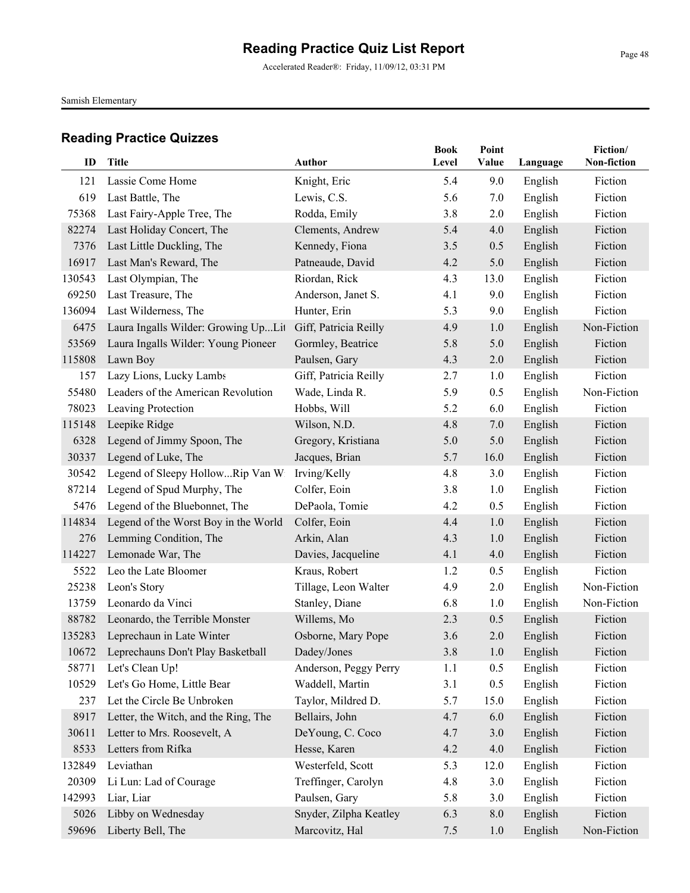Accelerated Reader®: Friday, 11/09/12, 03:31 PM

Samish Elementary

| ID     | Title                                   | <b>Author</b>          | <b>Book</b><br>Level | Point<br>Value | Language | Fiction/<br>Non-fiction |
|--------|-----------------------------------------|------------------------|----------------------|----------------|----------|-------------------------|
| 121    | Lassie Come Home                        | Knight, Eric           | 5.4                  | 9.0            | English  | Fiction                 |
| 619    | Last Battle, The                        | Lewis, C.S.            | 5.6                  | 7.0            | English  | Fiction                 |
| 75368  | Last Fairy-Apple Tree, The              | Rodda, Emily           | 3.8                  | 2.0            | English  | Fiction                 |
| 82274  | Last Holiday Concert, The               | Clements, Andrew       | 5.4                  | 4.0            | English  | Fiction                 |
| 7376   | Last Little Duckling, The               | Kennedy, Fiona         | 3.5                  | 0.5            | English  | Fiction                 |
| 16917  | Last Man's Reward, The                  | Patneaude, David       | 4.2                  | 5.0            | English  | Fiction                 |
| 130543 | Last Olympian, The                      | Riordan, Rick          | 4.3                  | 13.0           | English  | Fiction                 |
| 69250  | Last Treasure, The                      | Anderson, Janet S.     | 4.1                  | 9.0            | English  | Fiction                 |
| 136094 | Last Wilderness, The                    | Hunter, Erin           | 5.3                  | 9.0            | English  | Fiction                 |
| 6475   | Laura Ingalls Wilder: Growing UpLit     | Giff, Patricia Reilly  | 4.9                  | 1.0            | English  | Non-Fiction             |
| 53569  | Laura Ingalls Wilder: Young Pioneer     | Gormley, Beatrice      | 5.8                  | 5.0            | English  | Fiction                 |
| 115808 | Lawn Boy                                | Paulsen, Gary          | 4.3                  | 2.0            | English  | Fiction                 |
| 157    | Lazy Lions, Lucky Lambs                 | Giff, Patricia Reilly  | 2.7                  | 1.0            | English  | Fiction                 |
| 55480  | Leaders of the American Revolution      | Wade, Linda R.         | 5.9                  | 0.5            | English  | Non-Fiction             |
| 78023  | Leaving Protection                      | Hobbs, Will            | 5.2                  | 6.0            | English  | Fiction                 |
| 115148 | Leepike Ridge                           | Wilson, N.D.           | 4.8                  | 7.0            | English  | Fiction                 |
| 6328   | Legend of Jimmy Spoon, The              | Gregory, Kristiana     | 5.0                  | 5.0            | English  | Fiction                 |
| 30337  | Legend of Luke, The                     | Jacques, Brian         | 5.7                  | 16.0           | English  | Fiction                 |
| 30542  | Legend of Sleepy HollowRip Van Wi       | Irving/Kelly           | 4.8                  | 3.0            | English  | Fiction                 |
| 87214  | Legend of Spud Murphy, The              | Colfer, Eoin           | 3.8                  | 1.0            | English  | Fiction                 |
| 5476   | Legend of the Bluebonnet, The           | DePaola, Tomie         | 4.2                  | 0.5            | English  | Fiction                 |
| 114834 | Legend of the Worst Boy in the World    | Colfer, Eoin           | 4.4                  | 1.0            | English  | Fiction                 |
| 276    | Lemming Condition, The                  | Arkin, Alan            | 4.3                  | 1.0            | English  | Fiction                 |
| 114227 | Lemonade War, The                       | Davies, Jacqueline     | 4.1                  | 4.0            | English  | Fiction                 |
| 5522   | Leo the Late Bloomer                    | Kraus, Robert          | 1.2                  | 0.5            | English  | Fiction                 |
| 25238  | Leon's Story                            | Tillage, Leon Walter   | 4.9                  | 2.0            | English  | Non-Fiction             |
| 13759  | Leonardo da Vinci                       | Stanley, Diane         | 6.8                  | 1.0            | English  | Non-Fiction             |
| 88782  | Leonardo, the Terrible Monster          | Willems, Mo            | 2.3                  | 0.5            | English  | Fiction                 |
| 135283 | Leprechaun in Late Winter               | Osborne, Mary Pope     | 3.6                  | 2.0            | English  | Fiction                 |
|        | 10672 Leprechauns Don't Play Basketball | Dadey/Jones            | 3.8                  | 1.0            | English  | Fiction                 |
| 58771  | Let's Clean Up!                         | Anderson, Peggy Perry  | 1.1                  | 0.5            | English  | Fiction                 |
| 10529  | Let's Go Home, Little Bear              | Waddell, Martin        | 3.1                  | 0.5            | English  | Fiction                 |
| 237    | Let the Circle Be Unbroken              | Taylor, Mildred D.     | 5.7                  | 15.0           | English  | Fiction                 |
| 8917   | Letter, the Witch, and the Ring, The    | Bellairs, John         | 4.7                  | 6.0            | English  | Fiction                 |
| 30611  | Letter to Mrs. Roosevelt, A             | DeYoung, C. Coco       | 4.7                  | 3.0            | English  | Fiction                 |
| 8533   | Letters from Rifka                      | Hesse, Karen           | 4.2                  | 4.0            | English  | Fiction                 |
| 132849 | Leviathan                               | Westerfeld, Scott      | 5.3                  | 12.0           | English  | Fiction                 |
| 20309  | Li Lun: Lad of Courage                  | Treffinger, Carolyn    | 4.8                  | 3.0            | English  | Fiction                 |
| 142993 | Liar, Liar                              | Paulsen, Gary          | 5.8                  | 3.0            | English  | Fiction                 |
| 5026   | Libby on Wednesday                      | Snyder, Zilpha Keatley | 6.3                  | 8.0            | English  | Fiction                 |
| 59696  | Liberty Bell, The                       | Marcovitz, Hal         | 7.5                  | 1.0            | English  | Non-Fiction             |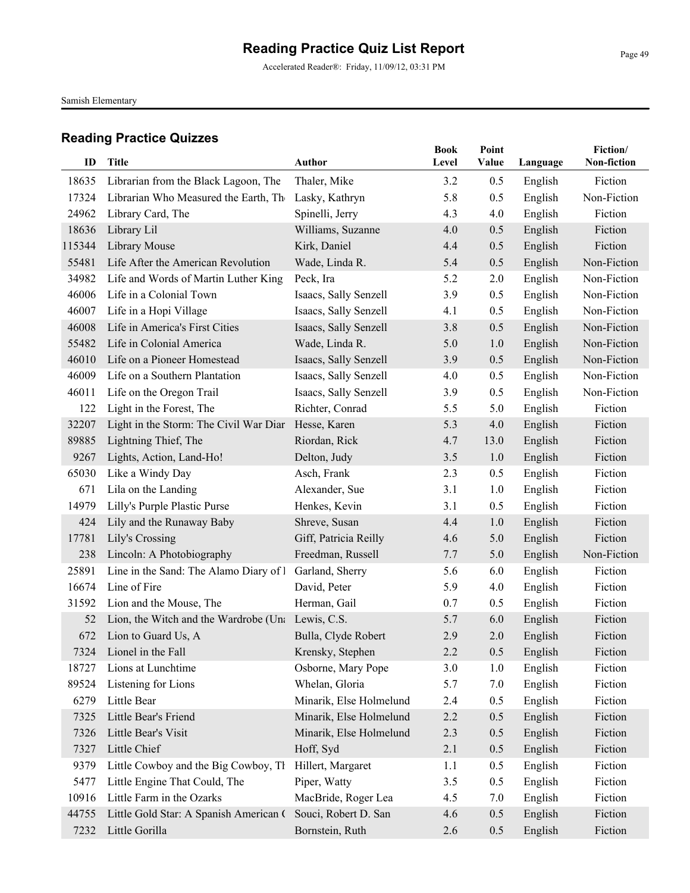Accelerated Reader®: Friday, 11/09/12, 03:31 PM

Samish Elementary

| ID     | <b>Title</b>                                      | <b>Author</b>           | <b>Book</b><br>Level | Point<br>Value | Language | Fiction/<br>Non-fiction |
|--------|---------------------------------------------------|-------------------------|----------------------|----------------|----------|-------------------------|
| 18635  | Librarian from the Black Lagoon, The              | Thaler, Mike            | 3.2                  | 0.5            | English  | Fiction                 |
| 17324  | Librarian Who Measured the Earth, The             | Lasky, Kathryn          | 5.8                  | 0.5            | English  | Non-Fiction             |
| 24962  | Library Card, The                                 | Spinelli, Jerry         | 4.3                  | 4.0            | English  | Fiction                 |
| 18636  | Library Lil                                       | Williams, Suzanne       | 4.0                  | 0.5            | English  | Fiction                 |
| 115344 | Library Mouse                                     | Kirk, Daniel            | 4.4                  | 0.5            | English  | Fiction                 |
| 55481  | Life After the American Revolution                | Wade, Linda R.          | 5.4                  | 0.5            | English  | Non-Fiction             |
| 34982  | Life and Words of Martin Luther King              | Peck, Ira               | 5.2                  | 2.0            | English  | Non-Fiction             |
| 46006  | Life in a Colonial Town                           | Isaacs, Sally Senzell   | 3.9                  | 0.5            | English  | Non-Fiction             |
| 46007  | Life in a Hopi Village                            | Isaacs, Sally Senzell   | 4.1                  | 0.5            | English  | Non-Fiction             |
| 46008  | Life in America's First Cities                    | Isaacs, Sally Senzell   | 3.8                  | 0.5            | English  | Non-Fiction             |
| 55482  | Life in Colonial America                          | Wade, Linda R.          | 5.0                  | 1.0            | English  | Non-Fiction             |
| 46010  | Life on a Pioneer Homestead                       | Isaacs, Sally Senzell   | 3.9                  | 0.5            | English  | Non-Fiction             |
| 46009  | Life on a Southern Plantation                     | Isaacs, Sally Senzell   | 4.0                  | 0.5            | English  | Non-Fiction             |
| 46011  | Life on the Oregon Trail                          | Isaacs, Sally Senzell   | 3.9                  | 0.5            | English  | Non-Fiction             |
| 122    | Light in the Forest, The                          | Richter, Conrad         | 5.5                  | 5.0            | English  | Fiction                 |
| 32207  | Light in the Storm: The Civil War Diar            | Hesse, Karen            | 5.3                  | 4.0            | English  | Fiction                 |
| 89885  | Lightning Thief, The                              | Riordan, Rick           | 4.7                  | 13.0           | English  | Fiction                 |
| 9267   | Lights, Action, Land-Ho!                          | Delton, Judy            | 3.5                  | 1.0            | English  | Fiction                 |
| 65030  | Like a Windy Day                                  | Asch, Frank             | 2.3                  | 0.5            | English  | Fiction                 |
| 671    | Lila on the Landing                               | Alexander, Sue          | 3.1                  | 1.0            | English  | Fiction                 |
| 14979  | Lilly's Purple Plastic Purse                      | Henkes, Kevin           | 3.1                  | 0.5            | English  | Fiction                 |
| 424    | Lily and the Runaway Baby                         | Shreve, Susan           | 4.4                  | 1.0            | English  | Fiction                 |
| 17781  | Lily's Crossing                                   | Giff, Patricia Reilly   | 4.6                  | 5.0            | English  | Fiction                 |
| 238    | Lincoln: A Photobiography                         | Freedman, Russell       | 7.7                  | 5.0            | English  | Non-Fiction             |
| 25891  | Line in the Sand: The Alamo Diary of I            | Garland, Sherry         | 5.6                  | 6.0            | English  | Fiction                 |
| 16674  | Line of Fire                                      | David, Peter            | 5.9                  | 4.0            | English  | Fiction                 |
| 31592  | Lion and the Mouse, The                           | Herman, Gail            | 0.7                  | 0.5            | English  | Fiction                 |
| 52     | Lion, the Witch and the Wardrobe (Una Lewis, C.S. |                         | 5.7                  | 6.0            | English  | Fiction                 |
| 672    | Lion to Guard Us, A                               | Bulla, Clyde Robert     | 2.9                  | 2.0            | English  | Fiction                 |
| 7324   | Lionel in the Fall                                | Krensky, Stephen        | 2.2                  | 0.5            | English  | Fiction                 |
| 18727  | Lions at Lunchtime                                | Osborne, Mary Pope      | 3.0                  | 1.0            | English  | Fiction                 |
| 89524  | Listening for Lions                               | Whelan, Gloria          | 5.7                  | 7.0            | English  | Fiction                 |
| 6279   | Little Bear                                       | Minarik, Else Holmelund | 2.4                  | 0.5            | English  | Fiction                 |
| 7325   | Little Bear's Friend                              | Minarik, Else Holmelund | 2.2                  | 0.5            | English  | Fiction                 |
| 7326   | Little Bear's Visit                               | Minarik, Else Holmelund | 2.3                  | 0.5            | English  | Fiction                 |
| 7327   | Little Chief                                      | Hoff, Syd               | 2.1                  | 0.5            | English  | Fiction                 |
| 9379   | Little Cowboy and the Big Cowboy, Th              | Hillert, Margaret       | 1.1                  | 0.5            | English  | Fiction                 |
| 5477   | Little Engine That Could, The                     | Piper, Watty            | 3.5                  | 0.5            | English  | Fiction                 |
| 10916  | Little Farm in the Ozarks                         | MacBride, Roger Lea     | 4.5                  | 7.0            | English  | Fiction                 |
| 44755  | Little Gold Star: A Spanish American (            | Souci, Robert D. San    | 4.6                  | 0.5            | English  | Fiction                 |
| 7232   | Little Gorilla                                    | Bornstein, Ruth         | 2.6                  | 0.5            | English  | Fiction                 |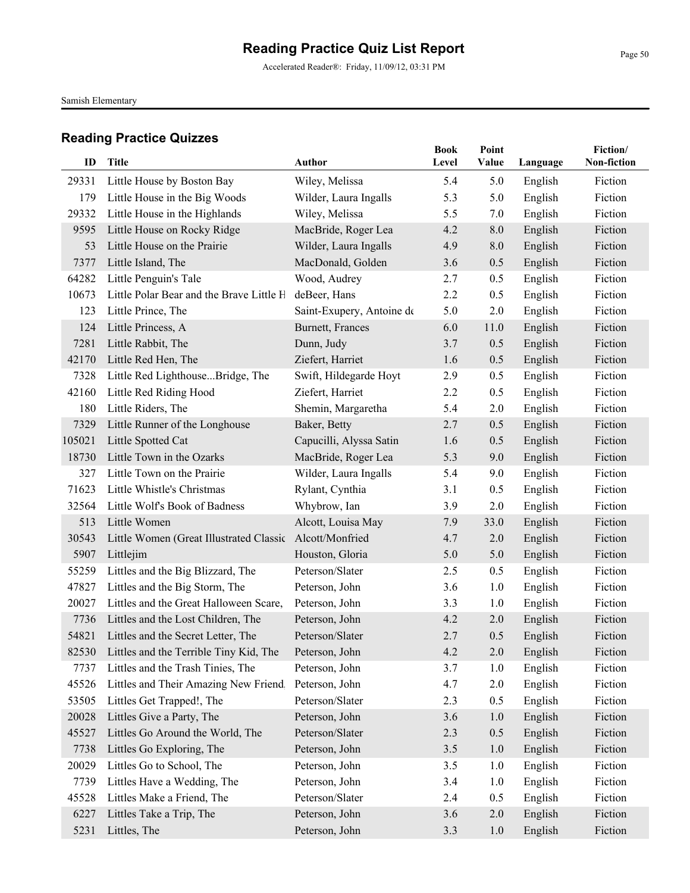Accelerated Reader®: Friday, 11/09/12, 03:31 PM

Samish Elementary

| ID     | Title                                        | Author                    | <b>Book</b><br>Level | Point<br>Value | Language | Fiction/<br>Non-fiction |
|--------|----------------------------------------------|---------------------------|----------------------|----------------|----------|-------------------------|
| 29331  | Little House by Boston Bay                   | Wiley, Melissa            | 5.4                  | 5.0            | English  | Fiction                 |
| 179    | Little House in the Big Woods                | Wilder, Laura Ingalls     | 5.3                  | 5.0            | English  | Fiction                 |
| 29332  | Little House in the Highlands                | Wiley, Melissa            | 5.5                  | 7.0            | English  | Fiction                 |
| 9595   | Little House on Rocky Ridge                  | MacBride, Roger Lea       | 4.2                  | 8.0            | English  | Fiction                 |
| 53     | Little House on the Prairie                  | Wilder, Laura Ingalls     | 4.9                  | 8.0            | English  | Fiction                 |
| 7377   | Little Island, The                           | MacDonald, Golden         | 3.6                  | 0.5            | English  | Fiction                 |
| 64282  | Little Penguin's Tale                        | Wood, Audrey              | 2.7                  | 0.5            | English  | Fiction                 |
| 10673  | Little Polar Bear and the Brave Little H     | deBeer, Hans              | 2.2                  | 0.5            | English  | Fiction                 |
| 123    | Little Prince, The                           | Saint-Exupery, Antoine de | 5.0                  | 2.0            | English  | Fiction                 |
| 124    | Little Princess, A                           | Burnett, Frances          | 6.0                  | 11.0           | English  | Fiction                 |
| 7281   | Little Rabbit, The                           | Dunn, Judy                | 3.7                  | 0.5            | English  | Fiction                 |
| 42170  | Little Red Hen, The                          | Ziefert, Harriet          | 1.6                  | 0.5            | English  | Fiction                 |
| 7328   | Little Red LighthouseBridge, The             | Swift, Hildegarde Hoyt    | 2.9                  | 0.5            | English  | Fiction                 |
| 42160  | Little Red Riding Hood                       | Ziefert, Harriet          | 2.2                  | 0.5            | English  | Fiction                 |
| 180    | Little Riders, The                           | Shemin, Margaretha        | 5.4                  | 2.0            | English  | Fiction                 |
| 7329   | Little Runner of the Longhouse               | Baker, Betty              | 2.7                  | 0.5            | English  | Fiction                 |
| 105021 | Little Spotted Cat                           | Capucilli, Alyssa Satin   | 1.6                  | 0.5            | English  | Fiction                 |
| 18730  | Little Town in the Ozarks                    | MacBride, Roger Lea       | 5.3                  | 9.0            | English  | Fiction                 |
| 327    | Little Town on the Prairie                   | Wilder, Laura Ingalls     | 5.4                  | 9.0            | English  | Fiction                 |
| 71623  | Little Whistle's Christmas                   | Rylant, Cynthia           | 3.1                  | 0.5            | English  | Fiction                 |
| 32564  | Little Wolf's Book of Badness                | Whybrow, Ian              | 3.9                  | 2.0            | English  | Fiction                 |
| 513    | Little Women                                 | Alcott, Louisa May        | 7.9                  | 33.0           | English  | Fiction                 |
| 30543  | Little Women (Great Illustrated Classic      | Alcott/Monfried           | 4.7                  | 2.0            | English  | Fiction                 |
| 5907   | Littlejim                                    | Houston, Gloria           | 5.0                  | 5.0            | English  | Fiction                 |
| 55259  | Littles and the Big Blizzard, The            | Peterson/Slater           | 2.5                  | 0.5            | English  | Fiction                 |
| 47827  | Littles and the Big Storm, The               | Peterson, John            | 3.6                  | 1.0            | English  | Fiction                 |
| 20027  | Littles and the Great Halloween Scare,       | Peterson, John            | 3.3                  | 1.0            | English  | Fiction                 |
| 7736   | Littles and the Lost Children, The           | Peterson, John            | 4.2                  | 2.0            | English  | Fiction                 |
| 54821  | Littles and the Secret Letter, The           | Peterson/Slater           | 2.7                  | 0.5            | English  | Fiction                 |
|        | 82530 Littles and the Terrible Tiny Kid, The | Peterson, John            | 4.2                  | 2.0            | English  | Fiction                 |
| 7737   | Littles and the Trash Tinies, The            | Peterson, John            | 3.7                  | 1.0            | English  | Fiction                 |
| 45526  | Littles and Their Amazing New Friend.        | Peterson, John            | 4.7                  | 2.0            | English  | Fiction                 |
| 53505  | Littles Get Trapped!, The                    | Peterson/Slater           | 2.3                  | 0.5            | English  | Fiction                 |
| 20028  | Littles Give a Party, The                    | Peterson, John            | 3.6                  | 1.0            | English  | Fiction                 |
| 45527  | Littles Go Around the World, The             | Peterson/Slater           | 2.3                  | 0.5            | English  | Fiction                 |
| 7738   | Littles Go Exploring, The                    | Peterson, John            | 3.5                  | $1.0$          | English  | Fiction                 |
| 20029  | Littles Go to School, The                    | Peterson, John            | 3.5                  | 1.0            | English  | Fiction                 |
| 7739   | Littles Have a Wedding, The                  | Peterson, John            | 3.4                  | 1.0            | English  | Fiction                 |
| 45528  | Littles Make a Friend, The                   | Peterson/Slater           | 2.4                  | 0.5            | English  | Fiction                 |
| 6227   | Littles Take a Trip, The                     | Peterson, John            | 3.6                  | 2.0            | English  | Fiction                 |
| 5231   | Littles, The                                 | Peterson, John            | 3.3                  | 1.0            | English  | Fiction                 |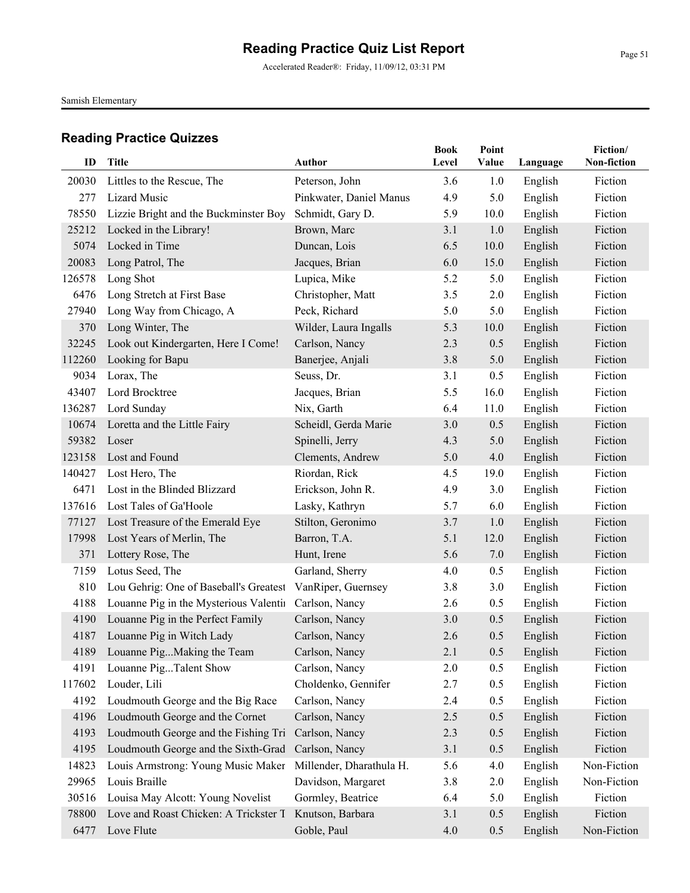Accelerated Reader®: Friday, 11/09/12, 03:31 PM

Samish Elementary

| ID     | Title                                             | <b>Author</b>                             | <b>Book</b><br>Level | Point<br>Value | Language           | Fiction/<br>Non-fiction |
|--------|---------------------------------------------------|-------------------------------------------|----------------------|----------------|--------------------|-------------------------|
| 20030  |                                                   |                                           | 3.6                  |                |                    | Fiction                 |
| 277    | Littles to the Rescue, The<br><b>Lizard Music</b> | Peterson, John<br>Pinkwater, Daniel Manus | 4.9                  | 1.0<br>5.0     | English<br>English | Fiction                 |
| 78550  | Lizzie Bright and the Buckminster Boy             | Schmidt, Gary D.                          | 5.9                  | 10.0           | English            | Fiction                 |
| 25212  | Locked in the Library!                            | Brown, Marc                               | 3.1                  | 1.0            | English            | Fiction                 |
| 5074   | Locked in Time                                    | Duncan, Lois                              | 6.5                  | 10.0           | English            | Fiction                 |
| 20083  | Long Patrol, The                                  | Jacques, Brian                            | 6.0                  | 15.0           | English            | Fiction                 |
| 126578 | Long Shot                                         | Lupica, Mike                              | 5.2                  | 5.0            | English            | Fiction                 |
| 6476   | Long Stretch at First Base                        | Christopher, Matt                         | 3.5                  | 2.0            | English            | Fiction                 |
| 27940  | Long Way from Chicago, A                          | Peck, Richard                             | 5.0                  | 5.0            | English            | Fiction                 |
| 370    | Long Winter, The                                  | Wilder, Laura Ingalls                     | 5.3                  | 10.0           | English            | Fiction                 |
| 32245  | Look out Kindergarten, Here I Come!               | Carlson, Nancy                            | 2.3                  | 0.5            | English            | Fiction                 |
| 112260 | Looking for Bapu                                  | Banerjee, Anjali                          | 3.8                  | 5.0            | English            | Fiction                 |
| 9034   | Lorax, The                                        | Seuss, Dr.                                | 3.1                  | 0.5            | English            | Fiction                 |
| 43407  | Lord Brocktree                                    | Jacques, Brian                            | 5.5                  | 16.0           | English            | Fiction                 |
| 136287 | Lord Sunday                                       | Nix, Garth                                | 6.4                  | 11.0           | English            | Fiction                 |
| 10674  | Loretta and the Little Fairy                      | Scheidl, Gerda Marie                      | 3.0                  | 0.5            | English            | Fiction                 |
| 59382  | Loser                                             | Spinelli, Jerry                           | 4.3                  | 5.0            | English            | Fiction                 |
| 123158 | Lost and Found                                    | Clements, Andrew                          | 5.0                  | 4.0            | English            | Fiction                 |
| 140427 | Lost Hero, The                                    | Riordan, Rick                             | 4.5                  | 19.0           | English            | Fiction                 |
| 6471   | Lost in the Blinded Blizzard                      | Erickson, John R.                         | 4.9                  | 3.0            | English            | Fiction                 |
| 137616 | Lost Tales of Ga'Hoole                            | Lasky, Kathryn                            | 5.7                  | 6.0            | English            | Fiction                 |
| 77127  | Lost Treasure of the Emerald Eye                  | Stilton, Geronimo                         | 3.7                  | 1.0            | English            | Fiction                 |
| 17998  | Lost Years of Merlin, The                         | Barron, T.A.                              | 5.1                  | 12.0           | English            | Fiction                 |
| 371    | Lottery Rose, The                                 | Hunt, Irene                               | 5.6                  | 7.0            | English            | Fiction                 |
| 7159   | Lotus Seed, The                                   | Garland, Sherry                           | 4.0                  | 0.5            | English            | Fiction                 |
| 810    | Lou Gehrig: One of Baseball's Greatest            | VanRiper, Guernsey                        | 3.8                  | 3.0            | English            | Fiction                 |
| 4188   | Louanne Pig in the Mysterious Valentii            | Carlson, Nancy                            | 2.6                  | 0.5            | English            | Fiction                 |
| 4190   | Louanne Pig in the Perfect Family                 | Carlson, Nancy                            | 3.0                  | 0.5            | English            | Fiction                 |
| 4187   | Louanne Pig in Witch Lady                         | Carlson, Nancy                            | 2.6                  | 0.5            | English            | Fiction                 |
|        | 4189 Louanne PigMaking the Team                   | Carlson, Nancy                            | 2.1                  | 0.5            | English            | Fiction                 |
| 4191   | Louanne PigTalent Show                            | Carlson, Nancy                            | 2.0                  | 0.5            | English            | Fiction                 |
| 117602 | Louder, Lili                                      | Choldenko, Gennifer                       | 2.7                  | 0.5            | English            | Fiction                 |
| 4192   | Loudmouth George and the Big Race                 | Carlson, Nancy                            | 2.4                  | 0.5            | English            | Fiction                 |
| 4196   | Loudmouth George and the Cornet                   | Carlson, Nancy                            | 2.5                  | 0.5            | English            | Fiction                 |
| 4193   | Loudmouth George and the Fishing Tri              | Carlson, Nancy                            | 2.3                  | 0.5            | English            | Fiction                 |
| 4195   | Loudmouth George and the Sixth-Grad               | Carlson, Nancy                            | 3.1                  | 0.5            | English            | Fiction                 |
| 14823  | Louis Armstrong: Young Music Maker                | Millender, Dharathula H.                  | 5.6                  | 4.0            | English            | Non-Fiction             |
| 29965  | Louis Braille                                     | Davidson, Margaret                        | 3.8                  | 2.0            | English            | Non-Fiction             |
| 30516  | Louisa May Alcott: Young Novelist                 | Gormley, Beatrice                         | 6.4                  | 5.0            | English            | Fiction                 |
| 78800  | Love and Roast Chicken: A Trickster T             | Knutson, Barbara                          | 3.1                  | 0.5            | English            | Fiction                 |
| 6477   | Love Flute                                        | Goble, Paul                               | 4.0                  | 0.5            | English            | Non-Fiction             |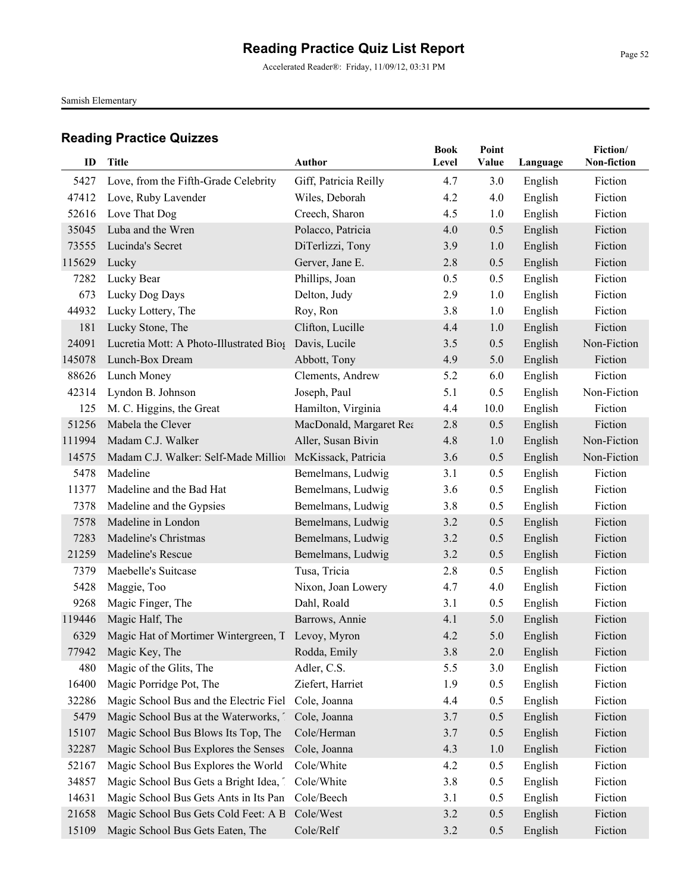Accelerated Reader®: Friday, 11/09/12, 03:31 PM

Samish Elementary

| ID     | <b>Title</b>                                      | <b>Author</b>           | <b>Book</b> | Point |          | Fiction/<br>Non-fiction |
|--------|---------------------------------------------------|-------------------------|-------------|-------|----------|-------------------------|
|        |                                                   |                         | Level       | Value | Language |                         |
| 5427   | Love, from the Fifth-Grade Celebrity              | Giff, Patricia Reilly   | 4.7         | 3.0   | English  | Fiction                 |
| 47412  | Love, Ruby Lavender                               | Wiles, Deborah          | 4.2         | 4.0   | English  | Fiction                 |
| 52616  | Love That Dog                                     | Creech, Sharon          | 4.5         | 1.0   | English  | Fiction                 |
| 35045  | Luba and the Wren                                 | Polacco, Patricia       | 4.0         | 0.5   | English  | Fiction                 |
| 73555  | Lucinda's Secret                                  | DiTerlizzi, Tony        | 3.9         | 1.0   | English  | Fiction                 |
| 115629 | Lucky                                             | Gerver, Jane E.         | 2.8         | 0.5   | English  | Fiction                 |
| 7282   | Lucky Bear                                        | Phillips, Joan          | 0.5         | 0.5   | English  | Fiction                 |
| 673    | Lucky Dog Days                                    | Delton, Judy            | 2.9         | 1.0   | English  | Fiction                 |
| 44932  | Lucky Lottery, The                                | Roy, Ron                | 3.8         | 1.0   | English  | Fiction                 |
| 181    | Lucky Stone, The                                  | Clifton, Lucille        | 4.4         | 1.0   | English  | Fiction                 |
| 24091  | Lucretia Mott: A Photo-Illustrated Bios           | Davis, Lucile           | 3.5         | 0.5   | English  | Non-Fiction             |
| 145078 | Lunch-Box Dream                                   | Abbott, Tony            | 4.9         | 5.0   | English  | Fiction                 |
| 88626  | Lunch Money                                       | Clements, Andrew        | 5.2         | 6.0   | English  | Fiction                 |
| 42314  | Lyndon B. Johnson                                 | Joseph, Paul            | 5.1         | 0.5   | English  | Non-Fiction             |
| 125    | M. C. Higgins, the Great                          | Hamilton, Virginia      | 4.4         | 10.0  | English  | Fiction                 |
| 51256  | Mabela the Clever                                 | MacDonald, Margaret Rea | 2.8         | 0.5   | English  | Fiction                 |
| 111994 | Madam C.J. Walker                                 | Aller, Susan Bivin      | 4.8         | 1.0   | English  | Non-Fiction             |
| 14575  | Madam C.J. Walker: Self-Made Million              | McKissack, Patricia     | 3.6         | 0.5   | English  | Non-Fiction             |
| 5478   | Madeline                                          | Bemelmans, Ludwig       | 3.1         | 0.5   | English  | Fiction                 |
| 11377  | Madeline and the Bad Hat                          | Bemelmans, Ludwig       | 3.6         | 0.5   | English  | Fiction                 |
| 7378   | Madeline and the Gypsies                          | Bemelmans, Ludwig       | 3.8         | 0.5   | English  | Fiction                 |
| 7578   | Madeline in London                                | Bemelmans, Ludwig       | 3.2         | 0.5   | English  | Fiction                 |
| 7283   | Madeline's Christmas                              | Bemelmans, Ludwig       | 3.2         | 0.5   | English  | Fiction                 |
| 21259  | Madeline's Rescue                                 | Bemelmans, Ludwig       | 3.2         | 0.5   | English  | Fiction                 |
| 7379   | Maebelle's Suitcase                               | Tusa, Tricia            | 2.8         | 0.5   | English  | Fiction                 |
| 5428   | Maggie, Too                                       | Nixon, Joan Lowery      | 4.7         | 4.0   | English  | Fiction                 |
| 9268   | Magic Finger, The                                 | Dahl, Roald             | 3.1         | 0.5   | English  | Fiction                 |
| 119446 | Magic Half, The                                   | Barrows, Annie          | 4.1         | 5.0   | English  | Fiction                 |
| 6329   | Magic Hat of Mortimer Wintergreen, T Levoy, Myron |                         | 4.2         | 5.0   | English  | Fiction                 |
|        | 77942 Magic Key, The                              | Rodda, Emily            | 3.8         | 2.0   | English  | Fiction                 |
| 480    | Magic of the Glits, The                           | Adler, C.S.             | 5.5         | 3.0   | English  | Fiction                 |
| 16400  | Magic Porridge Pot, The                           | Ziefert, Harriet        | 1.9         | 0.5   | English  | Fiction                 |
| 32286  | Magic School Bus and the Electric Fiel            | Cole, Joanna            | 4.4         | 0.5   | English  | Fiction                 |
| 5479   | Magic School Bus at the Waterworks,               | Cole, Joanna            | 3.7         | 0.5   | English  | Fiction                 |
| 15107  | Magic School Bus Blows Its Top, The               | Cole/Herman             | 3.7         | 0.5   | English  | Fiction                 |
| 32287  | Magic School Bus Explores the Senses              | Cole, Joanna            | 4.3         | 1.0   | English  | Fiction                 |
| 52167  | Magic School Bus Explores the World               | Cole/White              | 4.2         | 0.5   | English  | Fiction                 |
| 34857  | Magic School Bus Gets a Bright Idea, 1            | Cole/White              | 3.8         | 0.5   | English  | Fiction                 |
| 14631  | Magic School Bus Gets Ants in Its Pan             | Cole/Beech              | 3.1         | 0.5   | English  | Fiction                 |
| 21658  | Magic School Bus Gets Cold Feet: A B              | Cole/West               | 3.2         | 0.5   | English  | Fiction                 |
| 15109  | Magic School Bus Gets Eaten, The                  | Cole/Relf               | 3.2         | 0.5   | English  | Fiction                 |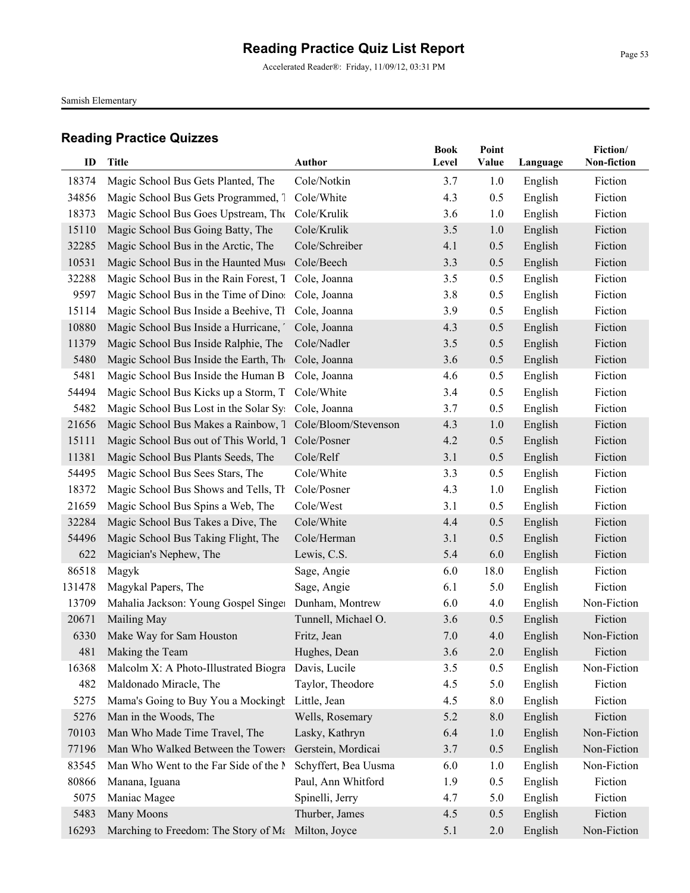Accelerated Reader®: Friday, 11/09/12, 03:31 PM

Samish Elementary

| ID     | Title                                                    | <b>Author</b>        | <b>Book</b><br>Level | Point<br>Value | Language | Fiction/<br>Non-fiction |
|--------|----------------------------------------------------------|----------------------|----------------------|----------------|----------|-------------------------|
|        |                                                          |                      |                      |                |          |                         |
| 18374  | Magic School Bus Gets Planted, The                       | Cole/Notkin          | 3.7                  | 1.0            | English  | Fiction                 |
| 34856  | Magic School Bus Gets Programmed, 1 Cole/White           |                      | 4.3                  | 0.5            | English  | Fiction                 |
| 18373  | Magic School Bus Goes Upstream, The Cole/Krulik          |                      | 3.6                  | 1.0            | English  | Fiction                 |
| 15110  | Magic School Bus Going Batty, The                        | Cole/Krulik          | 3.5                  | 1.0            | English  | Fiction                 |
| 32285  | Magic School Bus in the Arctic, The                      | Cole/Schreiber       | 4.1                  | 0.5            | English  | Fiction                 |
| 10531  | Magic School Bus in the Haunted Muse                     | Cole/Beech           | 3.3                  | 0.5            | English  | Fiction                 |
| 32288  | Magic School Bus in the Rain Forest, T Cole, Joanna      |                      | 3.5                  | 0.5            | English  | Fiction                 |
| 9597   | Magic School Bus in the Time of Dino: Cole, Joanna       |                      | 3.8                  | 0.5            | English  | Fiction                 |
| 15114  | Magic School Bus Inside a Beehive, Tl Cole, Joanna       |                      | 3.9                  | 0.5            | English  | Fiction                 |
| 10880  | Magic School Bus Inside a Hurricane, Cole, Joanna        |                      | 4.3                  | 0.5            | English  | Fiction                 |
| 11379  | Magic School Bus Inside Ralphie, The                     | Cole/Nadler          | 3.5                  | 0.5            | English  | Fiction                 |
| 5480   | Magic School Bus Inside the Earth, The Cole, Joanna      |                      | 3.6                  | 0.5            | English  | Fiction                 |
| 5481   | Magic School Bus Inside the Human B Cole, Joanna         |                      | 4.6                  | 0.5            | English  | Fiction                 |
| 54494  | Magic School Bus Kicks up a Storm, T Cole/White          |                      | 3.4                  | 0.5            | English  | Fiction                 |
| 5482   | Magic School Bus Lost in the Solar Sy: Cole, Joanna      |                      | 3.7                  | 0.5            | English  | Fiction                 |
| 21656  | Magic School Bus Makes a Rainbow, 7 Cole/Bloom/Stevenson |                      | 4.3                  | 1.0            | English  | Fiction                 |
| 15111  | Magic School Bus out of This World, T                    | Cole/Posner          | 4.2                  | 0.5            | English  | Fiction                 |
| 11381  | Magic School Bus Plants Seeds, The                       | Cole/Relf            | 3.1                  | 0.5            | English  | Fiction                 |
| 54495  | Magic School Bus Sees Stars, The                         | Cole/White           | 3.3                  | 0.5            | English  | Fiction                 |
| 18372  | Magic School Bus Shows and Tells, Th                     | Cole/Posner          | 4.3                  | 1.0            | English  | Fiction                 |
| 21659  | Magic School Bus Spins a Web, The                        | Cole/West            | 3.1                  | 0.5            | English  | Fiction                 |
| 32284  | Magic School Bus Takes a Dive, The                       | Cole/White           | 4.4                  | 0.5            | English  | Fiction                 |
| 54496  | Magic School Bus Taking Flight, The                      | Cole/Herman          | 3.1                  | 0.5            | English  | Fiction                 |
| 622    | Magician's Nephew, The                                   | Lewis, C.S.          | 5.4                  | 6.0            | English  | Fiction                 |
| 86518  | Magyk                                                    | Sage, Angie          | 6.0                  | 18.0           | English  | Fiction                 |
| 131478 | Magykal Papers, The                                      | Sage, Angie          | 6.1                  | 5.0            | English  | Fiction                 |
| 13709  | Mahalia Jackson: Young Gospel Singer                     | Dunham, Montrew      | 6.0                  | 4.0            | English  | Non-Fiction             |
| 20671  | Mailing May                                              | Tunnell, Michael O.  | 3.6                  | 0.5            | English  | Fiction                 |
| 6330   | Make Way for Sam Houston                                 | Fritz, Jean          | 7.0                  | 4.0            | English  | Non-Fiction             |
| 481    | Making the Team                                          | Hughes, Dean         | 3.6                  | 2.0            | English  | Fiction                 |
| 16368  | Malcolm X: A Photo-Illustrated Biogra                    | Davis, Lucile        | 3.5                  | 0.5            | English  | Non-Fiction             |
| 482    | Maldonado Miracle, The                                   | Taylor, Theodore     | 4.5                  | 5.0            | English  | Fiction                 |
| 5275   | Mama's Going to Buy You a Mockingh Little, Jean          |                      | 4.5                  | 8.0            | English  | Fiction                 |
| 5276   | Man in the Woods, The                                    | Wells, Rosemary      | 5.2                  | 8.0            | English  | Fiction                 |
| 70103  | Man Who Made Time Travel, The                            | Lasky, Kathryn       | 6.4                  | 1.0            | English  | Non-Fiction             |
| 77196  | Man Who Walked Between the Towers                        | Gerstein, Mordicai   | 3.7                  | 0.5            | English  | Non-Fiction             |
| 83545  | Man Who Went to the Far Side of the N                    | Schyffert, Bea Uusma | 6.0                  | 1.0            | English  | Non-Fiction             |
| 80866  | Manana, Iguana                                           | Paul, Ann Whitford   | 1.9                  | 0.5            | English  | Fiction                 |
| 5075   | Maniac Magee                                             | Spinelli, Jerry      | 4.7                  | 5.0            | English  | Fiction                 |
| 5483   | Many Moons                                               | Thurber, James       | 4.5                  | 0.5            | English  | Fiction                 |
| 16293  | Marching to Freedom: The Story of Ma                     | Milton, Joyce        | 5.1                  | 2.0            | English  | Non-Fiction             |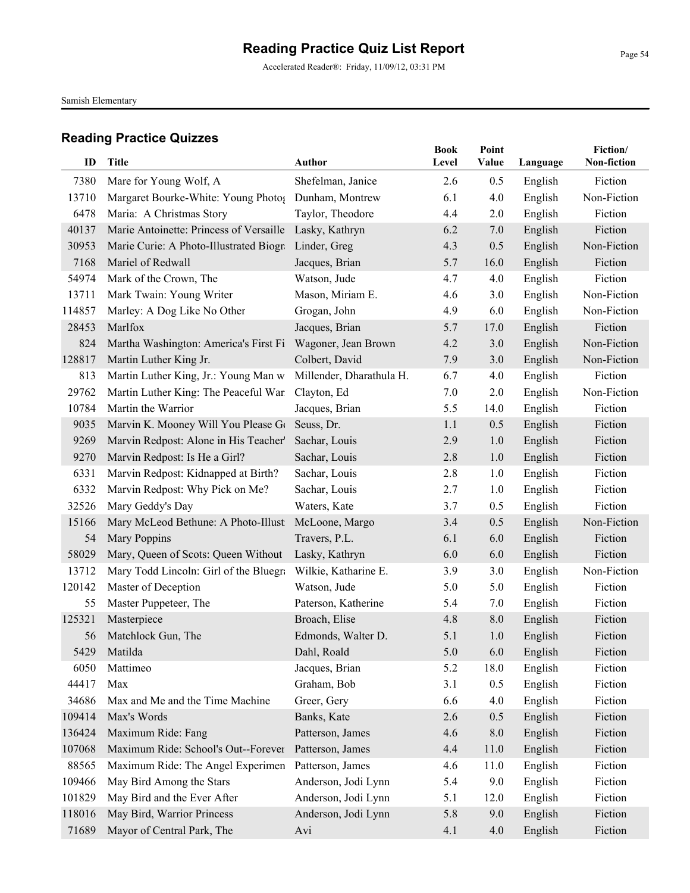Accelerated Reader®: Friday, 11/09/12, 03:31 PM

Samish Elementary

|        |                                         |                          | <b>Book</b> | Point   |          | Fiction/    |
|--------|-----------------------------------------|--------------------------|-------------|---------|----------|-------------|
| ID     | <b>Title</b>                            | Author                   | Level       | Value   | Language | Non-fiction |
| 7380   | Mare for Young Wolf, A                  | Shefelman, Janice        | 2.6         | 0.5     | English  | Fiction     |
| 13710  | Margaret Bourke-White: Young Photos     | Dunham, Montrew          | 6.1         | 4.0     | English  | Non-Fiction |
| 6478   | Maria: A Christmas Story                | Taylor, Theodore         | 4.4         | 2.0     | English  | Fiction     |
| 40137  | Marie Antoinette: Princess of Versaille | Lasky, Kathryn           | 6.2         | 7.0     | English  | Fiction     |
| 30953  | Marie Curie: A Photo-Illustrated Biogra | Linder, Greg             | 4.3         | 0.5     | English  | Non-Fiction |
| 7168   | Mariel of Redwall                       | Jacques, Brian           | 5.7         | 16.0    | English  | Fiction     |
| 54974  | Mark of the Crown, The                  | Watson, Jude             | 4.7         | 4.0     | English  | Fiction     |
| 13711  | Mark Twain: Young Writer                | Mason, Miriam E.         | 4.6         | 3.0     | English  | Non-Fiction |
| 114857 | Marley: A Dog Like No Other             | Grogan, John             | 4.9         | 6.0     | English  | Non-Fiction |
| 28453  | Marlfox                                 | Jacques, Brian           | 5.7         | 17.0    | English  | Fiction     |
| 824    | Martha Washington: America's First Fi   | Wagoner, Jean Brown      | 4.2         | 3.0     | English  | Non-Fiction |
| 128817 | Martin Luther King Jr.                  | Colbert, David           | 7.9         | 3.0     | English  | Non-Fiction |
| 813    | Martin Luther King, Jr.: Young Man w    | Millender, Dharathula H. | 6.7         | 4.0     | English  | Fiction     |
| 29762  | Martin Luther King: The Peaceful War    | Clayton, Ed              | 7.0         | 2.0     | English  | Non-Fiction |
| 10784  | Martin the Warrior                      | Jacques, Brian           | 5.5         | 14.0    | English  | Fiction     |
| 9035   | Marvin K. Mooney Will You Please Go     | Seuss, Dr.               | 1.1         | 0.5     | English  | Fiction     |
| 9269   | Marvin Redpost: Alone in His Teacher'   | Sachar, Louis            | 2.9         | 1.0     | English  | Fiction     |
| 9270   | Marvin Redpost: Is He a Girl?           | Sachar, Louis            | 2.8         | 1.0     | English  | Fiction     |
| 6331   | Marvin Redpost: Kidnapped at Birth?     | Sachar, Louis            | 2.8         | 1.0     | English  | Fiction     |
| 6332   | Marvin Redpost: Why Pick on Me?         | Sachar, Louis            | 2.7         | 1.0     | English  | Fiction     |
| 32526  | Mary Geddy's Day                        | Waters, Kate             | 3.7         | 0.5     | English  | Fiction     |
| 15166  | Mary McLeod Bethune: A Photo-Illust     | McLoone, Margo           | 3.4         | 0.5     | English  | Non-Fiction |
| 54     | Mary Poppins                            | Travers, P.L.            | 6.1         | 6.0     | English  | Fiction     |
| 58029  | Mary, Queen of Scots: Queen Without     | Lasky, Kathryn           | 6.0         | 6.0     | English  | Fiction     |
| 13712  | Mary Todd Lincoln: Girl of the Bluegra  | Wilkie, Katharine E.     | 3.9         | 3.0     | English  | Non-Fiction |
| 120142 | Master of Deception                     | Watson, Jude             | 5.0         | 5.0     | English  | Fiction     |
| 55     | Master Puppeteer, The                   | Paterson, Katherine      | 5.4         | 7.0     | English  | Fiction     |
| 125321 | Masterpiece                             | Broach, Elise            | 4.8         | 8.0     | English  | Fiction     |
| 56     | Matchlock Gun, The                      | Edmonds, Walter D.       | 5.1         | 1.0     | English  | Fiction     |
| 5429   | Matilda                                 | Dahl, Roald              | 5.0         | 6.0     | English  | Fiction     |
| 6050   | Mattimeo                                | Jacques, Brian           | 5.2         | 18.0    | English  | Fiction     |
| 44417  | Max                                     | Graham, Bob              | 3.1         | 0.5     | English  | Fiction     |
| 34686  | Max and Me and the Time Machine         | Greer, Gery              | 6.6         | 4.0     | English  | Fiction     |
| 109414 | Max's Words                             | Banks, Kate              | 2.6         | 0.5     | English  | Fiction     |
| 136424 | Maximum Ride: Fang                      | Patterson, James         | 4.6         | $8.0\,$ | English  | Fiction     |
| 107068 | Maximum Ride: School's Out--Forever     | Patterson, James         | 4.4         | 11.0    | English  | Fiction     |
| 88565  | Maximum Ride: The Angel Experimen       | Patterson, James         | 4.6         | 11.0    | English  | Fiction     |
| 109466 | May Bird Among the Stars                | Anderson, Jodi Lynn      | 5.4         | 9.0     | English  | Fiction     |
| 101829 | May Bird and the Ever After             | Anderson, Jodi Lynn      | 5.1         | 12.0    | English  | Fiction     |
| 118016 | May Bird, Warrior Princess              | Anderson, Jodi Lynn      | 5.8         | 9.0     | English  | Fiction     |
| 71689  | Mayor of Central Park, The              | Avi                      | 4.1         | 4.0     | English  | Fiction     |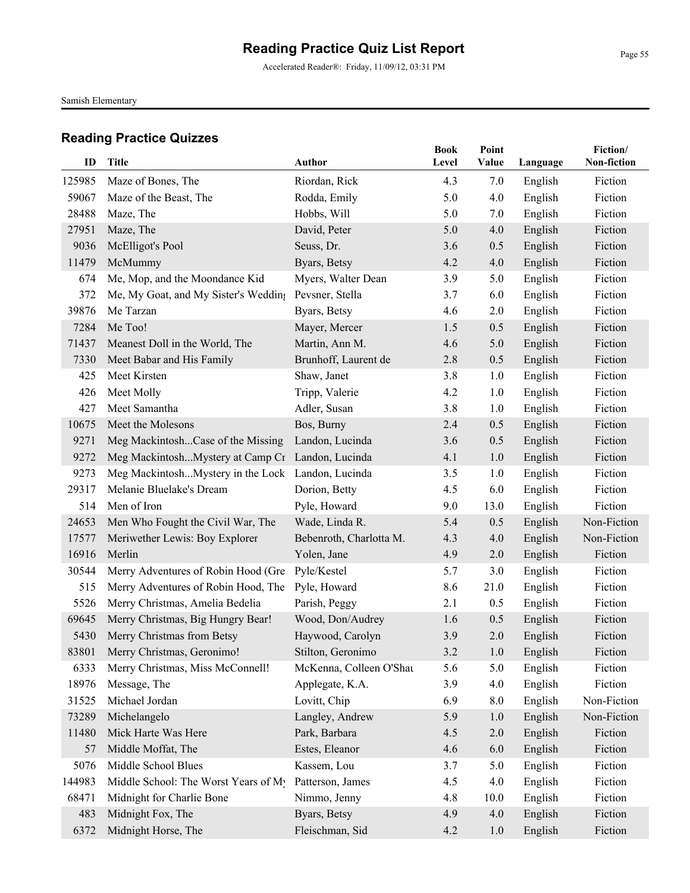Accelerated Reader®: Friday, 11/09/12, 03:31 PM

Samish Elementary

| ID     | Title                                             | Author                  | <b>Book</b><br>Level | Point<br>Value |          | Fiction/<br>Non-fiction |
|--------|---------------------------------------------------|-------------------------|----------------------|----------------|----------|-------------------------|
|        |                                                   |                         |                      |                | Language |                         |
| 125985 | Maze of Bones, The                                | Riordan, Rick           | 4.3                  | 7.0            | English  | Fiction                 |
| 59067  | Maze of the Beast, The                            | Rodda, Emily            | 5.0                  | 4.0            | English  | Fiction                 |
| 28488  | Maze, The                                         | Hobbs, Will             | 5.0                  | 7.0            | English  | Fiction                 |
| 27951  | Maze, The                                         | David, Peter            | 5.0                  | 4.0            | English  | Fiction                 |
| 9036   | McElligot's Pool                                  | Seuss, Dr.              | 3.6                  | 0.5            | English  | Fiction                 |
| 11479  | McMummy                                           | Byars, Betsy            | 4.2                  | 4.0            | English  | Fiction                 |
| 674    | Me, Mop, and the Moondance Kid                    | Myers, Walter Dean      | 3.9                  | 5.0            | English  | Fiction                 |
| 372    | Me, My Goat, and My Sister's Wedding              | Pevsner, Stella         | 3.7                  | 6.0            | English  | Fiction                 |
| 39876  | Me Tarzan                                         | Byars, Betsy            | 4.6                  | 2.0            | English  | Fiction                 |
| 7284   | Me Too!                                           | Mayer, Mercer           | 1.5                  | 0.5            | English  | Fiction                 |
| 71437  | Meanest Doll in the World, The                    | Martin, Ann M.          | 4.6                  | 5.0            | English  | Fiction                 |
| 7330   | Meet Babar and His Family                         | Brunhoff, Laurent de    | 2.8                  | 0.5            | English  | Fiction                 |
| 425    | Meet Kirsten                                      | Shaw, Janet             | 3.8                  | 1.0            | English  | Fiction                 |
| 426    | Meet Molly                                        | Tripp, Valerie          | 4.2                  | 1.0            | English  | Fiction                 |
| 427    | Meet Samantha                                     | Adler, Susan            | 3.8                  | 1.0            | English  | Fiction                 |
| 10675  | Meet the Molesons                                 | Bos, Burny              | 2.4                  | 0.5            | English  | Fiction                 |
| 9271   | Meg MackintoshCase of the Missing                 | Landon, Lucinda         | 3.6                  | 0.5            | English  | Fiction                 |
| 9272   | Meg MackintoshMystery at Camp Cr Landon, Lucinda  |                         | 4.1                  | 1.0            | English  | Fiction                 |
| 9273   | Meg MackintoshMystery in the Lock Landon, Lucinda |                         | 3.5                  | 1.0            | English  | Fiction                 |
| 29317  | Melanie Bluelake's Dream                          | Dorion, Betty           | 4.5                  | 6.0            | English  | Fiction                 |
| 514    | Men of Iron                                       | Pyle, Howard            | 9.0                  | 13.0           | English  | Fiction                 |
| 24653  | Men Who Fought the Civil War, The                 | Wade, Linda R.          | 5.4                  | 0.5            | English  | Non-Fiction             |
| 17577  | Meriwether Lewis: Boy Explorer                    | Bebenroth, Charlotta M. | 4.3                  | 4.0            | English  | Non-Fiction             |
| 16916  | Merlin                                            | Yolen, Jane             | 4.9                  | 2.0            | English  | Fiction                 |
| 30544  | Merry Adventures of Robin Hood (Gre               | Pyle/Kestel             | 5.7                  | 3.0            | English  | Fiction                 |
| 515    | Merry Adventures of Robin Hood, The               | Pyle, Howard            | 8.6                  | 21.0           | English  | Fiction                 |
| 5526   | Merry Christmas, Amelia Bedelia                   | Parish, Peggy           | 2.1                  | 0.5            | English  | Fiction                 |
| 69645  | Merry Christmas, Big Hungry Bear!                 | Wood, Don/Audrey        | 1.6                  | 0.5            | English  | Fiction                 |
| 5430   | Merry Christmas from Betsy                        | Haywood, Carolyn        | 3.9                  | 2.0            | English  | Fiction                 |
|        | 83801 Merry Christmas, Geronimo!                  | Stilton, Geronimo       | 3.2                  | 1.0            | English  | Fiction                 |
| 6333   | Merry Christmas, Miss McConnell!                  | McKenna, Colleen O'Shat | 5.6                  | 5.0            | English  | Fiction                 |
| 18976  | Message, The                                      | Applegate, K.A.         | 3.9                  | 4.0            | English  | Fiction                 |
| 31525  | Michael Jordan                                    | Lovitt, Chip            | 6.9                  | 8.0            | English  | Non-Fiction             |
| 73289  | Michelangelo                                      | Langley, Andrew         | 5.9                  | 1.0            | English  | Non-Fiction             |
| 11480  | Mick Harte Was Here                               | Park, Barbara           | 4.5                  | $2.0$          | English  | Fiction                 |
| 57     | Middle Moffat, The                                | Estes, Eleanor          | 4.6                  | 6.0            | English  | Fiction                 |
| 5076   | Middle School Blues                               | Kassem, Lou             | 3.7                  | 5.0            | English  | Fiction                 |
| 144983 | Middle School: The Worst Years of My              | Patterson, James        | 4.5                  | 4.0            | English  | Fiction                 |
| 68471  | Midnight for Charlie Bone                         | Nimmo, Jenny            | 4.8                  | 10.0           | English  | Fiction                 |
| 483    | Midnight Fox, The                                 | Byars, Betsy            | 4.9                  | 4.0            | English  | Fiction                 |
| 6372   | Midnight Horse, The                               | Fleischman, Sid         | 4.2                  | 1.0            | English  | Fiction                 |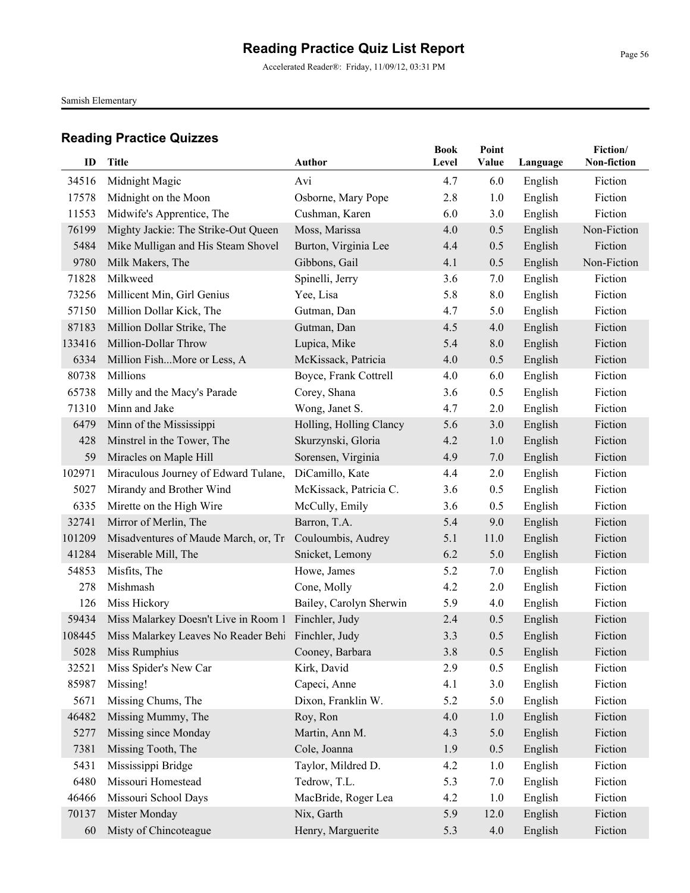Accelerated Reader®: Friday, 11/09/12, 03:31 PM

Samish Elementary

| ID     | <b>Title</b>                                        | <b>Author</b>           | <b>Book</b><br>Level | Point<br>Value | Language | Fiction/<br>Non-fiction |
|--------|-----------------------------------------------------|-------------------------|----------------------|----------------|----------|-------------------------|
| 34516  | Midnight Magic                                      | Avi                     | 4.7                  | 6.0            | English  | Fiction                 |
| 17578  | Midnight on the Moon                                | Osborne, Mary Pope      | 2.8                  | 1.0            | English  | Fiction                 |
| 11553  | Midwife's Apprentice, The                           | Cushman, Karen          | 6.0                  | 3.0            | English  | Fiction                 |
| 76199  | Mighty Jackie: The Strike-Out Queen                 | Moss, Marissa           | 4.0                  | 0.5            | English  | Non-Fiction             |
| 5484   | Mike Mulligan and His Steam Shovel                  | Burton, Virginia Lee    | 4.4                  | 0.5            | English  | Fiction                 |
| 9780   | Milk Makers, The                                    | Gibbons, Gail           | 4.1                  | 0.5            | English  | Non-Fiction             |
| 71828  | Milkweed                                            | Spinelli, Jerry         | 3.6                  | 7.0            | English  | Fiction                 |
| 73256  | Millicent Min, Girl Genius                          | Yee, Lisa               | 5.8                  | 8.0            | English  | Fiction                 |
| 57150  | Million Dollar Kick, The                            | Gutman, Dan             | 4.7                  | 5.0            | English  | Fiction                 |
| 87183  | Million Dollar Strike, The                          | Gutman, Dan             | 4.5                  | 4.0            | English  | Fiction                 |
| 133416 | Million-Dollar Throw                                | Lupica, Mike            | 5.4                  | 8.0            | English  | Fiction                 |
| 6334   | Million FishMore or Less, A                         | McKissack, Patricia     | 4.0                  | 0.5            | English  | Fiction                 |
| 80738  | Millions                                            | Boyce, Frank Cottrell   | 4.0                  | 6.0            | English  | Fiction                 |
| 65738  | Milly and the Macy's Parade                         | Corey, Shana            | 3.6                  | 0.5            | English  | Fiction                 |
| 71310  | Minn and Jake                                       | Wong, Janet S.          | 4.7                  | 2.0            | English  | Fiction                 |
| 6479   | Minn of the Mississippi                             | Holling, Holling Clancy | 5.6                  | 3.0            | English  | Fiction                 |
| 428    | Minstrel in the Tower, The                          | Skurzynski, Gloria      | 4.2                  | 1.0            | English  | Fiction                 |
| 59     | Miracles on Maple Hill                              | Sorensen, Virginia      | 4.9                  | 7.0            | English  | Fiction                 |
| 102971 | Miraculous Journey of Edward Tulane,                | DiCamillo, Kate         | 4.4                  | 2.0            | English  | Fiction                 |
| 5027   | Mirandy and Brother Wind                            | McKissack, Patricia C.  | 3.6                  | 0.5            | English  | Fiction                 |
| 6335   | Mirette on the High Wire                            | McCully, Emily          | 3.6                  | 0.5            | English  | Fiction                 |
| 32741  | Mirror of Merlin, The                               | Barron, T.A.            | 5.4                  | 9.0            | English  | Fiction                 |
| 101209 | Misadventures of Maude March, or, Tr                | Couloumbis, Audrey      | 5.1                  | 11.0           | English  | Fiction                 |
| 41284  | Miserable Mill, The                                 | Snicket, Lemony         | 6.2                  | 5.0            | English  | Fiction                 |
| 54853  | Misfits, The                                        | Howe, James             | 5.2                  | 7.0            | English  | Fiction                 |
| 278    | Mishmash                                            | Cone, Molly             | 4.2                  | 2.0            | English  | Fiction                 |
| 126    | Miss Hickory                                        | Bailey, Carolyn Sherwin | 5.9                  | 4.0            | English  | Fiction                 |
| 59434  | Miss Malarkey Doesn't Live in Room 1 Finchler, Judy |                         | 2.4                  | 0.5            | English  | Fiction                 |
| 108445 | Miss Malarkey Leaves No Reader Behi Finchler, Judy  |                         | 3.3                  | 0.5            | English  | Fiction                 |
|        | 5028 Miss Rumphius <b>Solution</b> Miss Rumphius    | Cooney, Barbara         | $3.8\,$              | $0.5\,$        | English  | Fiction                 |
| 32521  | Miss Spider's New Car                               | Kirk, David             | 2.9                  | 0.5            | English  | Fiction                 |
| 85987  | Missing!                                            | Capeci, Anne            | 4.1                  | 3.0            | English  | Fiction                 |
| 5671   | Missing Chums, The                                  | Dixon, Franklin W.      | 5.2                  | 5.0            | English  | Fiction                 |
| 46482  | Missing Mummy, The                                  | Roy, Ron                | 4.0                  | 1.0            | English  | Fiction                 |
| 5277   | Missing since Monday                                | Martin, Ann M.          | 4.3                  | 5.0            | English  | Fiction                 |
| 7381   | Missing Tooth, The                                  | Cole, Joanna            | 1.9                  | 0.5            | English  | Fiction                 |
| 5431   | Mississippi Bridge                                  | Taylor, Mildred D.      | 4.2                  | 1.0            | English  | Fiction                 |
| 6480   | Missouri Homestead                                  | Tedrow, T.L.            | 5.3                  | 7.0            | English  | Fiction                 |
| 46466  | Missouri School Days                                | MacBride, Roger Lea     | 4.2                  | 1.0            | English  | Fiction                 |
| 70137  | Mister Monday                                       | Nix, Garth              | 5.9                  | 12.0           | English  | Fiction                 |
| 60     | Misty of Chincoteague                               | Henry, Marguerite       | 5.3                  | 4.0            | English  | Fiction                 |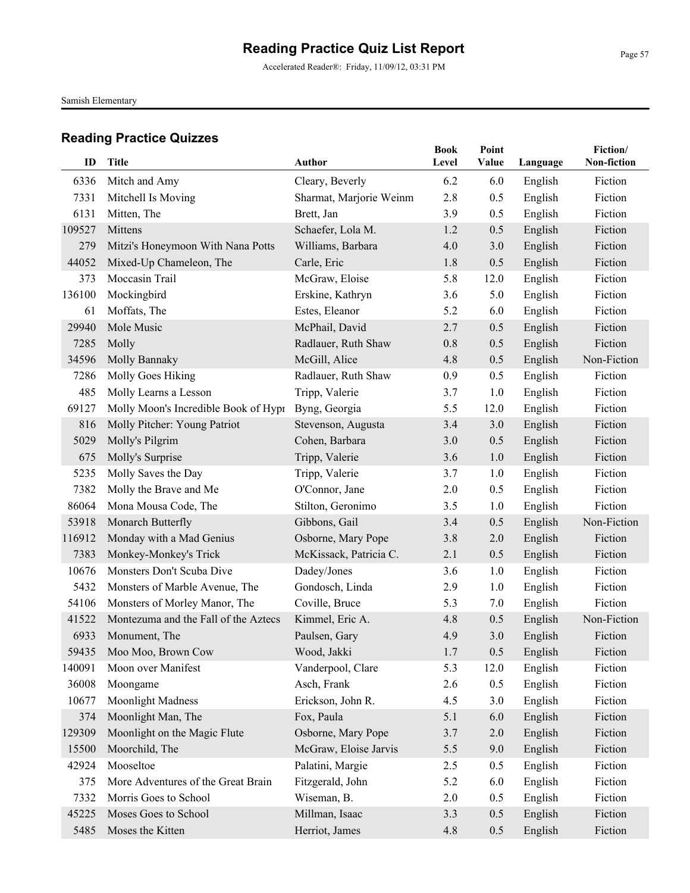Accelerated Reader®: Friday, 11/09/12, 03:31 PM

Samish Elementary

| ID     | <b>Title</b>                         | Author                  | <b>Book</b><br>Level | Point<br>Value | Language | Fiction/<br>Non-fiction |
|--------|--------------------------------------|-------------------------|----------------------|----------------|----------|-------------------------|
| 6336   | Mitch and Amy                        | Cleary, Beverly         | 6.2                  | 6.0            | English  | Fiction                 |
| 7331   | Mitchell Is Moving                   | Sharmat, Marjorie Weinm | 2.8                  | 0.5            | English  | Fiction                 |
| 6131   | Mitten, The                          | Brett, Jan              | 3.9                  | 0.5            | English  | Fiction                 |
| 109527 | Mittens                              | Schaefer, Lola M.       | 1.2                  | 0.5            | English  | Fiction                 |
| 279    | Mitzi's Honeymoon With Nana Potts    | Williams, Barbara       | 4.0                  | 3.0            | English  | Fiction                 |
| 44052  | Mixed-Up Chameleon, The              | Carle, Eric             | 1.8                  | 0.5            | English  | Fiction                 |
| 373    | Moccasin Trail                       | McGraw, Eloise          | 5.8                  | 12.0           | English  | Fiction                 |
| 136100 | Mockingbird                          | Erskine, Kathryn        | 3.6                  | 5.0            | English  | Fiction                 |
| 61     | Moffats, The                         | Estes, Eleanor          | 5.2                  | 6.0            | English  | Fiction                 |
| 29940  | Mole Music                           | McPhail, David          | 2.7                  | 0.5            |          | Fiction                 |
| 7285   | Molly                                |                         | 0.8                  | 0.5            | English  | Fiction                 |
|        |                                      | Radlauer, Ruth Shaw     |                      |                | English  |                         |
| 34596  | Molly Bannaky                        | McGill, Alice           | 4.8                  | 0.5            | English  | Non-Fiction             |
| 7286   | Molly Goes Hiking                    | Radlauer, Ruth Shaw     | 0.9                  | 0.5            | English  | Fiction                 |
| 485    | Molly Learns a Lesson                | Tripp, Valerie          | 3.7                  | 1.0            | English  | Fiction                 |
| 69127  | Molly Moon's Incredible Book of Hypr | Byng, Georgia           | 5.5                  | 12.0           | English  | Fiction                 |
| 816    | Molly Pitcher: Young Patriot         | Stevenson, Augusta      | 3.4                  | 3.0            | English  | Fiction                 |
| 5029   | Molly's Pilgrim                      | Cohen, Barbara          | 3.0                  | 0.5            | English  | Fiction                 |
| 675    | Molly's Surprise                     | Tripp, Valerie          | 3.6                  | 1.0            | English  | Fiction                 |
| 5235   | Molly Saves the Day                  | Tripp, Valerie          | 3.7                  | 1.0            | English  | Fiction                 |
| 7382   | Molly the Brave and Me               | O'Connor, Jane          | 2.0                  | 0.5            | English  | Fiction                 |
| 86064  | Mona Mousa Code, The                 | Stilton, Geronimo       | 3.5                  | 1.0            | English  | Fiction                 |
| 53918  | Monarch Butterfly                    | Gibbons, Gail           | 3.4                  | 0.5            | English  | Non-Fiction             |
| 116912 | Monday with a Mad Genius             | Osborne, Mary Pope      | 3.8                  | 2.0            | English  | Fiction                 |
| 7383   | Monkey-Monkey's Trick                | McKissack, Patricia C.  | 2.1                  | 0.5            | English  | Fiction                 |
| 10676  | Monsters Don't Scuba Dive            | Dadey/Jones             | 3.6                  | 1.0            | English  | Fiction                 |
| 5432   | Monsters of Marble Avenue, The       | Gondosch, Linda         | 2.9                  | 1.0            | English  | Fiction                 |
| 54106  | Monsters of Morley Manor, The        | Coville, Bruce          | 5.3                  | 7.0            | English  | Fiction                 |
| 41522  | Montezuma and the Fall of the Aztecs | Kimmel, Eric A.         | 4.8                  | 0.5            | English  | Non-Fiction             |
| 6933   | Monument, The                        | Paulsen, Gary           | 4.9                  | 3.0            | English  | Fiction                 |
|        | 59435 Moo Moo, Brown Cow             | Wood, Jakki             | 1.7                  | 0.5            | English  | Fiction                 |
| 140091 | Moon over Manifest                   | Vanderpool, Clare       | 5.3                  | 12.0           | English  | Fiction                 |
| 36008  | Moongame                             | Asch, Frank             | 2.6                  | 0.5            | English  | Fiction                 |
| 10677  | <b>Moonlight Madness</b>             | Erickson, John R.       | 4.5                  | 3.0            | English  | Fiction                 |
| 374    | Moonlight Man, The                   | Fox, Paula              | 5.1                  | 6.0            | English  | Fiction                 |
| 129309 | Moonlight on the Magic Flute         | Osborne, Mary Pope      | 3.7                  | $2.0\,$        | English  | Fiction                 |
| 15500  | Moorchild, The                       | McGraw, Eloise Jarvis   | 5.5                  | 9.0            | English  | Fiction                 |
| 42924  | Mooseltoe                            | Palatini, Margie        | 2.5                  | 0.5            | English  | Fiction                 |
| 375    | More Adventures of the Great Brain   | Fitzgerald, John        | 5.2                  | 6.0            | English  | Fiction                 |
| 7332   | Morris Goes to School                | Wiseman, B.             | 2.0                  | 0.5            | English  | Fiction                 |
| 45225  | Moses Goes to School                 | Millman, Isaac          | 3.3                  | 0.5            | English  | Fiction                 |
| 5485   | Moses the Kitten                     | Herriot, James          | 4.8                  | 0.5            | English  | Fiction                 |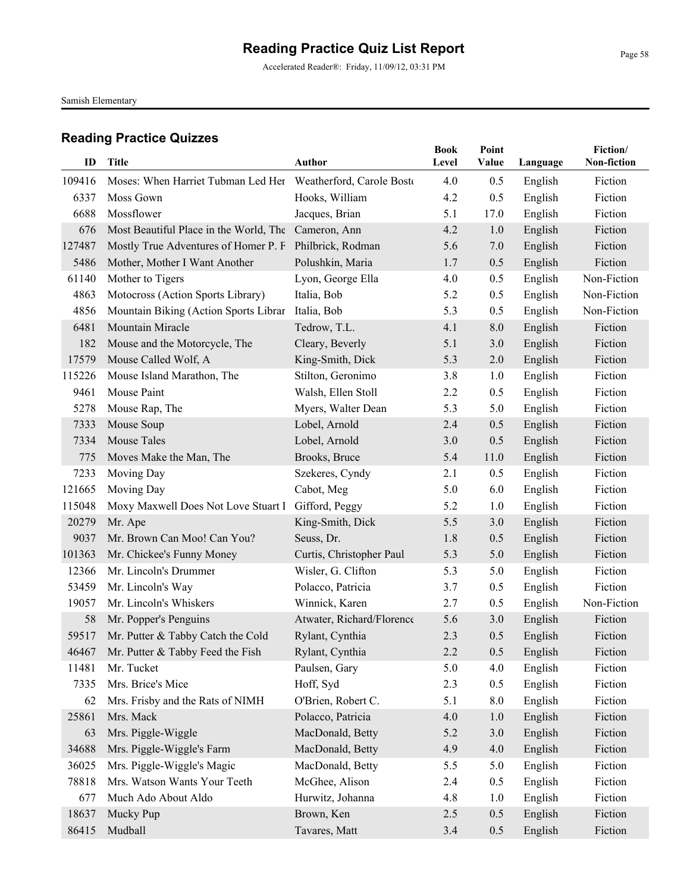Accelerated Reader®: Friday, 11/09/12, 03:31 PM

Samish Elementary

| ID     |                                                              | <b>Author</b>             | <b>Book</b> | Point<br>Value |          | Fiction/<br>Non-fiction |
|--------|--------------------------------------------------------------|---------------------------|-------------|----------------|----------|-------------------------|
|        | <b>Title</b>                                                 |                           | Level       |                | Language |                         |
| 109416 | Moses: When Harriet Tubman Led Her Weatherford, Carole Bosto |                           | 4.0         | 0.5            | English  | Fiction                 |
| 6337   | Moss Gown                                                    | Hooks, William            | 4.2         | 0.5            | English  | Fiction                 |
| 6688   | Mossflower                                                   | Jacques, Brian            | 5.1         | 17.0           | English  | Fiction                 |
| 676    | Most Beautiful Place in the World, The                       | Cameron, Ann              | 4.2         | 1.0            | English  | Fiction                 |
| 127487 | Mostly True Adventures of Homer P. F                         | Philbrick, Rodman         | 5.6         | 7.0            | English  | Fiction                 |
| 5486   | Mother, Mother I Want Another                                | Polushkin, Maria          | 1.7         | 0.5            | English  | Fiction                 |
| 61140  | Mother to Tigers                                             | Lyon, George Ella         | 4.0         | 0.5            | English  | Non-Fiction             |
| 4863   | Motocross (Action Sports Library)                            | Italia, Bob               | 5.2         | 0.5            | English  | Non-Fiction             |
| 4856   | Mountain Biking (Action Sports Librar                        | Italia, Bob               | 5.3         | 0.5            | English  | Non-Fiction             |
| 6481   | Mountain Miracle                                             | Tedrow, T.L.              | 4.1         | 8.0            | English  | Fiction                 |
| 182    | Mouse and the Motorcycle, The                                | Cleary, Beverly           | 5.1         | 3.0            | English  | Fiction                 |
| 17579  | Mouse Called Wolf, A                                         | King-Smith, Dick          | 5.3         | 2.0            | English  | Fiction                 |
| 115226 | Mouse Island Marathon, The                                   | Stilton, Geronimo         | 3.8         | 1.0            | English  | Fiction                 |
| 9461   | Mouse Paint                                                  | Walsh, Ellen Stoll        | 2.2         | 0.5            | English  | Fiction                 |
| 5278   | Mouse Rap, The                                               | Myers, Walter Dean        | 5.3         | 5.0            | English  | Fiction                 |
| 7333   | Mouse Soup                                                   | Lobel, Arnold             | 2.4         | 0.5            | English  | Fiction                 |
| 7334   | Mouse Tales                                                  | Lobel, Arnold             | 3.0         | 0.5            | English  | Fiction                 |
| 775    | Moves Make the Man, The                                      | Brooks, Bruce             | 5.4         | 11.0           | English  | Fiction                 |
| 7233   | Moving Day                                                   | Szekeres, Cyndy           | 2.1         | 0.5            | English  | Fiction                 |
| 121665 | Moving Day                                                   | Cabot, Meg                | 5.0         | 6.0            | English  | Fiction                 |
| 115048 | Moxy Maxwell Does Not Love Stuart I                          | Gifford, Peggy            | 5.2         | 1.0            | English  | Fiction                 |
| 20279  | Mr. Ape                                                      | King-Smith, Dick          | 5.5         | 3.0            | English  | Fiction                 |
| 9037   | Mr. Brown Can Moo! Can You?                                  | Seuss, Dr.                | 1.8         | 0.5            | English  | Fiction                 |
| 101363 | Mr. Chickee's Funny Money                                    | Curtis, Christopher Paul  | 5.3         | 5.0            | English  | Fiction                 |
| 12366  | Mr. Lincoln's Drummer                                        | Wisler, G. Clifton        | 5.3         | 5.0            | English  | Fiction                 |
| 53459  | Mr. Lincoln's Way                                            | Polacco, Patricia         | 3.7         | 0.5            | English  | Fiction                 |
| 19057  | Mr. Lincoln's Whiskers                                       | Winnick, Karen            | 2.7         | 0.5            | English  | Non-Fiction             |
| 58     | Mr. Popper's Penguins                                        | Atwater, Richard/Florence | 5.6         | 3.0            | English  | Fiction                 |
| 59517  | Mr. Putter & Tabby Catch the Cold                            | Rylant, Cynthia           | 2.3         | 0.5            | English  | Fiction                 |
| 46467  | Mr. Putter & Tabby Feed the Fish                             | Rylant, Cynthia           | 2.2         | 0.5            | English  | Fiction                 |
| 11481  | Mr. Tucket                                                   | Paulsen, Gary             | 5.0         | 4.0            | English  | Fiction                 |
| 7335   | Mrs. Brice's Mice                                            | Hoff, Syd                 | 2.3         | 0.5            | English  | Fiction                 |
| 62     | Mrs. Frisby and the Rats of NIMH                             | O'Brien, Robert C.        | 5.1         | 8.0            | English  | Fiction                 |
| 25861  | Mrs. Mack                                                    | Polacco, Patricia         | 4.0         | 1.0            | English  | Fiction                 |
| 63     | Mrs. Piggle-Wiggle                                           | MacDonald, Betty          | 5.2         | 3.0            | English  | Fiction                 |
| 34688  | Mrs. Piggle-Wiggle's Farm                                    | MacDonald, Betty          | 4.9         | 4.0            | English  | Fiction                 |
| 36025  | Mrs. Piggle-Wiggle's Magic                                   | MacDonald, Betty          | 5.5         | 5.0            | English  | Fiction                 |
| 78818  | Mrs. Watson Wants Your Teeth                                 | McGhee, Alison            | 2.4         | 0.5            | English  | Fiction                 |
| 677    | Much Ado About Aldo                                          | Hurwitz, Johanna          | 4.8         | 1.0            | English  | Fiction                 |
| 18637  | Mucky Pup                                                    | Brown, Ken                | 2.5         | 0.5            | English  | Fiction                 |
| 86415  | Mudball                                                      | Tavares, Matt             | 3.4         | 0.5            | English  | Fiction                 |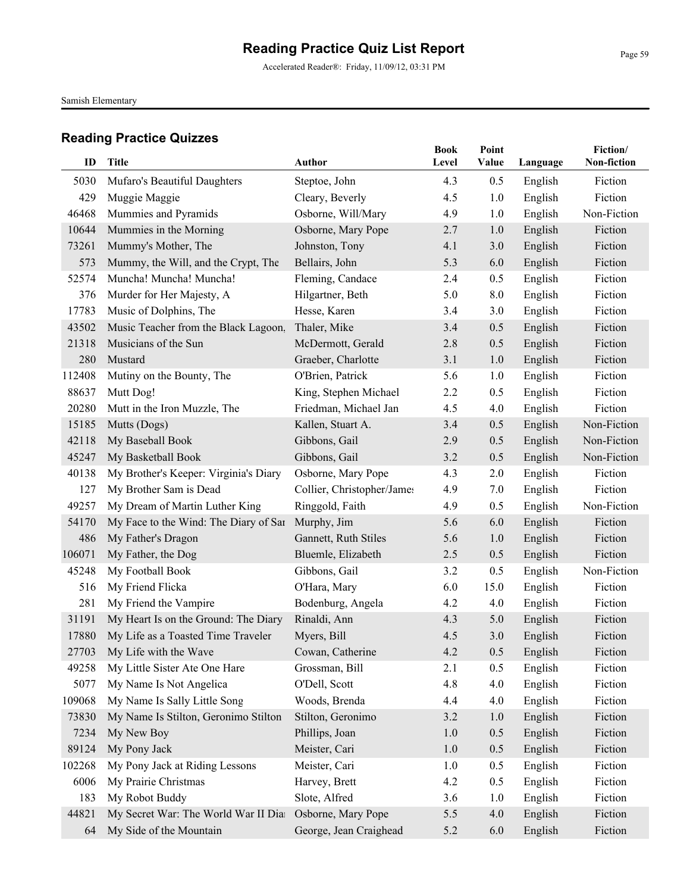Accelerated Reader®: Friday, 11/09/12, 03:31 PM

Samish Elementary

| ID     | Title                                 | Author                     | <b>Book</b><br>Level | Point<br>Value | Language | Fiction/<br>Non-fiction |
|--------|---------------------------------------|----------------------------|----------------------|----------------|----------|-------------------------|
| 5030   | Mufaro's Beautiful Daughters          | Steptoe, John              | 4.3                  | 0.5            | English  | Fiction                 |
| 429    | Muggie Maggie                         | Cleary, Beverly            | 4.5                  | 1.0            | English  | Fiction                 |
| 46468  | Mummies and Pyramids                  | Osborne, Will/Mary         | 4.9                  | 1.0            | English  | Non-Fiction             |
| 10644  | Mummies in the Morning                | Osborne, Mary Pope         | 2.7                  | 1.0            | English  | Fiction                 |
| 73261  | Mummy's Mother, The                   | Johnston, Tony             | 4.1                  | 3.0            | English  | Fiction                 |
| 573    | Mummy, the Will, and the Crypt, The   | Bellairs, John             | 5.3                  | 6.0            | English  | Fiction                 |
| 52574  | Muncha! Muncha! Muncha!               | Fleming, Candace           | 2.4                  | 0.5            | English  | Fiction                 |
| 376    | Murder for Her Majesty, A             | Hilgartner, Beth           | 5.0                  | 8.0            | English  | Fiction                 |
| 17783  | Music of Dolphins, The                | Hesse, Karen               | 3.4                  | 3.0            | English  | Fiction                 |
| 43502  | Music Teacher from the Black Lagoon,  | Thaler, Mike               | 3.4                  | 0.5            | English  | Fiction                 |
| 21318  | Musicians of the Sun                  | McDermott, Gerald          | 2.8                  | 0.5            | English  | Fiction                 |
| 280    | Mustard                               | Graeber, Charlotte         | 3.1                  | 1.0            | English  | Fiction                 |
| 112408 | Mutiny on the Bounty, The             | O'Brien, Patrick           | 5.6                  | 1.0            | English  | Fiction                 |
| 88637  | Mutt Dog!                             | King, Stephen Michael      | 2.2                  | 0.5            | English  | Fiction                 |
| 20280  | Mutt in the Iron Muzzle, The          | Friedman, Michael Jan      | 4.5                  | 4.0            | English  | Fiction                 |
| 15185  | Mutts (Dogs)                          | Kallen, Stuart A.          | 3.4                  | 0.5            | English  | Non-Fiction             |
| 42118  | My Baseball Book                      | Gibbons, Gail              | 2.9                  | 0.5            | English  | Non-Fiction             |
| 45247  | My Basketball Book                    | Gibbons, Gail              | 3.2                  | 0.5            | English  | Non-Fiction             |
| 40138  | My Brother's Keeper: Virginia's Diary | Osborne, Mary Pope         | 4.3                  | 2.0            | English  | Fiction                 |
| 127    | My Brother Sam is Dead                | Collier, Christopher/James | 4.9                  | 7.0            | English  | Fiction                 |
| 49257  | My Dream of Martin Luther King        | Ringgold, Faith            | 4.9                  | 0.5            | English  | Non-Fiction             |
| 54170  | My Face to the Wind: The Diary of Sar | Murphy, Jim                | 5.6                  | 6.0            | English  | Fiction                 |
| 486    | My Father's Dragon                    | Gannett, Ruth Stiles       | 5.6                  | 1.0            | English  | Fiction                 |
| 106071 | My Father, the Dog                    | Bluemle, Elizabeth         | 2.5                  | 0.5            | English  | Fiction                 |
| 45248  | My Football Book                      | Gibbons, Gail              | 3.2                  | 0.5            | English  | Non-Fiction             |
| 516    | My Friend Flicka                      | O'Hara, Mary               | 6.0                  | 15.0           | English  | Fiction                 |
| 281    | My Friend the Vampire                 | Bodenburg, Angela          | 4.2                  | 4.0            | English  | Fiction                 |
| 31191  | My Heart Is on the Ground: The Diary  | Rinaldi, Ann               | 4.3                  | 5.0            | English  | Fiction                 |
| 17880  | My Life as a Toasted Time Traveler    | Myers, Bill                | 4.5                  | 3.0            | English  | Fiction                 |
|        | 27703 My Life with the Wave           | Cowan, Catherine           | 4.2                  | 0.5            | English  | Fiction                 |
| 49258  | My Little Sister Ate One Hare         | Grossman, Bill             | 2.1                  | 0.5            | English  | Fiction                 |
| 5077   | My Name Is Not Angelica               | O'Dell, Scott              | 4.8                  | 4.0            | English  | Fiction                 |
| 109068 | My Name Is Sally Little Song          | Woods, Brenda              | 4.4                  | 4.0            | English  | Fiction                 |
| 73830  | My Name Is Stilton, Geronimo Stilton  | Stilton, Geronimo          | 3.2                  | 1.0            | English  | Fiction                 |
| 7234   | My New Boy                            | Phillips, Joan             | 1.0                  | 0.5            | English  | Fiction                 |
| 89124  | My Pony Jack                          | Meister, Cari              | 1.0                  | 0.5            | English  | Fiction                 |
| 102268 | My Pony Jack at Riding Lessons        | Meister, Cari              | 1.0                  | 0.5            | English  | Fiction                 |
| 6006   | My Prairie Christmas                  | Harvey, Brett              | 4.2                  | 0.5            | English  | Fiction                 |
| 183    | My Robot Buddy                        | Slote, Alfred              | 3.6                  | 1.0            | English  | Fiction                 |
| 44821  | My Secret War: The World War II Dia   | Osborne, Mary Pope         | 5.5                  | 4.0            | English  | Fiction                 |
| 64     | My Side of the Mountain               | George, Jean Craighead     | 5.2                  | 6.0            | English  | Fiction                 |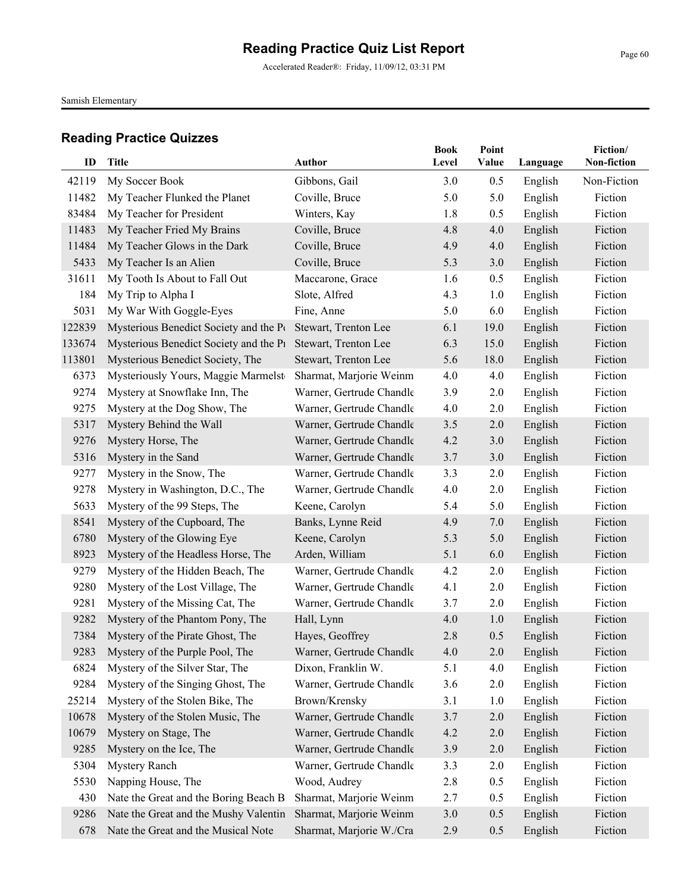Accelerated Reader®: Friday, 11/09/12, 03:31 PM

Samish Elementary

| ID             | <b>Title</b>                           | <b>Author</b>                    | <b>Book</b><br>Level | Point<br>Value | Language | Fiction/<br>Non-fiction |
|----------------|----------------------------------------|----------------------------------|----------------------|----------------|----------|-------------------------|
|                |                                        |                                  |                      |                |          |                         |
| 42119          | My Soccer Book                         | Gibbons, Gail                    | 3.0                  | 0.5            | English  | Non-Fiction             |
| 11482<br>83484 | My Teacher Flunked the Planet          | Coville, Bruce                   | 5.0                  | 5.0            | English  | Fiction                 |
|                | My Teacher for President               | Winters, Kay                     | 1.8                  | 0.5            | English  | Fiction                 |
| 11483          | My Teacher Fried My Brains             | Coville, Bruce                   | 4.8                  | 4.0            | English  | Fiction<br>Fiction      |
| 11484          | My Teacher Glows in the Dark           | Coville, Bruce<br>Coville, Bruce | 4.9                  | 4.0            | English  |                         |
| 5433<br>31611  | My Teacher Is an Alien                 |                                  | 5.3                  | 3.0            | English  | Fiction<br>Fiction      |
|                | My Tooth Is About to Fall Out          | Maccarone, Grace                 | 1.6<br>4.3           | 0.5            | English  | Fiction                 |
| 184            | My Trip to Alpha I                     | Slote, Alfred                    |                      | 1.0            | English  |                         |
| 5031           | My War With Goggle-Eyes                | Fine, Anne                       | 5.0                  | 6.0            | English  | Fiction                 |
| 122839         | Mysterious Benedict Society and the Pt | Stewart, Trenton Lee             | 6.1                  | 19.0           | English  | Fiction                 |
| 133674         | Mysterious Benedict Society and the P1 | Stewart, Trenton Lee             | 6.3                  | 15.0           | English  | Fiction                 |
| 113801         | Mysterious Benedict Society, The       | Stewart, Trenton Lee             | 5.6                  | 18.0           | English  | Fiction                 |
| 6373           | Mysteriously Yours, Maggie Marmelst    | Sharmat, Marjorie Weinm          | 4.0                  | 4.0            | English  | Fiction                 |
| 9274           | Mystery at Snowflake Inn, The          | Warner, Gertrude Chandle         | 3.9                  | 2.0            | English  | Fiction                 |
| 9275           | Mystery at the Dog Show, The           | Warner, Gertrude Chandle         | 4.0                  | 2.0            | English  | Fiction                 |
| 5317           | Mystery Behind the Wall                | Warner, Gertrude Chandle         | 3.5                  | 2.0            | English  | Fiction                 |
| 9276           | Mystery Horse, The                     | Warner, Gertrude Chandle         | 4.2                  | 3.0            | English  | Fiction                 |
| 5316           | Mystery in the Sand                    | Warner, Gertrude Chandle         | 3.7                  | 3.0            | English  | Fiction                 |
| 9277           | Mystery in the Snow, The               | Warner, Gertrude Chandle         | 3.3                  | 2.0            | English  | Fiction                 |
| 9278           | Mystery in Washington, D.C., The       | Warner, Gertrude Chandle         | 4.0                  | 2.0            | English  | Fiction                 |
| 5633           | Mystery of the 99 Steps, The           | Keene, Carolyn                   | 5.4                  | 5.0            | English  | Fiction                 |
| 8541           | Mystery of the Cupboard, The           | Banks, Lynne Reid                | 4.9                  | 7.0            | English  | Fiction                 |
| 6780           | Mystery of the Glowing Eye             | Keene, Carolyn                   | 5.3                  | 5.0            | English  | Fiction                 |
| 8923           | Mystery of the Headless Horse, The     | Arden, William                   | 5.1                  | 6.0            | English  | Fiction                 |
| 9279           | Mystery of the Hidden Beach, The       | Warner, Gertrude Chandle         | 4.2                  | 2.0            | English  | Fiction                 |
| 9280           | Mystery of the Lost Village, The       | Warner, Gertrude Chandle         | 4.1                  | 2.0            | English  | Fiction                 |
| 9281           | Mystery of the Missing Cat, The        | Warner, Gertrude Chandle         | 3.7                  | 2.0            | English  | Fiction                 |
| 9282           | Mystery of the Phantom Pony, The       | Hall, Lynn                       | 4.0                  | 1.0            | English  | Fiction                 |
| 7384           | Mystery of the Pirate Ghost, The       | Hayes, Geoffrey                  | 2.8                  | 0.5            | English  | Fiction                 |
|                | 9283 Mystery of the Purple Pool, The   | Warner, Gertrude Chandle         | 4.0                  | 2.0            | English  | Fiction                 |
| 6824           | Mystery of the Silver Star, The        | Dixon, Franklin W.               | 5.1                  | 4.0            | English  | Fiction                 |
| 9284           | Mystery of the Singing Ghost, The      | Warner, Gertrude Chandle         | 3.6                  | 2.0            | English  | Fiction                 |
| 25214          | Mystery of the Stolen Bike, The        | Brown/Krensky                    | 3.1                  | 1.0            | English  | Fiction                 |
| 10678          | Mystery of the Stolen Music, The       | Warner, Gertrude Chandle         | 3.7                  | 2.0            | English  | Fiction                 |
| 10679          | Mystery on Stage, The                  | Warner, Gertrude Chandle         | 4.2                  | 2.0            | English  | Fiction                 |
| 9285           | Mystery on the Ice, The                | Warner, Gertrude Chandle         | 3.9                  | 2.0            | English  | Fiction                 |
| 5304           | <b>Mystery Ranch</b>                   | Warner, Gertrude Chandle         | 3.3                  | 2.0            | English  | Fiction                 |
| 5530           | Napping House, The                     | Wood, Audrey                     | 2.8                  | 0.5            | English  | Fiction                 |
| 430            | Nate the Great and the Boring Beach B  | Sharmat, Marjorie Weinm          | 2.7                  | 0.5            | English  | Fiction                 |
| 9286           | Nate the Great and the Mushy Valentin  | Sharmat, Marjorie Weinm          | 3.0                  | 0.5            | English  | Fiction                 |
| 678            | Nate the Great and the Musical Note    | Sharmat, Marjorie W./Cra         | 2.9                  | 0.5            | English  | Fiction                 |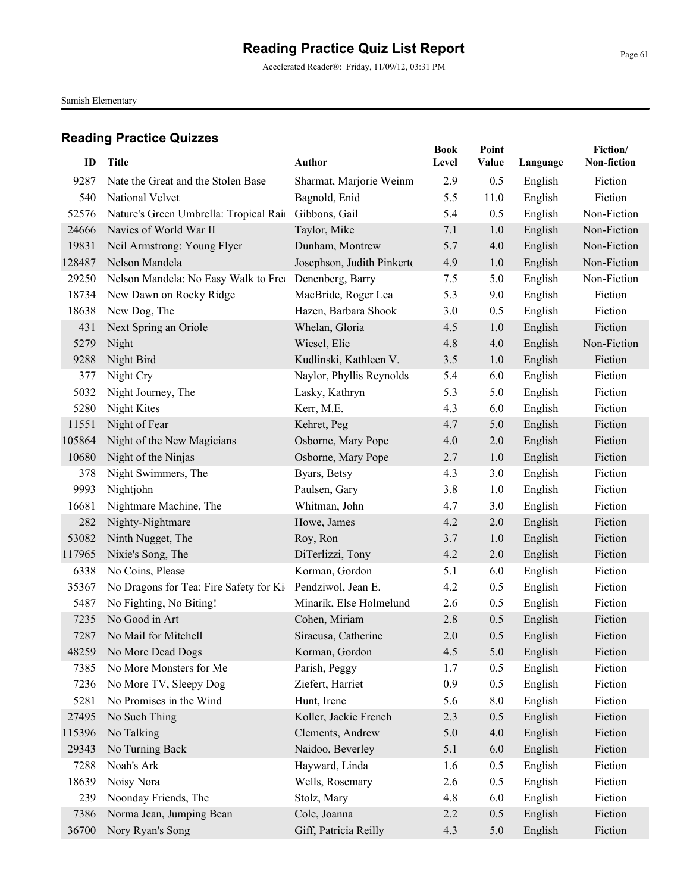Accelerated Reader®: Friday, 11/09/12, 03:31 PM

Samish Elementary

|        |                                        |                            | <b>Book</b> | Point |          | Fiction/    |
|--------|----------------------------------------|----------------------------|-------------|-------|----------|-------------|
| ID     | <b>Title</b>                           | <b>Author</b>              | Level       | Value | Language | Non-fiction |
| 9287   | Nate the Great and the Stolen Base     | Sharmat, Marjorie Weinm    | 2.9         | 0.5   | English  | Fiction     |
| 540    | National Velvet                        | Bagnold, Enid              | 5.5         | 11.0  | English  | Fiction     |
| 52576  | Nature's Green Umbrella: Tropical Rain | Gibbons, Gail              | 5.4         | 0.5   | English  | Non-Fiction |
| 24666  | Navies of World War II                 | Taylor, Mike               | 7.1         | 1.0   | English  | Non-Fiction |
| 19831  | Neil Armstrong: Young Flyer            | Dunham, Montrew            | 5.7         | 4.0   | English  | Non-Fiction |
| 128487 | Nelson Mandela                         | Josephson, Judith Pinkerto | 4.9         | 1.0   | English  | Non-Fiction |
| 29250  | Nelson Mandela: No Easy Walk to Free   | Denenberg, Barry           | 7.5         | 5.0   | English  | Non-Fiction |
| 18734  | New Dawn on Rocky Ridge                | MacBride, Roger Lea        | 5.3         | 9.0   | English  | Fiction     |
| 18638  | New Dog, The                           | Hazen, Barbara Shook       | 3.0         | 0.5   | English  | Fiction     |
| 431    | Next Spring an Oriole                  | Whelan, Gloria             | 4.5         | 1.0   | English  | Fiction     |
| 5279   | Night                                  | Wiesel, Elie               | 4.8         | 4.0   | English  | Non-Fiction |
| 9288   | Night Bird                             | Kudlinski, Kathleen V.     | 3.5         | 1.0   | English  | Fiction     |
| 377    | Night Cry                              | Naylor, Phyllis Reynolds   | 5.4         | 6.0   | English  | Fiction     |
| 5032   | Night Journey, The                     | Lasky, Kathryn             | 5.3         | 5.0   | English  | Fiction     |
| 5280   | Night Kites                            | Kerr, M.E.                 | 4.3         | 6.0   | English  | Fiction     |
| 11551  | Night of Fear                          | Kehret, Peg                | 4.7         | 5.0   | English  | Fiction     |
| 105864 | Night of the New Magicians             | Osborne, Mary Pope         | 4.0         | 2.0   | English  | Fiction     |
| 10680  | Night of the Ninjas                    | Osborne, Mary Pope         | 2.7         | 1.0   | English  | Fiction     |
| 378    | Night Swimmers, The                    | Byars, Betsy               | 4.3         | 3.0   | English  | Fiction     |
| 9993   | Nightjohn                              | Paulsen, Gary              | 3.8         | 1.0   | English  | Fiction     |
| 16681  | Nightmare Machine, The                 | Whitman, John              | 4.7         | 3.0   | English  | Fiction     |
| 282    | Nighty-Nightmare                       | Howe, James                | 4.2         | 2.0   | English  | Fiction     |
| 53082  | Ninth Nugget, The                      | Roy, Ron                   | 3.7         | 1.0   | English  | Fiction     |
| 117965 | Nixie's Song, The                      | DiTerlizzi, Tony           | 4.2         | 2.0   | English  | Fiction     |
| 6338   | No Coins, Please                       | Korman, Gordon             | 5.1         | 6.0   | English  | Fiction     |
| 35367  | No Dragons for Tea: Fire Safety for Ki | Pendziwol, Jean E.         | 4.2         | 0.5   | English  | Fiction     |
| 5487   | No Fighting, No Biting!                | Minarik, Else Holmelund    | 2.6         | 0.5   | English  | Fiction     |
| 7235   | No Good in Art                         | Cohen, Miriam              | 2.8         | 0.5   | English  | Fiction     |
| 7287   | No Mail for Mitchell                   | Siracusa, Catherine        | 2.0         | 0.5   | English  | Fiction     |
|        | 48259 No More Dead Dogs                | Korman, Gordon             | $4.5\,$     | 5.0   | English  | Fiction     |
| 7385   | No More Monsters for Me                | Parish, Peggy              | 1.7         | 0.5   | English  | Fiction     |
| 7236   | No More TV, Sleepy Dog                 | Ziefert, Harriet           | 0.9         | 0.5   | English  | Fiction     |
| 5281   | No Promises in the Wind                | Hunt, Irene                | 5.6         | 8.0   | English  | Fiction     |
| 27495  | No Such Thing                          | Koller, Jackie French      | 2.3         | 0.5   | English  | Fiction     |
| 115396 | No Talking                             | Clements, Andrew           | 5.0         | 4.0   | English  | Fiction     |
| 29343  | No Turning Back                        | Naidoo, Beverley           | 5.1         | 6.0   | English  | Fiction     |
| 7288   | Noah's Ark                             | Hayward, Linda             | 1.6         | 0.5   | English  | Fiction     |
| 18639  | Noisy Nora                             | Wells, Rosemary            | 2.6         | 0.5   | English  | Fiction     |
| 239    | Noonday Friends, The                   | Stolz, Mary                | 4.8         | 6.0   | English  | Fiction     |
| 7386   | Norma Jean, Jumping Bean               | Cole, Joanna               | 2.2         | 0.5   | English  | Fiction     |
| 36700  | Nory Ryan's Song                       | Giff, Patricia Reilly      | 4.3         | 5.0   | English  | Fiction     |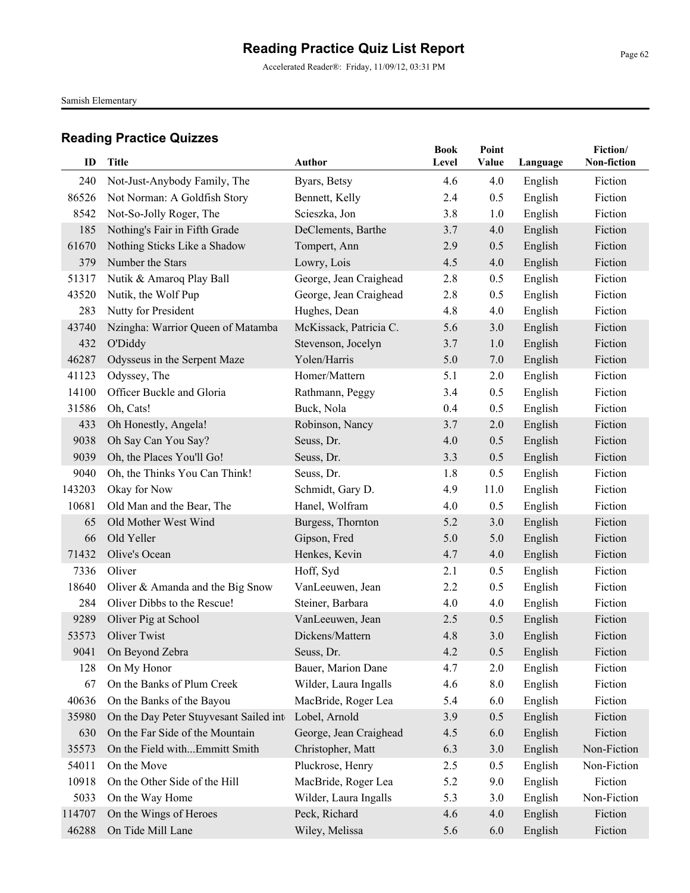Accelerated Reader®: Friday, 11/09/12, 03:31 PM

Samish Elementary

| ID     | <b>Title</b>                            | <b>Author</b>          | <b>Book</b><br>Level | Point<br>Value |          | Fiction/<br>Non-fiction |
|--------|-----------------------------------------|------------------------|----------------------|----------------|----------|-------------------------|
|        |                                         |                        |                      |                | Language |                         |
| 240    | Not-Just-Anybody Family, The            | Byars, Betsy           | 4.6                  | 4.0            | English  | Fiction                 |
| 86526  | Not Norman: A Goldfish Story            | Bennett, Kelly         | 2.4                  | 0.5            | English  | Fiction                 |
| 8542   | Not-So-Jolly Roger, The                 | Scieszka, Jon          | 3.8                  | 1.0            | English  | Fiction                 |
| 185    | Nothing's Fair in Fifth Grade           | DeClements, Barthe     | 3.7                  | 4.0            | English  | Fiction                 |
| 61670  | Nothing Sticks Like a Shadow            | Tompert, Ann           | 2.9                  | 0.5            | English  | Fiction                 |
| 379    | Number the Stars                        | Lowry, Lois            | 4.5                  | 4.0            | English  | Fiction                 |
| 51317  | Nutik & Amaroq Play Ball                | George, Jean Craighead | 2.8                  | 0.5            | English  | Fiction                 |
| 43520  | Nutik, the Wolf Pup                     | George, Jean Craighead | 2.8                  | 0.5            | English  | Fiction                 |
| 283    | Nutty for President                     | Hughes, Dean           | 4.8                  | 4.0            | English  | Fiction                 |
| 43740  | Nzingha: Warrior Queen of Matamba       | McKissack, Patricia C. | 5.6                  | 3.0            | English  | Fiction                 |
| 432    | O'Diddy                                 | Stevenson, Jocelyn     | 3.7                  | 1.0            | English  | Fiction                 |
| 46287  | Odysseus in the Serpent Maze            | Yolen/Harris           | 5.0                  | 7.0            | English  | Fiction                 |
| 41123  | Odyssey, The                            | Homer/Mattern          | 5.1                  | 2.0            | English  | Fiction                 |
| 14100  | Officer Buckle and Gloria               | Rathmann, Peggy        | 3.4                  | 0.5            | English  | Fiction                 |
| 31586  | Oh, Cats!                               | Buck, Nola             | 0.4                  | 0.5            | English  | Fiction                 |
| 433    | Oh Honestly, Angela!                    | Robinson, Nancy        | 3.7                  | 2.0            | English  | Fiction                 |
| 9038   | Oh Say Can You Say?                     | Seuss, Dr.             | 4.0                  | 0.5            | English  | Fiction                 |
| 9039   | Oh, the Places You'll Go!               | Seuss, Dr.             | 3.3                  | 0.5            | English  | Fiction                 |
| 9040   | Oh, the Thinks You Can Think!           | Seuss, Dr.             | 1.8                  | 0.5            | English  | Fiction                 |
| 143203 | Okay for Now                            | Schmidt, Gary D.       | 4.9                  | 11.0           | English  | Fiction                 |
| 10681  | Old Man and the Bear, The               | Hanel, Wolfram         | 4.0                  | 0.5            | English  | Fiction                 |
| 65     | Old Mother West Wind                    | Burgess, Thornton      | 5.2                  | 3.0            | English  | Fiction                 |
| 66     | Old Yeller                              | Gipson, Fred           | 5.0                  | 5.0            | English  | Fiction                 |
| 71432  | Olive's Ocean                           | Henkes, Kevin          | 4.7                  | 4.0            | English  | Fiction                 |
| 7336   | Oliver                                  | Hoff, Syd              | 2.1                  | 0.5            | English  | Fiction                 |
| 18640  | Oliver & Amanda and the Big Snow        | VanLeeuwen, Jean       | 2.2                  | 0.5            | English  | Fiction                 |
| 284    | Oliver Dibbs to the Rescue!             | Steiner, Barbara       | 4.0                  | 4.0            | English  | Fiction                 |
| 9289   | Oliver Pig at School                    | VanLeeuwen, Jean       | 2.5                  | 0.5            | English  | Fiction                 |
| 53573  | Oliver Twist                            | Dickens/Mattern        | 4.8                  | 3.0            | English  | Fiction                 |
|        | 9041 On Beyond Zebra                    | Seuss, Dr.             | 4.2                  | 0.5            | English  | Fiction                 |
| 128    | On My Honor                             | Bauer, Marion Dane     | 4.7                  | 2.0            | English  | Fiction                 |
| 67     | On the Banks of Plum Creek              | Wilder, Laura Ingalls  | 4.6                  | 8.0            | English  | Fiction                 |
| 40636  | On the Banks of the Bayou               | MacBride, Roger Lea    | 5.4                  | 6.0            | English  | Fiction                 |
| 35980  | On the Day Peter Stuyvesant Sailed into | Lobel, Arnold          | 3.9                  | 0.5            | English  | Fiction                 |
| 630    | On the Far Side of the Mountain         | George, Jean Craighead | 4.5                  | 6.0            | English  | Fiction                 |
| 35573  | On the Field withEmmitt Smith           | Christopher, Matt      | 6.3                  | 3.0            | English  | Non-Fiction             |
| 54011  | On the Move                             | Pluckrose, Henry       | 2.5                  | 0.5            | English  | Non-Fiction             |
| 10918  | On the Other Side of the Hill           | MacBride, Roger Lea    | 5.2                  | 9.0            | English  | Fiction                 |
| 5033   | On the Way Home                         | Wilder, Laura Ingalls  | 5.3                  | 3.0            | English  | Non-Fiction             |
| 114707 | On the Wings of Heroes                  | Peck, Richard          | 4.6                  | 4.0            | English  | Fiction                 |
| 46288  | On Tide Mill Lane                       | Wiley, Melissa         | 5.6                  | 6.0            | English  | Fiction                 |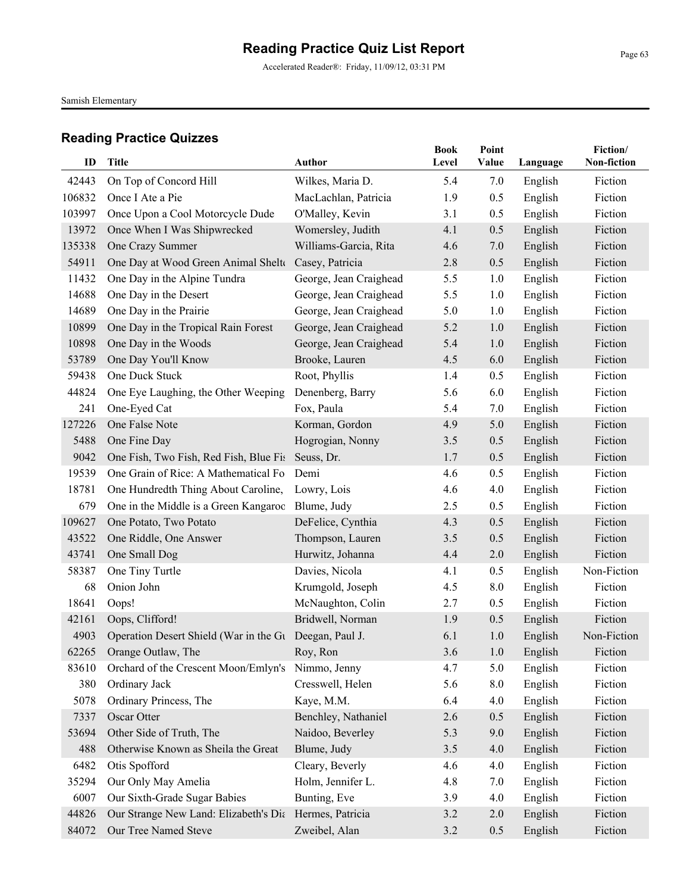Accelerated Reader®: Friday, 11/09/12, 03:31 PM

Samish Elementary

| ID              | <b>Title</b>                                           | <b>Author</b>          | <b>Book</b><br>Level | Point<br>Value | Language           | Fiction/<br>Non-fiction |
|-----------------|--------------------------------------------------------|------------------------|----------------------|----------------|--------------------|-------------------------|
|                 | On Top of Concord Hill                                 | Wilkes, Maria D.       | 5.4                  |                |                    |                         |
| 42443<br>106832 | Once I Ate a Pie                                       | MacLachlan, Patricia   | 1.9                  | 7.0<br>0.5     | English<br>English | Fiction<br>Fiction      |
| 103997          | Once Upon a Cool Motorcycle Dude                       | O'Malley, Kevin        | 3.1                  | 0.5            | English            | Fiction                 |
| 13972           | Once When I Was Shipwrecked                            | Womersley, Judith      | 4.1                  | 0.5            | English            | Fiction                 |
| 135338          | One Crazy Summer                                       | Williams-Garcia, Rita  | 4.6                  | 7.0            | English            | Fiction                 |
| 54911           | One Day at Wood Green Animal Shelte                    | Casey, Patricia        | 2.8                  | 0.5            | English            | Fiction                 |
| 11432           | One Day in the Alpine Tundra                           | George, Jean Craighead | 5.5                  | 1.0            | English            | Fiction                 |
| 14688           | One Day in the Desert                                  | George, Jean Craighead | 5.5                  | 1.0            | English            | Fiction                 |
| 14689           | One Day in the Prairie                                 | George, Jean Craighead | 5.0                  | 1.0            | English            | Fiction                 |
| 10899           | One Day in the Tropical Rain Forest                    | George, Jean Craighead | 5.2                  | 1.0            | English            | Fiction                 |
| 10898           | One Day in the Woods                                   | George, Jean Craighead | 5.4                  | 1.0            | English            | Fiction                 |
| 53789           | One Day You'll Know                                    | Brooke, Lauren         | 4.5                  | 6.0            | English            | Fiction                 |
| 59438           | One Duck Stuck                                         | Root, Phyllis          | 1.4                  | 0.5            | English            | Fiction                 |
| 44824           | One Eye Laughing, the Other Weeping                    | Denenberg, Barry       | 5.6                  | 6.0            | English            | Fiction                 |
| 241             | One-Eyed Cat                                           | Fox, Paula             | 5.4                  | 7.0            | English            | Fiction                 |
| 127226          | One False Note                                         | Korman, Gordon         | 4.9                  | 5.0            | English            | Fiction                 |
| 5488            | One Fine Day                                           | Hogrogian, Nonny       | 3.5                  | 0.5            | English            | Fiction                 |
| 9042            | One Fish, Two Fish, Red Fish, Blue Fis                 | Seuss, Dr.             | 1.7                  | 0.5            | English            | Fiction                 |
| 19539           | One Grain of Rice: A Mathematical Fo                   | Demi                   | 4.6                  | 0.5            | English            | Fiction                 |
| 18781           | One Hundredth Thing About Caroline,                    | Lowry, Lois            | 4.6                  | 4.0            | English            | Fiction                 |
| 679             | One in the Middle is a Green Kangaroo                  | Blume, Judy            | 2.5                  | 0.5            | English            | Fiction                 |
| 109627          | One Potato, Two Potato                                 | DeFelice, Cynthia      | 4.3                  | 0.5            | English            | Fiction                 |
| 43522           | One Riddle, One Answer                                 | Thompson, Lauren       | 3.5                  | 0.5            | English            | Fiction                 |
| 43741           | One Small Dog                                          | Hurwitz, Johanna       | 4.4                  | 2.0            | English            | Fiction                 |
| 58387           | One Tiny Turtle                                        | Davies, Nicola         | 4.1                  | 0.5            | English            | Non-Fiction             |
| 68              | Onion John                                             | Krumgold, Joseph       | 4.5                  | 8.0            | English            | Fiction                 |
| 18641           | Oops!                                                  | McNaughton, Colin      | 2.7                  | 0.5            | English            | Fiction                 |
| 42161           | Oops, Clifford!                                        | Bridwell, Norman       | 1.9                  | 0.5            | English            | Fiction                 |
| 4903            | Operation Desert Shield (War in the Gu Deegan, Paul J. |                        | 6.1                  | 1.0            | English            | Non-Fiction             |
|                 | 62265 Orange Outlaw, The                               | Roy, Ron               | 3.6                  | 1.0            | English            | Fiction                 |
| 83610           | Orchard of the Crescent Moon/Emlyn's                   | Nimmo, Jenny           | 4.7                  | 5.0            | English            | Fiction                 |
| 380             | Ordinary Jack                                          | Cresswell, Helen       | 5.6                  | 8.0            | English            | Fiction                 |
| 5078            | Ordinary Princess, The                                 | Kaye, M.M.             | 6.4                  | 4.0            | English            | Fiction                 |
| 7337            | Oscar Otter                                            | Benchley, Nathaniel    | 2.6                  | 0.5            | English            | Fiction                 |
| 53694           | Other Side of Truth, The                               | Naidoo, Beverley       | 5.3                  | 9.0            | English            | Fiction                 |
| 488             | Otherwise Known as Sheila the Great                    | Blume, Judy            | 3.5                  | 4.0            | English            | Fiction                 |
| 6482            | Otis Spofford                                          | Cleary, Beverly        | 4.6                  | 4.0            | English            | Fiction                 |
| 35294           | Our Only May Amelia                                    | Holm, Jennifer L.      | 4.8                  | 7.0            | English            | Fiction                 |
| 6007            | Our Sixth-Grade Sugar Babies                           | Bunting, Eve           | 3.9                  | 4.0            | English            | Fiction                 |
| 44826           | Our Strange New Land: Elizabeth's Dia                  | Hermes, Patricia       | 3.2                  | 2.0            | English            | Fiction                 |
| 84072           | Our Tree Named Steve                                   | Zweibel, Alan          | 3.2                  | 0.5            | English            | Fiction                 |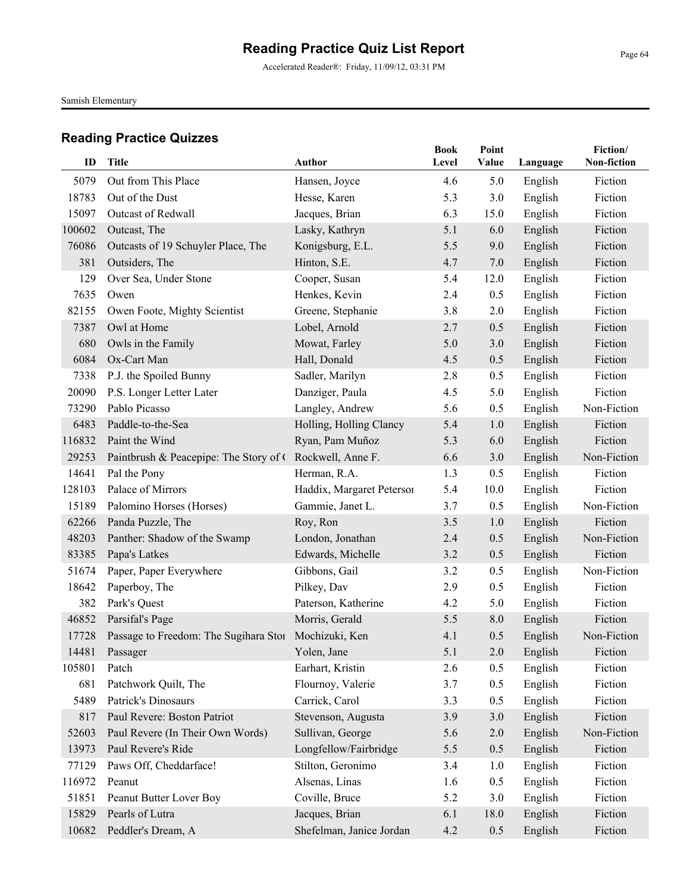Accelerated Reader®: Friday, 11/09/12, 03:31 PM

Samish Elementary

|        |                                                      |                           | <b>Book</b> | Point   |          | Fiction/    |
|--------|------------------------------------------------------|---------------------------|-------------|---------|----------|-------------|
| ID     | <b>Title</b>                                         | <b>Author</b>             | Level       | Value   | Language | Non-fiction |
| 5079   | Out from This Place                                  | Hansen, Joyce             | 4.6         | 5.0     | English  | Fiction     |
| 18783  | Out of the Dust                                      | Hesse, Karen              | 5.3         | 3.0     | English  | Fiction     |
| 15097  | Outcast of Redwall                                   | Jacques, Brian            | 6.3         | 15.0    | English  | Fiction     |
| 100602 | Outcast, The                                         | Lasky, Kathryn            | 5.1         | 6.0     | English  | Fiction     |
| 76086  | Outcasts of 19 Schuyler Place, The                   | Konigsburg, E.L.          | 5.5         | 9.0     | English  | Fiction     |
| 381    | Outsiders, The                                       | Hinton, S.E.              | 4.7         | 7.0     | English  | Fiction     |
| 129    | Over Sea, Under Stone                                | Cooper, Susan             | 5.4         | 12.0    | English  | Fiction     |
| 7635   | Owen                                                 | Henkes, Kevin             | 2.4         | 0.5     | English  | Fiction     |
| 82155  | Owen Foote, Mighty Scientist                         | Greene, Stephanie         | 3.8         | 2.0     | English  | Fiction     |
| 7387   | Owl at Home                                          | Lobel, Arnold             | 2.7         | 0.5     | English  | Fiction     |
| 680    | Owls in the Family                                   | Mowat, Farley             | 5.0         | 3.0     | English  | Fiction     |
| 6084   | Ox-Cart Man                                          | Hall, Donald              | 4.5         | 0.5     | English  | Fiction     |
| 7338   | P.J. the Spoiled Bunny                               | Sadler, Marilyn           | 2.8         | 0.5     | English  | Fiction     |
| 20090  | P.S. Longer Letter Later                             | Danziger, Paula           | 4.5         | 5.0     | English  | Fiction     |
| 73290  | Pablo Picasso                                        | Langley, Andrew           | 5.6         | 0.5     | English  | Non-Fiction |
| 6483   | Paddle-to-the-Sea                                    | Holling, Holling Clancy   | 5.4         | 1.0     | English  | Fiction     |
| 116832 | Paint the Wind                                       | Ryan, Pam Muñoz           | 5.3         | 6.0     | English  | Fiction     |
| 29253  | Paintbrush & Peacepipe: The Story of C               | Rockwell, Anne F.         | 6.6         | 3.0     | English  | Non-Fiction |
| 14641  | Pal the Pony                                         | Herman, R.A.              | 1.3         | 0.5     | English  | Fiction     |
| 128103 | Palace of Mirrors                                    | Haddix, Margaret Peterson | 5.4         | 10.0    | English  | Fiction     |
| 15189  | Palomino Horses (Horses)                             | Gammie, Janet L.          | 3.7         | 0.5     | English  | Non-Fiction |
| 62266  | Panda Puzzle, The                                    | Roy, Ron                  | 3.5         | 1.0     | English  | Fiction     |
| 48203  | Panther: Shadow of the Swamp                         | London, Jonathan          | 2.4         | 0.5     | English  | Non-Fiction |
| 83385  | Papa's Latkes                                        | Edwards, Michelle         | 3.2         | 0.5     | English  | Fiction     |
| 51674  | Paper, Paper Everywhere                              | Gibbons, Gail             | 3.2         | 0.5     | English  | Non-Fiction |
| 18642  | Paperboy, The                                        | Pilkey, Dav               | 2.9         | 0.5     | English  | Fiction     |
| 382    | Park's Quest                                         | Paterson, Katherine       | 4.2         | 5.0     | English  | Fiction     |
| 46852  | Parsifal's Page                                      | Morris, Gerald            | 5.5         | 8.0     | English  | Fiction     |
| 17728  | Passage to Freedom: The Sugihara Stor Mochizuki, Ken |                           | 4.1         | 0.5     | English  | Non-Fiction |
| 14481  | Passager                                             | Yolen, Jane               | 5.1         | $2.0\,$ | English  | Fiction     |
| 105801 | Patch                                                | Earhart, Kristin          | 2.6         | 0.5     | English  | Fiction     |
| 681    | Patchwork Quilt, The                                 | Flournoy, Valerie         | 3.7         | 0.5     | English  | Fiction     |
| 5489   | Patrick's Dinosaurs                                  | Carrick, Carol            | 3.3         | 0.5     | English  | Fiction     |
| 817    | Paul Revere: Boston Patriot                          | Stevenson, Augusta        | 3.9         | 3.0     | English  | Fiction     |
| 52603  | Paul Revere (In Their Own Words)                     | Sullivan, George          | 5.6         | $2.0$   | English  | Non-Fiction |
| 13973  | Paul Revere's Ride                                   | Longfellow/Fairbridge     | 5.5         | 0.5     | English  | Fiction     |
| 77129  | Paws Off, Cheddarface!                               | Stilton, Geronimo         | 3.4         | 1.0     | English  | Fiction     |
| 116972 | Peanut                                               | Alsenas, Linas            | 1.6         | 0.5     | English  | Fiction     |
| 51851  | Peanut Butter Lover Boy                              | Coville, Bruce            | 5.2         | 3.0     | English  | Fiction     |
| 15829  | Pearls of Lutra                                      | Jacques, Brian            | 6.1         | 18.0    | English  | Fiction     |
| 10682  | Peddler's Dream, A                                   | Shefelman, Janice Jordan  | 4.2         | 0.5     | English  | Fiction     |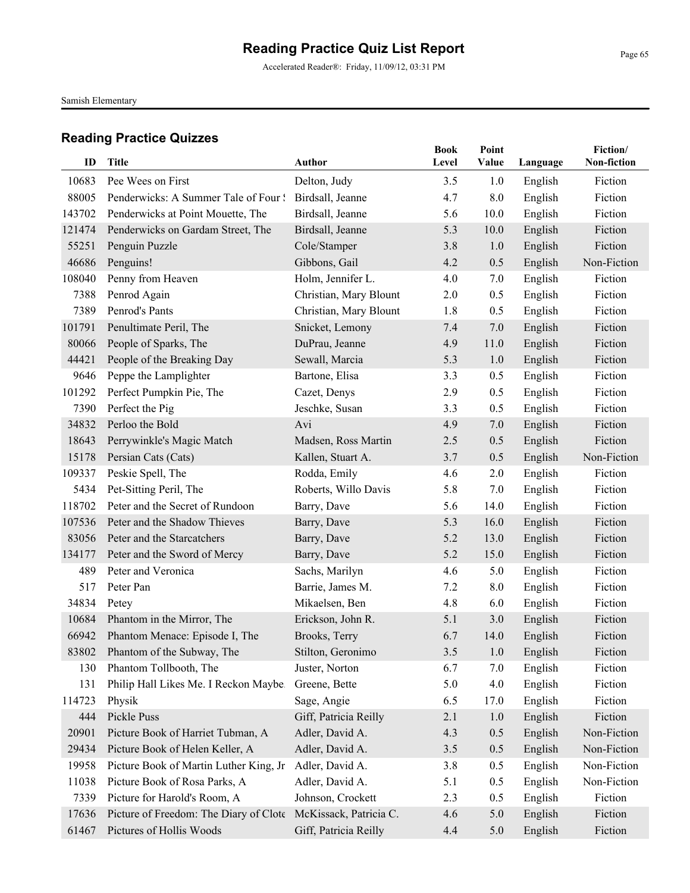Accelerated Reader®: Friday, 11/09/12, 03:31 PM

Samish Elementary

| ID             | Title                                                                  | Author                               | <b>Book</b><br>Level | Point<br>Value | Language           | Fiction/<br>Non-fiction |
|----------------|------------------------------------------------------------------------|--------------------------------------|----------------------|----------------|--------------------|-------------------------|
| 10683          |                                                                        | Delton, Judy                         |                      |                |                    | Fiction                 |
| 88005          | Pee Wees on First<br>Penderwicks: A Summer Tale of Four!               | Birdsall, Jeanne                     | 3.5<br>4.7           | 1.0<br>8.0     | English            | Fiction                 |
| 143702         |                                                                        | Birdsall, Jeanne                     |                      |                | English            | Fiction                 |
| 121474         | Penderwicks at Point Mouette, The<br>Penderwicks on Gardam Street, The | Birdsall, Jeanne                     | 5.6<br>5.3           | 10.0<br>10.0   | English<br>English | Fiction                 |
| 55251          | Penguin Puzzle                                                         | Cole/Stamper                         | 3.8                  | 1.0            |                    | Fiction                 |
| 46686          | Penguins!                                                              | Gibbons, Gail                        | 4.2                  | 0.5            | English<br>English | Non-Fiction             |
| 108040         | Penny from Heaven                                                      | Holm, Jennifer L.                    | 4.0                  | 7.0            | English            | Fiction                 |
| 7388           | Penrod Again                                                           | Christian, Mary Blount               | 2.0                  | 0.5            | English            | Fiction                 |
| 7389           | Penrod's Pants                                                         | Christian, Mary Blount               | 1.8                  | 0.5            |                    | Fiction                 |
| 101791         | Penultimate Peril, The                                                 |                                      | 7.4                  | 7.0            | English            | Fiction                 |
| 80066          |                                                                        | Snicket, Lemony                      | 4.9                  |                | English            | Fiction                 |
|                | People of Sparks, The                                                  | DuPrau, Jeanne                       |                      | 11.0           | English            |                         |
| 44421<br>9646  | People of the Breaking Day                                             | Sewall, Marcia                       | 5.3                  | 1.0            | English            | Fiction                 |
|                | Peppe the Lamplighter                                                  | Bartone, Elisa                       | 3.3                  | 0.5            | English            | Fiction<br>Fiction      |
| 101292         | Perfect Pumpkin Pie, The<br>Perfect the Pig                            | Cazet, Denys                         | 2.9                  | 0.5            | English            | Fiction                 |
| 7390<br>34832  | Perloo the Bold                                                        | Jeschke, Susan<br>Avi                | 3.3<br>4.9           | 0.5            | English<br>English | Fiction                 |
|                | Perrywinkle's Magic Match                                              |                                      |                      | 7.0            |                    | Fiction                 |
| 18643<br>15178 |                                                                        | Madsen, Ross Martin                  | 2.5<br>3.7           | 0.5            | English            | Non-Fiction             |
|                | Persian Cats (Cats)                                                    | Kallen, Stuart A.                    |                      | 0.5            | English            | Fiction                 |
| 109337<br>5434 | Peskie Spell, The<br>Pet-Sitting Peril, The                            | Rodda, Emily<br>Roberts, Willo Davis | 4.6<br>5.8           | 2.0<br>7.0     | English<br>English | Fiction                 |
| 118702         | Peter and the Secret of Rundoon                                        | Barry, Dave                          | 5.6                  | 14.0           | English            | Fiction                 |
| 107536         | Peter and the Shadow Thieves                                           | Barry, Dave                          | 5.3                  | 16.0           | English            | Fiction                 |
| 83056          | Peter and the Starcatchers                                             | Barry, Dave                          | 5.2                  | 13.0           | English            | Fiction                 |
| 134177         | Peter and the Sword of Mercy                                           | Barry, Dave                          | 5.2                  | 15.0           | English            | Fiction                 |
| 489            | Peter and Veronica                                                     | Sachs, Marilyn                       | 4.6                  | 5.0            | English            | Fiction                 |
| 517            | Peter Pan                                                              | Barrie, James M.                     | 7.2                  | 8.0            | English            | Fiction                 |
| 34834          | Petey                                                                  | Mikaelsen, Ben                       | 4.8                  | 6.0            | English            | Fiction                 |
| 10684          | Phantom in the Mirror, The                                             | Erickson, John R.                    | 5.1                  | 3.0            | English            | Fiction                 |
| 66942          | Phantom Menace: Episode I, The                                         | Brooks, Terry                        | 6.7                  | 14.0           | English            | Fiction                 |
| 83802          | Phantom of the Subway, The                                             | Stilton, Geronimo                    | $3.5$                | 1.0            | English            | Fiction                 |
| 130            | Phantom Tollbooth, The                                                 | Juster, Norton                       | 6.7                  | 7.0            | English            | Fiction                 |
| 131            | Philip Hall Likes Me. I Reckon Maybe.                                  | Greene, Bette                        | 5.0                  | 4.0            | English            | Fiction                 |
| 114723         | Physik                                                                 | Sage, Angie                          | 6.5                  | 17.0           | English            | Fiction                 |
| 444            | Pickle Puss                                                            | Giff, Patricia Reilly                | 2.1                  | 1.0            | English            | Fiction                 |
| 20901          | Picture Book of Harriet Tubman, A                                      | Adler, David A.                      | 4.3                  | 0.5            | English            | Non-Fiction             |
| 29434          | Picture Book of Helen Keller, A                                        | Adler, David A.                      | 3.5                  | 0.5            | English            | Non-Fiction             |
| 19958          | Picture Book of Martin Luther King, Jr                                 | Adler, David A.                      | 3.8                  | 0.5            | English            | Non-Fiction             |
| 11038          | Picture Book of Rosa Parks, A                                          | Adler, David A.                      | 5.1                  | 0.5            | English            | Non-Fiction             |
| 7339           | Picture for Harold's Room, A                                           | Johnson, Crockett                    | 2.3                  | 0.5            | English            | Fiction                 |
| 17636          | Picture of Freedom: The Diary of Clote                                 | McKissack, Patricia C.               | 4.6                  | 5.0            | English            | Fiction                 |
| 61467          | Pictures of Hollis Woods                                               | Giff, Patricia Reilly                | 4.4                  | 5.0            | English            | Fiction                 |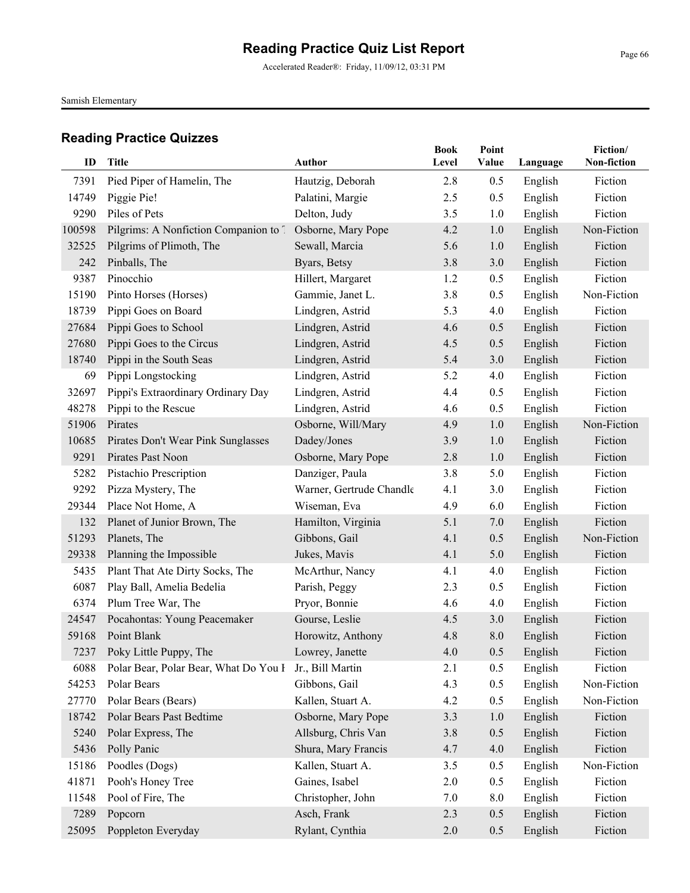Accelerated Reader®: Friday, 11/09/12, 03:31 PM

Samish Elementary

| ID              | Title                                     | <b>Author</b>                    | <b>Book</b><br>Level | Point<br>Value | Language           | Fiction/<br>Non-fiction |
|-----------------|-------------------------------------------|----------------------------------|----------------------|----------------|--------------------|-------------------------|
|                 |                                           |                                  |                      |                |                    |                         |
| 7391            | Pied Piper of Hamelin, The                | Hautzig, Deborah                 | 2.8                  | 0.5            | English            | Fiction<br>Fiction      |
| 14749<br>9290   | Piggie Pie!<br>Piles of Pets              | Palatini, Margie<br>Delton, Judy | 2.5<br>3.5           | 0.5            | English            | Fiction                 |
|                 |                                           | Osborne, Mary Pope               |                      | 1.0            | English            | Non-Fiction             |
| 100598<br>32525 | Pilgrims: A Nonfiction Companion to 7     |                                  | 4.2                  | 1.0            | English            | Fiction                 |
| 242             | Pilgrims of Plimoth, The<br>Pinballs, The | Sewall, Marcia<br>Byars, Betsy   | 5.6<br>3.8           | 1.0<br>3.0     | English<br>English | Fiction                 |
| 9387            | Pinocchio                                 | Hillert, Margaret                | 1.2                  | 0.5            | English            | Fiction                 |
| 15190           | Pinto Horses (Horses)                     | Gammie, Janet L.                 | 3.8                  | 0.5            | English            | Non-Fiction             |
| 18739           | Pippi Goes on Board                       | Lindgren, Astrid                 | 5.3                  | 4.0            | English            | Fiction                 |
| 27684           | Pippi Goes to School                      | Lindgren, Astrid                 | 4.6                  | 0.5            | English            | Fiction                 |
| 27680           | Pippi Goes to the Circus                  | Lindgren, Astrid                 | 4.5                  | 0.5            | English            | Fiction                 |
| 18740           | Pippi in the South Seas                   | Lindgren, Astrid                 | 5.4                  | 3.0            | English            | Fiction                 |
| 69              | Pippi Longstocking                        | Lindgren, Astrid                 | 5.2                  | 4.0            | English            | Fiction                 |
| 32697           | Pippi's Extraordinary Ordinary Day        | Lindgren, Astrid                 | 4.4                  | 0.5            | English            | Fiction                 |
| 48278           | Pippi to the Rescue                       | Lindgren, Astrid                 | 4.6                  | 0.5            | English            | Fiction                 |
| 51906           | Pirates                                   | Osborne, Will/Mary               | 4.9                  | 1.0            | English            | Non-Fiction             |
| 10685           | Pirates Don't Wear Pink Sunglasses        | Dadey/Jones                      | 3.9                  | 1.0            | English            | Fiction                 |
| 9291            | Pirates Past Noon                         | Osborne, Mary Pope               | 2.8                  | 1.0            | English            | Fiction                 |
| 5282            | Pistachio Prescription                    | Danziger, Paula                  | 3.8                  | 5.0            | English            | Fiction                 |
| 9292            | Pizza Mystery, The                        | Warner, Gertrude Chandle         | 4.1                  | 3.0            | English            | Fiction                 |
| 29344           | Place Not Home, A                         | Wiseman, Eva                     | 4.9                  | 6.0            | English            | Fiction                 |
| 132             | Planet of Junior Brown, The               | Hamilton, Virginia               | 5.1                  | 7.0            | English            | Fiction                 |
| 51293           | Planets, The                              | Gibbons, Gail                    | 4.1                  | 0.5            | English            | Non-Fiction             |
| 29338           | Planning the Impossible                   | Jukes, Mavis                     | 4.1                  | 5.0            | English            | Fiction                 |
| 5435            | Plant That Ate Dirty Socks, The           | McArthur, Nancy                  | 4.1                  | 4.0            | English            | Fiction                 |
| 6087            | Play Ball, Amelia Bedelia                 | Parish, Peggy                    | 2.3                  | 0.5            | English            | Fiction                 |
| 6374            | Plum Tree War, The                        | Pryor, Bonnie                    | 4.6                  | 4.0            | English            | Fiction                 |
| 24547           | Pocahontas: Young Peacemaker              | Gourse, Leslie                   | 4.5                  | 3.0            | English            | Fiction                 |
| 59168           | Point Blank                               | Horowitz, Anthony                | 4.8                  | 8.0            | English            | Fiction                 |
|                 | 7237 Poky Little Puppy, The               | Lowrey, Janette                  | $4.0\,$              | $0.5\,$        | English            | Fiction                 |
| 6088            | Polar Bear, Polar Bear, What Do You I     | Jr., Bill Martin                 | 2.1                  | 0.5            | English            | Fiction                 |
| 54253           | Polar Bears                               | Gibbons, Gail                    | 4.3                  | 0.5            | English            | Non-Fiction             |
| 27770           | Polar Bears (Bears)                       | Kallen, Stuart A.                | 4.2                  | 0.5            | English            | Non-Fiction             |
| 18742           | Polar Bears Past Bedtime                  | Osborne, Mary Pope               | 3.3                  | 1.0            | English            | Fiction                 |
| 5240            | Polar Express, The                        | Allsburg, Chris Van              | 3.8                  | 0.5            | English            | Fiction                 |
| 5436            | Polly Panic                               | Shura, Mary Francis              | 4.7                  | 4.0            | English            | Fiction                 |
| 15186           | Poodles (Dogs)                            | Kallen, Stuart A.                | 3.5                  | 0.5            | English            | Non-Fiction             |
| 41871           | Pooh's Honey Tree                         | Gaines, Isabel                   | 2.0                  | 0.5            | English            | Fiction                 |
| 11548           | Pool of Fire, The                         | Christopher, John                | 7.0                  | 8.0            | English            | Fiction                 |
| 7289            | Popcorn                                   | Asch, Frank                      | 2.3                  | 0.5            | English            | Fiction                 |
| 25095           | Poppleton Everyday                        | Rylant, Cynthia                  | 2.0                  | 0.5            | English            | Fiction                 |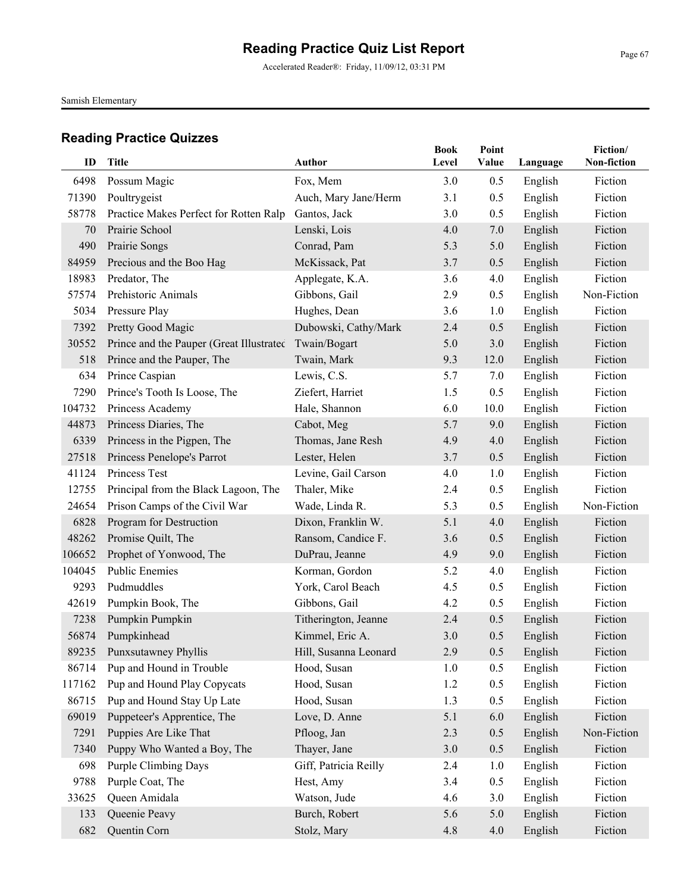Accelerated Reader®: Friday, 11/09/12, 03:31 PM

Samish Elementary

| ID     | Title                                    | Author                | <b>Book</b><br>Level | Point<br>Value | Language | Fiction/<br>Non-fiction |
|--------|------------------------------------------|-----------------------|----------------------|----------------|----------|-------------------------|
| 6498   | Possum Magic                             | Fox, Mem              | 3.0                  | 0.5            | English  | Fiction                 |
| 71390  | Poultrygeist                             | Auch, Mary Jane/Herm  | 3.1                  | 0.5            | English  | Fiction                 |
| 58778  | Practice Makes Perfect for Rotten Ralp   | Gantos, Jack          | 3.0                  | 0.5            | English  | Fiction                 |
| 70     | Prairie School                           | Lenski, Lois          | 4.0                  | 7.0            | English  | Fiction                 |
| 490    | Prairie Songs                            | Conrad, Pam           | 5.3                  | 5.0            | English  | Fiction                 |
| 84959  | Precious and the Boo Hag                 | McKissack, Pat        | 3.7                  | 0.5            | English  | Fiction                 |
| 18983  | Predator, The                            | Applegate, K.A.       | 3.6                  | 4.0            | English  | Fiction                 |
| 57574  | Prehistoric Animals                      | Gibbons, Gail         | 2.9                  | 0.5            | English  | Non-Fiction             |
| 5034   | Pressure Play                            | Hughes, Dean          | 3.6                  | 1.0            | English  | Fiction                 |
| 7392   | Pretty Good Magic                        | Dubowski, Cathy/Mark  | 2.4                  | 0.5            | English  | Fiction                 |
| 30552  | Prince and the Pauper (Great Illustrated | Twain/Bogart          | 5.0                  | 3.0            | English  | Fiction                 |
| 518    | Prince and the Pauper, The               | Twain, Mark           | 9.3                  | 12.0           | English  | Fiction                 |
| 634    | Prince Caspian                           | Lewis, C.S.           | 5.7                  | 7.0            | English  | Fiction                 |
| 7290   | Prince's Tooth Is Loose, The             | Ziefert, Harriet      | 1.5                  | 0.5            | English  | Fiction                 |
| 104732 | Princess Academy                         | Hale, Shannon         | 6.0                  | 10.0           | English  | Fiction                 |
| 44873  | Princess Diaries, The                    | Cabot, Meg            | 5.7                  | 9.0            | English  | Fiction                 |
| 6339   | Princess in the Pigpen, The              | Thomas, Jane Resh     | 4.9                  | 4.0            | English  | Fiction                 |
| 27518  | Princess Penelope's Parrot               | Lester, Helen         | 3.7                  | 0.5            | English  | Fiction                 |
| 41124  | Princess Test                            | Levine, Gail Carson   | 4.0                  | 1.0            | English  | Fiction                 |
| 12755  | Principal from the Black Lagoon, The     | Thaler, Mike          | 2.4                  | 0.5            | English  | Fiction                 |
| 24654  | Prison Camps of the Civil War            | Wade, Linda R.        | 5.3                  | 0.5            | English  | Non-Fiction             |
| 6828   | Program for Destruction                  | Dixon, Franklin W.    | 5.1                  | 4.0            | English  | Fiction                 |
| 48262  | Promise Quilt, The                       | Ransom, Candice F.    | 3.6                  | 0.5            | English  | Fiction                 |
| 106652 | Prophet of Yonwood, The                  | DuPrau, Jeanne        | 4.9                  | 9.0            | English  | Fiction                 |
| 104045 | <b>Public Enemies</b>                    | Korman, Gordon        | 5.2                  | 4.0            | English  | Fiction                 |
| 9293   | Pudmuddles                               | York, Carol Beach     | 4.5                  | 0.5            | English  | Fiction                 |
| 42619  | Pumpkin Book, The                        | Gibbons, Gail         | 4.2                  | 0.5            | English  | Fiction                 |
| 7238   | Pumpkin Pumpkin                          | Titherington, Jeanne  | 2.4                  | 0.5            | English  | Fiction                 |
| 56874  | Pumpkinhead                              | Kimmel, Eric A.       | 3.0                  | 0.5            | English  | Fiction                 |
|        | 89235 Punxsutawney Phyllis               | Hill, Susanna Leonard | 2.9                  | 0.5            | English  | Fiction                 |
| 86714  | Pup and Hound in Trouble                 | Hood, Susan           | 1.0                  | 0.5            | English  | Fiction                 |
| 117162 | Pup and Hound Play Copycats              | Hood, Susan           | 1.2                  | 0.5            | English  | Fiction                 |
| 86715  | Pup and Hound Stay Up Late               | Hood, Susan           | 1.3                  | 0.5            | English  | Fiction                 |
| 69019  | Puppeteer's Apprentice, The              | Love, D. Anne         | 5.1                  | 6.0            | English  | Fiction                 |
| 7291   | Puppies Are Like That                    | Pfloog, Jan           | 2.3                  | 0.5            | English  | Non-Fiction             |
| 7340   | Puppy Who Wanted a Boy, The              | Thayer, Jane          | 3.0                  | 0.5            | English  | Fiction                 |
| 698    | <b>Purple Climbing Days</b>              | Giff, Patricia Reilly | 2.4                  | 1.0            | English  | Fiction                 |
| 9788   | Purple Coat, The                         | Hest, Amy             | 3.4                  | 0.5            | English  | Fiction                 |
| 33625  | Queen Amidala                            | Watson, Jude          | 4.6                  | 3.0            | English  | Fiction                 |
| 133    | Queenie Peavy                            | Burch, Robert         | 5.6                  | 5.0            | English  | Fiction                 |
| 682    | Quentin Corn                             | Stolz, Mary           | 4.8                  | 4.0            | English  | Fiction                 |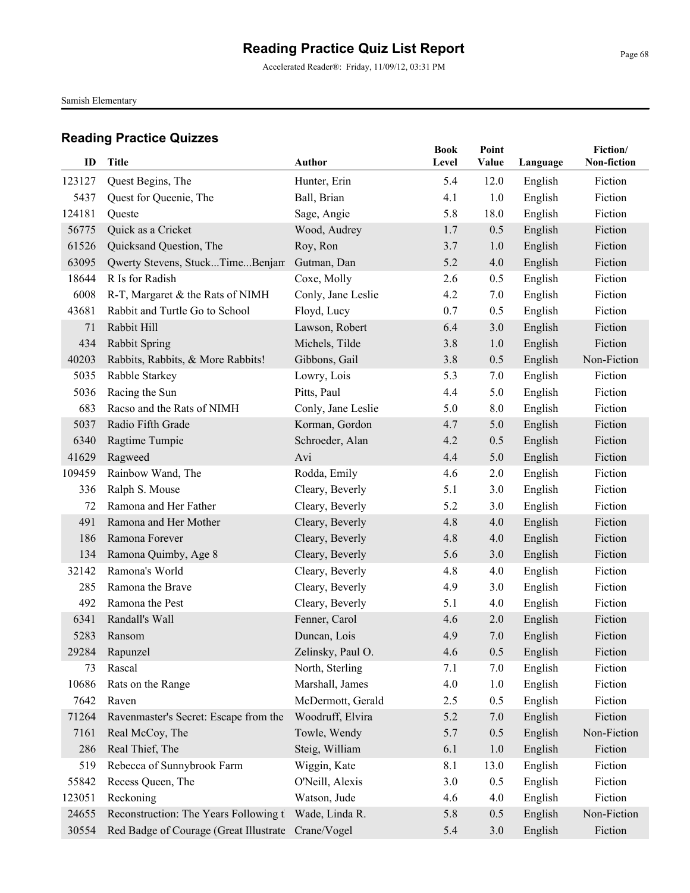Accelerated Reader®: Friday, 11/09/12, 03:31 PM

Samish Elementary

| ID     | Title                                  | Author             | <b>Book</b><br>Level | Point<br>Value |          | Fiction/<br>Non-fiction |
|--------|----------------------------------------|--------------------|----------------------|----------------|----------|-------------------------|
|        |                                        |                    |                      |                | Language |                         |
| 123127 | Quest Begins, The                      | Hunter, Erin       | 5.4                  | 12.0           | English  | Fiction                 |
| 5437   | Quest for Queenie, The                 | Ball, Brian        | 4.1                  | 1.0            | English  | Fiction                 |
| 124181 | Queste                                 | Sage, Angie        | 5.8                  | 18.0           | English  | Fiction                 |
| 56775  | Quick as a Cricket                     | Wood, Audrey       | 1.7                  | 0.5            | English  | Fiction                 |
| 61526  | Quicksand Question, The                | Roy, Ron           | 3.7                  | 1.0            | English  | Fiction                 |
| 63095  | Qwerty Stevens, StuckTimeBenjam        | Gutman, Dan        | 5.2                  | 4.0            | English  | Fiction                 |
| 18644  | R Is for Radish                        | Coxe, Molly        | 2.6                  | 0.5            | English  | Fiction                 |
| 6008   | R-T, Margaret & the Rats of NIMH       | Conly, Jane Leslie | 4.2                  | 7.0            | English  | Fiction                 |
| 43681  | Rabbit and Turtle Go to School         | Floyd, Lucy        | 0.7                  | 0.5            | English  | Fiction                 |
| 71     | Rabbit Hill                            | Lawson, Robert     | 6.4                  | 3.0            | English  | Fiction                 |
| 434    | Rabbit Spring                          | Michels, Tilde     | 3.8                  | 1.0            | English  | Fiction                 |
| 40203  | Rabbits, Rabbits, & More Rabbits!      | Gibbons, Gail      | 3.8                  | 0.5            | English  | Non-Fiction             |
| 5035   | Rabble Starkey                         | Lowry, Lois        | 5.3                  | 7.0            | English  | Fiction                 |
| 5036   | Racing the Sun                         | Pitts, Paul        | 4.4                  | 5.0            | English  | Fiction                 |
| 683    | Racso and the Rats of NIMH             | Conly, Jane Leslie | 5.0                  | 8.0            | English  | Fiction                 |
| 5037   | Radio Fifth Grade                      | Korman, Gordon     | 4.7                  | 5.0            | English  | Fiction                 |
| 6340   | Ragtime Tumpie                         | Schroeder, Alan    | 4.2                  | 0.5            | English  | Fiction                 |
| 41629  | Ragweed                                | Avi                | 4.4                  | 5.0            | English  | Fiction                 |
| 109459 | Rainbow Wand, The                      | Rodda, Emily       | 4.6                  | 2.0            | English  | Fiction                 |
| 336    | Ralph S. Mouse                         | Cleary, Beverly    | 5.1                  | 3.0            | English  | Fiction                 |
| 72     | Ramona and Her Father                  | Cleary, Beverly    | 5.2                  | 3.0            | English  | Fiction                 |
| 491    | Ramona and Her Mother                  | Cleary, Beverly    | 4.8                  | 4.0            | English  | Fiction                 |
| 186    | Ramona Forever                         | Cleary, Beverly    | 4.8                  | 4.0            | English  | Fiction                 |
| 134    | Ramona Quimby, Age 8                   | Cleary, Beverly    | 5.6                  | 3.0            | English  | Fiction                 |
| 32142  | Ramona's World                         | Cleary, Beverly    | 4.8                  | 4.0            | English  | Fiction                 |
| 285    | Ramona the Brave                       | Cleary, Beverly    | 4.9                  | 3.0            | English  | Fiction                 |
| 492    | Ramona the Pest                        | Cleary, Beverly    | 5.1                  | 4.0            | English  | Fiction                 |
| 6341   | Randall's Wall                         | Fenner, Carol      | 4.6                  | 2.0            | English  | Fiction                 |
| 5283   | Ransom                                 | Duncan, Lois       | 4.9                  | 7.0            | English  | Fiction                 |
| 29284  | Rapunzel                               | Zelinsky, Paul O.  | 4.6                  | 0.5            | English  | Fiction                 |
| 73     | Rascal                                 | North, Sterling    | 7.1                  | 7.0            | English  | Fiction                 |
| 10686  | Rats on the Range                      | Marshall, James    | 4.0                  | 1.0            | English  | Fiction                 |
| 7642   | Raven                                  | McDermott, Gerald  | 2.5                  | 0.5            | English  | Fiction                 |
| 71264  | Ravenmaster's Secret: Escape from the  | Woodruff, Elvira   | 5.2                  | 7.0            | English  | Fiction                 |
| 7161   | Real McCoy, The                        | Towle, Wendy       | 5.7                  | 0.5            | English  | Non-Fiction             |
| 286    | Real Thief, The                        | Steig, William     | 6.1                  | 1.0            | English  | Fiction                 |
| 519    | Rebecca of Sunnybrook Farm             | Wiggin, Kate       | 8.1                  | 13.0           | English  | Fiction                 |
| 55842  | Recess Queen, The                      | O'Neill, Alexis    | 3.0                  | 0.5            | English  | Fiction                 |
| 123051 | Reckoning                              | Watson, Jude       | 4.6                  | 4.0            | English  | Fiction                 |
| 24655  | Reconstruction: The Years Following th | Wade, Linda R.     | 5.8                  | 0.5            | English  | Non-Fiction             |
| 30554  | Red Badge of Courage (Great Illustrate | Crane/Vogel        | 5.4                  | 3.0            | English  | Fiction                 |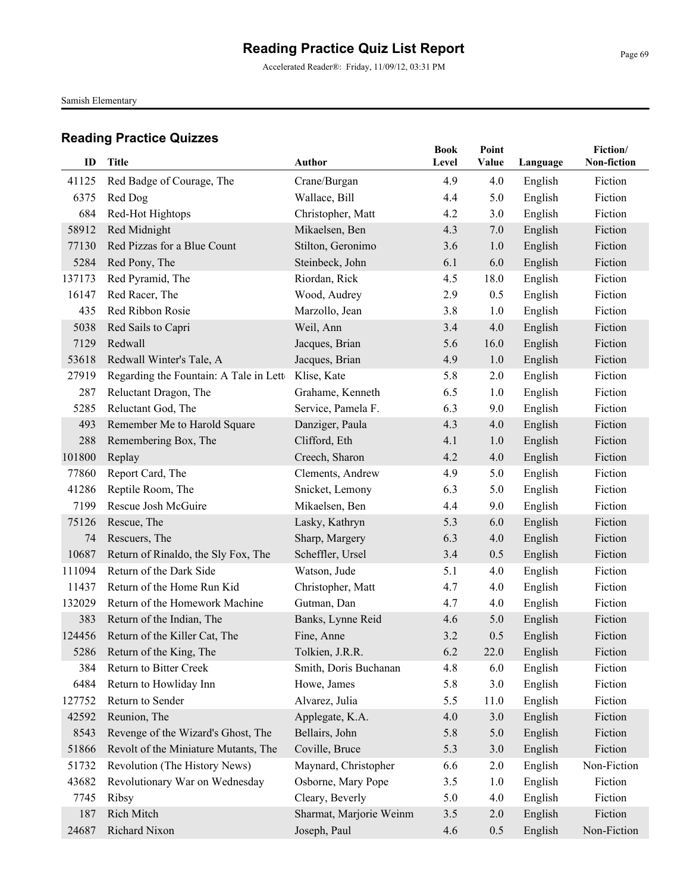Accelerated Reader®: Friday, 11/09/12, 03:31 PM

Samish Elementary

| ID     | Title                                  | <b>Author</b>           | <b>Book</b><br>Level | Point<br>Value | Language | Fiction/<br>Non-fiction |
|--------|----------------------------------------|-------------------------|----------------------|----------------|----------|-------------------------|
| 41125  | Red Badge of Courage, The              | Crane/Burgan            | 4.9                  | 4.0            | English  | Fiction                 |
| 6375   | Red Dog                                | Wallace, Bill           | 4.4                  | 5.0            | English  | Fiction                 |
| 684    | Red-Hot Hightops                       | Christopher, Matt       | 4.2                  | 3.0            | English  | Fiction                 |
| 58912  | Red Midnight                           | Mikaelsen, Ben          | 4.3                  | 7.0            | English  | Fiction                 |
| 77130  | Red Pizzas for a Blue Count            | Stilton, Geronimo       | 3.6                  | 1.0            | English  | Fiction                 |
| 5284   | Red Pony, The                          | Steinbeck, John         | 6.1                  | 6.0            | English  | Fiction                 |
| 137173 | Red Pyramid, The                       | Riordan, Rick           | 4.5                  | 18.0           | English  | Fiction                 |
| 16147  | Red Racer, The                         | Wood, Audrey            | 2.9                  | 0.5            | English  | Fiction                 |
| 435    | Red Ribbon Rosie                       | Marzollo, Jean          | 3.8                  | 1.0            | English  | Fiction                 |
| 5038   | Red Sails to Capri                     | Weil, Ann               | 3.4                  | 4.0            | English  | Fiction                 |
| 7129   | Redwall                                | Jacques, Brian          | 5.6                  | 16.0           | English  | Fiction                 |
| 53618  | Redwall Winter's Tale, A               | Jacques, Brian          | 4.9                  | 1.0            | English  | Fiction                 |
| 27919  | Regarding the Fountain: A Tale in Lett | Klise, Kate             | 5.8                  | 2.0            | English  | Fiction                 |
| 287    | Reluctant Dragon, The                  | Grahame, Kenneth        | 6.5                  | 1.0            | English  | Fiction                 |
| 5285   | Reluctant God, The                     | Service, Pamela F.      | 6.3                  | 9.0            | English  | Fiction                 |
| 493    | Remember Me to Harold Square           | Danziger, Paula         | 4.3                  | 4.0            | English  | Fiction                 |
| 288    | Remembering Box, The                   | Clifford, Eth           | 4.1                  | 1.0            | English  | Fiction                 |
| 101800 | Replay                                 | Creech, Sharon          | 4.2                  | 4.0            | English  | Fiction                 |
| 77860  | Report Card, The                       | Clements, Andrew        | 4.9                  | 5.0            | English  | Fiction                 |
| 41286  | Reptile Room, The                      | Snicket, Lemony         | 6.3                  | 5.0            | English  | Fiction                 |
| 7199   | Rescue Josh McGuire                    | Mikaelsen, Ben          | 4.4                  | 9.0            | English  | Fiction                 |
| 75126  | Rescue, The                            | Lasky, Kathryn          | 5.3                  | 6.0            | English  | Fiction                 |
| 74     | Rescuers, The                          | Sharp, Margery          | 6.3                  | 4.0            | English  | Fiction                 |
| 10687  | Return of Rinaldo, the Sly Fox, The    | Scheffler, Ursel        | 3.4                  | 0.5            | English  | Fiction                 |
| 111094 | Return of the Dark Side                | Watson, Jude            | 5.1                  | 4.0            | English  | Fiction                 |
| 11437  | Return of the Home Run Kid             | Christopher, Matt       | 4.7                  | 4.0            | English  | Fiction                 |
| 132029 | Return of the Homework Machine         | Gutman, Dan             | 4.7                  | 4.0            | English  | Fiction                 |
| 383    | Return of the Indian, The              | Banks, Lynne Reid       | 4.6                  | 5.0            | English  | Fiction                 |
| 124456 | Return of the Killer Cat, The          | Fine, Anne              | 3.2                  | 0.5            | English  | Fiction                 |
|        | 5286 Return of the King, The           | Tolkien, J.R.R.         | 6.2                  | 22.0           | English  | Fiction                 |
| 384    | Return to Bitter Creek                 | Smith, Doris Buchanan   | 4.8                  | 6.0            | English  | Fiction                 |
| 6484   | Return to Howliday Inn                 | Howe, James             | 5.8                  | 3.0            | English  | Fiction                 |
| 127752 | Return to Sender                       | Alvarez, Julia          | 5.5                  | 11.0           | English  | Fiction                 |
| 42592  | Reunion, The                           | Applegate, K.A.         | 4.0                  | 3.0            | English  | Fiction                 |
| 8543   | Revenge of the Wizard's Ghost, The     | Bellairs, John          | 5.8                  | 5.0            | English  | Fiction                 |
| 51866  | Revolt of the Miniature Mutants, The   | Coville, Bruce          | 5.3                  | 3.0            | English  | Fiction                 |
| 51732  | Revolution (The History News)          | Maynard, Christopher    | 6.6                  | 2.0            | English  | Non-Fiction             |
| 43682  | Revolutionary War on Wednesday         | Osborne, Mary Pope      | 3.5                  | 1.0            | English  | Fiction                 |
| 7745   | Ribsy                                  | Cleary, Beverly         | 5.0                  | 4.0            | English  | Fiction                 |
| 187    | Rich Mitch                             | Sharmat, Marjorie Weinm | 3.5                  | 2.0            | English  | Fiction                 |
| 24687  | Richard Nixon                          | Joseph, Paul            | 4.6                  | 0.5            | English  | Non-Fiction             |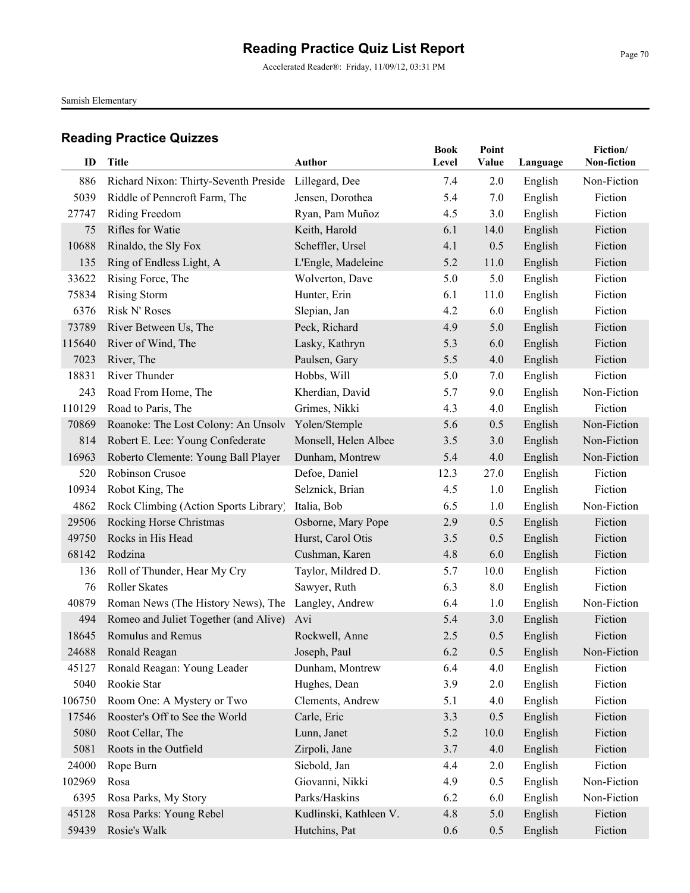Accelerated Reader®: Friday, 11/09/12, 03:31 PM

Samish Elementary

|        |                                                    |                        | <b>Book</b> | Point |          | Fiction/    |
|--------|----------------------------------------------------|------------------------|-------------|-------|----------|-------------|
| ID     | <b>Title</b>                                       | <b>Author</b>          | Level       | Value | Language | Non-fiction |
| 886    | Richard Nixon: Thirty-Seventh Preside              | Lillegard, Dee         | 7.4         | 2.0   | English  | Non-Fiction |
| 5039   | Riddle of Penncroft Farm, The                      | Jensen, Dorothea       | 5.4         | 7.0   | English  | Fiction     |
| 27747  | Riding Freedom                                     | Ryan, Pam Muñoz        | 4.5         | 3.0   | English  | Fiction     |
| 75     | Rifles for Watie                                   | Keith, Harold          | 6.1         | 14.0  | English  | Fiction     |
| 10688  | Rinaldo, the Sly Fox                               | Scheffler, Ursel       | 4.1         | 0.5   | English  | Fiction     |
| 135    | Ring of Endless Light, A                           | L'Engle, Madeleine     | 5.2         | 11.0  | English  | Fiction     |
| 33622  | Rising Force, The                                  | Wolverton, Dave        | 5.0         | 5.0   | English  | Fiction     |
| 75834  | <b>Rising Storm</b>                                | Hunter, Erin           | 6.1         | 11.0  | English  | Fiction     |
| 6376   | Risk N' Roses                                      | Slepian, Jan           | 4.2         | 6.0   | English  | Fiction     |
| 73789  | River Between Us, The                              | Peck, Richard          | 4.9         | 5.0   | English  | Fiction     |
| 115640 | River of Wind, The                                 | Lasky, Kathryn         | 5.3         | 6.0   | English  | Fiction     |
| 7023   | River, The                                         | Paulsen, Gary          | 5.5         | 4.0   | English  | Fiction     |
| 18831  | River Thunder                                      | Hobbs, Will            | 5.0         | 7.0   | English  | Fiction     |
| 243    | Road From Home, The                                | Kherdian, David        | 5.7         | 9.0   | English  | Non-Fiction |
| 110129 | Road to Paris, The                                 | Grimes, Nikki          | 4.3         | 4.0   | English  | Fiction     |
| 70869  | Roanoke: The Lost Colony: An Unsolv                | Yolen/Stemple          | 5.6         | 0.5   | English  | Non-Fiction |
| 814    | Robert E. Lee: Young Confederate                   | Monsell, Helen Albee   | 3.5         | 3.0   | English  | Non-Fiction |
| 16963  | Roberto Clemente: Young Ball Player                | Dunham, Montrew        | 5.4         | 4.0   | English  | Non-Fiction |
| 520    | Robinson Crusoe                                    | Defoe, Daniel          | 12.3        | 27.0  | English  | Fiction     |
| 10934  | Robot King, The                                    | Selznick, Brian        | 4.5         | 1.0   | English  | Fiction     |
| 4862   | Rock Climbing (Action Sports Library)              | Italia, Bob            | 6.5         | 1.0   | English  | Non-Fiction |
| 29506  | Rocking Horse Christmas                            | Osborne, Mary Pope     | 2.9         | 0.5   | English  | Fiction     |
| 49750  | Rocks in His Head                                  | Hurst, Carol Otis      | 3.5         | 0.5   | English  | Fiction     |
| 68142  | Rodzina                                            | Cushman, Karen         | 4.8         | 6.0   | English  | Fiction     |
| 136    | Roll of Thunder, Hear My Cry                       | Taylor, Mildred D.     | 5.7         | 10.0  | English  | Fiction     |
| 76     | <b>Roller Skates</b>                               | Sawyer, Ruth           | 6.3         | 8.0   | English  | Fiction     |
| 40879  | Roman News (The History News), The Langley, Andrew |                        | 6.4         | 1.0   | English  | Non-Fiction |
| 494    | Romeo and Juliet Together (and Alive)              | Avi                    | 5.4         | 3.0   | English  | Fiction     |
| 18645  | Romulus and Remus                                  | Rockwell, Anne         | 2.5         | 0.5   | English  | Fiction     |
| 24688  | Ronald Reagan                                      | Joseph, Paul           | 6.2         | 0.5   | English  | Non-Fiction |
| 45127  | Ronald Reagan: Young Leader                        | Dunham, Montrew        | 6.4         | 4.0   | English  | Fiction     |
| 5040   | Rookie Star                                        | Hughes, Dean           | 3.9         | 2.0   | English  | Fiction     |
| 106750 | Room One: A Mystery or Two                         | Clements, Andrew       | 5.1         | 4.0   | English  | Fiction     |
| 17546  | Rooster's Off to See the World                     | Carle, Eric            | 3.3         | 0.5   | English  | Fiction     |
| 5080   | Root Cellar, The                                   | Lunn, Janet            | 5.2         | 10.0  | English  | Fiction     |
| 5081   | Roots in the Outfield                              | Zirpoli, Jane          | 3.7         | 4.0   | English  | Fiction     |
| 24000  | Rope Burn                                          | Siebold, Jan           | 4.4         | 2.0   | English  | Fiction     |
| 102969 | Rosa                                               | Giovanni, Nikki        | 4.9         | 0.5   | English  | Non-Fiction |
| 6395   | Rosa Parks, My Story                               | Parks/Haskins          | 6.2         | 6.0   | English  | Non-Fiction |
| 45128  | Rosa Parks: Young Rebel                            | Kudlinski, Kathleen V. | 4.8         | 5.0   | English  | Fiction     |
| 59439  | Rosie's Walk                                       | Hutchins, Pat          | 0.6         | 0.5   | English  | Fiction     |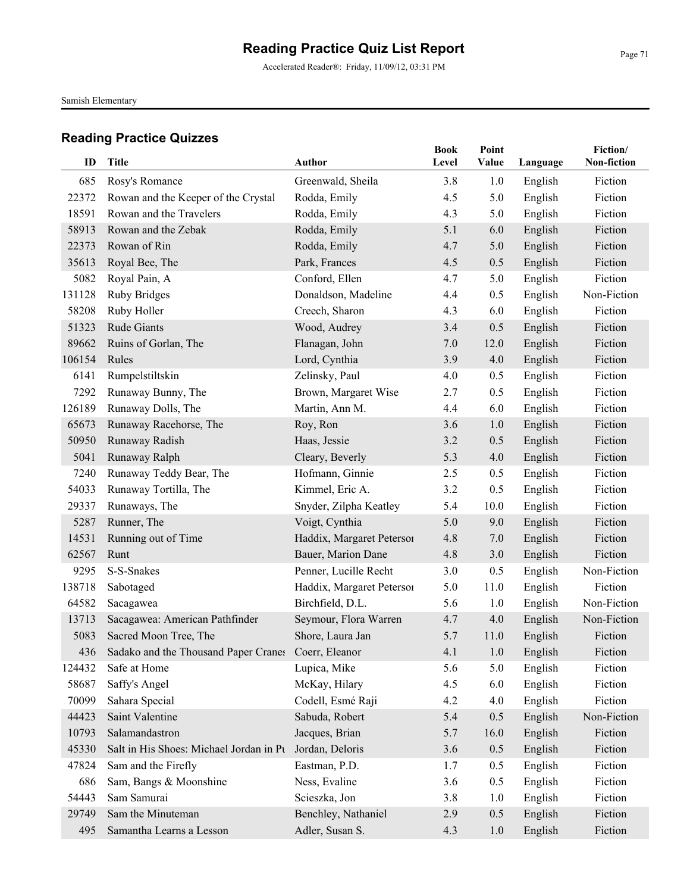Accelerated Reader®: Friday, 11/09/12, 03:31 PM

Samish Elementary

| ID     | <b>Title</b>                                            | <b>Author</b>             | <b>Book</b><br>Level | Point<br>Value | Language | Fiction/<br>Non-fiction |
|--------|---------------------------------------------------------|---------------------------|----------------------|----------------|----------|-------------------------|
| 685    | Rosy's Romance                                          | Greenwald, Sheila         | 3.8                  | 1.0            | English  | Fiction                 |
| 22372  | Rowan and the Keeper of the Crystal                     | Rodda, Emily              | 4.5                  | 5.0            | English  | Fiction                 |
| 18591  | Rowan and the Travelers                                 | Rodda, Emily              | 4.3                  | 5.0            | English  | Fiction                 |
| 58913  | Rowan and the Zebak                                     | Rodda, Emily              | 5.1                  | 6.0            | English  | Fiction                 |
| 22373  | Rowan of Rin                                            | Rodda, Emily              | 4.7                  | 5.0            | English  | Fiction                 |
| 35613  | Royal Bee, The                                          | Park, Frances             | 4.5                  | 0.5            | English  | Fiction                 |
| 5082   | Royal Pain, A                                           | Conford, Ellen            | 4.7                  | 5.0            | English  | Fiction                 |
| 131128 | <b>Ruby Bridges</b>                                     | Donaldson, Madeline       | 4.4                  | 0.5            | English  | Non-Fiction             |
| 58208  | Ruby Holler                                             | Creech, Sharon            | 4.3                  | 6.0            | English  | Fiction                 |
| 51323  | Rude Giants                                             | Wood, Audrey              | 3.4                  | 0.5            | English  | Fiction                 |
| 89662  | Ruins of Gorlan, The                                    | Flanagan, John            | 7.0                  | 12.0           | English  | Fiction                 |
| 106154 | Rules                                                   | Lord, Cynthia             | 3.9                  | 4.0            | English  | Fiction                 |
| 6141   | Rumpelstiltskin                                         | Zelinsky, Paul            | 4.0                  | 0.5            | English  | Fiction                 |
| 7292   | Runaway Bunny, The                                      | Brown, Margaret Wise      | 2.7                  | 0.5            | English  | Fiction                 |
| 126189 | Runaway Dolls, The                                      | Martin, Ann M.            | 4.4                  | 6.0            | English  | Fiction                 |
| 65673  | Runaway Racehorse, The                                  | Roy, Ron                  | 3.6                  | 1.0            | English  | Fiction                 |
| 50950  | Runaway Radish                                          | Haas, Jessie              | 3.2                  | 0.5            | English  | Fiction                 |
| 5041   | Runaway Ralph                                           | Cleary, Beverly           | 5.3                  | 4.0            | English  | Fiction                 |
| 7240   | Runaway Teddy Bear, The                                 | Hofmann, Ginnie           | 2.5                  | 0.5            | English  | Fiction                 |
| 54033  | Runaway Tortilla, The                                   | Kimmel, Eric A.           | 3.2                  | 0.5            | English  | Fiction                 |
| 29337  | Runaways, The                                           | Snyder, Zilpha Keatley    | 5.4                  | 10.0           | English  | Fiction                 |
| 5287   | Runner, The                                             | Voigt, Cynthia            | 5.0                  | 9.0            | English  | Fiction                 |
| 14531  | Running out of Time                                     | Haddix, Margaret Petersor | 4.8                  | 7.0            | English  | Fiction                 |
| 62567  | Runt                                                    | Bauer, Marion Dane        | 4.8                  | 3.0            | English  | Fiction                 |
| 9295   | S-S-Snakes                                              | Penner, Lucille Recht     | 3.0                  | 0.5            | English  | Non-Fiction             |
| 138718 | Sabotaged                                               | Haddix, Margaret Peterson | 5.0                  | 11.0           | English  | Fiction                 |
| 64582  | Sacagawea                                               | Birchfield, D.L.          | 5.6                  | 1.0            | English  | Non-Fiction             |
| 13713  | Sacagawea: American Pathfinder                          | Seymour, Flora Warren     | 4.7                  | 4.0            | English  | Non-Fiction             |
| 5083   | Sacred Moon Tree, The                                   | Shore, Laura Jan          | 5.7                  | 11.0           | English  | Fiction                 |
|        | 436 Sadako and the Thousand Paper Cranes Coerr, Eleanor |                           | 4.1                  | 1.0            | English  | Fiction                 |
| 124432 | Safe at Home                                            | Lupica, Mike              | 5.6                  | 5.0            | English  | Fiction                 |
| 58687  | Saffy's Angel                                           | McKay, Hilary             | 4.5                  | 6.0            | English  | Fiction                 |
| 70099  | Sahara Special                                          | Codell, Esmé Raji         | 4.2                  | 4.0            | English  | Fiction                 |
| 44423  | Saint Valentine                                         | Sabuda, Robert            | 5.4                  | 0.5            | English  | Non-Fiction             |
| 10793  | Salamandastron                                          | Jacques, Brian            | 5.7                  | 16.0           | English  | Fiction                 |
| 45330  | Salt in His Shoes: Michael Jordan in Pt                 | Jordan, Deloris           | 3.6                  | 0.5            | English  | Fiction                 |
| 47824  | Sam and the Firefly                                     | Eastman, P.D.             | 1.7                  | 0.5            | English  | Fiction                 |
| 686    | Sam, Bangs & Moonshine                                  | Ness, Evaline             | 3.6                  | 0.5            | English  | Fiction                 |
| 54443  | Sam Samurai                                             | Scieszka, Jon             | 3.8                  | 1.0            | English  | Fiction                 |
| 29749  | Sam the Minuteman                                       | Benchley, Nathaniel       | 2.9                  | 0.5            | English  | Fiction                 |
| 495    | Samantha Learns a Lesson                                | Adler, Susan S.           | 4.3                  | 1.0            | English  | Fiction                 |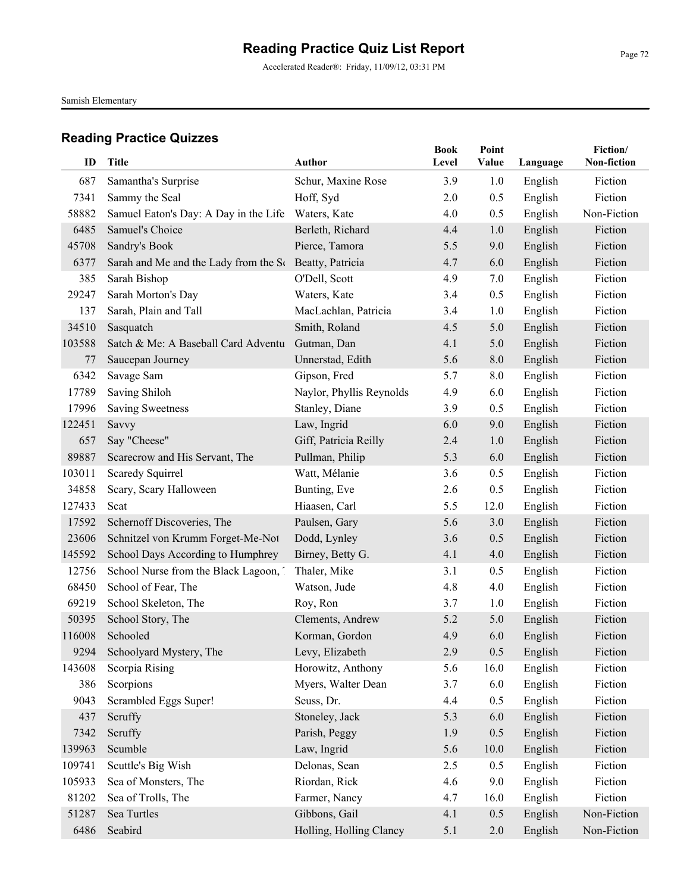Accelerated Reader®: Friday, 11/09/12, 03:31 PM

Samish Elementary

| ID     | <b>Title</b>                                           | <b>Author</b>            | <b>Book</b><br>Level | Point<br>Value | Language | Fiction/<br>Non-fiction |
|--------|--------------------------------------------------------|--------------------------|----------------------|----------------|----------|-------------------------|
| 687    | Samantha's Surprise                                    | Schur, Maxine Rose       | 3.9                  | 1.0            | English  | Fiction                 |
| 7341   | Sammy the Seal                                         | Hoff, Syd                | 2.0                  | 0.5            | English  | Fiction                 |
| 58882  | Samuel Eaton's Day: A Day in the Life                  | Waters, Kate             | 4.0                  | 0.5            | English  | Non-Fiction             |
| 6485   | Samuel's Choice                                        | Berleth, Richard         | 4.4                  | 1.0            | English  | Fiction                 |
| 45708  | Sandry's Book                                          | Pierce, Tamora           | 5.5                  | 9.0            | English  | Fiction                 |
| 6377   | Sarah and Me and the Lady from the St Beatty, Patricia |                          | 4.7                  | 6.0            | English  | Fiction                 |
| 385    | Sarah Bishop                                           | O'Dell, Scott            | 4.9                  | 7.0            | English  | Fiction                 |
| 29247  | Sarah Morton's Day                                     | Waters, Kate             | 3.4                  | 0.5            | English  | Fiction                 |
| 137    | Sarah, Plain and Tall                                  | MacLachlan, Patricia     | 3.4                  | 1.0            | English  | Fiction                 |
| 34510  | Sasquatch                                              | Smith, Roland            | 4.5                  | 5.0            | English  | Fiction                 |
| 103588 | Satch & Me: A Baseball Card Adventu                    | Gutman, Dan              | 4.1                  | 5.0            | English  | Fiction                 |
| 77     | Saucepan Journey                                       | Unnerstad, Edith         | 5.6                  | 8.0            | English  | Fiction                 |
| 6342   | Savage Sam                                             | Gipson, Fred             | 5.7                  | 8.0            | English  | Fiction                 |
| 17789  | Saving Shiloh                                          | Naylor, Phyllis Reynolds | 4.9                  | 6.0            | English  | Fiction                 |
| 17996  | <b>Saving Sweetness</b>                                | Stanley, Diane           | 3.9                  | 0.5            | English  | Fiction                 |
| 122451 | Savvy                                                  | Law, Ingrid              | 6.0                  | 9.0            | English  | Fiction                 |
| 657    | Say "Cheese"                                           | Giff, Patricia Reilly    | 2.4                  | 1.0            | English  | Fiction                 |
| 89887  | Scarecrow and His Servant, The                         | Pullman, Philip          | 5.3                  | 6.0            | English  | Fiction                 |
| 103011 | Scaredy Squirrel                                       | Watt, Mélanie            | 3.6                  | 0.5            | English  | Fiction                 |
| 34858  | Scary, Scary Halloween                                 | Bunting, Eve             | 2.6                  | 0.5            | English  | Fiction                 |
| 127433 | Scat                                                   | Hiaasen, Carl            | 5.5                  | 12.0           | English  | Fiction                 |
| 17592  | Schernoff Discoveries, The                             | Paulsen, Gary            | 5.6                  | 3.0            | English  | Fiction                 |
| 23606  | Schnitzel von Krumm Forget-Me-Not                      | Dodd, Lynley             | 3.6                  | 0.5            | English  | Fiction                 |
| 145592 | School Days According to Humphrey                      | Birney, Betty G.         | 4.1                  | 4.0            | English  | Fiction                 |
| 12756  | School Nurse from the Black Lagoon, 7                  | Thaler, Mike             | 3.1                  | 0.5            | English  | Fiction                 |
| 68450  | School of Fear, The                                    | Watson, Jude             | 4.8                  | 4.0            | English  | Fiction                 |
| 69219  | School Skeleton, The                                   | Roy, Ron                 | 3.7                  | 1.0            | English  | Fiction                 |
| 50395  | School Story, The                                      | Clements, Andrew         | 5.2                  | 5.0            | English  | Fiction                 |
| 116008 | Schooled                                               | Korman, Gordon           | 4.9                  | 6.0            | English  | Fiction                 |
| 9294   | Schoolyard Mystery, The                                | Levy, Elizabeth          | 2.9                  | 0.5            | English  | Fiction                 |
| 143608 | Scorpia Rising                                         | Horowitz, Anthony        | 5.6                  | 16.0           | English  | Fiction                 |
| 386    | Scorpions                                              | Myers, Walter Dean       | 3.7                  | 6.0            | English  | Fiction                 |
| 9043   | Scrambled Eggs Super!                                  | Seuss, Dr.               | 4.4                  | 0.5            | English  | Fiction                 |
| 437    | Scruffy                                                | Stoneley, Jack           | 5.3                  | 6.0            | English  | Fiction                 |
| 7342   | Scruffy                                                | Parish, Peggy            | 1.9                  | 0.5            | English  | Fiction                 |
| 139963 | Scumble                                                | Law, Ingrid              | 5.6                  | 10.0           | English  | Fiction                 |
| 109741 | Scuttle's Big Wish                                     | Delonas, Sean            | 2.5                  | 0.5            | English  | Fiction                 |
| 105933 | Sea of Monsters, The                                   | Riordan, Rick            | 4.6                  | 9.0            | English  | Fiction                 |
| 81202  | Sea of Trolls, The                                     | Farmer, Nancy            | 4.7                  | 16.0           | English  | Fiction                 |
| 51287  | Sea Turtles                                            | Gibbons, Gail            | 4.1                  | 0.5            | English  | Non-Fiction             |
| 6486   | Seabird                                                | Holling, Holling Clancy  | 5.1                  | 2.0            | English  | Non-Fiction             |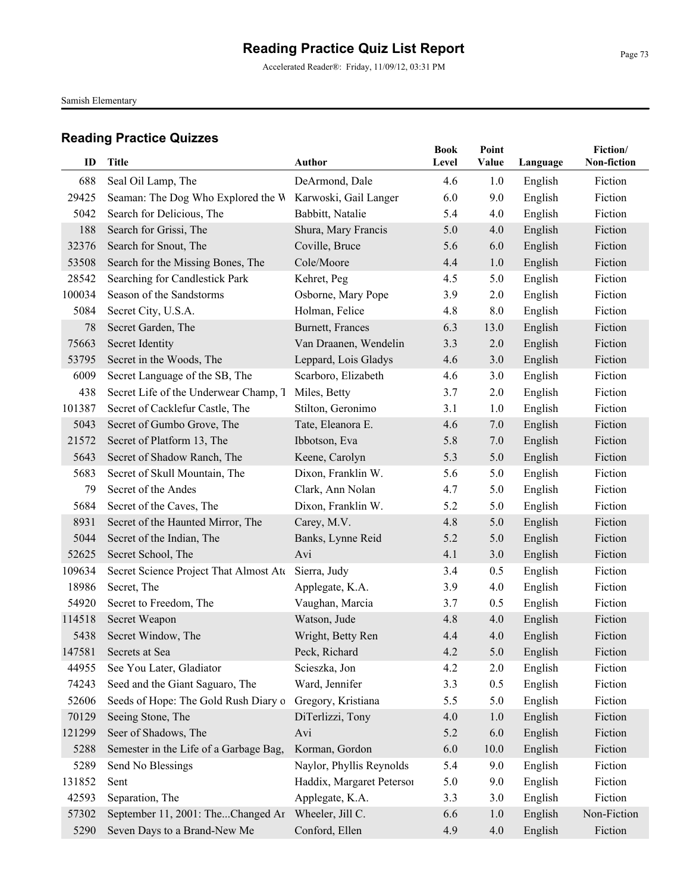Accelerated Reader®: Friday, 11/09/12, 03:31 PM

Samish Elementary

| ID     | <b>Title</b>                           | Author                    | <b>Book</b><br>Level | Point<br>Value | Language | Fiction/<br>Non-fiction |
|--------|----------------------------------------|---------------------------|----------------------|----------------|----------|-------------------------|
|        |                                        |                           |                      |                |          |                         |
| 688    | Seal Oil Lamp, The                     | DeArmond, Dale            | 4.6                  | 1.0            | English  | Fiction                 |
| 29425  | Seaman: The Dog Who Explored the W     | Karwoski, Gail Langer     | 6.0                  | 9.0            | English  | Fiction                 |
| 5042   | Search for Delicious, The              | Babbitt, Natalie          | 5.4                  | 4.0            | English  | Fiction                 |
| 188    | Search for Grissi, The                 | Shura, Mary Francis       | 5.0                  | 4.0            | English  | Fiction                 |
| 32376  | Search for Snout, The                  | Coville, Bruce            | 5.6                  | 6.0            | English  | Fiction                 |
| 53508  | Search for the Missing Bones, The      | Cole/Moore                | 4.4                  | 1.0            | English  | Fiction                 |
| 28542  | Searching for Candlestick Park         | Kehret, Peg               | 4.5                  | 5.0            | English  | Fiction                 |
| 100034 | Season of the Sandstorms               | Osborne, Mary Pope        | 3.9                  | 2.0            | English  | Fiction                 |
| 5084   | Secret City, U.S.A.                    | Holman, Felice            | 4.8                  | 8.0            | English  | Fiction                 |
| 78     | Secret Garden, The                     | Burnett, Frances          | 6.3                  | 13.0           | English  | Fiction                 |
| 75663  | Secret Identity                        | Van Draanen, Wendelin     | 3.3                  | 2.0            | English  | Fiction                 |
| 53795  | Secret in the Woods, The               | Leppard, Lois Gladys      | 4.6                  | 3.0            | English  | Fiction                 |
| 6009   | Secret Language of the SB, The         | Scarboro, Elizabeth       | 4.6                  | 3.0            | English  | Fiction                 |
| 438    | Secret Life of the Underwear Champ, T  | Miles, Betty              | 3.7                  | 2.0            | English  | Fiction                 |
| 101387 | Secret of Cacklefur Castle, The        | Stilton, Geronimo         | 3.1                  | 1.0            | English  | Fiction                 |
| 5043   | Secret of Gumbo Grove, The             | Tate, Eleanora E.         | 4.6                  | 7.0            | English  | Fiction                 |
| 21572  | Secret of Platform 13, The             | Ibbotson, Eva             | 5.8                  | 7.0            | English  | Fiction                 |
| 5643   | Secret of Shadow Ranch, The            | Keene, Carolyn            | 5.3                  | 5.0            | English  | Fiction                 |
| 5683   | Secret of Skull Mountain, The          | Dixon, Franklin W.        | 5.6                  | 5.0            | English  | Fiction                 |
| 79     | Secret of the Andes                    | Clark, Ann Nolan          | 4.7                  | 5.0            | English  | Fiction                 |
| 5684   | Secret of the Caves, The               | Dixon, Franklin W.        | 5.2                  | 5.0            | English  | Fiction                 |
| 8931   | Secret of the Haunted Mirror, The      | Carey, M.V.               | 4.8                  | 5.0            | English  | Fiction                 |
| 5044   | Secret of the Indian, The              | Banks, Lynne Reid         | 5.2                  | 5.0            | English  | Fiction                 |
| 52625  | Secret School, The                     | Avi                       | 4.1                  | 3.0            | English  | Fiction                 |
| 109634 | Secret Science Project That Almost Ate | Sierra, Judy              | 3.4                  | 0.5            | English  | Fiction                 |
| 18986  | Secret, The                            | Applegate, K.A.           | 3.9                  | 4.0            | English  | Fiction                 |
| 54920  | Secret to Freedom, The                 | Vaughan, Marcia           | 3.7                  | 0.5            | English  | Fiction                 |
| 114518 | Secret Weapon                          | Watson, Jude              | 4.8                  | 4.0            | English  | Fiction                 |
| 5438   | Secret Window, The                     | Wright, Betty Ren         | 4.4                  | 4.0            | English  | Fiction                 |
| 147581 | Secrets at Sea                         | Peck, Richard             | 4.2                  | 5.0            | English  | Fiction                 |
| 44955  | See You Later, Gladiator               | Scieszka, Jon             | 4.2                  | 2.0            | English  | Fiction                 |
| 74243  | Seed and the Giant Saguaro, The        | Ward, Jennifer            | 3.3                  | 0.5            | English  | Fiction                 |
| 52606  | Seeds of Hope: The Gold Rush Diary o   | Gregory, Kristiana        | 5.5                  | 5.0            | English  | Fiction                 |
| 70129  | Seeing Stone, The                      | DiTerlizzi, Tony          | 4.0                  | 1.0            | English  | Fiction                 |
| 121299 | Seer of Shadows, The                   | Avi                       | 5.2                  | 6.0            | English  | Fiction                 |
| 5288   | Semester in the Life of a Garbage Bag, | Korman, Gordon            | 6.0                  | 10.0           | English  | Fiction                 |
| 5289   | Send No Blessings                      | Naylor, Phyllis Reynolds  | 5.4                  | 9.0            | English  | Fiction                 |
| 131852 | Sent                                   | Haddix, Margaret Petersoi | 5.0                  | 9.0            | English  | Fiction                 |
| 42593  | Separation, The                        | Applegate, K.A.           | 3.3                  | 3.0            | English  | Fiction                 |
| 57302  | September 11, 2001: TheChanged Ar      | Wheeler, Jill C.          | 6.6                  | 1.0            | English  | Non-Fiction             |
| 5290   | Seven Days to a Brand-New Me           | Conford, Ellen            | 4.9                  | 4.0            | English  | Fiction                 |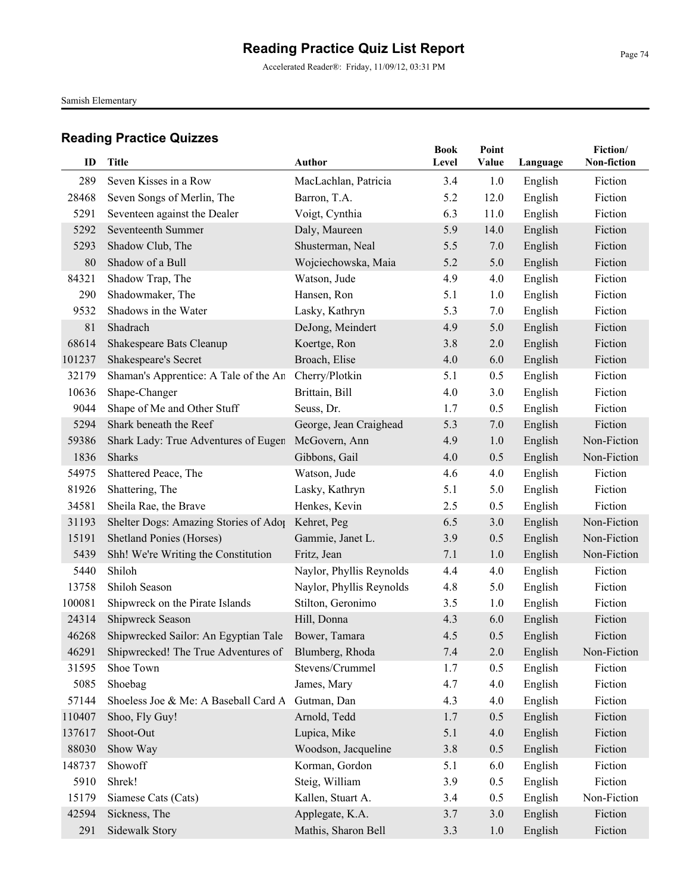Accelerated Reader®: Friday, 11/09/12, 03:31 PM

Samish Elementary

| ID     | <b>Title</b>                                        | <b>Author</b>            | <b>Book</b><br>Level | Point<br>Value | Language | Fiction/<br>Non-fiction |
|--------|-----------------------------------------------------|--------------------------|----------------------|----------------|----------|-------------------------|
| 289    | Seven Kisses in a Row                               | MacLachlan, Patricia     | 3.4                  | 1.0            | English  | Fiction                 |
| 28468  | Seven Songs of Merlin, The                          | Barron, T.A.             | 5.2                  | 12.0           | English  | Fiction                 |
| 5291   | Seventeen against the Dealer                        | Voigt, Cynthia           | 6.3                  | 11.0           | English  | Fiction                 |
| 5292   | Seventeenth Summer                                  | Daly, Maureen            | 5.9                  | 14.0           | English  | Fiction                 |
| 5293   | Shadow Club, The                                    | Shusterman, Neal         | 5.5                  | 7.0            | English  | Fiction                 |
| 80     | Shadow of a Bull                                    | Wojciechowska, Maia      | 5.2                  | 5.0            | English  | Fiction                 |
| 84321  | Shadow Trap, The                                    | Watson, Jude             | 4.9                  | 4.0            | English  | Fiction                 |
| 290    | Shadowmaker, The                                    | Hansen, Ron              | 5.1                  | 1.0            | English  | Fiction                 |
| 9532   | Shadows in the Water                                | Lasky, Kathryn           | 5.3                  | 7.0            | English  | Fiction                 |
| 81     | Shadrach                                            | DeJong, Meindert         | 4.9                  | 5.0            | English  | Fiction                 |
| 68614  | Shakespeare Bats Cleanup                            | Koertge, Ron             | 3.8                  | 2.0            | English  | Fiction                 |
| 101237 | Shakespeare's Secret                                | Broach, Elise            | 4.0                  | 6.0            | English  | Fiction                 |
| 32179  | Shaman's Apprentice: A Tale of the An               | Cherry/Plotkin           | 5.1                  | 0.5            | English  | Fiction                 |
| 10636  | Shape-Changer                                       | Brittain, Bill           | 4.0                  | 3.0            | English  | Fiction                 |
| 9044   | Shape of Me and Other Stuff                         | Seuss, Dr.               | 1.7                  | 0.5            | English  | Fiction                 |
| 5294   | Shark beneath the Reef                              | George, Jean Craighead   | 5.3                  | 7.0            | English  | Fiction                 |
| 59386  | Shark Lady: True Adventures of Eugen                | McGovern, Ann            | 4.9                  | 1.0            | English  | Non-Fiction             |
| 1836   | <b>Sharks</b>                                       | Gibbons, Gail            | 4.0                  | 0.5            | English  | Non-Fiction             |
| 54975  | Shattered Peace, The                                | Watson, Jude             | 4.6                  | 4.0            | English  | Fiction                 |
| 81926  | Shattering, The                                     | Lasky, Kathryn           | 5.1                  | 5.0            | English  | Fiction                 |
| 34581  | Sheila Rae, the Brave                               | Henkes, Kevin            | 2.5                  | 0.5            | English  | Fiction                 |
| 31193  | Shelter Dogs: Amazing Stories of Adop               | Kehret, Peg              | 6.5                  | 3.0            | English  | Non-Fiction             |
| 15191  | Shetland Ponies (Horses)                            | Gammie, Janet L.         | 3.9                  | 0.5            | English  | Non-Fiction             |
| 5439   | Shh! We're Writing the Constitution                 | Fritz, Jean              | 7.1                  | 1.0            | English  | Non-Fiction             |
| 5440   | Shiloh                                              | Naylor, Phyllis Reynolds | 4.4                  | 4.0            | English  | Fiction                 |
| 13758  | Shiloh Season                                       | Naylor, Phyllis Reynolds | 4.8                  | 5.0            | English  | Fiction                 |
| 100081 | Shipwreck on the Pirate Islands                     | Stilton, Geronimo        | 3.5                  | 1.0            | English  | Fiction                 |
| 24314  | Shipwreck Season                                    | Hill, Donna              | 4.3                  | 6.0            | English  | Fiction                 |
| 46268  | Shipwrecked Sailor: An Egyptian Tale                | Bower, Tamara            | 4.5                  | 0.5            | English  | Fiction                 |
| 46291  | Shipwrecked! The True Adventures of Blumberg, Rhoda |                          | 7.4                  | 2.0            | English  | Non-Fiction             |
| 31595  | Shoe Town                                           | Stevens/Crummel          | 1.7                  | 0.5            | English  | Fiction                 |
| 5085   | Shoebag                                             | James, Mary              | 4.7                  | 4.0            | English  | Fiction                 |
| 57144  | Shoeless Joe & Me: A Baseball Card A                | Gutman, Dan              | 4.3                  | 4.0            | English  | Fiction                 |
| 110407 | Shoo, Fly Guy!                                      | Arnold, Tedd             | 1.7                  | 0.5            | English  | Fiction                 |
| 137617 | Shoot-Out                                           | Lupica, Mike             | 5.1                  | 4.0            | English  | Fiction                 |
| 88030  | Show Way                                            | Woodson, Jacqueline      | 3.8                  | 0.5            | English  | Fiction                 |
| 148737 | Showoff                                             | Korman, Gordon           | 5.1                  | 6.0            | English  | Fiction                 |
| 5910   | Shrek!                                              | Steig, William           | 3.9                  | 0.5            | English  | Fiction                 |
| 15179  | Siamese Cats (Cats)                                 | Kallen, Stuart A.        | 3.4                  | 0.5            | English  | Non-Fiction             |
| 42594  | Sickness, The                                       | Applegate, K.A.          | 3.7                  | 3.0            | English  | Fiction                 |
| 291    | Sidewalk Story                                      | Mathis, Sharon Bell      | 3.3                  | 1.0            | English  | Fiction                 |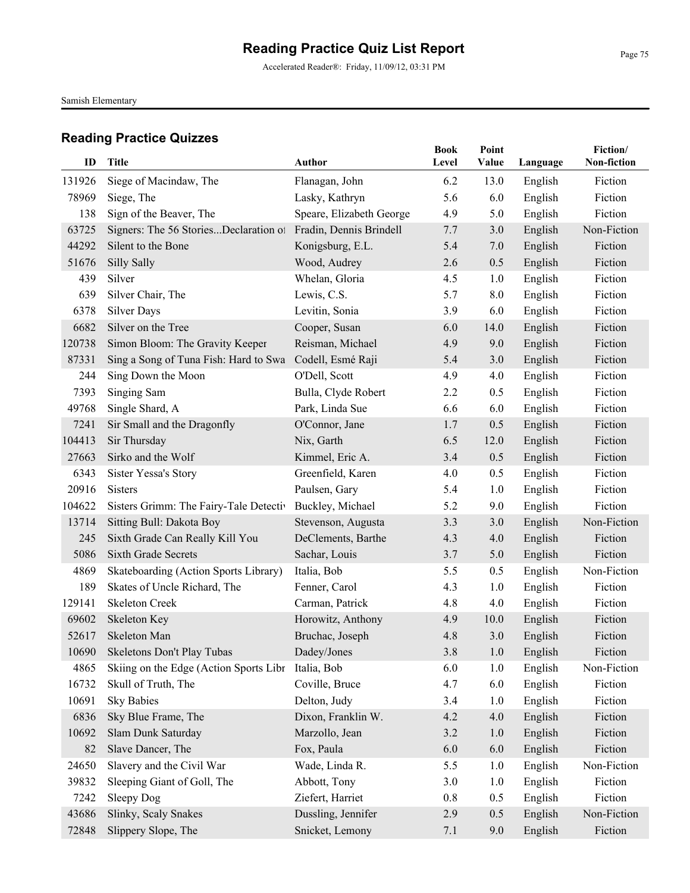Accelerated Reader®: Friday, 11/09/12, 03:31 PM

Samish Elementary

| ID             | <b>Title</b>                                                | Author                                              | <b>Book</b><br>Level | Point<br>Value | Language           | Fiction/<br>Non-fiction |
|----------------|-------------------------------------------------------------|-----------------------------------------------------|----------------------|----------------|--------------------|-------------------------|
|                |                                                             |                                                     |                      |                |                    |                         |
| 131926         | Siege of Macindaw, The                                      | Flanagan, John                                      | 6.2                  | 13.0           | English            | Fiction<br>Fiction      |
| 78969          | Siege, The                                                  | Lasky, Kathryn                                      | 5.6                  | 6.0            | English            | Fiction                 |
| 138            | Sign of the Beaver, The                                     | Speare, Elizabeth George<br>Fradin, Dennis Brindell | 4.9                  | 5.0            | English            | Non-Fiction             |
| 63725<br>44292 | Signers: The 56 StoriesDeclaration of<br>Silent to the Bone |                                                     | 7.7<br>5.4           | 3.0            | English            | Fiction                 |
| 51676          | Silly Sally                                                 | Konigsburg, E.L.<br>Wood, Audrey                    | 2.6                  | 7.0<br>0.5     | English<br>English | Fiction                 |
| 439            | Silver                                                      | Whelan, Gloria                                      | 4.5                  | 1.0            | English            | Fiction                 |
| 639            | Silver Chair, The                                           | Lewis, C.S.                                         | 5.7                  | 8.0            | English            | Fiction                 |
| 6378           | <b>Silver Days</b>                                          | Levitin, Sonia                                      | 3.9                  | 6.0            | English            | Fiction                 |
| 6682           | Silver on the Tree                                          | Cooper, Susan                                       | 6.0                  | 14.0           | English            | Fiction                 |
| 120738         | Simon Bloom: The Gravity Keeper                             | Reisman, Michael                                    | 4.9                  | 9.0            | English            | Fiction                 |
| 87331          | Sing a Song of Tuna Fish: Hard to Swa                       | Codell, Esmé Raji                                   | 5.4                  | 3.0            | English            | Fiction                 |
| 244            | Sing Down the Moon                                          | O'Dell, Scott                                       | 4.9                  | 4.0            | English            | Fiction                 |
| 7393           | Singing Sam                                                 | Bulla, Clyde Robert                                 | 2.2                  | 0.5            | English            | Fiction                 |
| 49768          | Single Shard, A                                             | Park, Linda Sue                                     | 6.6                  | 6.0            | English            | Fiction                 |
| 7241           | Sir Small and the Dragonfly                                 | O'Connor, Jane                                      | 1.7                  | 0.5            | English            | Fiction                 |
| 104413         | Sir Thursday                                                | Nix, Garth                                          | 6.5                  | 12.0           | English            | Fiction                 |
| 27663          | Sirko and the Wolf                                          | Kimmel, Eric A.                                     | 3.4                  | 0.5            | English            | Fiction                 |
| 6343           | <b>Sister Yessa's Story</b>                                 | Greenfield, Karen                                   | 4.0                  | 0.5            | English            | Fiction                 |
| 20916          | <b>Sisters</b>                                              | Paulsen, Gary                                       | 5.4                  | 1.0            | English            | Fiction                 |
| 104622         | Sisters Grimm: The Fairy-Tale Detectiv                      | Buckley, Michael                                    | 5.2                  | 9.0            | English            | Fiction                 |
| 13714          | Sitting Bull: Dakota Boy                                    | Stevenson, Augusta                                  | 3.3                  | 3.0            | English            | Non-Fiction             |
| 245            | Sixth Grade Can Really Kill You                             | DeClements, Barthe                                  | 4.3                  | 4.0            | English            | Fiction                 |
| 5086           | <b>Sixth Grade Secrets</b>                                  | Sachar, Louis                                       | 3.7                  | 5.0            | English            | Fiction                 |
| 4869           | Skateboarding (Action Sports Library)                       | Italia, Bob                                         | 5.5                  | 0.5            | English            | Non-Fiction             |
| 189            | Skates of Uncle Richard, The                                | Fenner, Carol                                       | 4.3                  | 1.0            | English            | Fiction                 |
| 129141         | <b>Skeleton Creek</b>                                       | Carman, Patrick                                     | 4.8                  | 4.0            | English            | Fiction                 |
| 69602          | Skeleton Key                                                | Horowitz, Anthony                                   | 4.9                  | 10.0           | English            | Fiction                 |
| 52617          | Skeleton Man                                                | Bruchac, Joseph                                     | 4.8                  | 3.0            | English            | Fiction                 |
|                | 10690 Skeletons Don't Play Tubas                            | Dadey/Jones                                         | $3.8\,$              | 1.0            | English            | Fiction                 |
| 4865           | Skiing on the Edge (Action Sports Libr                      | Italia, Bob                                         | 6.0                  | 1.0            | English            | Non-Fiction             |
| 16732          | Skull of Truth, The                                         | Coville, Bruce                                      | 4.7                  | 6.0            | English            | Fiction                 |
| 10691          | <b>Sky Babies</b>                                           | Delton, Judy                                        | 3.4                  | 1.0            | English            | Fiction                 |
| 6836           | Sky Blue Frame, The                                         | Dixon, Franklin W.                                  | 4.2                  | 4.0            | English            | Fiction                 |
| 10692          | Slam Dunk Saturday                                          | Marzollo, Jean                                      | 3.2                  | 1.0            | English            | Fiction                 |
| 82             | Slave Dancer, The                                           | Fox, Paula                                          | 6.0                  | 6.0            | English            | Fiction                 |
| 24650          | Slavery and the Civil War                                   | Wade, Linda R.                                      | 5.5                  | 1.0            | English            | Non-Fiction             |
| 39832          | Sleeping Giant of Goll, The                                 | Abbott, Tony                                        | 3.0                  | 1.0            | English            | Fiction                 |
| 7242           | Sleepy Dog                                                  | Ziefert, Harriet                                    | 0.8                  | 0.5            | English            | Fiction                 |
| 43686          | Slinky, Scaly Snakes                                        | Dussling, Jennifer                                  | 2.9                  | 0.5            | English            | Non-Fiction             |
| 72848          | Slippery Slope, The                                         | Snicket, Lemony                                     | 7.1                  | 9.0            | English            | Fiction                 |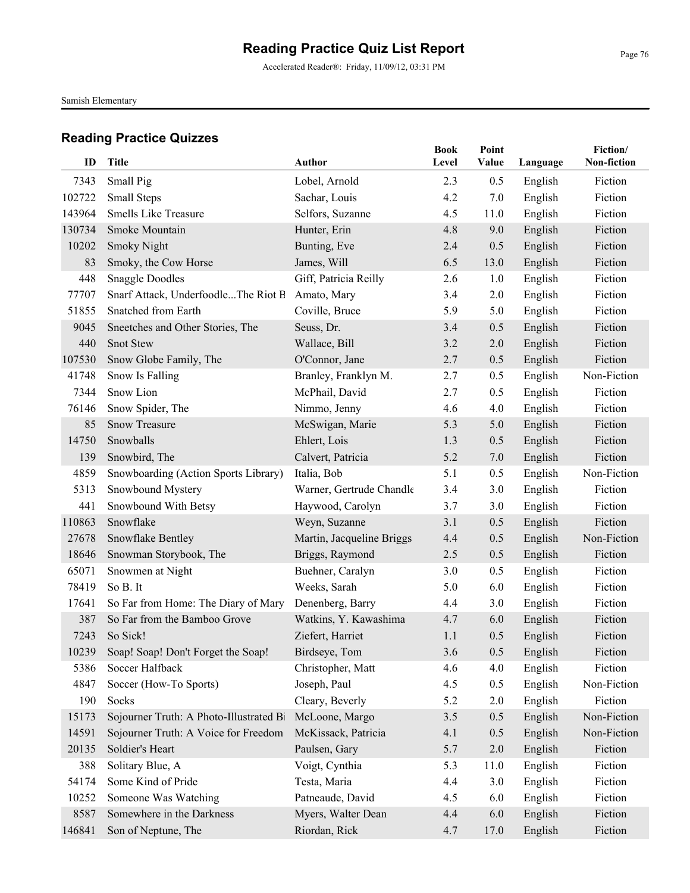Accelerated Reader®: Friday, 11/09/12, 03:31 PM

Samish Elementary

| ID     | Title                                   | <b>Author</b>             | <b>Book</b><br>Level | Point<br>Value | Language | Fiction/<br>Non-fiction |
|--------|-----------------------------------------|---------------------------|----------------------|----------------|----------|-------------------------|
| 7343   | Small Pig                               | Lobel, Arnold             | 2.3                  | 0.5            | English  | Fiction                 |
| 102722 | Small Steps                             | Sachar, Louis             | 4.2                  | 7.0            | English  | Fiction                 |
| 143964 | <b>Smells Like Treasure</b>             | Selfors, Suzanne          | 4.5                  | 11.0           | English  | Fiction                 |
| 130734 | Smoke Mountain                          | Hunter, Erin              | 4.8                  | 9.0            | English  | Fiction                 |
| 10202  | <b>Smoky Night</b>                      | Bunting, Eve              | 2.4                  | 0.5            | English  | Fiction                 |
| 83     | Smoky, the Cow Horse                    | James, Will               | 6.5                  | 13.0           | English  | Fiction                 |
| 448    | <b>Snaggle Doodles</b>                  | Giff, Patricia Reilly     | 2.6                  | 1.0            | English  | Fiction                 |
| 77707  | Snarf Attack, UnderfoodleThe Riot B     | Amato, Mary               | 3.4                  | 2.0            | English  | Fiction                 |
| 51855  | Snatched from Earth                     | Coville, Bruce            | 5.9                  | 5.0            | English  | Fiction                 |
| 9045   | Sneetches and Other Stories, The        | Seuss, Dr.                | 3.4                  | 0.5            | English  | Fiction                 |
| 440    | <b>Snot Stew</b>                        | Wallace, Bill             | 3.2                  | 2.0            | English  | Fiction                 |
| 107530 | Snow Globe Family, The                  | O'Connor, Jane            | 2.7                  | 0.5            | English  | Fiction                 |
| 41748  | Snow Is Falling                         | Branley, Franklyn M.      | 2.7                  | 0.5            | English  | Non-Fiction             |
| 7344   | Snow Lion                               | McPhail, David            | 2.7                  | 0.5            | English  | Fiction                 |
| 76146  | Snow Spider, The                        | Nimmo, Jenny              | 4.6                  | 4.0            | English  | Fiction                 |
| 85     | <b>Snow Treasure</b>                    | McSwigan, Marie           | 5.3                  | 5.0            | English  | Fiction                 |
| 14750  | Snowballs                               | Ehlert, Lois              | 1.3                  | 0.5            | English  | Fiction                 |
| 139    | Snowbird, The                           | Calvert, Patricia         | 5.2                  | 7.0            | English  | Fiction                 |
| 4859   | Snowboarding (Action Sports Library)    | Italia, Bob               | 5.1                  | 0.5            | English  | Non-Fiction             |
| 5313   | Snowbound Mystery                       | Warner, Gertrude Chandle  | 3.4                  | 3.0            | English  | Fiction                 |
| 441    | Snowbound With Betsy                    | Haywood, Carolyn          | 3.7                  | 3.0            | English  | Fiction                 |
| 110863 | Snowflake                               | Weyn, Suzanne             | 3.1                  | 0.5            | English  | Fiction                 |
| 27678  | Snowflake Bentley                       | Martin, Jacqueline Briggs | 4.4                  | 0.5            | English  | Non-Fiction             |
| 18646  | Snowman Storybook, The                  | Briggs, Raymond           | 2.5                  | 0.5            | English  | Fiction                 |
| 65071  | Snowmen at Night                        | Buehner, Caralyn          | 3.0                  | 0.5            | English  | Fiction                 |
| 78419  | So B. It                                | Weeks, Sarah              | 5.0                  | 6.0            | English  | Fiction                 |
| 17641  | So Far from Home: The Diary of Mary     | Denenberg, Barry          | 4.4                  | 3.0            | English  | Fiction                 |
| 387    | So Far from the Bamboo Grove            | Watkins, Y. Kawashima     | 4.7                  | 6.0            | English  | Fiction                 |
| 7243   | So Sick!                                | Ziefert, Harriet          | 1.1                  | 0.5            | English  | Fiction                 |
| 10239  | Soap! Soap! Don't Forget the Soap!      | Birdseye, Tom             | 3.6                  | 0.5            | English  | Fiction                 |
| 5386   | Soccer Halfback                         | Christopher, Matt         | 4.6                  | 4.0            | English  | Fiction                 |
| 4847   | Soccer (How-To Sports)                  | Joseph, Paul              | 4.5                  | 0.5            | English  | Non-Fiction             |
| 190    | Socks                                   | Cleary, Beverly           | 5.2                  | 2.0            | English  | Fiction                 |
| 15173  | Sojourner Truth: A Photo-Illustrated Bi | McLoone, Margo            | 3.5                  | 0.5            | English  | Non-Fiction             |
| 14591  | Sojourner Truth: A Voice for Freedom    | McKissack, Patricia       | 4.1                  | 0.5            | English  | Non-Fiction             |
| 20135  | Soldier's Heart                         | Paulsen, Gary             | 5.7                  | 2.0            | English  | Fiction                 |
| 388    | Solitary Blue, A                        | Voigt, Cynthia            | 5.3                  | 11.0           | English  | Fiction                 |
| 54174  | Some Kind of Pride                      | Testa, Maria              | 4.4                  | 3.0            | English  | Fiction                 |
| 10252  | Someone Was Watching                    | Patneaude, David          | 4.5                  | 6.0            | English  | Fiction                 |
| 8587   | Somewhere in the Darkness               | Myers, Walter Dean        | 4.4                  | 6.0            | English  | Fiction                 |
| 146841 | Son of Neptune, The                     | Riordan, Rick             | 4.7                  | 17.0           | English  | Fiction                 |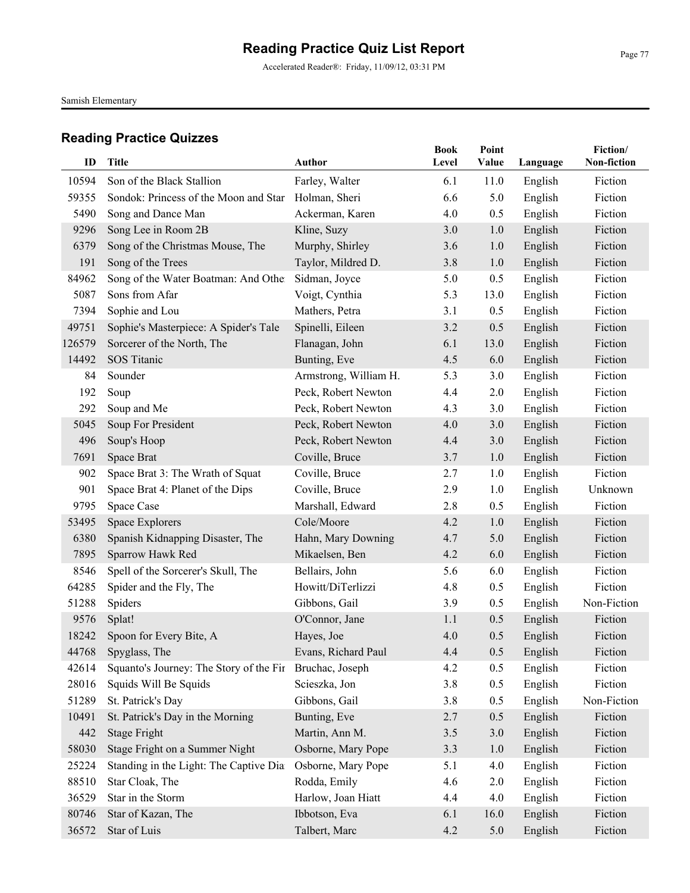Accelerated Reader®: Friday, 11/09/12, 03:31 PM

Samish Elementary

| ID     | Title                                   | Author                | <b>Book</b><br>Level | Point<br>Value |          | Fiction/<br>Non-fiction |
|--------|-----------------------------------------|-----------------------|----------------------|----------------|----------|-------------------------|
|        |                                         |                       |                      |                | Language |                         |
| 10594  | Son of the Black Stallion               | Farley, Walter        | 6.1                  | 11.0           | English  | Fiction                 |
| 59355  | Sondok: Princess of the Moon and Star   | Holman, Sheri         | 6.6                  | 5.0            | English  | Fiction                 |
| 5490   | Song and Dance Man                      | Ackerman, Karen       | 4.0                  | 0.5            | English  | Fiction                 |
| 9296   | Song Lee in Room 2B                     | Kline, Suzy           | 3.0                  | 1.0            | English  | Fiction                 |
| 6379   | Song of the Christmas Mouse, The        | Murphy, Shirley       | 3.6                  | 1.0            | English  | Fiction                 |
| 191    | Song of the Trees                       | Taylor, Mildred D.    | 3.8                  | 1.0            | English  | Fiction                 |
| 84962  | Song of the Water Boatman: And Other    | Sidman, Joyce         | 5.0                  | 0.5            | English  | Fiction                 |
| 5087   | Sons from Afar                          | Voigt, Cynthia        | 5.3                  | 13.0           | English  | Fiction                 |
| 7394   | Sophie and Lou                          | Mathers, Petra        | 3.1                  | 0.5            | English  | Fiction                 |
| 49751  | Sophie's Masterpiece: A Spider's Tale   | Spinelli, Eileen      | 3.2                  | 0.5            | English  | Fiction                 |
| 126579 | Sorcerer of the North, The              | Flanagan, John        | 6.1                  | 13.0           | English  | Fiction                 |
| 14492  | SOS Titanic                             | Bunting, Eve          | 4.5                  | 6.0            | English  | Fiction                 |
| 84     | Sounder                                 | Armstrong, William H. | 5.3                  | 3.0            | English  | Fiction                 |
| 192    | Soup                                    | Peck, Robert Newton   | 4.4                  | 2.0            | English  | Fiction                 |
| 292    | Soup and Me                             | Peck, Robert Newton   | 4.3                  | 3.0            | English  | Fiction                 |
| 5045   | Soup For President                      | Peck, Robert Newton   | 4.0                  | 3.0            | English  | Fiction                 |
| 496    | Soup's Hoop                             | Peck, Robert Newton   | 4.4                  | 3.0            | English  | Fiction                 |
| 7691   | Space Brat                              | Coville, Bruce        | 3.7                  | 1.0            | English  | Fiction                 |
| 902    | Space Brat 3: The Wrath of Squat        | Coville, Bruce        | 2.7                  | 1.0            | English  | Fiction                 |
| 901    | Space Brat 4: Planet of the Dips        | Coville, Bruce        | 2.9                  | 1.0            | English  | Unknown                 |
| 9795   | Space Case                              | Marshall, Edward      | 2.8                  | 0.5            | English  | Fiction                 |
| 53495  | Space Explorers                         | Cole/Moore            | 4.2                  | 1.0            | English  | Fiction                 |
| 6380   | Spanish Kidnapping Disaster, The        | Hahn, Mary Downing    | 4.7                  | 5.0            | English  | Fiction                 |
| 7895   | Sparrow Hawk Red                        | Mikaelsen, Ben        | 4.2                  | 6.0            | English  | Fiction                 |
| 8546   | Spell of the Sorcerer's Skull, The      | Bellairs, John        | 5.6                  | 6.0            | English  | Fiction                 |
| 64285  | Spider and the Fly, The                 | Howitt/DiTerlizzi     | 4.8                  | 0.5            | English  | Fiction                 |
| 51288  | Spiders                                 | Gibbons, Gail         | 3.9                  | 0.5            | English  | Non-Fiction             |
| 9576   | Splat!                                  | O'Connor, Jane        | 1.1                  | 0.5            | English  | Fiction                 |
| 18242  | Spoon for Every Bite, A                 | Hayes, Joe            | 4.0                  | 0.5            | English  | Fiction                 |
|        | 44768 Spyglass, The                     | Evans, Richard Paul   | 4.4                  | 0.5            | English  | Fiction                 |
| 42614  | Squanto's Journey: The Story of the Fir | Bruchac, Joseph       | 4.2                  | 0.5            | English  | Fiction                 |
| 28016  | Squids Will Be Squids                   | Scieszka, Jon         | 3.8                  | 0.5            | English  | Fiction                 |
| 51289  | St. Patrick's Day                       | Gibbons, Gail         | 3.8                  | 0.5            | English  | Non-Fiction             |
| 10491  | St. Patrick's Day in the Morning        | Bunting, Eve          | 2.7                  | 0.5            | English  | Fiction                 |
| 442    | Stage Fright                            | Martin, Ann M.        | 3.5                  | 3.0            | English  | Fiction                 |
| 58030  | Stage Fright on a Summer Night          | Osborne, Mary Pope    | 3.3                  | 1.0            | English  | Fiction                 |
| 25224  | Standing in the Light: The Captive Dia  | Osborne, Mary Pope    | 5.1                  | 4.0            | English  | Fiction                 |
| 88510  | Star Cloak, The                         | Rodda, Emily          | 4.6                  | 2.0            | English  | Fiction                 |
| 36529  | Star in the Storm                       | Harlow, Joan Hiatt    | 4.4                  | 4.0            | English  | Fiction                 |
| 80746  | Star of Kazan, The                      | Ibbotson, Eva         | 6.1                  | 16.0           | English  | Fiction                 |
| 36572  | Star of Luis                            | Talbert, Marc         | 4.2                  | 5.0            | English  | Fiction                 |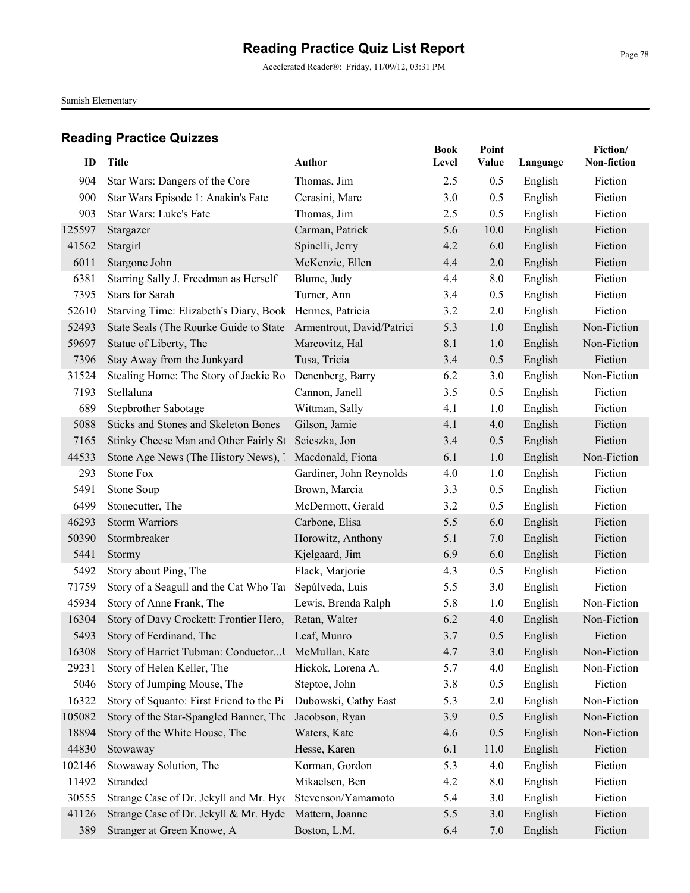Accelerated Reader®: Friday, 11/09/12, 03:31 PM

Samish Elementary

| ID     | <b>Title</b>                                              | <b>Author</b>             | <b>Book</b><br>Level | Point<br>Value | Language | Fiction/<br>Non-fiction |
|--------|-----------------------------------------------------------|---------------------------|----------------------|----------------|----------|-------------------------|
| 904    | Star Wars: Dangers of the Core                            | Thomas, Jim               | 2.5                  | 0.5            | English  | Fiction                 |
| 900    | Star Wars Episode 1: Anakin's Fate                        | Cerasini, Marc            | 3.0                  | 0.5            | English  | Fiction                 |
| 903    | Star Wars: Luke's Fate                                    | Thomas, Jim               | 2.5                  | 0.5            | English  | Fiction                 |
| 125597 | Stargazer                                                 | Carman, Patrick           | 5.6                  | 10.0           | English  | Fiction                 |
| 41562  | Stargirl                                                  | Spinelli, Jerry           | 4.2                  | 6.0            | English  | Fiction                 |
| 6011   | Stargone John                                             | McKenzie, Ellen           | 4.4                  | 2.0            | English  | Fiction                 |
| 6381   | Starring Sally J. Freedman as Herself                     | Blume, Judy               | 4.4                  | 8.0            | English  | Fiction                 |
| 7395   | <b>Stars for Sarah</b>                                    | Turner, Ann               | 3.4                  | 0.5            | English  | Fiction                 |
| 52610  | Starving Time: Elizabeth's Diary, Book                    | Hermes, Patricia          | 3.2                  | 2.0            | English  | Fiction                 |
| 52493  | State Seals (The Rourke Guide to State                    | Armentrout, David/Patrici | 5.3                  | 1.0            | English  | Non-Fiction             |
| 59697  | Statue of Liberty, The                                    | Marcovitz, Hal            | 8.1                  | 1.0            | English  | Non-Fiction             |
| 7396   | Stay Away from the Junkyard                               | Tusa, Tricia              | 3.4                  | 0.5            | English  | Fiction                 |
| 31524  | Stealing Home: The Story of Jackie Ro                     | Denenberg, Barry          | 6.2                  | 3.0            | English  | Non-Fiction             |
| 7193   | Stellaluna                                                | Cannon, Janell            | 3.5                  | 0.5            | English  | Fiction                 |
| 689    | Stepbrother Sabotage                                      | Wittman, Sally            | 4.1                  | 1.0            | English  | Fiction                 |
| 5088   | <b>Sticks and Stones and Skeleton Bones</b>               | Gilson, Jamie             | 4.1                  | 4.0            | English  | Fiction                 |
| 7165   | Stinky Cheese Man and Other Fairly St Scieszka, Jon       |                           | 3.4                  | 0.5            | English  | Fiction                 |
| 44533  | Stone Age News (The History News),                        | Macdonald, Fiona          | 6.1                  | 1.0            | English  | Non-Fiction             |
| 293    | <b>Stone Fox</b>                                          | Gardiner, John Reynolds   | 4.0                  | 1.0            | English  | Fiction                 |
| 5491   | Stone Soup                                                | Brown, Marcia             | 3.3                  | 0.5            | English  | Fiction                 |
| 6499   | Stonecutter, The                                          | McDermott, Gerald         | 3.2                  | 0.5            | English  | Fiction                 |
| 46293  | <b>Storm Warriors</b>                                     | Carbone, Elisa            | 5.5                  | 6.0            | English  | Fiction                 |
| 50390  | Stormbreaker                                              | Horowitz, Anthony         | 5.1                  | 7.0            | English  | Fiction                 |
| 5441   | Stormy                                                    | Kjelgaard, Jim            | 6.9                  | 6.0            | English  | Fiction                 |
| 5492   | Story about Ping, The                                     | Flack, Marjorie           | 4.3                  | 0.5            | English  | Fiction                 |
| 71759  | Story of a Seagull and the Cat Who Tau                    | Sepúlveda, Luis           | 5.5                  | 3.0            | English  | Fiction                 |
| 45934  | Story of Anne Frank, The                                  | Lewis, Brenda Ralph       | 5.8                  | 1.0            | English  | Non-Fiction             |
| 16304  | Story of Davy Crockett: Frontier Hero,                    | Retan, Walter             | 6.2                  | 4.0            | English  | Non-Fiction             |
| 5493   | Story of Ferdinand, The                                   | Leaf, Munro               | 3.7                  | 0.5            | English  | Fiction                 |
|        | 16308 Story of Harriet Tubman: Conductor I McMullan, Kate |                           | 4.7                  | 3.0            | English  | Non-Fiction             |
| 29231  | Story of Helen Keller, The                                | Hickok, Lorena A.         | 5.7                  | 4.0            | English  | Non-Fiction             |
| 5046   | Story of Jumping Mouse, The                               | Steptoe, John             | 3.8                  | 0.5            | English  | Fiction                 |
| 16322  | Story of Squanto: First Friend to the Pil                 | Dubowski, Cathy East      | 5.3                  | 2.0            | English  | Non-Fiction             |
| 105082 | Story of the Star-Spangled Banner, The                    | Jacobson, Ryan            | 3.9                  | 0.5            | English  | Non-Fiction             |
| 18894  | Story of the White House, The                             | Waters, Kate              | 4.6                  | 0.5            | English  | Non-Fiction             |
| 44830  | Stowaway                                                  | Hesse, Karen              | 6.1                  | 11.0           | English  | Fiction                 |
| 102146 | Stowaway Solution, The                                    | Korman, Gordon            | 5.3                  | 4.0            | English  | Fiction                 |
| 11492  | Stranded                                                  | Mikaelsen, Ben            | 4.2                  | 8.0            | English  | Fiction                 |
| 30555  | Strange Case of Dr. Jekyll and Mr. Hyc                    | Stevenson/Yamamoto        | 5.4                  | 3.0            | English  | Fiction                 |
| 41126  | Strange Case of Dr. Jekyll & Mr. Hyde                     | Mattern, Joanne           | 5.5                  | 3.0            | English  | Fiction                 |
| 389    | Stranger at Green Knowe, A                                | Boston, L.M.              | 6.4                  | 7.0            | English  | Fiction                 |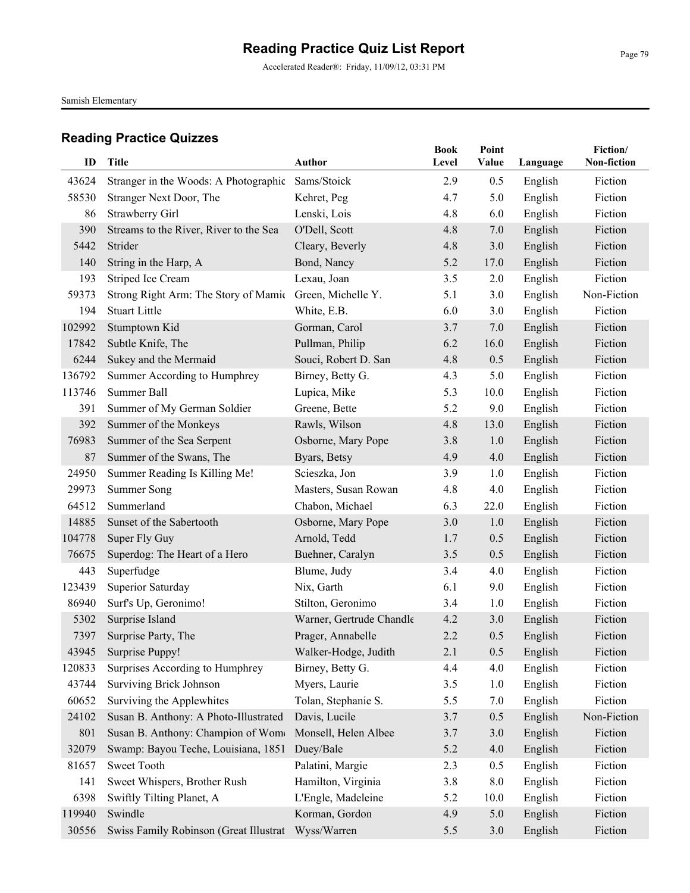Accelerated Reader®: Friday, 11/09/12, 03:31 PM

Samish Elementary

| ID             | <b>Title</b>                           | Author                   | <b>Book</b><br>Level | Point<br>Value | Language           | Fiction/<br>Non-fiction |
|----------------|----------------------------------------|--------------------------|----------------------|----------------|--------------------|-------------------------|
|                | Stranger in the Woods: A Photographic  | Sams/Stoick              |                      |                |                    |                         |
| 43624<br>58530 | Stranger Next Door, The                | Kehret, Peg              | 2.9<br>4.7           | 0.5<br>5.0     | English<br>English | Fiction<br>Fiction      |
| 86             | Strawberry Girl                        | Lenski, Lois             | 4.8                  | 6.0            | English            | Fiction                 |
| 390            | Streams to the River, River to the Sea | O'Dell, Scott            | 4.8                  | 7.0            | English            | Fiction                 |
| 5442           | Strider                                | Cleary, Beverly          | 4.8                  | 3.0            | English            | Fiction                 |
| 140            | String in the Harp, A                  | Bond, Nancy              | 5.2                  | 17.0           | English            | Fiction                 |
| 193            | Striped Ice Cream                      | Lexau, Joan              | 3.5                  | 2.0            | English            | Fiction                 |
| 59373          | Strong Right Arm: The Story of Mamic   | Green, Michelle Y.       | 5.1                  | 3.0            | English            | Non-Fiction             |
| 194            | <b>Stuart Little</b>                   | White, E.B.              | 6.0                  | 3.0            | English            | Fiction                 |
| 102992         | Stumptown Kid                          | Gorman, Carol            | 3.7                  | 7.0            | English            | Fiction                 |
| 17842          | Subtle Knife, The                      | Pullman, Philip          | 6.2                  | 16.0           | English            | Fiction                 |
| 6244           | Sukey and the Mermaid                  | Souci, Robert D. San     | 4.8                  | 0.5            | English            | Fiction                 |
| 136792         | Summer According to Humphrey           | Birney, Betty G.         | 4.3                  | 5.0            | English            | Fiction                 |
| 113746         | Summer Ball                            | Lupica, Mike             | 5.3                  | 10.0           | English            | Fiction                 |
| 391            | Summer of My German Soldier            | Greene, Bette            | 5.2                  | 9.0            | English            | Fiction                 |
| 392            | Summer of the Monkeys                  | Rawls, Wilson            | 4.8                  | 13.0           | English            | Fiction                 |
| 76983          | Summer of the Sea Serpent              | Osborne, Mary Pope       | 3.8                  | 1.0            | English            | Fiction                 |
| 87             | Summer of the Swans, The               | Byars, Betsy             | 4.9                  | 4.0            | English            | Fiction                 |
| 24950          | Summer Reading Is Killing Me!          | Scieszka, Jon            | 3.9                  | 1.0            | English            | Fiction                 |
| 29973          | <b>Summer Song</b>                     | Masters, Susan Rowan     | 4.8                  | 4.0            | English            | Fiction                 |
| 64512          | Summerland                             | Chabon, Michael          | 6.3                  | 22.0           | English            | Fiction                 |
| 14885          | Sunset of the Sabertooth               | Osborne, Mary Pope       | 3.0                  | 1.0            | English            | Fiction                 |
| 104778         | Super Fly Guy                          | Arnold, Tedd             | 1.7                  | 0.5            | English            | Fiction                 |
| 76675          | Superdog: The Heart of a Hero          | Buehner, Caralyn         | 3.5                  | 0.5            | English            | Fiction                 |
| 443            | Superfudge                             | Blume, Judy              | 3.4                  | 4.0            | English            | Fiction                 |
| 123439         | Superior Saturday                      | Nix, Garth               | 6.1                  | 9.0            | English            | Fiction                 |
| 86940          | Surf's Up, Geronimo!                   | Stilton, Geronimo        | 3.4                  | 1.0            | English            | Fiction                 |
| 5302           | Surprise Island                        | Warner, Gertrude Chandle | 4.2                  | 3.0            | English            | Fiction                 |
| 7397           | Surprise Party, The                    | Prager, Annabelle        | 2.2                  | 0.5            | English            | Fiction                 |
|                | 43945 Surprise Puppy!                  | Walker-Hodge, Judith     | 2.1                  | 0.5            | English            | Fiction                 |
| 120833         | Surprises According to Humphrey        | Birney, Betty G.         | 4.4                  | 4.0            | English            | Fiction                 |
| 43744          | Surviving Brick Johnson                | Myers, Laurie            | 3.5                  | 1.0            | English            | Fiction                 |
| 60652          | Surviving the Applewhites              | Tolan, Stephanie S.      | 5.5                  | 7.0            | English            | Fiction                 |
| 24102          | Susan B. Anthony: A Photo-Illustrated  | Davis, Lucile            | 3.7                  | 0.5            | English            | Non-Fiction             |
| 801            | Susan B. Anthony: Champion of Wome     | Monsell, Helen Albee     | 3.7                  | 3.0            | English            | Fiction                 |
| 32079          | Swamp: Bayou Teche, Louisiana, 1851    | Duey/Bale                | 5.2                  | 4.0            | English            | Fiction                 |
| 81657          | Sweet Tooth                            | Palatini, Margie         | 2.3                  | 0.5            | English            | Fiction                 |
| 141            | Sweet Whispers, Brother Rush           | Hamilton, Virginia       | 3.8                  | 8.0            | English            | Fiction                 |
| 6398           | Swiftly Tilting Planet, A              | L'Engle, Madeleine       | 5.2                  | 10.0           | English            | Fiction                 |
| 119940         | Swindle                                | Korman, Gordon           | 4.9                  | 5.0            | English            | Fiction                 |
| 30556          | Swiss Family Robinson (Great Illustrat | Wyss/Warren              | 5.5                  | 3.0            | English            | Fiction                 |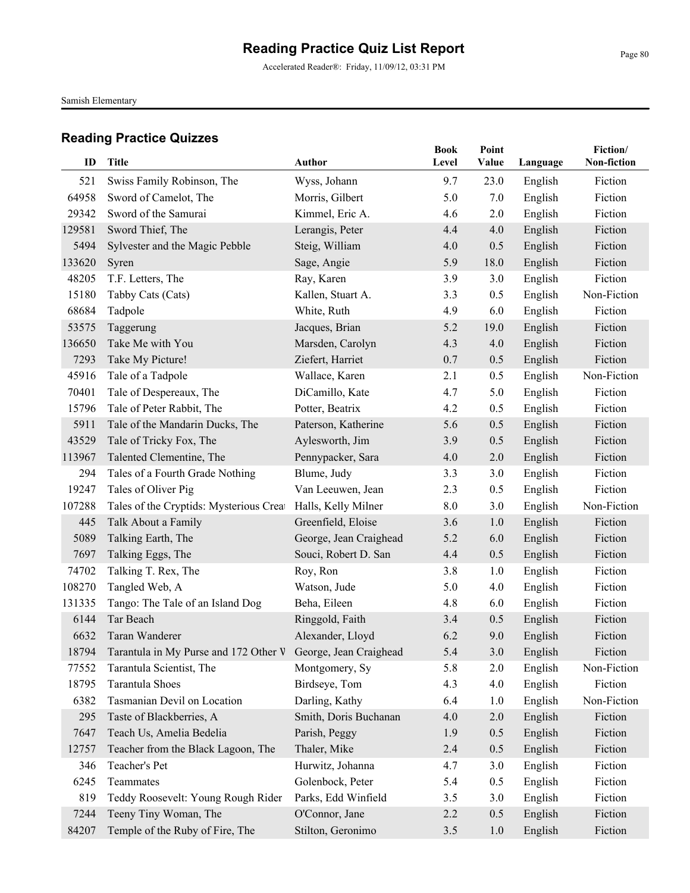Accelerated Reader®: Friday, 11/09/12, 03:31 PM

Samish Elementary

| ID     | <b>Title</b>                                                       | Author                 | <b>Book</b><br>Level | Point<br>Value | Language | Fiction/<br>Non-fiction |
|--------|--------------------------------------------------------------------|------------------------|----------------------|----------------|----------|-------------------------|
|        |                                                                    |                        |                      |                |          |                         |
| 521    | Swiss Family Robinson, The                                         | Wyss, Johann           | 9.7                  | 23.0           | English  | Fiction                 |
| 64958  | Sword of Camelot, The                                              | Morris, Gilbert        | 5.0                  | 7.0            | English  | Fiction                 |
| 29342  | Sword of the Samurai                                               | Kimmel, Eric A.        | 4.6                  | 2.0            | English  | Fiction                 |
| 129581 | Sword Thief, The                                                   | Lerangis, Peter        | 4.4                  | 4.0            | English  | Fiction                 |
| 5494   | Sylvester and the Magic Pebble                                     | Steig, William         | 4.0                  | 0.5            | English  | Fiction                 |
| 133620 | Syren                                                              | Sage, Angie            | 5.9                  | 18.0           | English  | Fiction                 |
| 48205  | T.F. Letters, The                                                  | Ray, Karen             | 3.9                  | 3.0            | English  | Fiction                 |
| 15180  | Tabby Cats (Cats)                                                  | Kallen, Stuart A.      | 3.3                  | 0.5            | English  | Non-Fiction             |
| 68684  | Tadpole                                                            | White, Ruth            | 4.9                  | 6.0            | English  | Fiction                 |
| 53575  | Taggerung                                                          | Jacques, Brian         | 5.2                  | 19.0           | English  | Fiction                 |
| 136650 | Take Me with You                                                   | Marsden, Carolyn       | 4.3                  | 4.0            | English  | Fiction                 |
| 7293   | Take My Picture!                                                   | Ziefert, Harriet       | 0.7                  | 0.5            | English  | Fiction                 |
| 45916  | Tale of a Tadpole                                                  | Wallace, Karen         | 2.1                  | 0.5            | English  | Non-Fiction             |
| 70401  | Tale of Despereaux, The                                            | DiCamillo, Kate        | 4.7                  | 5.0            | English  | Fiction                 |
| 15796  | Tale of Peter Rabbit, The                                          | Potter, Beatrix        | 4.2                  | 0.5            | English  | Fiction                 |
| 5911   | Tale of the Mandarin Ducks, The                                    | Paterson, Katherine    | 5.6                  | 0.5            | English  | Fiction                 |
| 43529  | Tale of Tricky Fox, The                                            | Aylesworth, Jim        | 3.9                  | 0.5            | English  | Fiction                 |
| 113967 | Talented Clementine, The                                           | Pennypacker, Sara      | 4.0                  | 2.0            | English  | Fiction                 |
| 294    | Tales of a Fourth Grade Nothing                                    | Blume, Judy            | 3.3                  | 3.0            | English  | Fiction                 |
| 19247  | Tales of Oliver Pig                                                | Van Leeuwen, Jean      | 2.3                  | 0.5            | English  | Fiction                 |
| 107288 | Tales of the Cryptids: Mysterious Creat                            | Halls, Kelly Milner    | 8.0                  | 3.0            | English  | Non-Fiction             |
| 445    | Talk About a Family                                                | Greenfield, Eloise     | 3.6                  | 1.0            | English  | Fiction                 |
| 5089   | Talking Earth, The                                                 | George, Jean Craighead | 5.2                  | 6.0            | English  | Fiction                 |
| 7697   | Talking Eggs, The                                                  | Souci, Robert D. San   | 4.4                  | 0.5            | English  | Fiction                 |
| 74702  | Talking T. Rex, The                                                | Roy, Ron               | 3.8                  | 1.0            | English  | Fiction                 |
| 108270 | Tangled Web, A                                                     | Watson, Jude           | 5.0                  | 4.0            | English  | Fiction                 |
| 131335 | Tango: The Tale of an Island Dog                                   | Beha, Eileen           | 4.8                  | 6.0            | English  | Fiction                 |
| 6144   | Tar Beach                                                          | Ringgold, Faith        | 3.4                  | 0.5            | English  | Fiction                 |
| 6632   | Taran Wanderer                                                     | Alexander, Lloyd       | 6.2                  | 9.0            | English  | Fiction                 |
|        | 18794 Tarantula in My Purse and 172 Other V George, Jean Craighead |                        | 5.4                  | 3.0            | English  | Fiction                 |
| 77552  | Tarantula Scientist, The                                           | Montgomery, Sy         | 5.8                  | 2.0            | English  | Non-Fiction             |
| 18795  | Tarantula Shoes                                                    | Birdseye, Tom          | 4.3                  | 4.0            | English  | Fiction                 |
| 6382   | Tasmanian Devil on Location                                        | Darling, Kathy         | 6.4                  | 1.0            | English  | Non-Fiction             |
| 295    | Taste of Blackberries, A                                           | Smith, Doris Buchanan  | 4.0                  | 2.0            | English  | Fiction                 |
| 7647   | Teach Us, Amelia Bedelia                                           | Parish, Peggy          | 1.9                  | 0.5            | English  | Fiction                 |
| 12757  | Teacher from the Black Lagoon, The                                 | Thaler, Mike           | 2.4                  | 0.5            | English  | Fiction                 |
| 346    | Teacher's Pet                                                      | Hurwitz, Johanna       | 4.7                  | 3.0            | English  | Fiction                 |
| 6245   | Teammates                                                          | Golenbock, Peter       | 5.4                  | 0.5            | English  | Fiction                 |
| 819    | Teddy Roosevelt: Young Rough Rider                                 | Parks, Edd Winfield    | 3.5                  | 3.0            | English  | Fiction                 |
| 7244   | Teeny Tiny Woman, The                                              | O'Connor, Jane         | 2.2                  | 0.5            | English  | Fiction                 |
| 84207  | Temple of the Ruby of Fire, The                                    | Stilton, Geronimo      | 3.5                  | 1.0            | English  | Fiction                 |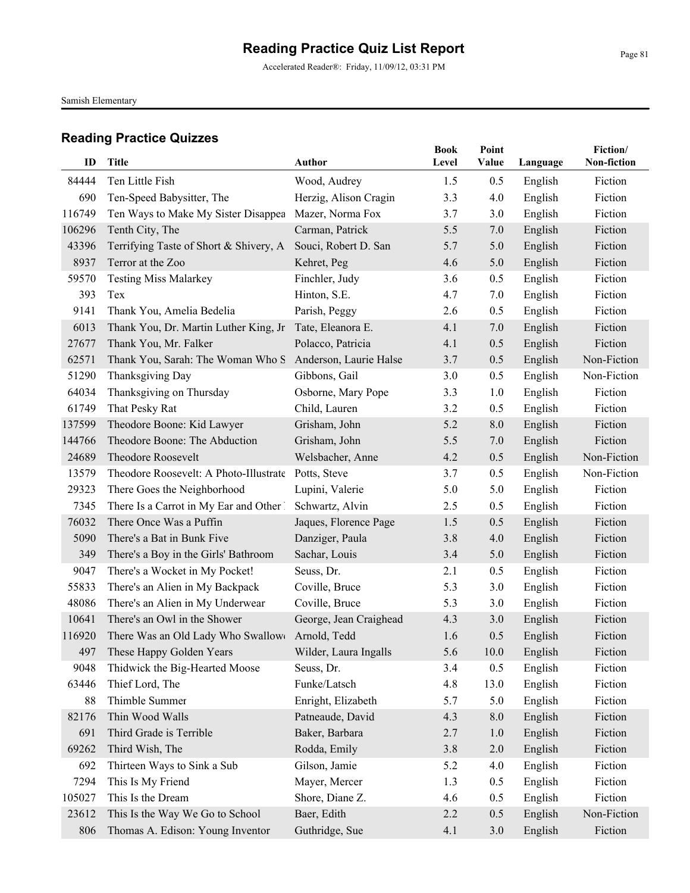Accelerated Reader®: Friday, 11/09/12, 03:31 PM

Samish Elementary

|        |                                                          |                        | <b>Book</b> | Point    |          | Fiction/    |
|--------|----------------------------------------------------------|------------------------|-------------|----------|----------|-------------|
| ID     | Title                                                    | <b>Author</b>          | Level       | Value    | Language | Non-fiction |
| 84444  | Ten Little Fish                                          | Wood, Audrey           | 1.5         | 0.5      | English  | Fiction     |
| 690    | Ten-Speed Babysitter, The                                | Herzig, Alison Cragin  | 3.3         | 4.0      | English  | Fiction     |
| 116749 | Ten Ways to Make My Sister Disappea                      | Mazer, Norma Fox       | 3.7         | 3.0      | English  | Fiction     |
| 106296 | Tenth City, The                                          | Carman, Patrick        | 5.5         | 7.0      | English  | Fiction     |
| 43396  | Terrifying Taste of Short & Shivery, A                   | Souci, Robert D. San   | 5.7         | 5.0      | English  | Fiction     |
| 8937   | Terror at the Zoo                                        | Kehret, Peg            | 4.6         | 5.0      | English  | Fiction     |
| 59570  | <b>Testing Miss Malarkey</b>                             | Finchler, Judy         | 3.6         | 0.5      | English  | Fiction     |
| 393    | Tex                                                      | Hinton, S.E.           | 4.7         | 7.0      | English  | Fiction     |
| 9141   | Thank You, Amelia Bedelia                                | Parish, Peggy          | 2.6         | 0.5      | English  | Fiction     |
| 6013   | Thank You, Dr. Martin Luther King, Jr                    | Tate, Eleanora E.      | 4.1         | 7.0      | English  | Fiction     |
| 27677  | Thank You, Mr. Falker                                    | Polacco, Patricia      | 4.1         | 0.5      | English  | Fiction     |
| 62571  | Thank You, Sarah: The Woman Who S Anderson, Laurie Halse |                        | 3.7         | 0.5      | English  | Non-Fiction |
| 51290  | Thanksgiving Day                                         | Gibbons, Gail          | 3.0         | 0.5      | English  | Non-Fiction |
| 64034  | Thanksgiving on Thursday                                 | Osborne, Mary Pope     | 3.3         | 1.0      | English  | Fiction     |
| 61749  | That Pesky Rat                                           | Child, Lauren          | 3.2         | 0.5      | English  | Fiction     |
| 137599 | Theodore Boone: Kid Lawyer                               | Grisham, John          | 5.2         | 8.0      | English  | Fiction     |
| 144766 | Theodore Boone: The Abduction                            | Grisham, John          | 5.5         | 7.0      | English  | Fiction     |
| 24689  | <b>Theodore Roosevelt</b>                                | Welsbacher, Anne       | 4.2         | 0.5      | English  | Non-Fiction |
| 13579  | Theodore Roosevelt: A Photo-Illustrate                   | Potts, Steve           | 3.7         | 0.5      | English  | Non-Fiction |
| 29323  | There Goes the Neighborhood                              | Lupini, Valerie        | 5.0         | 5.0      | English  | Fiction     |
| 7345   | There Is a Carrot in My Ear and Other 1                  | Schwartz, Alvin        | 2.5         | 0.5      | English  | Fiction     |
| 76032  | There Once Was a Puffin                                  | Jaques, Florence Page  | 1.5         | 0.5      | English  | Fiction     |
| 5090   | There's a Bat in Bunk Five                               | Danziger, Paula        | 3.8         | 4.0      | English  | Fiction     |
| 349    | There's a Boy in the Girls' Bathroom                     | Sachar, Louis          | 3.4         | 5.0      | English  | Fiction     |
| 9047   | There's a Wocket in My Pocket!                           | Seuss, Dr.             | 2.1         | 0.5      | English  | Fiction     |
| 55833  | There's an Alien in My Backpack                          | Coville, Bruce         | 5.3         | 3.0      | English  | Fiction     |
| 48086  | There's an Alien in My Underwear                         | Coville, Bruce         | 5.3         | 3.0      | English  | Fiction     |
| 10641  | There's an Owl in the Shower                             | George, Jean Craighead | 4.3         | 3.0      | English  | Fiction     |
| 116920 | There Was an Old Lady Who Swallow( Arnold, Tedd          |                        | 1.6         | 0.5      | English  | Fiction     |
| 497    | These Happy Golden Years                                 | Wilder, Laura Ingalls  | 5.6         | $10.0\,$ | English  | Fiction     |
| 9048   | Thidwick the Big-Hearted Moose                           | Seuss, Dr.             | 3.4         | 0.5      | English  | Fiction     |
| 63446  | Thief Lord, The                                          | Funke/Latsch           | 4.8         | 13.0     | English  | Fiction     |
| 88     | Thimble Summer                                           | Enright, Elizabeth     | 5.7         | 5.0      | English  | Fiction     |
| 82176  | Thin Wood Walls                                          | Patneaude, David       | 4.3         | 8.0      | English  | Fiction     |
| 691    | Third Grade is Terrible                                  | Baker, Barbara         | 2.7         | 1.0      | English  | Fiction     |
| 69262  | Third Wish, The                                          | Rodda, Emily           | 3.8         | $2.0$    | English  | Fiction     |
| 692    | Thirteen Ways to Sink a Sub                              | Gilson, Jamie          | 5.2         | 4.0      | English  | Fiction     |
| 7294   | This Is My Friend                                        | Mayer, Mercer          | 1.3         | 0.5      | English  | Fiction     |
| 105027 | This Is the Dream                                        | Shore, Diane Z.        | 4.6         | 0.5      | English  | Fiction     |
| 23612  | This Is the Way We Go to School                          | Baer, Edith            | 2.2         | 0.5      | English  | Non-Fiction |
| 806    | Thomas A. Edison: Young Inventor                         | Guthridge, Sue         | 4.1         | 3.0      | English  | Fiction     |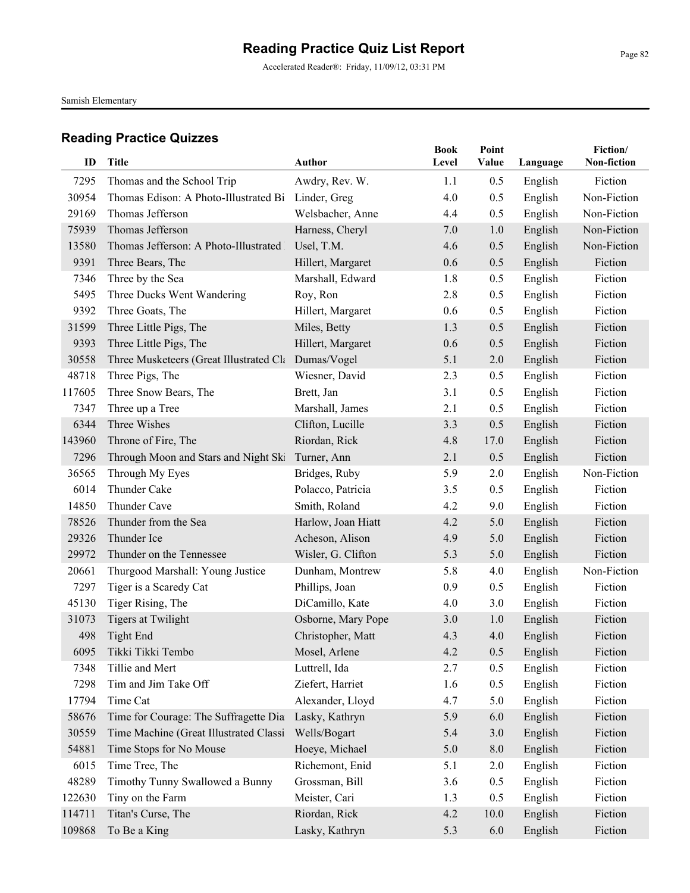Accelerated Reader®: Friday, 11/09/12, 03:31 PM

Samish Elementary

| ID     | <b>Title</b>                                        |                    | <b>Book</b> | Point<br>Value |          | Fiction/<br>Non-fiction |
|--------|-----------------------------------------------------|--------------------|-------------|----------------|----------|-------------------------|
|        |                                                     | <b>Author</b>      | Level       |                | Language |                         |
| 7295   | Thomas and the School Trip                          | Awdry, Rev. W.     | 1.1         | 0.5            | English  | Fiction                 |
| 30954  | Thomas Edison: A Photo-Illustrated Bi Linder, Greg  |                    | 4.0         | 0.5            | English  | Non-Fiction             |
| 29169  | Thomas Jefferson                                    | Welsbacher, Anne   | 4.4         | 0.5            | English  | Non-Fiction             |
| 75939  | Thomas Jefferson                                    | Harness, Cheryl    | 7.0         | 1.0            | English  | Non-Fiction             |
| 13580  | Thomas Jefferson: A Photo-Illustrated               | Usel, T.M.         | 4.6         | 0.5            | English  | Non-Fiction             |
| 9391   | Three Bears, The                                    | Hillert, Margaret  | 0.6         | 0.5            | English  | Fiction                 |
| 7346   | Three by the Sea                                    | Marshall, Edward   | 1.8         | 0.5            | English  | Fiction                 |
| 5495   | Three Ducks Went Wandering                          | Roy, Ron           | 2.8         | 0.5            | English  | Fiction                 |
| 9392   | Three Goats, The                                    | Hillert, Margaret  | 0.6         | 0.5            | English  | Fiction                 |
| 31599  | Three Little Pigs, The                              | Miles, Betty       | 1.3         | 0.5            | English  | Fiction                 |
| 9393   | Three Little Pigs, The                              | Hillert, Margaret  | 0.6         | 0.5            | English  | Fiction                 |
| 30558  | Three Musketeers (Great Illustrated Cla Dumas/Vogel |                    | 5.1         | 2.0            | English  | Fiction                 |
| 48718  | Three Pigs, The                                     | Wiesner, David     | 2.3         | 0.5            | English  | Fiction                 |
| 117605 | Three Snow Bears, The                               | Brett, Jan         | 3.1         | 0.5            | English  | Fiction                 |
| 7347   | Three up a Tree                                     | Marshall, James    | 2.1         | 0.5            | English  | Fiction                 |
| 6344   | Three Wishes                                        | Clifton, Lucille   | 3.3         | 0.5            | English  | Fiction                 |
| 143960 | Throne of Fire, The                                 | Riordan, Rick      | 4.8         | 17.0           | English  | Fiction                 |
| 7296   | Through Moon and Stars and Night Ski                | Turner, Ann        | 2.1         | 0.5            | English  | Fiction                 |
| 36565  | Through My Eyes                                     | Bridges, Ruby      | 5.9         | 2.0            | English  | Non-Fiction             |
| 6014   | Thunder Cake                                        | Polacco, Patricia  | 3.5         | 0.5            | English  | Fiction                 |
| 14850  | Thunder Cave                                        | Smith, Roland      | 4.2         | 9.0            | English  | Fiction                 |
| 78526  | Thunder from the Sea                                | Harlow, Joan Hiatt | 4.2         | 5.0            | English  | Fiction                 |
| 29326  | Thunder Ice                                         | Acheson, Alison    | 4.9         | 5.0            | English  | Fiction                 |
| 29972  | Thunder on the Tennessee                            | Wisler, G. Clifton | 5.3         | 5.0            | English  | Fiction                 |
| 20661  | Thurgood Marshall: Young Justice                    | Dunham, Montrew    | 5.8         | 4.0            | English  | Non-Fiction             |
| 7297   | Tiger is a Scaredy Cat                              | Phillips, Joan     | 0.9         | 0.5            | English  | Fiction                 |
| 45130  | Tiger Rising, The                                   | DiCamillo, Kate    | 4.0         | 3.0            | English  | Fiction                 |
| 31073  | <b>Tigers at Twilight</b>                           | Osborne, Mary Pope | 3.0         | 1.0            | English  | Fiction                 |
| 498    | <b>Tight End</b>                                    | Christopher, Matt  | 4.3         | 4.0            | English  | Fiction                 |
| 6095   | Tikki Tikki Tembo                                   | Mosel, Arlene      | 4.2         | 0.5            | English  | Fiction                 |
| 7348   | Tillie and Mert                                     | Luttrell, Ida      | 2.7         | 0.5            | English  | Fiction                 |
| 7298   | Tim and Jim Take Off                                | Ziefert, Harriet   | 1.6         | 0.5            | English  | Fiction                 |
| 17794  | Time Cat                                            | Alexander, Lloyd   | 4.7         | 5.0            | English  | Fiction                 |
| 58676  | Time for Courage: The Suffragette Dia               | Lasky, Kathryn     | 5.9         | 6.0            | English  | Fiction                 |
| 30559  | Time Machine (Great Illustrated Classi              | Wells/Bogart       | 5.4         | 3.0            | English  | Fiction                 |
| 54881  | Time Stops for No Mouse                             | Hoeye, Michael     | 5.0         | $8.0\,$        | English  | Fiction                 |
| 6015   | Time Tree, The                                      | Richemont, Enid    | 5.1         | $2.0\,$        | English  | Fiction                 |
| 48289  | Timothy Tunny Swallowed a Bunny                     | Grossman, Bill     | 3.6         | 0.5            | English  | Fiction                 |
| 122630 | Tiny on the Farm                                    | Meister, Cari      | 1.3         | 0.5            | English  | Fiction                 |
| 114711 | Titan's Curse, The                                  | Riordan, Rick      | 4.2         | 10.0           | English  | Fiction                 |
| 109868 | To Be a King                                        | Lasky, Kathryn     | 5.3         | 6.0            | English  | Fiction                 |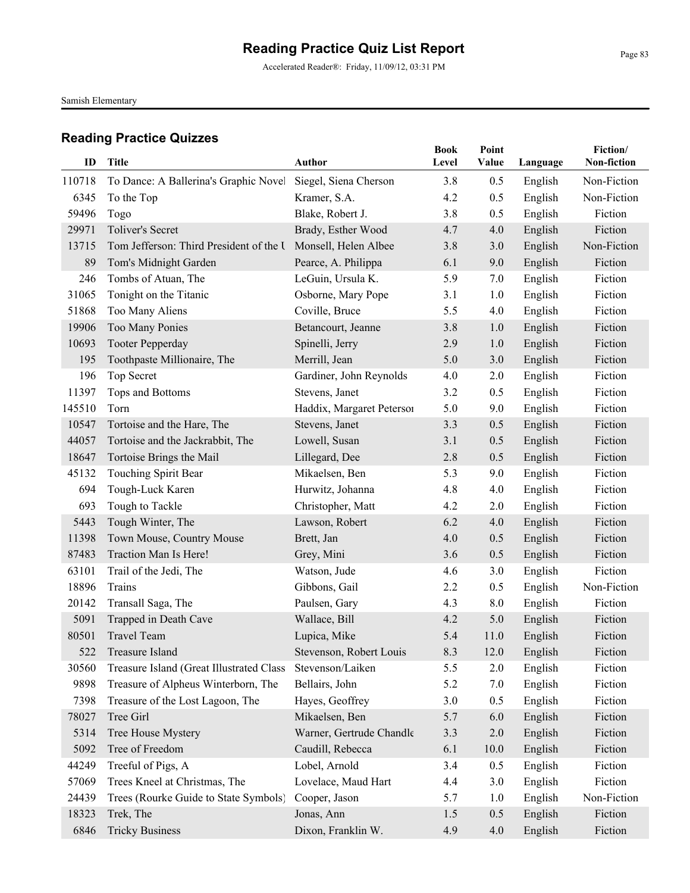Accelerated Reader®: Friday, 11/09/12, 03:31 PM

Samish Elementary

| ID     | <b>Title</b>                             | <b>Author</b>             | <b>Book</b><br>Level | Point<br>Value | Language | Fiction/<br>Non-fiction |
|--------|------------------------------------------|---------------------------|----------------------|----------------|----------|-------------------------|
| 110718 | To Dance: A Ballerina's Graphic Novel    | Siegel, Siena Cherson     | 3.8                  | 0.5            | English  | Non-Fiction             |
| 6345   | To the Top                               | Kramer, S.A.              | 4.2                  | 0.5            | English  | Non-Fiction             |
| 59496  | Togo                                     | Blake, Robert J.          | 3.8                  | 0.5            | English  | Fiction                 |
| 29971  | <b>Toliver's Secret</b>                  | Brady, Esther Wood        | 4.7                  | 4.0            | English  | Fiction                 |
| 13715  | Tom Jefferson: Third President of the U  | Monsell, Helen Albee      | 3.8                  | 3.0            | English  | Non-Fiction             |
| 89     | Tom's Midnight Garden                    | Pearce, A. Philippa       | 6.1                  | 9.0            | English  | Fiction                 |
| 246    | Tombs of Atuan, The                      | LeGuin, Ursula K.         | 5.9                  | 7.0            | English  | Fiction                 |
| 31065  | Tonight on the Titanic                   | Osborne, Mary Pope        | 3.1                  | 1.0            | English  | Fiction                 |
| 51868  | Too Many Aliens                          | Coville, Bruce            | 5.5                  | 4.0            | English  | Fiction                 |
| 19906  | Too Many Ponies                          | Betancourt, Jeanne        | 3.8                  | 1.0            | English  | Fiction                 |
| 10693  | <b>Tooter Pepperday</b>                  | Spinelli, Jerry           | 2.9                  | 1.0            | English  | Fiction                 |
| 195    | Toothpaste Millionaire, The              | Merrill, Jean             | 5.0                  | 3.0            | English  | Fiction                 |
| 196    | Top Secret                               | Gardiner, John Reynolds   | 4.0                  | 2.0            | English  | Fiction                 |
| 11397  | Tops and Bottoms                         | Stevens, Janet            | 3.2                  | 0.5            | English  | Fiction                 |
| 145510 | Torn                                     | Haddix, Margaret Peterson | 5.0                  | 9.0            | English  | Fiction                 |
| 10547  | Tortoise and the Hare, The               | Stevens, Janet            | 3.3                  | 0.5            | English  | Fiction                 |
| 44057  | Tortoise and the Jackrabbit, The         | Lowell, Susan             | 3.1                  | 0.5            | English  | Fiction                 |
| 18647  | Tortoise Brings the Mail                 | Lillegard, Dee            | 2.8                  | 0.5            | English  | Fiction                 |
| 45132  | Touching Spirit Bear                     | Mikaelsen, Ben            | 5.3                  | 9.0            | English  | Fiction                 |
| 694    | Tough-Luck Karen                         | Hurwitz, Johanna          | 4.8                  | 4.0            | English  | Fiction                 |
| 693    | Tough to Tackle                          | Christopher, Matt         | 4.2                  | 2.0            | English  | Fiction                 |
| 5443   | Tough Winter, The                        | Lawson, Robert            | 6.2                  | 4.0            | English  | Fiction                 |
| 11398  | Town Mouse, Country Mouse                | Brett, Jan                | 4.0                  | 0.5            | English  | Fiction                 |
| 87483  | Traction Man Is Here!                    | Grey, Mini                | 3.6                  | 0.5            | English  | Fiction                 |
| 63101  | Trail of the Jedi, The                   | Watson, Jude              | 4.6                  | 3.0            | English  | Fiction                 |
| 18896  | Trains                                   | Gibbons, Gail             | 2.2                  | 0.5            | English  | Non-Fiction             |
| 20142  | Transall Saga, The                       | Paulsen, Gary             | 4.3                  | 8.0            | English  | Fiction                 |
| 5091   | Trapped in Death Cave                    | Wallace, Bill             | 4.2                  | 5.0            | English  | Fiction                 |
| 80501  | <b>Travel Team</b>                       | Lupica, Mike              | 5.4                  | 11.0           | English  | Fiction                 |
| 522    | Treasure Island                          | Stevenson, Robert Louis   | 8.3                  | 12.0           | English  | Fiction                 |
| 30560  | Treasure Island (Great Illustrated Class | Stevenson/Laiken          | 5.5                  | 2.0            | English  | Fiction                 |
| 9898   | Treasure of Alpheus Winterborn, The      | Bellairs, John            | 5.2                  | 7.0            | English  | Fiction                 |
| 7398   | Treasure of the Lost Lagoon, The         | Hayes, Geoffrey           | 3.0                  | 0.5            | English  | Fiction                 |
| 78027  | Tree Girl                                | Mikaelsen, Ben            | 5.7                  | 6.0            | English  | Fiction                 |
| 5314   | Tree House Mystery                       | Warner, Gertrude Chandle  | 3.3                  | $2.0$          | English  | Fiction                 |
| 5092   | Tree of Freedom                          | Caudill, Rebecca          | 6.1                  | 10.0           | English  | Fiction                 |
| 44249  | Treeful of Pigs, A                       | Lobel, Arnold             | 3.4                  | 0.5            | English  | Fiction                 |
| 57069  | Trees Kneel at Christmas, The            | Lovelace, Maud Hart       | 4.4                  | 3.0            | English  | Fiction                 |
| 24439  | Trees (Rourke Guide to State Symbols)    | Cooper, Jason             | 5.7                  | 1.0            | English  | Non-Fiction             |
| 18323  | Trek, The                                | Jonas, Ann                | 1.5                  | 0.5            | English  | Fiction                 |
| 6846   | <b>Tricky Business</b>                   | Dixon, Franklin W.        | 4.9                  | 4.0            | English  | Fiction                 |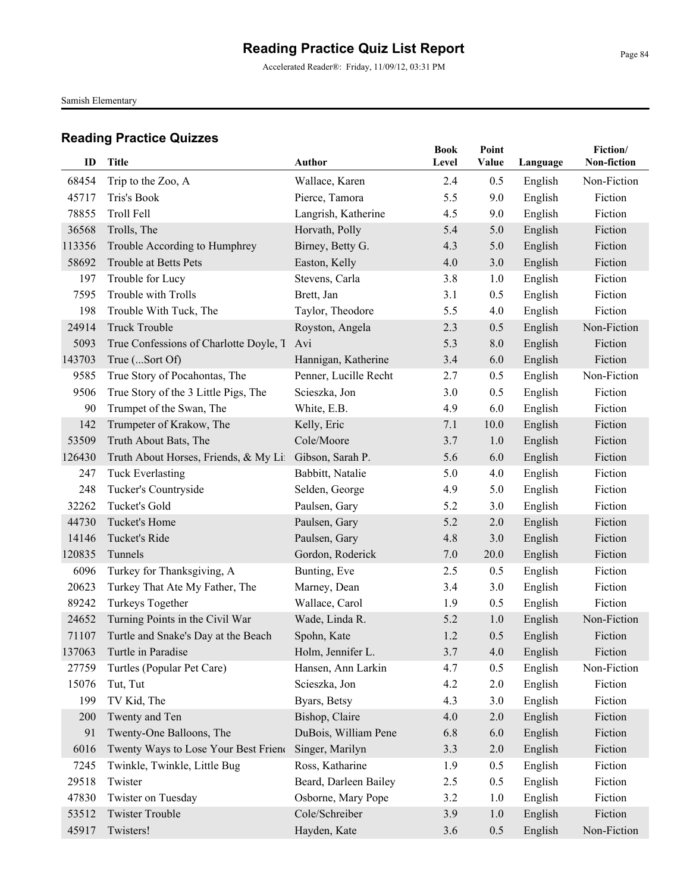Accelerated Reader®: Friday, 11/09/12, 03:31 PM

Samish Elementary

| ID     | <b>Title</b>                           | <b>Author</b>         | <b>Book</b><br>Level | Point<br>Value | Language | Fiction/<br>Non-fiction |
|--------|----------------------------------------|-----------------------|----------------------|----------------|----------|-------------------------|
| 68454  | Trip to the Zoo, A                     | Wallace, Karen        | 2.4                  | 0.5            | English  | Non-Fiction             |
| 45717  | Tris's Book                            | Pierce, Tamora        | 5.5                  | 9.0            | English  | Fiction                 |
| 78855  | <b>Troll Fell</b>                      | Langrish, Katherine   | 4.5                  | 9.0            | English  | Fiction                 |
| 36568  | Trolls, The                            | Horvath, Polly        | 5.4                  | 5.0            | English  | Fiction                 |
| 113356 | Trouble According to Humphrey          | Birney, Betty G.      | 4.3                  | 5.0            | English  | Fiction                 |
| 58692  | Trouble at Betts Pets                  | Easton, Kelly         | 4.0                  | 3.0            | English  | Fiction                 |
| 197    | Trouble for Lucy                       | Stevens, Carla        | 3.8                  | 1.0            | English  | Fiction                 |
| 7595   | Trouble with Trolls                    | Brett, Jan            | 3.1                  | 0.5            | English  | Fiction                 |
| 198    | Trouble With Tuck, The                 | Taylor, Theodore      | 5.5                  | 4.0            | English  | Fiction                 |
| 24914  | <b>Truck Trouble</b>                   | Royston, Angela       | 2.3                  | 0.5            | English  | Non-Fiction             |
| 5093   | True Confessions of Charlotte Doyle, T | Avi                   | 5.3                  | 8.0            | English  | Fiction                 |
| 143703 | True (Sort Of)                         | Hannigan, Katherine   | 3.4                  | 6.0            | English  | Fiction                 |
| 9585   | True Story of Pocahontas, The          | Penner, Lucille Recht | 2.7                  | 0.5            | English  | Non-Fiction             |
| 9506   | True Story of the 3 Little Pigs, The   | Scieszka, Jon         | 3.0                  | 0.5            | English  | Fiction                 |
| 90     | Trumpet of the Swan, The               | White, E.B.           | 4.9                  | 6.0            | English  | Fiction                 |
| 142    | Trumpeter of Krakow, The               | Kelly, Eric           | 7.1                  | 10.0           | English  | Fiction                 |
| 53509  | Truth About Bats, The                  | Cole/Moore            | 3.7                  | 1.0            | English  | Fiction                 |
| 126430 | Truth About Horses, Friends, & My Lit  | Gibson, Sarah P.      | 5.6                  | 6.0            | English  | Fiction                 |
| 247    | <b>Tuck Everlasting</b>                | Babbitt, Natalie      | 5.0                  | 4.0            | English  | Fiction                 |
| 248    | Tucker's Countryside                   | Selden, George        | 4.9                  | 5.0            | English  | Fiction                 |
| 32262  | Tucket's Gold                          | Paulsen, Gary         | 5.2                  | 3.0            | English  | Fiction                 |
| 44730  | Tucket's Home                          | Paulsen, Gary         | 5.2                  | 2.0            | English  | Fiction                 |
| 14146  | Tucket's Ride                          | Paulsen, Gary         | 4.8                  | 3.0            | English  | Fiction                 |
| 120835 | Tunnels                                | Gordon, Roderick      | 7.0                  | 20.0           | English  | Fiction                 |
| 6096   | Turkey for Thanksgiving, A             | Bunting, Eve          | 2.5                  | 0.5            | English  | Fiction                 |
| 20623  | Turkey That Ate My Father, The         | Marney, Dean          | 3.4                  | 3.0            | English  | Fiction                 |
| 89242  | Turkeys Together                       | Wallace, Carol        | 1.9                  | 0.5            | English  | Fiction                 |
| 24652  | Turning Points in the Civil War        | Wade, Linda R.        | 5.2                  | 1.0            | English  | Non-Fiction             |
| 71107  | Turtle and Snake's Day at the Beach    | Spohn, Kate           | 1.2                  | 0.5            | English  | Fiction                 |
| 137063 | Turtle in Paradise                     | Holm, Jennifer L.     | 3.7                  | 4.0            | English  | Fiction                 |
| 27759  | Turtles (Popular Pet Care)             | Hansen, Ann Larkin    | 4.7                  | 0.5            | English  | Non-Fiction             |
| 15076  | Tut, Tut                               | Scieszka, Jon         | 4.2                  | 2.0            | English  | Fiction                 |
| 199    | TV Kid, The                            | Byars, Betsy          | 4.3                  | 3.0            | English  | Fiction                 |
| 200    | Twenty and Ten                         | Bishop, Claire        | 4.0                  | 2.0            | English  | Fiction                 |
| 91     | Twenty-One Balloons, The               | DuBois, William Pene  | 6.8                  | 6.0            | English  | Fiction                 |
| 6016   | Twenty Ways to Lose Your Best Friend   | Singer, Marilyn       | 3.3                  | $2.0$          | English  | Fiction                 |
| 7245   | Twinkle, Twinkle, Little Bug           | Ross, Katharine       | 1.9                  | 0.5            | English  | Fiction                 |
| 29518  | Twister                                | Beard, Darleen Bailey | 2.5                  | 0.5            | English  | Fiction                 |
| 47830  | Twister on Tuesday                     | Osborne, Mary Pope    | 3.2                  | 1.0            | English  | Fiction                 |
| 53512  | <b>Twister Trouble</b>                 | Cole/Schreiber        | 3.9                  | 1.0            | English  | Fiction                 |
| 45917  | Twisters!                              | Hayden, Kate          | 3.6                  | 0.5            | English  | Non-Fiction             |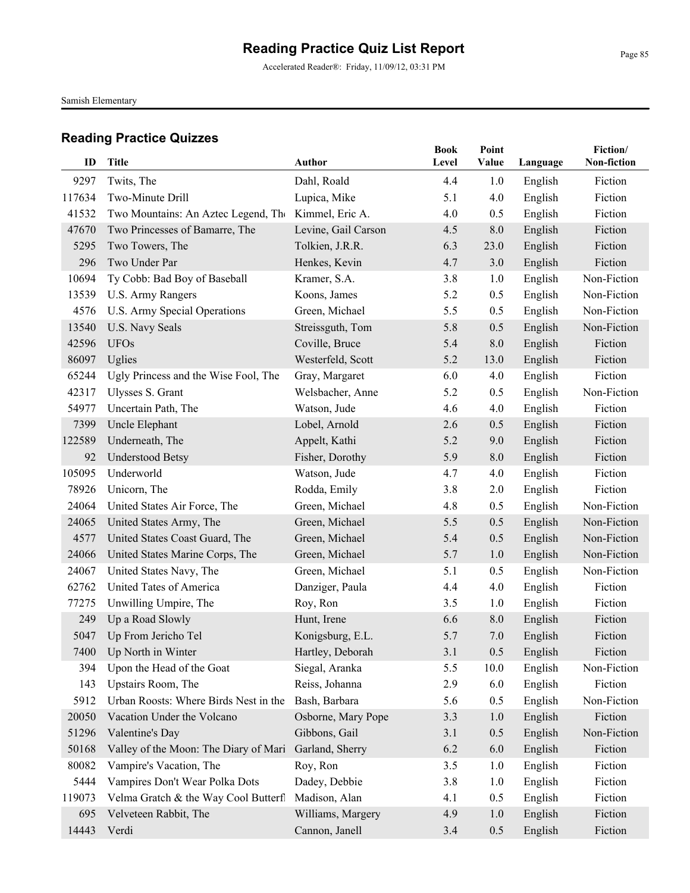Accelerated Reader®: Friday, 11/09/12, 03:31 PM

Samish Elementary

| ID     | <b>Title</b>                          | <b>Author</b>       | <b>Book</b><br>Level | Point<br>Value | Language           | Fiction/<br>Non-fiction |
|--------|---------------------------------------|---------------------|----------------------|----------------|--------------------|-------------------------|
| 9297   | Twits, The                            | Dahl, Roald         | 4.4                  | 1.0            |                    | Fiction                 |
| 117634 | Two-Minute Drill                      | Lupica, Mike        | 5.1                  | 4.0            | English<br>English | Fiction                 |
| 41532  | Two Mountains: An Aztec Legend, The   | Kimmel, Eric A.     | 4.0                  | 0.5            | English            | Fiction                 |
| 47670  | Two Princesses of Bamarre, The        | Levine, Gail Carson | 4.5                  | 8.0            | English            | Fiction                 |
| 5295   | Two Towers, The                       | Tolkien, J.R.R.     | 6.3                  | 23.0           | English            | Fiction                 |
| 296    | Two Under Par                         | Henkes, Kevin       | 4.7                  | 3.0            | English            | Fiction                 |
| 10694  | Ty Cobb: Bad Boy of Baseball          | Kramer, S.A.        | 3.8                  | 1.0            | English            | Non-Fiction             |
| 13539  | U.S. Army Rangers                     | Koons, James        | 5.2                  | 0.5            | English            | Non-Fiction             |
| 4576   | U.S. Army Special Operations          | Green, Michael      | 5.5                  | 0.5            | English            | Non-Fiction             |
| 13540  | U.S. Navy Seals                       | Streissguth, Tom    | 5.8                  | 0.5            | English            | Non-Fiction             |
| 42596  | <b>UFOs</b>                           | Coville, Bruce      | 5.4                  | 8.0            | English            | Fiction                 |
| 86097  | Uglies                                | Westerfeld, Scott   | 5.2                  | 13.0           | English            | Fiction                 |
| 65244  | Ugly Princess and the Wise Fool, The  | Gray, Margaret      | 6.0                  | 4.0            | English            | Fiction                 |
| 42317  | Ulysses S. Grant                      | Welsbacher, Anne    | 5.2                  | 0.5            | English            | Non-Fiction             |
| 54977  | Uncertain Path, The                   | Watson, Jude        | 4.6                  | 4.0            | English            | Fiction                 |
| 7399   | Uncle Elephant                        | Lobel, Arnold       | 2.6                  | 0.5            | English            | Fiction                 |
| 122589 | Underneath, The                       | Appelt, Kathi       | 5.2                  | 9.0            | English            | Fiction                 |
| 92     | <b>Understood Betsy</b>               | Fisher, Dorothy     | 5.9                  | 8.0            | English            | Fiction                 |
| 105095 | Underworld                            | Watson, Jude        | 4.7                  | 4.0            | English            | Fiction                 |
| 78926  | Unicorn, The                          | Rodda, Emily        | 3.8                  | 2.0            | English            | Fiction                 |
| 24064  | United States Air Force, The          | Green, Michael      | 4.8                  | 0.5            | English            | Non-Fiction             |
| 24065  | United States Army, The               | Green, Michael      | 5.5                  | 0.5            | English            | Non-Fiction             |
| 4577   | United States Coast Guard, The        | Green, Michael      | 5.4                  | 0.5            | English            | Non-Fiction             |
| 24066  | United States Marine Corps, The       | Green, Michael      | 5.7                  | 1.0            | English            | Non-Fiction             |
| 24067  | United States Navy, The               | Green, Michael      | 5.1                  | 0.5            | English            | Non-Fiction             |
| 62762  | United Tates of America               | Danziger, Paula     | 4.4                  | 4.0            | English            | Fiction                 |
| 77275  | Unwilling Umpire, The                 | Roy, Ron            | 3.5                  | 1.0            | English            | Fiction                 |
| 249    | Up a Road Slowly                      | Hunt, Irene         | 6.6                  | 8.0            | English            | Fiction                 |
| 5047   | Up From Jericho Tel                   | Konigsburg, E.L.    | 5.7                  | 7.0            | English            | Fiction                 |
|        | 7400 Up North in Winter               | Hartley, Deborah    | 3.1                  | 0.5            | English            | Fiction                 |
| 394    | Upon the Head of the Goat             | Siegal, Aranka      | 5.5                  | 10.0           | English            | Non-Fiction             |
| 143    | Upstairs Room, The                    | Reiss, Johanna      | 2.9                  | 6.0            | English            | Fiction                 |
| 5912   | Urban Roosts: Where Birds Nest in the | Bash, Barbara       | 5.6                  | 0.5            | English            | Non-Fiction             |
| 20050  | Vacation Under the Volcano            | Osborne, Mary Pope  | 3.3                  | 1.0            | English            | Fiction                 |
| 51296  | Valentine's Day                       | Gibbons, Gail       | 3.1                  | 0.5            | English            | Non-Fiction             |
| 50168  | Valley of the Moon: The Diary of Mari | Garland, Sherry     | 6.2                  | 6.0            | English            | Fiction                 |
| 80082  | Vampire's Vacation, The               | Roy, Ron            | 3.5                  | 1.0            | English            | Fiction                 |
| 5444   | Vampires Don't Wear Polka Dots        | Dadey, Debbie       | 3.8                  | 1.0            | English            | Fiction                 |
| 119073 | Velma Gratch & the Way Cool Butterfl  | Madison, Alan       | 4.1                  | 0.5            | English            | Fiction                 |
| 695    | Velveteen Rabbit, The                 | Williams, Margery   | 4.9                  | 1.0            | English            | Fiction                 |
| 14443  | Verdi                                 | Cannon, Janell      | 3.4                  | 0.5            | English            | Fiction                 |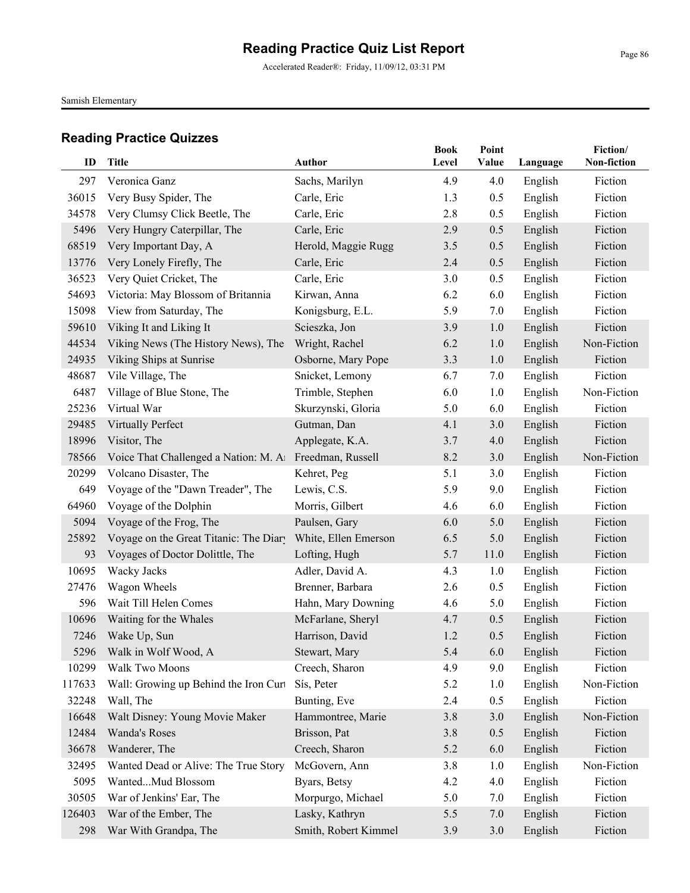Accelerated Reader®: Friday, 11/09/12, 03:31 PM

Samish Elementary

| ID     | <b>Title</b>                                            | <b>Author</b>        | <b>Book</b><br>Level | Point<br>Value | Language | Fiction/<br>Non-fiction |
|--------|---------------------------------------------------------|----------------------|----------------------|----------------|----------|-------------------------|
| 297    | Veronica Ganz                                           | Sachs, Marilyn       | 4.9                  | 4.0            | English  | Fiction                 |
| 36015  | Very Busy Spider, The                                   | Carle, Eric          | 1.3                  | 0.5            | English  | Fiction                 |
| 34578  | Very Clumsy Click Beetle, The                           | Carle, Eric          | 2.8                  | 0.5            | English  | Fiction                 |
| 5496   | Very Hungry Caterpillar, The                            | Carle, Eric          | 2.9                  | 0.5            | English  | Fiction                 |
| 68519  | Very Important Day, A                                   | Herold, Maggie Rugg  | 3.5                  | 0.5            | English  | Fiction                 |
| 13776  | Very Lonely Firefly, The                                | Carle, Eric          | 2.4                  | 0.5            | English  | Fiction                 |
| 36523  | Very Quiet Cricket, The                                 | Carle, Eric          | 3.0                  | 0.5            | English  | Fiction                 |
| 54693  | Victoria: May Blossom of Britannia                      | Kirwan, Anna         | 6.2                  | 6.0            | English  | Fiction                 |
| 15098  | View from Saturday, The                                 | Konigsburg, E.L.     | 5.9                  | 7.0            | English  | Fiction                 |
| 59610  | Viking It and Liking It                                 | Scieszka, Jon        | 3.9                  | 1.0            | English  | Fiction                 |
| 44534  | Viking News (The History News), The                     | Wright, Rachel       | 6.2                  | 1.0            | English  | Non-Fiction             |
| 24935  | Viking Ships at Sunrise                                 | Osborne, Mary Pope   | 3.3                  | 1.0            | English  | Fiction                 |
| 48687  | Vile Village, The                                       | Snicket, Lemony      | 6.7                  | 7.0            | English  | Fiction                 |
| 6487   | Village of Blue Stone, The                              | Trimble, Stephen     | 6.0                  | 1.0            | English  | Non-Fiction             |
| 25236  | Virtual War                                             | Skurzynski, Gloria   | 5.0                  | 6.0            | English  | Fiction                 |
| 29485  | Virtually Perfect                                       | Gutman, Dan          | 4.1                  | 3.0            | English  | Fiction                 |
| 18996  | Visitor, The                                            | Applegate, K.A.      | 3.7                  | 4.0            | English  | Fiction                 |
| 78566  | Voice That Challenged a Nation: M. A1 Freedman, Russell |                      | 8.2                  | 3.0            | English  | Non-Fiction             |
| 20299  | Volcano Disaster, The                                   | Kehret, Peg          | 5.1                  | 3.0            | English  | Fiction                 |
| 649    | Voyage of the "Dawn Treader", The                       | Lewis, C.S.          | 5.9                  | 9.0            | English  | Fiction                 |
| 64960  | Voyage of the Dolphin                                   | Morris, Gilbert      | 4.6                  | 6.0            | English  | Fiction                 |
| 5094   | Voyage of the Frog, The                                 | Paulsen, Gary        | 6.0                  | 5.0            | English  | Fiction                 |
| 25892  | Voyage on the Great Titanic: The Diary                  | White, Ellen Emerson | 6.5                  | 5.0            | English  | Fiction                 |
| 93     | Voyages of Doctor Dolittle, The                         | Lofting, Hugh        | 5.7                  | 11.0           | English  | Fiction                 |
| 10695  | Wacky Jacks                                             | Adler, David A.      | 4.3                  | 1.0            | English  | Fiction                 |
| 27476  | Wagon Wheels                                            | Brenner, Barbara     | 2.6                  | 0.5            | English  | Fiction                 |
| 596    | Wait Till Helen Comes                                   | Hahn, Mary Downing   | 4.6                  | 5.0            | English  | Fiction                 |
| 10696  | Waiting for the Whales                                  | McFarlane, Sheryl    | 4.7                  | 0.5            | English  | Fiction                 |
| 7246   | Wake Up, Sun                                            | Harrison, David      | 1.2                  | 0.5            | English  | Fiction                 |
|        | 5296 Walk in Wolf Wood, A                               | Stewart, Mary        | 5.4                  | 6.0            | English  | Fiction                 |
| 10299  | Walk Two Moons                                          | Creech, Sharon       | 4.9                  | 9.0            | English  | Fiction                 |
| 117633 | Wall: Growing up Behind the Iron Curt                   | Sís, Peter           | 5.2                  | 1.0            | English  | Non-Fiction             |
| 32248  | Wall, The                                               | Bunting, Eve         | 2.4                  | 0.5            | English  | Fiction                 |
| 16648  | Walt Disney: Young Movie Maker                          | Hammontree, Marie    | 3.8                  | 3.0            | English  | Non-Fiction             |
| 12484  | Wanda's Roses                                           | Brisson, Pat         | 3.8                  | 0.5            | English  | Fiction                 |
| 36678  | Wanderer, The                                           | Creech, Sharon       | 5.2                  | 6.0            | English  | Fiction                 |
| 32495  | Wanted Dead or Alive: The True Story                    | McGovern, Ann        | 3.8                  | 1.0            | English  | Non-Fiction             |
| 5095   | WantedMud Blossom                                       | Byars, Betsy         | 4.2                  | 4.0            | English  | Fiction                 |
| 30505  | War of Jenkins' Ear, The                                | Morpurgo, Michael    | 5.0                  | 7.0            | English  | Fiction                 |
| 126403 | War of the Ember, The                                   | Lasky, Kathryn       | 5.5                  | 7.0            | English  | Fiction                 |
| 298    | War With Grandpa, The                                   | Smith, Robert Kimmel | 3.9                  | 3.0            | English  | Fiction                 |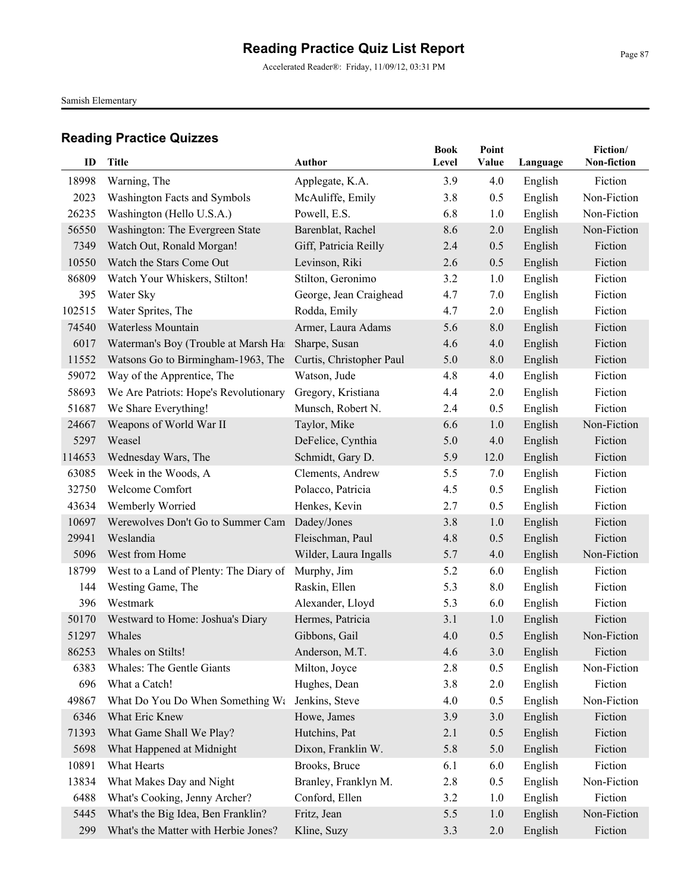Accelerated Reader®: Friday, 11/09/12, 03:31 PM

Samish Elementary

| ID     | <b>Title</b>                           | <b>Author</b>            | <b>Book</b><br>Level | Point<br>Value | Language | Fiction/<br>Non-fiction |
|--------|----------------------------------------|--------------------------|----------------------|----------------|----------|-------------------------|
| 18998  | Warning, The                           | Applegate, K.A.          | 3.9                  | 4.0            | English  | Fiction                 |
| 2023   | Washington Facts and Symbols           | McAuliffe, Emily         | 3.8                  | 0.5            | English  | Non-Fiction             |
| 26235  | Washington (Hello U.S.A.)              | Powell, E.S.             | 6.8                  | 1.0            | English  | Non-Fiction             |
| 56550  | Washington: The Evergreen State        | Barenblat, Rachel        | 8.6                  | 2.0            | English  | Non-Fiction             |
| 7349   | Watch Out, Ronald Morgan!              | Giff, Patricia Reilly    | 2.4                  | 0.5            | English  | Fiction                 |
| 10550  | Watch the Stars Come Out               | Levinson, Riki           | 2.6                  | 0.5            | English  | Fiction                 |
| 86809  | Watch Your Whiskers, Stilton!          | Stilton, Geronimo        | 3.2                  | 1.0            | English  | Fiction                 |
| 395    | Water Sky                              | George, Jean Craighead   | 4.7                  | 7.0            | English  | Fiction                 |
| 102515 | Water Sprites, The                     | Rodda, Emily             | 4.7                  | 2.0            | English  | Fiction                 |
| 74540  | Waterless Mountain                     | Armer, Laura Adams       | 5.6                  | 8.0            | English  | Fiction                 |
| 6017   | Waterman's Boy (Trouble at Marsh Ha    | Sharpe, Susan            | 4.6                  | 4.0            | English  | Fiction                 |
| 11552  | Watsons Go to Birmingham-1963, The     | Curtis, Christopher Paul | 5.0                  | 8.0            | English  | Fiction                 |
| 59072  | Way of the Apprentice, The             | Watson, Jude             | 4.8                  | 4.0            | English  | Fiction                 |
| 58693  | We Are Patriots: Hope's Revolutionary  | Gregory, Kristiana       | 4.4                  | 2.0            | English  | Fiction                 |
| 51687  | We Share Everything!                   | Munsch, Robert N.        | 2.4                  | 0.5            | English  | Fiction                 |
| 24667  | Weapons of World War II                | Taylor, Mike             | 6.6                  | 1.0            | English  | Non-Fiction             |
| 5297   | Weasel                                 | DeFelice, Cynthia        | 5.0                  | 4.0            | English  | Fiction                 |
| 114653 | Wednesday Wars, The                    | Schmidt, Gary D.         | 5.9                  | 12.0           | English  | Fiction                 |
| 63085  | Week in the Woods, A                   | Clements, Andrew         | 5.5                  | 7.0            | English  | Fiction                 |
| 32750  | Welcome Comfort                        | Polacco, Patricia        | 4.5                  | 0.5            | English  | Fiction                 |
| 43634  | Wemberly Worried                       | Henkes, Kevin            | 2.7                  | 0.5            | English  | Fiction                 |
| 10697  | Werewolves Don't Go to Summer Cam      | Dadey/Jones              | 3.8                  | 1.0            | English  | Fiction                 |
| 29941  | Weslandia                              | Fleischman, Paul         | 4.8                  | 0.5            | English  | Fiction                 |
| 5096   | West from Home                         | Wilder, Laura Ingalls    | 5.7                  | 4.0            | English  | Non-Fiction             |
| 18799  | West to a Land of Plenty: The Diary of | Murphy, Jim              | 5.2                  | 6.0            | English  | Fiction                 |
| 144    | Westing Game, The                      | Raskin, Ellen            | 5.3                  | 8.0            | English  | Fiction                 |
| 396    | Westmark                               | Alexander, Lloyd         | 5.3                  | 6.0            | English  | Fiction                 |
| 50170  | Westward to Home: Joshua's Diary       | Hermes, Patricia         | 3.1                  | 1.0            | English  | Fiction                 |
| 51297  | Whales                                 | Gibbons, Gail            | 4.0                  | 0.5            | English  | Non-Fiction             |
| 86253  | Whales on Stilts!                      | Anderson, M.T.           | 4.6                  | $3.0$          | English  | Fiction                 |
| 6383   | Whales: The Gentle Giants              | Milton, Joyce            | 2.8                  | 0.5            | English  | Non-Fiction             |
| 696    | What a Catch!                          | Hughes, Dean             | 3.8                  | 2.0            | English  | Fiction                 |
| 49867  | What Do You Do When Something Wa       | Jenkins, Steve           | 4.0                  | 0.5            | English  | Non-Fiction             |
| 6346   | What Eric Knew                         | Howe, James              | 3.9                  | 3.0            | English  | Fiction                 |
| 71393  | What Game Shall We Play?               | Hutchins, Pat            | 2.1                  | 0.5            | English  | Fiction                 |
| 5698   | What Happened at Midnight              | Dixon, Franklin W.       | 5.8                  | 5.0            | English  | Fiction                 |
| 10891  | What Hearts                            | Brooks, Bruce            | 6.1                  | 6.0            | English  | Fiction                 |
| 13834  | What Makes Day and Night               | Branley, Franklyn M.     | 2.8                  | 0.5            | English  | Non-Fiction             |
| 6488   | What's Cooking, Jenny Archer?          | Conford, Ellen           | 3.2                  | 1.0            | English  | Fiction                 |
| 5445   | What's the Big Idea, Ben Franklin?     | Fritz, Jean              | 5.5                  | 1.0            | English  | Non-Fiction             |
| 299    | What's the Matter with Herbie Jones?   | Kline, Suzy              | 3.3                  | 2.0            | English  | Fiction                 |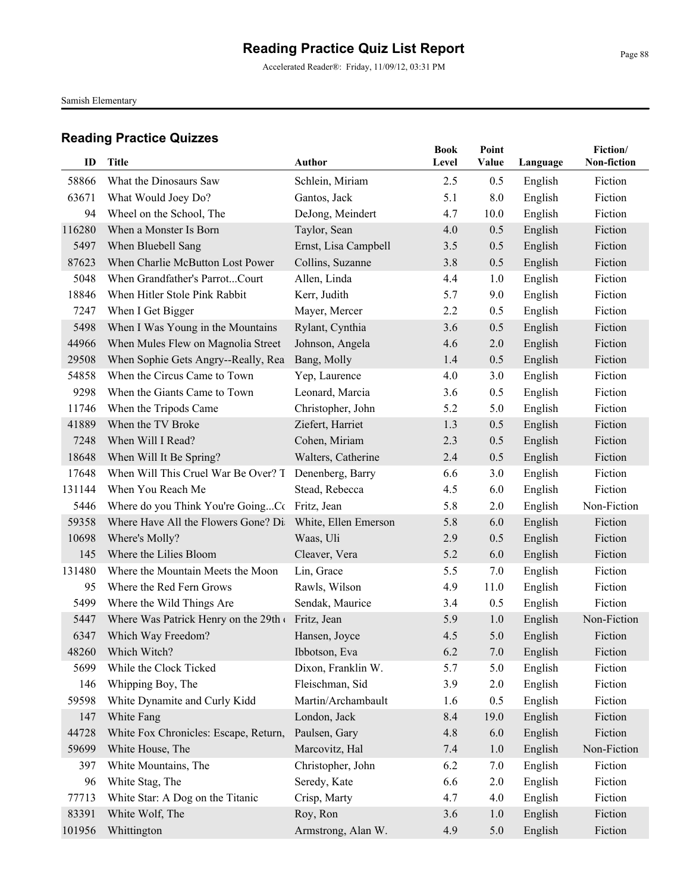Accelerated Reader®: Friday, 11/09/12, 03:31 PM

Samish Elementary

| ID           | <b>Title</b>                                             | <b>Author</b>        | <b>Book</b><br>Level | Point<br>Value | Language | Fiction/<br>Non-fiction |
|--------------|----------------------------------------------------------|----------------------|----------------------|----------------|----------|-------------------------|
|              |                                                          |                      |                      |                |          |                         |
| 58866        | What the Dinosaurs Saw                                   | Schlein, Miriam      | 2.5<br>5.1           | 0.5            | English  | Fiction<br>Fiction      |
| 63671        | What Would Joey Do?                                      | Gantos, Jack         |                      | 8.0            | English  |                         |
| 94<br>116280 | Wheel on the School, The<br>When a Monster Is Born       | DeJong, Meindert     | 4.7                  | 10.0           | English  | Fiction<br>Fiction      |
| 5497         |                                                          | Taylor, Sean         | 4.0                  | 0.5            | English  | Fiction                 |
| 87623        | When Bluebell Sang<br>When Charlie McButton Lost Power   | Ernst, Lisa Campbell | 3.5                  | 0.5<br>0.5     | English  | Fiction                 |
| 5048         | When Grandfather's ParrotCourt                           | Collins, Suzanne     | 3.8<br>4.4           |                | English  | Fiction                 |
| 18846        | When Hitler Stole Pink Rabbit                            | Allen, Linda         | 5.7                  | 1.0            | English  | Fiction                 |
|              |                                                          | Kerr, Judith         |                      | 9.0            | English  | Fiction                 |
| 7247         | When I Get Bigger                                        | Mayer, Mercer        | 2.2                  | 0.5            | English  |                         |
| 5498         | When I Was Young in the Mountains                        | Rylant, Cynthia      | 3.6                  | 0.5            | English  | Fiction                 |
| 44966        | When Mules Flew on Magnolia Street                       | Johnson, Angela      | 4.6                  | 2.0            | English  | Fiction                 |
| 29508        | When Sophie Gets Angry--Really, Rea                      | Bang, Molly          | 1.4                  | 0.5            | English  | Fiction                 |
| 54858        | When the Circus Came to Town                             | Yep, Laurence        | 4.0                  | 3.0            | English  | Fiction                 |
| 9298         | When the Giants Came to Town                             | Leonard, Marcia      | 3.6                  | 0.5            | English  | Fiction                 |
| 11746        | When the Tripods Came                                    | Christopher, John    | 5.2                  | 5.0            | English  | Fiction                 |
| 41889        | When the TV Broke                                        | Ziefert, Harriet     | 1.3                  | 0.5            | English  | Fiction                 |
| 7248         | When Will I Read?                                        | Cohen, Miriam        | 2.3                  | 0.5            | English  | Fiction                 |
| 18648        | When Will It Be Spring?                                  | Walters, Catherine   | 2.4                  | 0.5            | English  | Fiction                 |
| 17648        | When Will This Cruel War Be Over? T                      | Denenberg, Barry     | 6.6                  | 3.0            | English  | Fiction                 |
| 131144       | When You Reach Me                                        | Stead, Rebecca       | 4.5                  | 6.0            | English  | Fiction                 |
| 5446         | Where do you Think You're GoingCc Fritz, Jean            |                      | 5.8                  | 2.0            | English  | Non-Fiction             |
| 59358        | Where Have All the Flowers Gone? Di White, Ellen Emerson |                      | 5.8                  | 6.0            | English  | Fiction                 |
| 10698        | Where's Molly?                                           | Waas, Uli            | 2.9                  | 0.5            | English  | Fiction                 |
| 145          | Where the Lilies Bloom                                   | Cleaver, Vera        | 5.2                  | 6.0            | English  | Fiction                 |
| 131480       | Where the Mountain Meets the Moon                        | Lin, Grace           | 5.5                  | 7.0            | English  | Fiction                 |
| 95           | Where the Red Fern Grows                                 | Rawls, Wilson        | 4.9                  | 11.0           | English  | Fiction                 |
| 5499         | Where the Wild Things Are                                | Sendak, Maurice      | 3.4                  | 0.5            | English  | Fiction                 |
| 5447         | Where Was Patrick Henry on the 29th                      | Fritz, Jean          | 5.9                  | 1.0            | English  | Non-Fiction             |
| 6347         | Which Way Freedom?                                       | Hansen, Joyce        | 4.5                  | 5.0            | English  | Fiction                 |
|              | 48260 Which Witch?                                       | Ibbotson, Eva        | 6.2                  | 7.0            | English  | Fiction                 |
| 5699         | While the Clock Ticked                                   | Dixon, Franklin W.   | 5.7                  | 5.0            | English  | Fiction                 |
| 146          | Whipping Boy, The                                        | Fleischman, Sid      | 3.9                  | 2.0            | English  | Fiction                 |
| 59598        | White Dynamite and Curly Kidd                            | Martin/Archambault   | 1.6                  | 0.5            | English  | Fiction                 |
| 147          | White Fang                                               | London, Jack         | 8.4                  | 19.0           | English  | Fiction                 |
| 44728        | White Fox Chronicles: Escape, Return,                    | Paulsen, Gary        | 4.8                  | 6.0            | English  | Fiction                 |
| 59699        | White House, The                                         | Marcovitz, Hal       | 7.4                  | 1.0            | English  | Non-Fiction             |
| 397          | White Mountains, The                                     | Christopher, John    | 6.2                  | 7.0            | English  | Fiction                 |
| 96           | White Stag, The                                          | Seredy, Kate         | 6.6                  | 2.0            | English  | Fiction                 |
| 77713        | White Star: A Dog on the Titanic                         | Crisp, Marty         | 4.7                  | 4.0            | English  | Fiction                 |
| 83391        | White Wolf, The                                          | Roy, Ron             | 3.6                  | 1.0            | English  | Fiction                 |
| 101956       | Whittington                                              | Armstrong, Alan W.   | 4.9                  | 5.0            | English  | Fiction                 |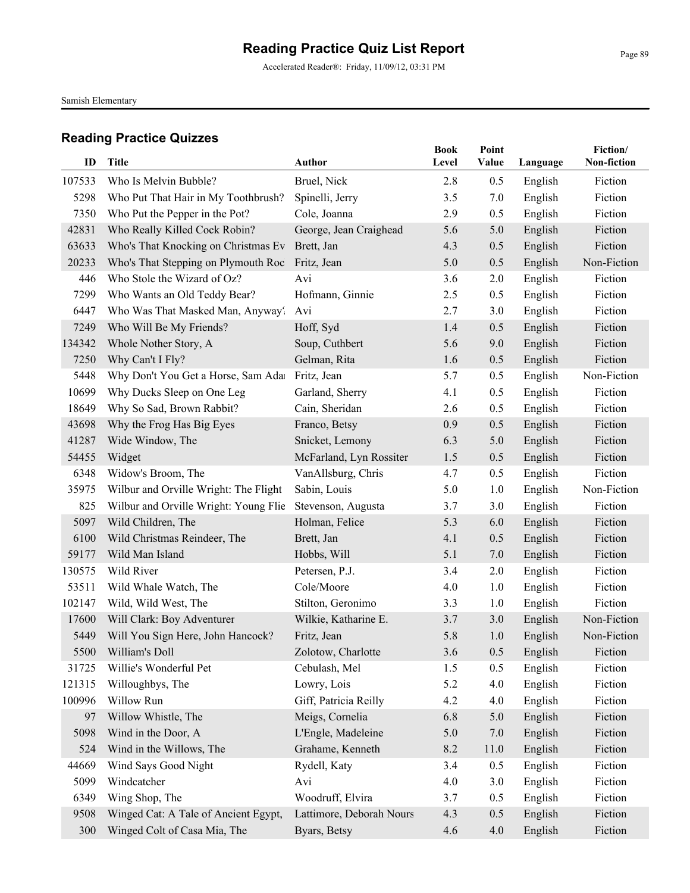Accelerated Reader®: Friday, 11/09/12, 03:31 PM

Samish Elementary

| ID     | <b>Title</b>                          | <b>Author</b>            | <b>Book</b><br>Level | Point<br>Value | Language | Fiction/<br>Non-fiction |
|--------|---------------------------------------|--------------------------|----------------------|----------------|----------|-------------------------|
| 107533 | Who Is Melvin Bubble?                 | Bruel, Nick              | 2.8                  | 0.5            | English  | Fiction                 |
| 5298   | Who Put That Hair in My Toothbrush?   | Spinelli, Jerry          | 3.5                  | 7.0            | English  | Fiction                 |
| 7350   | Who Put the Pepper in the Pot?        | Cole, Joanna             | 2.9                  | 0.5            | English  | Fiction                 |
| 42831  | Who Really Killed Cock Robin?         | George, Jean Craighead   | 5.6                  | 5.0            | English  | Fiction                 |
| 63633  | Who's That Knocking on Christmas Ev   | Brett, Jan               | 4.3                  | 0.5            | English  | Fiction                 |
| 20233  | Who's That Stepping on Plymouth Roc   | Fritz, Jean              | 5.0                  | 0.5            | English  | Non-Fiction             |
| 446    | Who Stole the Wizard of Oz?           | Avi                      | 3.6                  | 2.0            | English  | Fiction                 |
| 7299   | Who Wants an Old Teddy Bear?          | Hofmann, Ginnie          | 2.5                  | 0.5            | English  | Fiction                 |
| 6447   | Who Was That Masked Man, Anyway?      | Avi                      | 2.7                  | 3.0            | English  | Fiction                 |
| 7249   | Who Will Be My Friends?               | Hoff, Syd                | 1.4                  | 0.5            | English  | Fiction                 |
| 134342 | Whole Nother Story, A                 | Soup, Cuthbert           | 5.6                  | 9.0            | English  | Fiction                 |
| 7250   | Why Can't I Fly?                      | Gelman, Rita             | 1.6                  | 0.5            | English  | Fiction                 |
| 5448   | Why Don't You Get a Horse, Sam Ada    | Fritz, Jean              | 5.7                  | 0.5            | English  | Non-Fiction             |
| 10699  | Why Ducks Sleep on One Leg            | Garland, Sherry          | 4.1                  | 0.5            | English  | Fiction                 |
| 18649  | Why So Sad, Brown Rabbit?             | Cain, Sheridan           | 2.6                  | 0.5            | English  | Fiction                 |
| 43698  | Why the Frog Has Big Eyes             | Franco, Betsy            | 0.9                  | 0.5            | English  | Fiction                 |
| 41287  | Wide Window, The                      | Snicket, Lemony          | 6.3                  | 5.0            | English  | Fiction                 |
| 54455  | Widget                                | McFarland, Lyn Rossiter  | 1.5                  | 0.5            | English  | Fiction                 |
| 6348   | Widow's Broom, The                    | VanAllsburg, Chris       | 4.7                  | 0.5            | English  | Fiction                 |
| 35975  | Wilbur and Orville Wright: The Flight | Sabin, Louis             | 5.0                  | 1.0            | English  | Non-Fiction             |
| 825    | Wilbur and Orville Wright: Young Flie | Stevenson, Augusta       | 3.7                  | 3.0            | English  | Fiction                 |
| 5097   | Wild Children, The                    | Holman, Felice           | 5.3                  | 6.0            | English  | Fiction                 |
| 6100   | Wild Christmas Reindeer, The          | Brett, Jan               | 4.1                  | 0.5            | English  | Fiction                 |
| 59177  | Wild Man Island                       | Hobbs, Will              | 5.1                  | 7.0            | English  | Fiction                 |
| 130575 | Wild River                            | Petersen, P.J.           | 3.4                  | 2.0            | English  | Fiction                 |
| 53511  | Wild Whale Watch, The                 | Cole/Moore               | 4.0                  | 1.0            | English  | Fiction                 |
| 102147 | Wild, Wild West, The                  | Stilton, Geronimo        | 3.3                  | 1.0            | English  | Fiction                 |
| 17600  | Will Clark: Boy Adventurer            | Wilkie, Katharine E.     | 3.7                  | 3.0            | English  | Non-Fiction             |
| 5449   | Will You Sign Here, John Hancock?     | Fritz, Jean              | 5.8                  | 1.0            | English  | Non-Fiction             |
|        | 5500 William's Doll                   | Zolotow, Charlotte       | 3.6                  | 0.5            | English  | Fiction                 |
| 31725  | Willie's Wonderful Pet                | Cebulash, Mel            | 1.5                  | 0.5            | English  | Fiction                 |
| 121315 | Willoughbys, The                      | Lowry, Lois              | 5.2                  | 4.0            | English  | Fiction                 |
| 100996 | Willow Run                            | Giff, Patricia Reilly    | 4.2                  | 4.0            | English  | Fiction                 |
| 97     | Willow Whistle, The                   | Meigs, Cornelia          | 6.8                  | 5.0            | English  | Fiction                 |
| 5098   | Wind in the Door, A                   | L'Engle, Madeleine       | 5.0                  | 7.0            | English  | Fiction                 |
| 524    | Wind in the Willows, The              | Grahame, Kenneth         | 8.2                  | 11.0           | English  | Fiction                 |
| 44669  | Wind Says Good Night                  | Rydell, Katy             | 3.4                  | 0.5            | English  | Fiction                 |
| 5099   | Windcatcher                           | Avi                      | 4.0                  | 3.0            | English  | Fiction                 |
| 6349   | Wing Shop, The                        | Woodruff, Elvira         | 3.7                  | 0.5            | English  | Fiction                 |
| 9508   | Winged Cat: A Tale of Ancient Egypt,  | Lattimore, Deborah Nours | 4.3                  | 0.5            | English  | Fiction                 |
| 300    | Winged Colt of Casa Mia, The          | Byars, Betsy             | 4.6                  | 4.0            | English  | Fiction                 |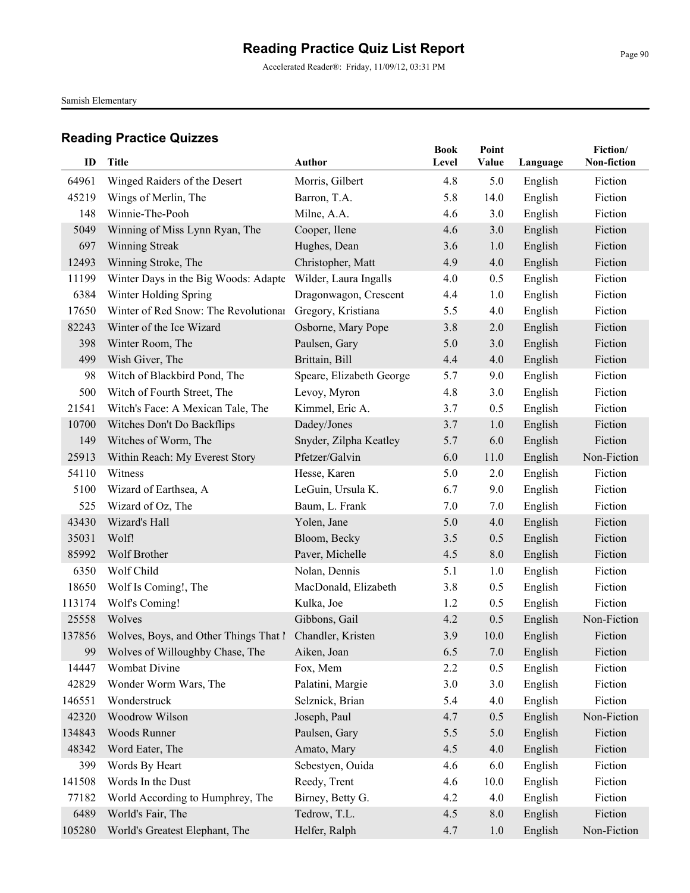Accelerated Reader®: Friday, 11/09/12, 03:31 PM

Samish Elementary

| ID     | Title                                 | Author                   | <b>Book</b><br>Level | Point<br>Value | Language | Fiction/<br>Non-fiction |
|--------|---------------------------------------|--------------------------|----------------------|----------------|----------|-------------------------|
|        |                                       |                          |                      |                |          |                         |
| 64961  | Winged Raiders of the Desert          | Morris, Gilbert          | 4.8                  | 5.0            | English  | Fiction                 |
| 45219  | Wings of Merlin, The                  | Barron, T.A.             | 5.8                  | 14.0           | English  | Fiction                 |
| 148    | Winnie-The-Pooh                       | Milne, A.A.              | 4.6                  | 3.0            | English  | Fiction                 |
| 5049   | Winning of Miss Lynn Ryan, The        | Cooper, Ilene            | 4.6                  | 3.0            | English  | Fiction                 |
| 697    | Winning Streak                        | Hughes, Dean             | 3.6                  | 1.0            | English  | Fiction                 |
| 12493  | Winning Stroke, The                   | Christopher, Matt        | 4.9                  | 4.0            | English  | Fiction                 |
| 11199  | Winter Days in the Big Woods: Adapte  | Wilder, Laura Ingalls    | 4.0                  | 0.5            | English  | Fiction                 |
| 6384   | Winter Holding Spring                 | Dragonwagon, Crescent    | 4.4                  | 1.0            | English  | Fiction                 |
| 17650  | Winter of Red Snow: The Revolutionar  | Gregory, Kristiana       | 5.5                  | 4.0            | English  | Fiction                 |
| 82243  | Winter of the Ice Wizard              | Osborne, Mary Pope       | 3.8                  | 2.0            | English  | Fiction                 |
| 398    | Winter Room, The                      | Paulsen, Gary            | 5.0                  | 3.0            | English  | Fiction                 |
| 499    | Wish Giver, The                       | Brittain, Bill           | 4.4                  | 4.0            | English  | Fiction                 |
| 98     | Witch of Blackbird Pond, The          | Speare, Elizabeth George | 5.7                  | 9.0            | English  | Fiction                 |
| 500    | Witch of Fourth Street, The           | Levoy, Myron             | 4.8                  | 3.0            | English  | Fiction                 |
| 21541  | Witch's Face: A Mexican Tale, The     | Kimmel, Eric A.          | 3.7                  | 0.5            | English  | Fiction                 |
| 10700  | Witches Don't Do Backflips            | Dadey/Jones              | 3.7                  | 1.0            | English  | Fiction                 |
| 149    | Witches of Worm, The                  | Snyder, Zilpha Keatley   | 5.7                  | 6.0            | English  | Fiction                 |
| 25913  | Within Reach: My Everest Story        | Pfetzer/Galvin           | 6.0                  | 11.0           | English  | Non-Fiction             |
| 54110  | Witness                               | Hesse, Karen             | 5.0                  | 2.0            | English  | Fiction                 |
| 5100   | Wizard of Earthsea, A                 | LeGuin, Ursula K.        | 6.7                  | 9.0            | English  | Fiction                 |
| 525    | Wizard of Oz, The                     | Baum, L. Frank           | 7.0                  | 7.0            | English  | Fiction                 |
| 43430  | Wizard's Hall                         | Yolen, Jane              | 5.0                  | 4.0            | English  | Fiction                 |
| 35031  | Wolf!                                 | Bloom, Becky             | 3.5                  | 0.5            | English  | Fiction                 |
| 85992  | Wolf Brother                          | Paver, Michelle          | 4.5                  | 8.0            | English  | Fiction                 |
| 6350   | Wolf Child                            | Nolan, Dennis            | 5.1                  | 1.0            | English  | Fiction                 |
| 18650  | Wolf Is Coming!, The                  | MacDonald, Elizabeth     | 3.8                  | 0.5            | English  | Fiction                 |
| 113174 | Wolf's Coming!                        | Kulka, Joe               | 1.2                  | 0.5            | English  | Fiction                 |
| 25558  | Wolves                                | Gibbons, Gail            | 4.2                  | 0.5            | English  | Non-Fiction             |
| 137856 | Wolves, Boys, and Other Things That I | Chandler, Kristen        | 3.9                  | 10.0           | English  | Fiction                 |
|        | 99 Wolves of Willoughby Chase, The    | Aiken, Joan              | 6.5                  | 7.0            | English  | Fiction                 |
| 14447  | Wombat Divine                         | Fox, Mem                 | 2.2                  | 0.5            | English  | Fiction                 |
| 42829  | Wonder Worm Wars, The                 | Palatini, Margie         | 3.0                  | 3.0            | English  | Fiction                 |
| 146551 | Wonderstruck                          | Selznick, Brian          | 5.4                  | 4.0            | English  | Fiction                 |
| 42320  | Woodrow Wilson                        | Joseph, Paul             | 4.7                  | 0.5            | English  | Non-Fiction             |
| 134843 | Woods Runner                          | Paulsen, Gary            | 5.5                  | 5.0            | English  | Fiction                 |
| 48342  | Word Eater, The                       | Amato, Mary              | 4.5                  | 4.0            | English  | Fiction                 |
| 399    | Words By Heart                        | Sebestyen, Ouida         | 4.6                  | 6.0            | English  | Fiction                 |
| 141508 | Words In the Dust                     | Reedy, Trent             | 4.6                  | 10.0           | English  | Fiction                 |
| 77182  | World According to Humphrey, The      | Birney, Betty G.         | 4.2                  | 4.0            | English  | Fiction                 |
| 6489   | World's Fair, The                     | Tedrow, T.L.             | 4.5                  | 8.0            | English  | Fiction                 |
| 105280 | World's Greatest Elephant, The        | Helfer, Ralph            | 4.7                  | 1.0            | English  | Non-Fiction             |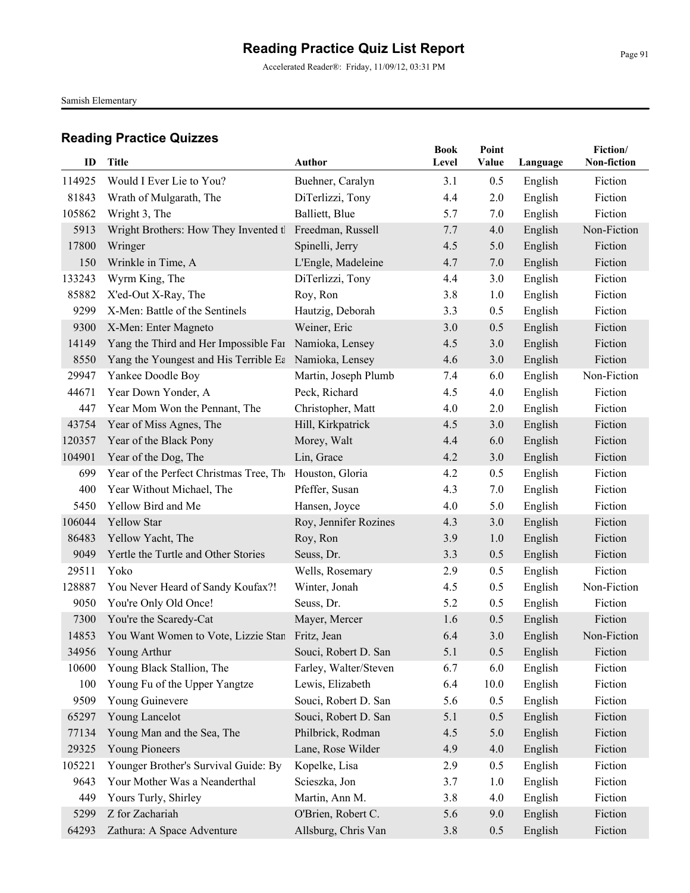Accelerated Reader®: Friday, 11/09/12, 03:31 PM

Samish Elementary

| ID           | <b>Title</b>                                          | <b>Author</b>                      | <b>Book</b><br>Level | Point<br>Value | Language | Fiction/<br>Non-fiction |
|--------------|-------------------------------------------------------|------------------------------------|----------------------|----------------|----------|-------------------------|
| 114925       |                                                       |                                    |                      |                |          |                         |
|              | Would I Ever Lie to You?                              | Buehner, Caralyn                   | 3.1                  | 0.5            | English  | Fiction                 |
| 81843        | Wrath of Mulgarath, The                               | DiTerlizzi, Tony<br>Balliett, Blue | 4.4                  | 2.0            | English  | Fiction                 |
| 105862       | Wright 3, The                                         | Freedman, Russell                  | 5.7                  | 7.0            | English  | Fiction<br>Non-Fiction  |
| 5913         | Wright Brothers: How They Invented tl                 |                                    | 7.7                  | 4.0            | English  | Fiction                 |
| 17800<br>150 | Wringer                                               | Spinelli, Jerry                    | 4.5<br>4.7           | 5.0            | English  | Fiction                 |
| 133243       | Wrinkle in Time, A                                    | L'Engle, Madeleine                 | 4.4                  | 7.0<br>3.0     | English  | Fiction                 |
| 85882        | Wyrm King, The                                        | DiTerlizzi, Tony                   | 3.8                  |                | English  | Fiction                 |
| 9299         | X'ed-Out X-Ray, The<br>X-Men: Battle of the Sentinels | Roy, Ron                           |                      | 1.0            | English  |                         |
|              |                                                       | Hautzig, Deborah                   | 3.3                  | 0.5            | English  | Fiction<br>Fiction      |
| 9300         | X-Men: Enter Magneto                                  | Weiner, Eric                       | 3.0                  | 0.5            | English  |                         |
| 14149        | Yang the Third and Her Impossible Far                 | Namioka, Lensey                    | 4.5                  | 3.0            | English  | Fiction                 |
| 8550         | Yang the Youngest and His Terrible Ea                 | Namioka, Lensey                    | 4.6                  | 3.0            | English  | Fiction                 |
| 29947        | Yankee Doodle Boy                                     | Martin, Joseph Plumb               | 7.4                  | 6.0            | English  | Non-Fiction             |
| 44671        | Year Down Yonder, A                                   | Peck, Richard                      | 4.5                  | 4.0            | English  | Fiction                 |
| 447          | Year Mom Won the Pennant, The                         | Christopher, Matt                  | 4.0                  | 2.0            | English  | Fiction                 |
| 43754        | Year of Miss Agnes, The                               | Hill, Kirkpatrick                  | 4.5                  | 3.0            | English  | Fiction                 |
| 120357       | Year of the Black Pony                                | Morey, Walt                        | 4.4                  | 6.0            | English  | Fiction                 |
| 104901       | Year of the Dog, The                                  | Lin, Grace                         | 4.2                  | 3.0            | English  | Fiction                 |
| 699          | Year of the Perfect Christmas Tree, The               | Houston, Gloria                    | 4.2                  | 0.5            | English  | Fiction                 |
| 400          | Year Without Michael, The                             | Pfeffer, Susan                     | 4.3                  | 7.0            | English  | Fiction                 |
| 5450         | Yellow Bird and Me                                    | Hansen, Joyce                      | 4.0                  | 5.0            | English  | Fiction                 |
| 106044       | <b>Yellow Star</b>                                    | Roy, Jennifer Rozines              | 4.3                  | 3.0            | English  | Fiction                 |
| 86483        | Yellow Yacht, The                                     | Roy, Ron                           | 3.9                  | 1.0            | English  | Fiction                 |
| 9049         | Yertle the Turtle and Other Stories                   | Seuss, Dr.                         | 3.3                  | 0.5            | English  | Fiction                 |
| 29511        | Yoko                                                  | Wells, Rosemary                    | 2.9                  | 0.5            | English  | Fiction                 |
| 128887       | You Never Heard of Sandy Koufax?!                     | Winter, Jonah                      | 4.5                  | 0.5            | English  | Non-Fiction             |
| 9050         | You're Only Old Once!                                 | Seuss, Dr.                         | 5.2                  | 0.5            | English  | Fiction                 |
| 7300         | You're the Scaredy-Cat                                | Mayer, Mercer                      | 1.6                  | 0.5            | English  | Fiction                 |
| 14853        | You Want Women to Vote, Lizzie Stan Fritz, Jean       |                                    | 6.4                  | 3.0            | English  | Non-Fiction             |
|              | 34956 Young Arthur                                    | Souci, Robert D. San               | 5.1                  | 0.5            | English  | Fiction                 |
| 10600        | Young Black Stallion, The                             | Farley, Walter/Steven              | 6.7                  | 6.0            | English  | Fiction                 |
| 100          | Young Fu of the Upper Yangtze                         | Lewis, Elizabeth                   | 6.4                  | 10.0           | English  | Fiction                 |
| 9509         | Young Guinevere                                       | Souci, Robert D. San               | 5.6                  | 0.5            | English  | Fiction                 |
| 65297        | Young Lancelot                                        | Souci, Robert D. San               | 5.1                  | 0.5            | English  | Fiction                 |
| 77134        | Young Man and the Sea, The                            | Philbrick, Rodman                  | 4.5                  | 5.0            | English  | Fiction                 |
| 29325        | Young Pioneers                                        | Lane, Rose Wilder                  | 4.9                  | 4.0            | English  | Fiction                 |
| 105221       | Younger Brother's Survival Guide: By                  | Kopelke, Lisa                      | 2.9                  | 0.5            | English  | Fiction                 |
| 9643         | Your Mother Was a Neanderthal                         | Scieszka, Jon                      | 3.7                  | 1.0            | English  | Fiction                 |
| 449          | Yours Turly, Shirley                                  | Martin, Ann M.                     | 3.8                  | 4.0            | English  | Fiction                 |
| 5299         | Z for Zachariah                                       | O'Brien, Robert C.                 | 5.6                  | 9.0            | English  | Fiction                 |
| 64293        | Zathura: A Space Adventure                            | Allsburg, Chris Van                | 3.8                  | 0.5            | English  | Fiction                 |